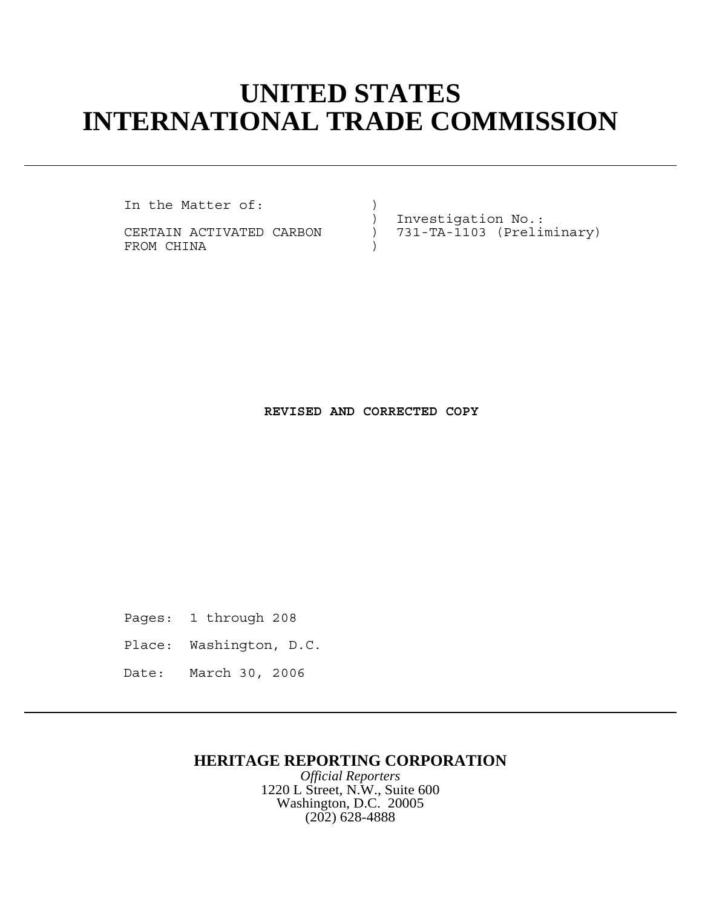# **UNITED STATES INTERNATIONAL TRADE COMMISSION**

In the Matter of:

FROM CHINA

) Investigation No.:<br>CERTAIN ACTIVATED CARBON ) 731-TA-1103 (Preli 731-TA-1103 (Preliminary)

#### **REVISED AND CORRECTED COPY**

Pages: 1 through 208

- Place: Washington, D.C.
- Date: March 30, 2006

### **HERITAGE REPORTING CORPORATION**

*Official Reporters* 1220 L Street, N.W., Suite 600 Washington, D.C. 20005 (202) 628-4888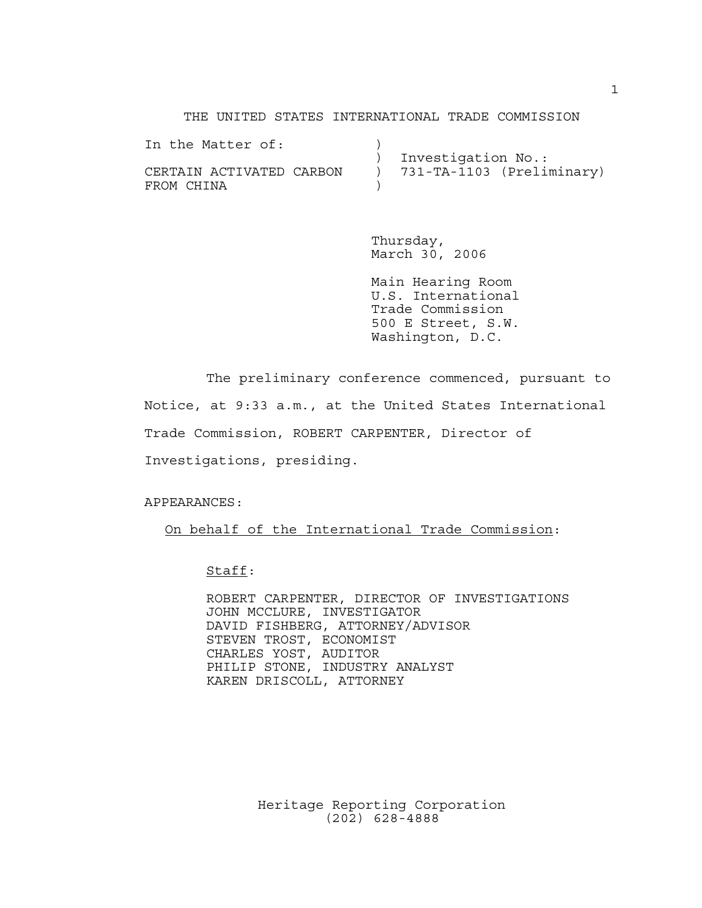#### THE UNITED STATES INTERNATIONAL TRADE COMMISSION

| In the Matter of:        |                           |
|--------------------------|---------------------------|
|                          | Investigation No.:        |
| CERTAIN ACTIVATED CARBON | 731-TA-1103 (Preliminary) |
| FROM CHINA               |                           |

Thursday, March 30, 2006

Main Hearing Room U.S. International Trade Commission 500 E Street, S.W. Washington, D.C.

The preliminary conference commenced, pursuant to Notice, at 9:33 a.m., at the United States International Trade Commission, ROBERT CARPENTER, Director of Investigations, presiding.

APPEARANCES:

On behalf of the International Trade Commission:

Staff:

ROBERT CARPENTER, DIRECTOR OF INVESTIGATIONS JOHN MCCLURE, INVESTIGATOR DAVID FISHBERG, ATTORNEY/ADVISOR STEVEN TROST, ECONOMIST CHARLES YOST, AUDITOR PHILIP STONE, INDUSTRY ANALYST KAREN DRISCOLL, ATTORNEY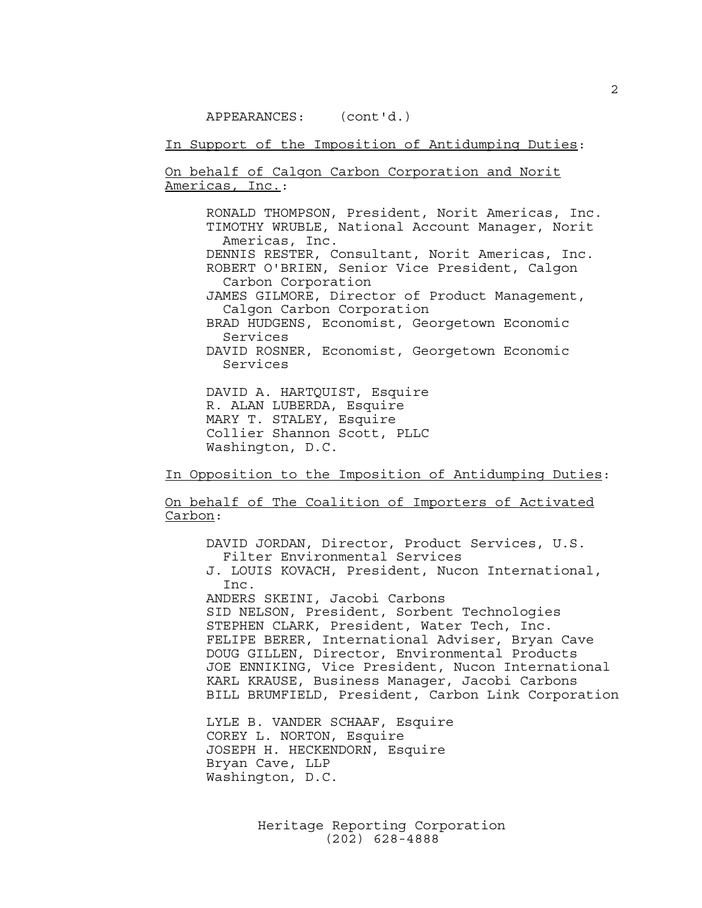In Support of the Imposition of Antidumping Duties:

On behalf of Calgon Carbon Corporation and Norit Americas, Inc.:

RONALD THOMPSON, President, Norit Americas, Inc. TIMOTHY WRUBLE, National Account Manager, Norit Americas, Inc. DENNIS RESTER, Consultant, Norit Americas, Inc. ROBERT O'BRIEN, Senior Vice President, Calgon Carbon Corporation JAMES GILMORE, Director of Product Management, Calgon Carbon Corporation BRAD HUDGENS, Economist, Georgetown Economic Services DAVID ROSNER, Economist, Georgetown Economic Services

DAVID A. HARTQUIST, Esquire R. ALAN LUBERDA, Esquire MARY T. STALEY, Esquire Collier Shannon Scott, PLLC Washington, D.C.

In Opposition to the Imposition of Antidumping Duties:

On behalf of The Coalition of Importers of Activated Carbon:

DAVID JORDAN, Director, Product Services, U.S. Filter Environmental Services

J. LOUIS KOVACH, President, Nucon International, Inc.

ANDERS SKEINI, Jacobi Carbons SID NELSON, President, Sorbent Technologies STEPHEN CLARK, President, Water Tech, Inc. FELIPE BERER, International Adviser, Bryan Cave DOUG GILLEN, Director, Environmental Products JOE ENNIKING, Vice President, Nucon International KARL KRAUSE, Business Manager, Jacobi Carbons BILL BRUMFIELD, President, Carbon Link Corporation

LYLE B. VANDER SCHAAF, Esquire COREY L. NORTON, Esquire JOSEPH H. HECKENDORN, Esquire Bryan Cave, LLP Washington, D.C.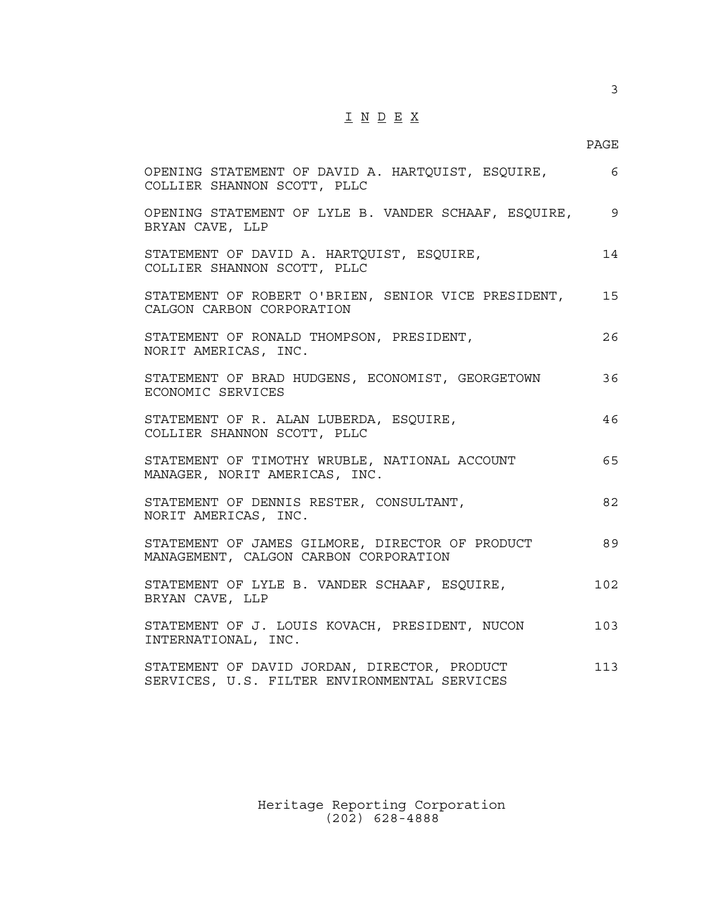## I N D E X

PAGE

| OPENING STATEMENT OF DAVID A. HARTQUIST, ESQUIRE,<br>COLLIER SHANNON SCOTT, PLLC             | 6   |
|----------------------------------------------------------------------------------------------|-----|
| OPENING STATEMENT OF LYLE B. VANDER SCHAAF, ESQUIRE, 9<br>BRYAN CAVE, LLP                    |     |
| STATEMENT OF DAVID A. HARTQUIST, ESQUIRE,<br>COLLIER SHANNON SCOTT, PLLC                     | 14  |
| STATEMENT OF ROBERT O'BRIEN, SENIOR VICE PRESIDENT,<br>CALGON CARBON CORPORATION             | 15  |
| STATEMENT OF RONALD THOMPSON, PRESIDENT,<br>NORIT AMERICAS, INC.                             | 26  |
| STATEMENT OF BRAD HUDGENS, ECONOMIST, GEORGETOWN<br>ECONOMIC SERVICES                        | 36  |
| STATEMENT OF R. ALAN LUBERDA, ESQUIRE,<br>COLLIER SHANNON SCOTT, PLLC                        | 46  |
| STATEMENT OF TIMOTHY WRUBLE, NATIONAL ACCOUNT<br>MANAGER, NORIT AMERICAS, INC.               | 65  |
| STATEMENT OF DENNIS RESTER, CONSULTANT,<br>NORIT AMERICAS, INC.                              | 82  |
| STATEMENT OF JAMES GILMORE, DIRECTOR OF PRODUCT<br>MANAGEMENT, CALGON CARBON CORPORATION     | 89  |
| STATEMENT OF LYLE B. VANDER SCHAAF, ESQUIRE,<br>BRYAN CAVE, LLP                              | 102 |
| STATEMENT OF J. LOUIS KOVACH, PRESIDENT, NUCON<br>INTERNATIONAL, INC.                        | 103 |
| STATEMENT OF DAVID JORDAN, DIRECTOR, PRODUCT<br>SERVICES, U.S. FILTER ENVIRONMENTAL SERVICES | 113 |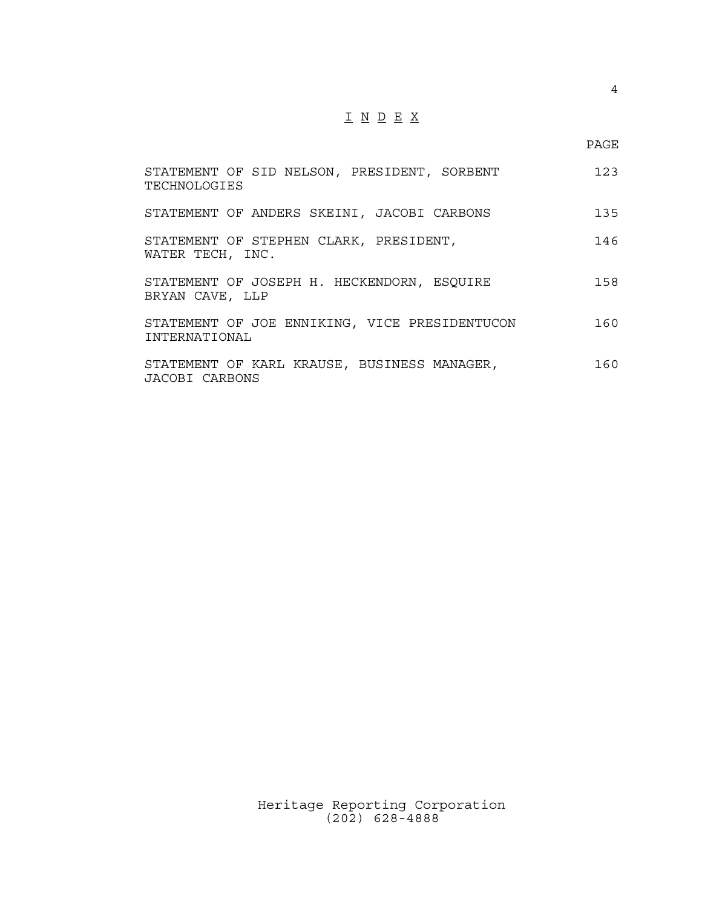## I N D E X

| STATEMENT OF SID NELSON, PRESIDENT, SORBENT<br>TECHNOLOGIES    | 123 |
|----------------------------------------------------------------|-----|
| STATEMENT OF ANDERS SKEINI, JACOBI CARBONS                     | 135 |
| STATEMENT OF STEPHEN CLARK, PRESIDENT,<br>WATER TECH, INC.     | 146 |
| STATEMENT OF JOSEPH H. HECKENDORN, ESQUIRE<br>BRYAN CAVE, LLP  | 158 |
| STATEMENT OF JOE ENNIKING, VICE PRESIDENTUCON<br>INTERNATIONAL | 160 |
| STATEMENT OF KARL KRAUSE, BUSINESS MANAGER,<br>JACOBI CARBONS  | 160 |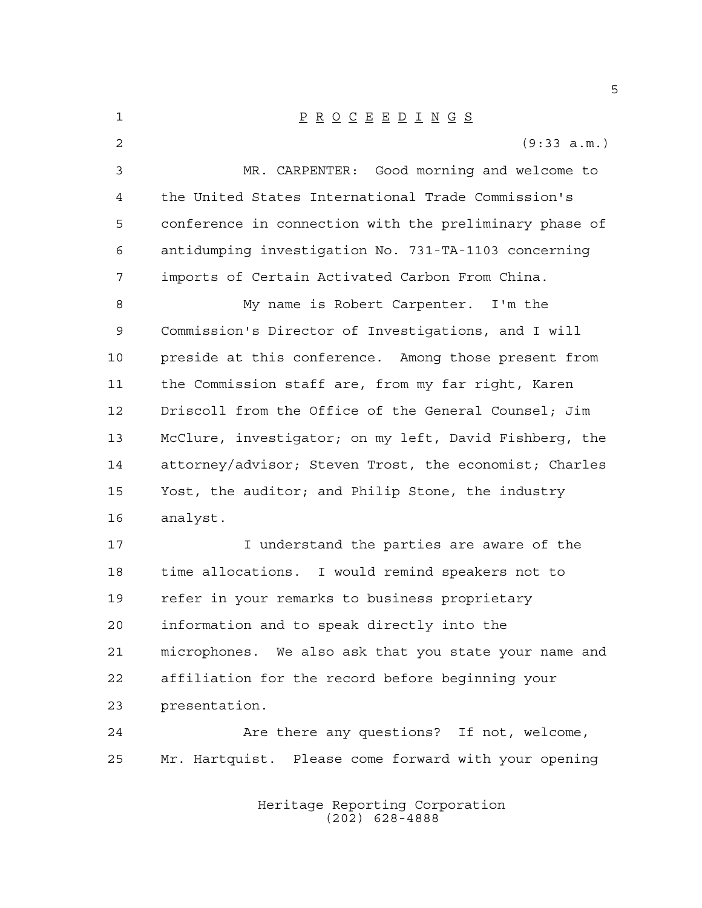P R O C E E D I N G S (9:33 a.m.) MR. CARPENTER: Good morning and welcome to the United States International Trade Commission's conference in connection with the preliminary phase of antidumping investigation No. 731-TA-1103 concerning imports of Certain Activated Carbon From China. My name is Robert Carpenter. I'm the Commission's Director of Investigations, and I will preside at this conference. Among those present from the Commission staff are, from my far right, Karen Driscoll from the Office of the General Counsel; Jim McClure, investigator; on my left, David Fishberg, the attorney/advisor; Steven Trost, the economist; Charles Yost, the auditor; and Philip Stone, the industry analyst. I understand the parties are aware of the time allocations. I would remind speakers not to refer in your remarks to business proprietary information and to speak directly into the microphones. We also ask that you state your name and affiliation for the record before beginning your presentation. Are there any questions? If not, welcome, Mr. Hartquist. Please come forward with your opening

> Heritage Reporting Corporation (202) 628-4888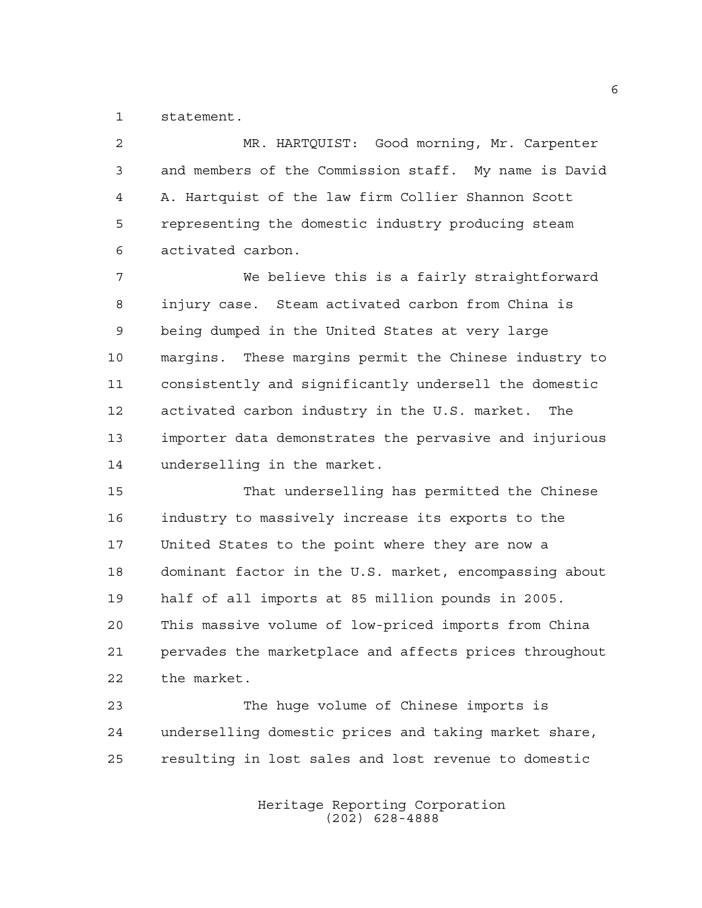statement.

 MR. HARTQUIST: Good morning, Mr. Carpenter and members of the Commission staff. My name is David A. Hartquist of the law firm Collier Shannon Scott representing the domestic industry producing steam activated carbon.

 We believe this is a fairly straightforward injury case. Steam activated carbon from China is being dumped in the United States at very large margins. These margins permit the Chinese industry to consistently and significantly undersell the domestic activated carbon industry in the U.S. market. The importer data demonstrates the pervasive and injurious underselling in the market.

 That underselling has permitted the Chinese industry to massively increase its exports to the United States to the point where they are now a dominant factor in the U.S. market, encompassing about half of all imports at 85 million pounds in 2005. This massive volume of low-priced imports from China pervades the marketplace and affects prices throughout the market.

 The huge volume of Chinese imports is underselling domestic prices and taking market share, resulting in lost sales and lost revenue to domestic

> Heritage Reporting Corporation (202) 628-4888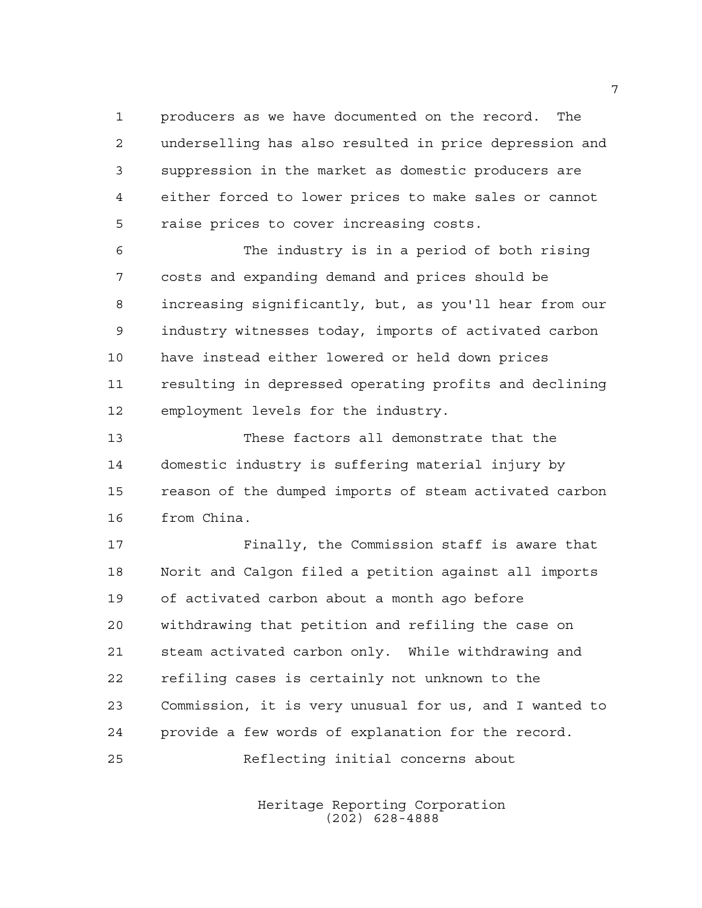producers as we have documented on the record. The underselling has also resulted in price depression and suppression in the market as domestic producers are either forced to lower prices to make sales or cannot raise prices to cover increasing costs.

 The industry is in a period of both rising costs and expanding demand and prices should be increasing significantly, but, as you'll hear from our industry witnesses today, imports of activated carbon have instead either lowered or held down prices resulting in depressed operating profits and declining employment levels for the industry.

 These factors all demonstrate that the domestic industry is suffering material injury by reason of the dumped imports of steam activated carbon from China.

 Finally, the Commission staff is aware that Norit and Calgon filed a petition against all imports of activated carbon about a month ago before withdrawing that petition and refiling the case on steam activated carbon only. While withdrawing and refiling cases is certainly not unknown to the Commission, it is very unusual for us, and I wanted to provide a few words of explanation for the record. Reflecting initial concerns about

> Heritage Reporting Corporation (202) 628-4888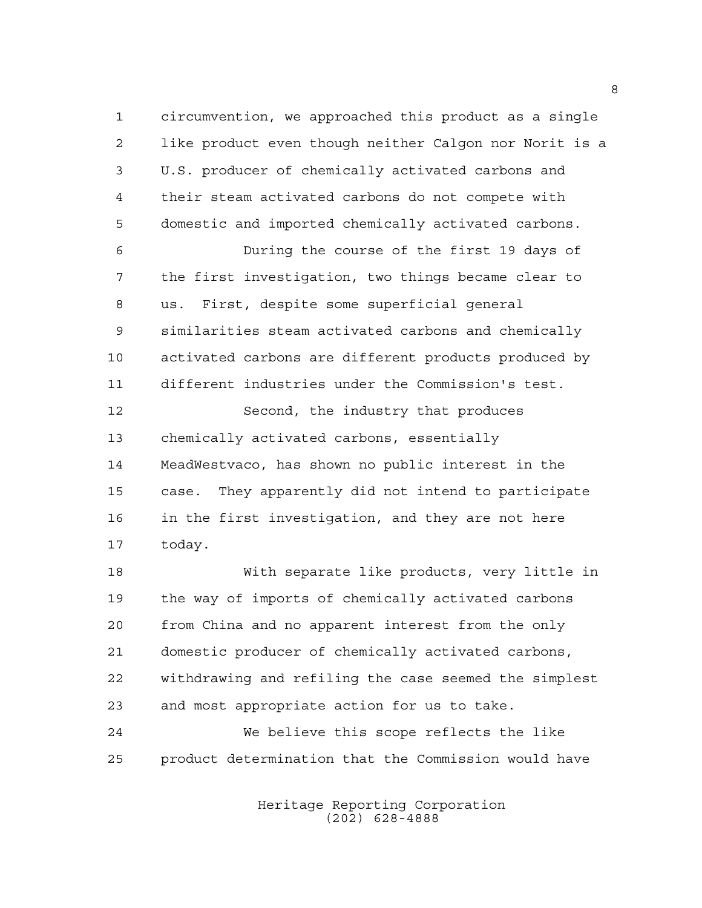circumvention, we approached this product as a single like product even though neither Calgon nor Norit is a U.S. producer of chemically activated carbons and their steam activated carbons do not compete with domestic and imported chemically activated carbons. During the course of the first 19 days of the first investigation, two things became clear to us. First, despite some superficial general similarities steam activated carbons and chemically activated carbons are different products produced by different industries under the Commission's test. Second, the industry that produces chemically activated carbons, essentially MeadWestvaco, has shown no public interest in the case. They apparently did not intend to participate in the first investigation, and they are not here

today.

 With separate like products, very little in the way of imports of chemically activated carbons from China and no apparent interest from the only domestic producer of chemically activated carbons, withdrawing and refiling the case seemed the simplest and most appropriate action for us to take.

 We believe this scope reflects the like product determination that the Commission would have

> Heritage Reporting Corporation (202) 628-4888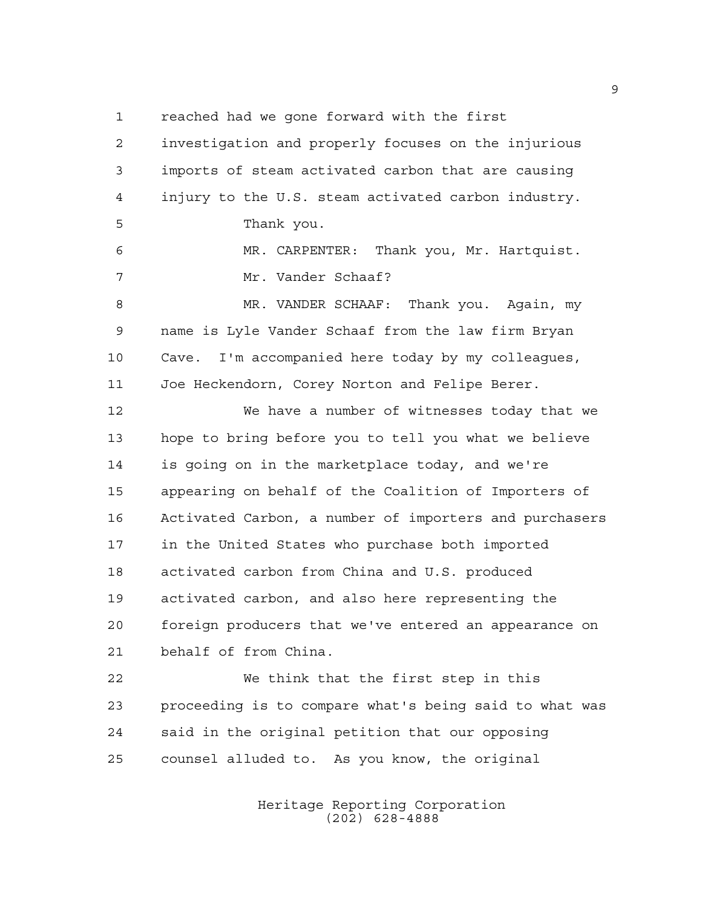reached had we gone forward with the first

 investigation and properly focuses on the injurious imports of steam activated carbon that are causing injury to the U.S. steam activated carbon industry. Thank you. MR. CARPENTER: Thank you, Mr. Hartquist. Mr. Vander Schaaf? MR. VANDER SCHAAF: Thank you. Again, my name is Lyle Vander Schaaf from the law firm Bryan Cave. I'm accompanied here today by my colleagues, Joe Heckendorn, Corey Norton and Felipe Berer. We have a number of witnesses today that we hope to bring before you to tell you what we believe is going on in the marketplace today, and we're appearing on behalf of the Coalition of Importers of Activated Carbon, a number of importers and purchasers in the United States who purchase both imported activated carbon from China and U.S. produced activated carbon, and also here representing the foreign producers that we've entered an appearance on behalf of from China. We think that the first step in this proceeding is to compare what's being said to what was

counsel alluded to. As you know, the original

said in the original petition that our opposing

Heritage Reporting Corporation (202) 628-4888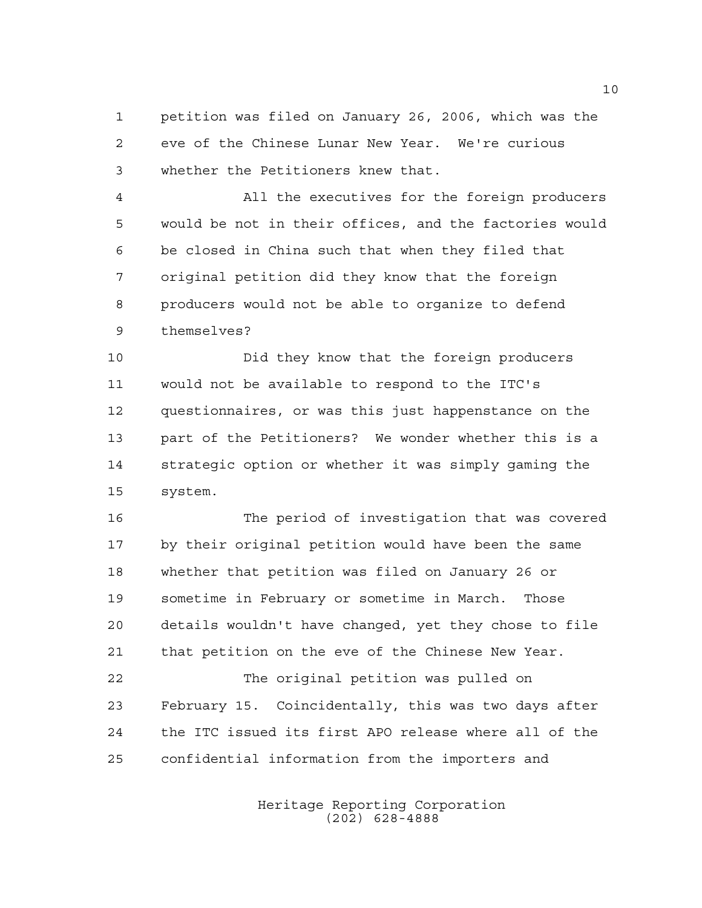petition was filed on January 26, 2006, which was the eve of the Chinese Lunar New Year. We're curious whether the Petitioners knew that.

 All the executives for the foreign producers would be not in their offices, and the factories would be closed in China such that when they filed that original petition did they know that the foreign producers would not be able to organize to defend themselves?

 Did they know that the foreign producers would not be available to respond to the ITC's questionnaires, or was this just happenstance on the part of the Petitioners? We wonder whether this is a strategic option or whether it was simply gaming the system.

 The period of investigation that was covered by their original petition would have been the same whether that petition was filed on January 26 or sometime in February or sometime in March. Those details wouldn't have changed, yet they chose to file that petition on the eve of the Chinese New Year.

 The original petition was pulled on February 15. Coincidentally, this was two days after the ITC issued its first APO release where all of the confidential information from the importers and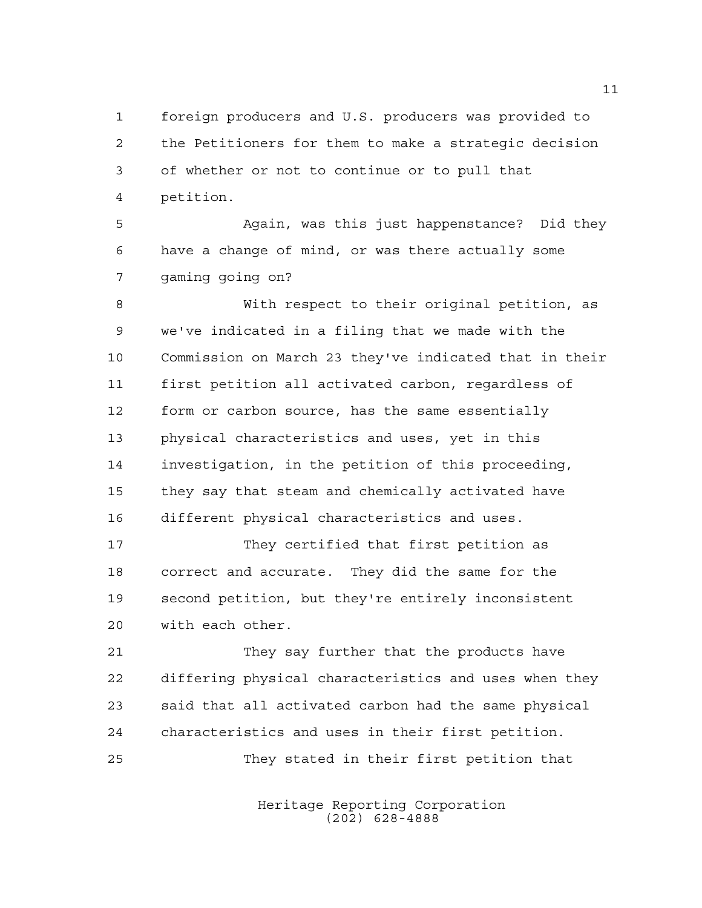foreign producers and U.S. producers was provided to the Petitioners for them to make a strategic decision of whether or not to continue or to pull that petition.

 Again, was this just happenstance? Did they have a change of mind, or was there actually some gaming going on?

 With respect to their original petition, as we've indicated in a filing that we made with the Commission on March 23 they've indicated that in their first petition all activated carbon, regardless of form or carbon source, has the same essentially physical characteristics and uses, yet in this investigation, in the petition of this proceeding, they say that steam and chemically activated have different physical characteristics and uses.

 They certified that first petition as correct and accurate. They did the same for the second petition, but they're entirely inconsistent with each other.

 They say further that the products have differing physical characteristics and uses when they said that all activated carbon had the same physical characteristics and uses in their first petition. They stated in their first petition that

> Heritage Reporting Corporation (202) 628-4888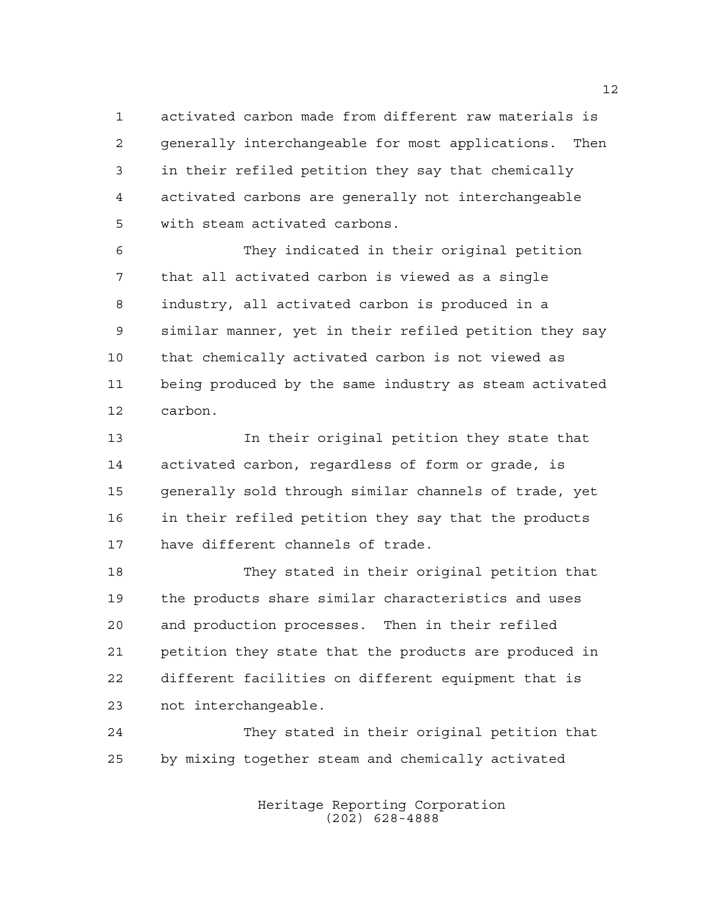activated carbon made from different raw materials is generally interchangeable for most applications. Then in their refiled petition they say that chemically activated carbons are generally not interchangeable with steam activated carbons.

 They indicated in their original petition that all activated carbon is viewed as a single industry, all activated carbon is produced in a similar manner, yet in their refiled petition they say that chemically activated carbon is not viewed as being produced by the same industry as steam activated carbon.

 In their original petition they state that activated carbon, regardless of form or grade, is generally sold through similar channels of trade, yet in their refiled petition they say that the products have different channels of trade.

 They stated in their original petition that the products share similar characteristics and uses and production processes. Then in their refiled petition they state that the products are produced in different facilities on different equipment that is not interchangeable.

 They stated in their original petition that by mixing together steam and chemically activated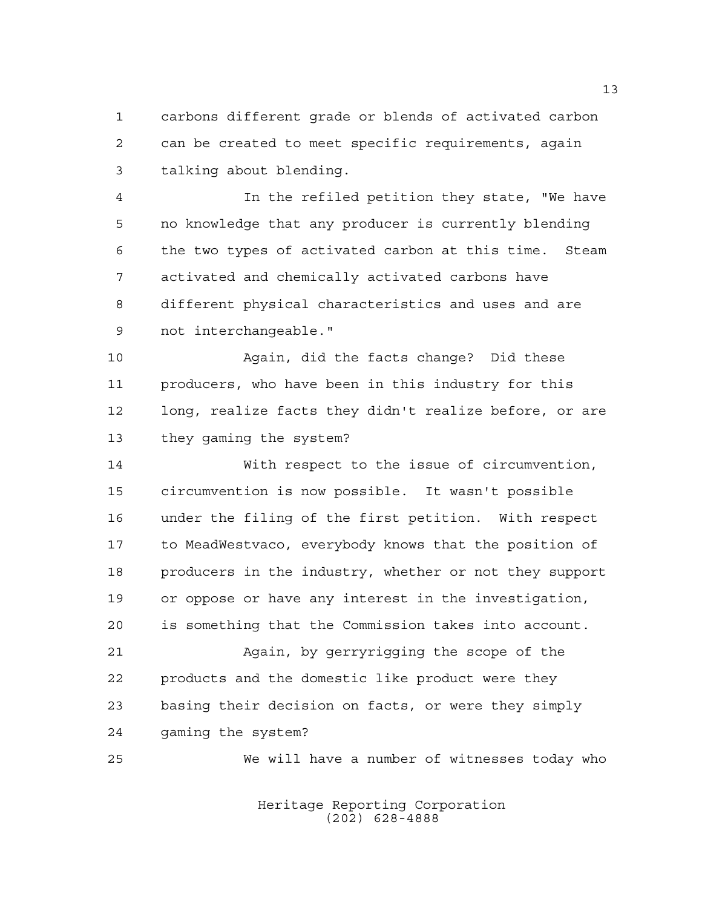carbons different grade or blends of activated carbon can be created to meet specific requirements, again talking about blending.

 In the refiled petition they state, "We have no knowledge that any producer is currently blending the two types of activated carbon at this time. Steam activated and chemically activated carbons have different physical characteristics and uses and are not interchangeable."

 Again, did the facts change? Did these producers, who have been in this industry for this long, realize facts they didn't realize before, or are they gaming the system?

 With respect to the issue of circumvention, circumvention is now possible. It wasn't possible under the filing of the first petition. With respect to MeadWestvaco, everybody knows that the position of producers in the industry, whether or not they support or oppose or have any interest in the investigation, is something that the Commission takes into account.

 Again, by gerryrigging the scope of the products and the domestic like product were they basing their decision on facts, or were they simply gaming the system?

We will have a number of witnesses today who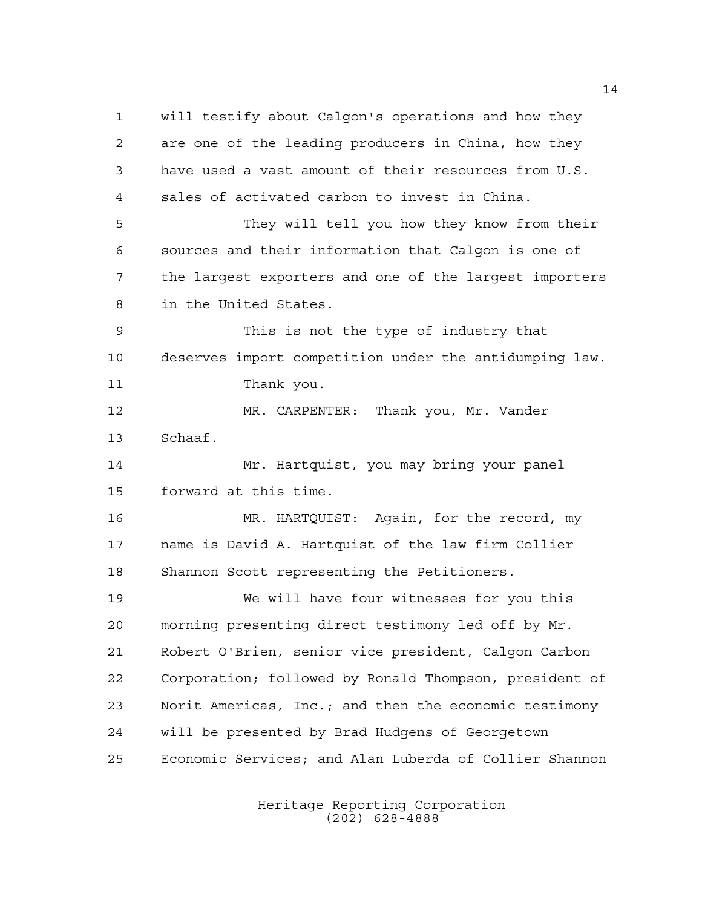will testify about Calgon's operations and how they are one of the leading producers in China, how they have used a vast amount of their resources from U.S. sales of activated carbon to invest in China. They will tell you how they know from their sources and their information that Calgon is one of the largest exporters and one of the largest importers in the United States. This is not the type of industry that deserves import competition under the antidumping law. Thank you. MR. CARPENTER: Thank you, Mr. Vander Schaaf. Mr. Hartquist, you may bring your panel forward at this time. MR. HARTQUIST: Again, for the record, my name is David A. Hartquist of the law firm Collier Shannon Scott representing the Petitioners. We will have four witnesses for you this morning presenting direct testimony led off by Mr. Robert O'Brien, senior vice president, Calgon Carbon Corporation; followed by Ronald Thompson, president of Norit Americas, Inc.; and then the economic testimony will be presented by Brad Hudgens of Georgetown Economic Services; and Alan Luberda of Collier Shannon

> Heritage Reporting Corporation (202) 628-4888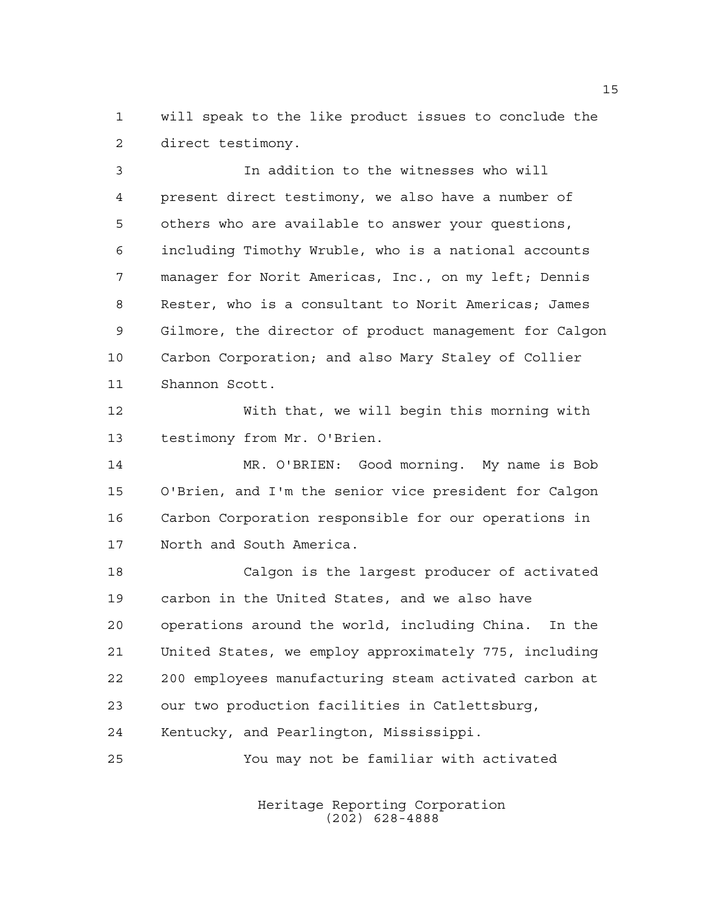will speak to the like product issues to conclude the direct testimony.

 In addition to the witnesses who will present direct testimony, we also have a number of others who are available to answer your questions, including Timothy Wruble, who is a national accounts manager for Norit Americas, Inc., on my left; Dennis Rester, who is a consultant to Norit Americas; James Gilmore, the director of product management for Calgon Carbon Corporation; and also Mary Staley of Collier Shannon Scott.

 With that, we will begin this morning with testimony from Mr. O'Brien.

 MR. O'BRIEN: Good morning. My name is Bob O'Brien, and I'm the senior vice president for Calgon Carbon Corporation responsible for our operations in North and South America.

 Calgon is the largest producer of activated carbon in the United States, and we also have operations around the world, including China. In the United States, we employ approximately 775, including 200 employees manufacturing steam activated carbon at our two production facilities in Catlettsburg, Kentucky, and Pearlington, Mississippi.

You may not be familiar with activated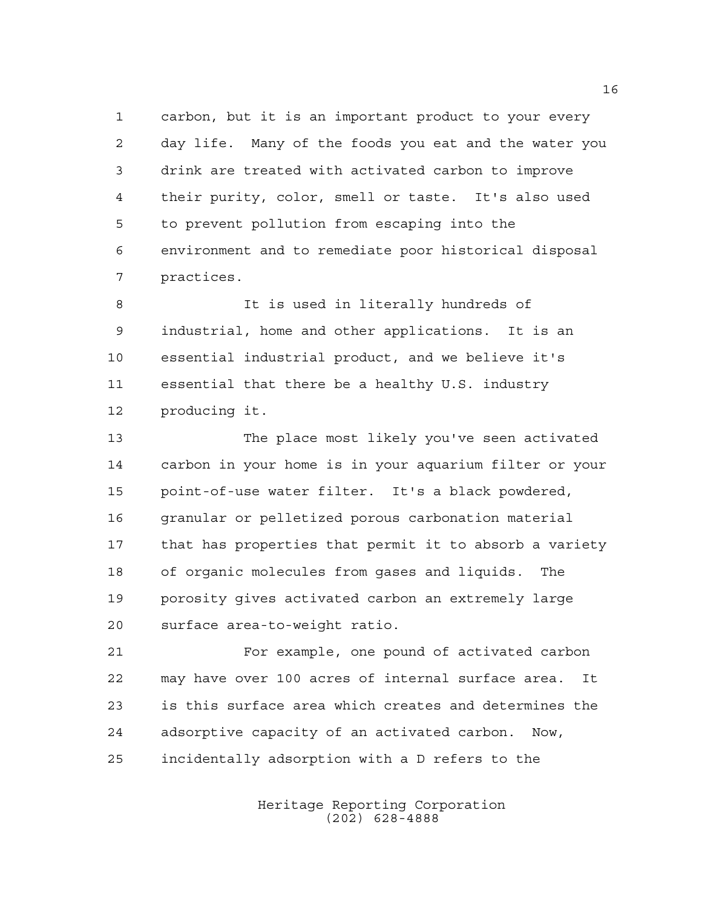carbon, but it is an important product to your every day life. Many of the foods you eat and the water you drink are treated with activated carbon to improve their purity, color, smell or taste. It's also used to prevent pollution from escaping into the environment and to remediate poor historical disposal practices.

8 It is used in literally hundreds of industrial, home and other applications. It is an essential industrial product, and we believe it's essential that there be a healthy U.S. industry producing it.

 The place most likely you've seen activated carbon in your home is in your aquarium filter or your point-of-use water filter. It's a black powdered, granular or pelletized porous carbonation material that has properties that permit it to absorb a variety of organic molecules from gases and liquids. The porosity gives activated carbon an extremely large surface area-to-weight ratio.

 For example, one pound of activated carbon may have over 100 acres of internal surface area. It is this surface area which creates and determines the adsorptive capacity of an activated carbon. Now, incidentally adsorption with a D refers to the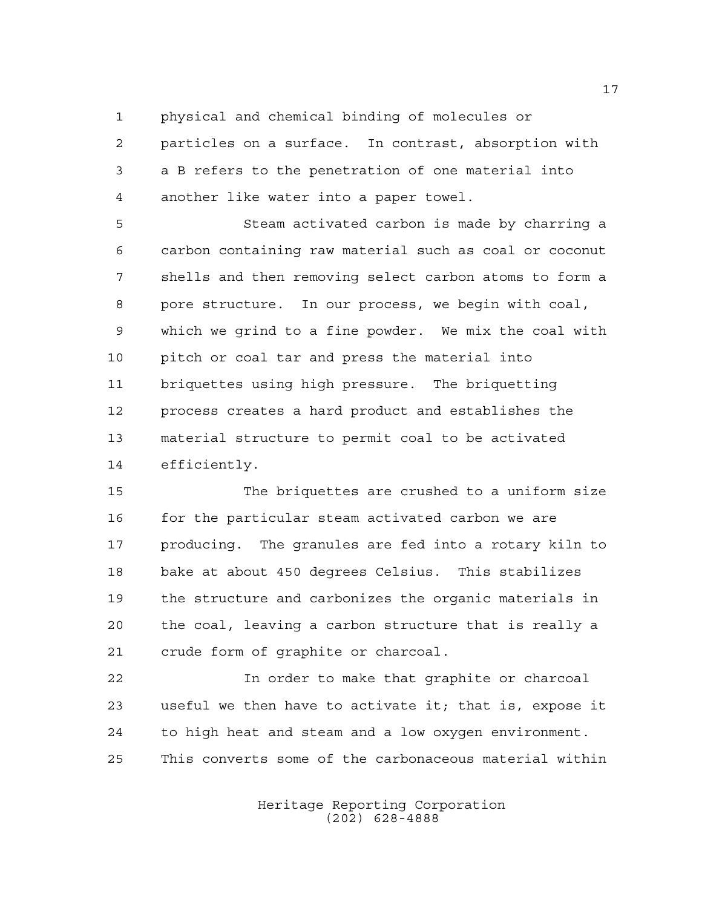physical and chemical binding of molecules or

 particles on a surface. In contrast, absorption with a B refers to the penetration of one material into another like water into a paper towel.

 Steam activated carbon is made by charring a carbon containing raw material such as coal or coconut shells and then removing select carbon atoms to form a pore structure. In our process, we begin with coal, which we grind to a fine powder. We mix the coal with pitch or coal tar and press the material into briquettes using high pressure. The briquetting process creates a hard product and establishes the material structure to permit coal to be activated efficiently.

 The briquettes are crushed to a uniform size for the particular steam activated carbon we are producing. The granules are fed into a rotary kiln to bake at about 450 degrees Celsius. This stabilizes the structure and carbonizes the organic materials in the coal, leaving a carbon structure that is really a crude form of graphite or charcoal.

 In order to make that graphite or charcoal useful we then have to activate it; that is, expose it to high heat and steam and a low oxygen environment. This converts some of the carbonaceous material within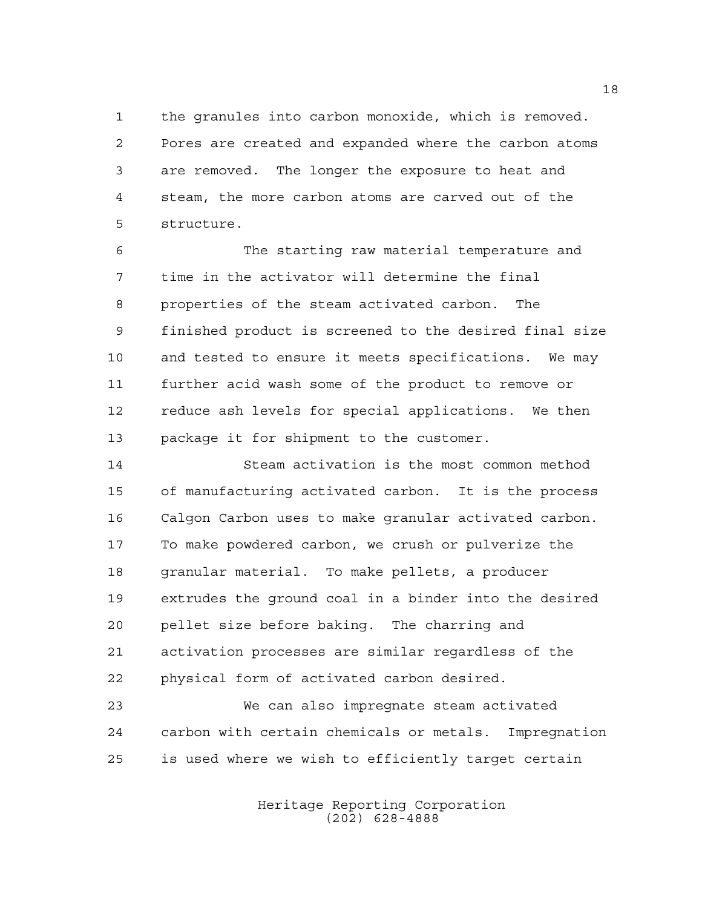the granules into carbon monoxide, which is removed. Pores are created and expanded where the carbon atoms are removed. The longer the exposure to heat and steam, the more carbon atoms are carved out of the structure.

 The starting raw material temperature and time in the activator will determine the final properties of the steam activated carbon. The finished product is screened to the desired final size and tested to ensure it meets specifications. We may further acid wash some of the product to remove or reduce ash levels for special applications. We then package it for shipment to the customer.

 Steam activation is the most common method of manufacturing activated carbon. It is the process Calgon Carbon uses to make granular activated carbon. To make powdered carbon, we crush or pulverize the granular material. To make pellets, a producer extrudes the ground coal in a binder into the desired pellet size before baking. The charring and activation processes are similar regardless of the physical form of activated carbon desired.

 We can also impregnate steam activated carbon with certain chemicals or metals. Impregnation is used where we wish to efficiently target certain

> Heritage Reporting Corporation (202) 628-4888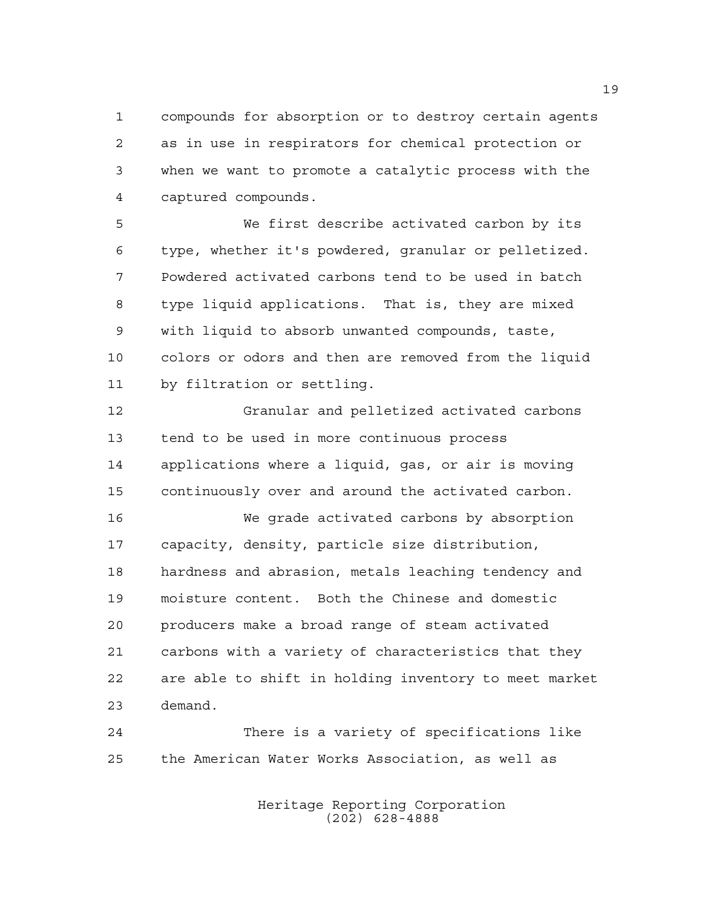compounds for absorption or to destroy certain agents as in use in respirators for chemical protection or when we want to promote a catalytic process with the captured compounds.

 We first describe activated carbon by its type, whether it's powdered, granular or pelletized. Powdered activated carbons tend to be used in batch type liquid applications. That is, they are mixed with liquid to absorb unwanted compounds, taste, colors or odors and then are removed from the liquid by filtration or settling.

 Granular and pelletized activated carbons tend to be used in more continuous process applications where a liquid, gas, or air is moving continuously over and around the activated carbon.

 We grade activated carbons by absorption capacity, density, particle size distribution, hardness and abrasion, metals leaching tendency and moisture content. Both the Chinese and domestic producers make a broad range of steam activated carbons with a variety of characteristics that they are able to shift in holding inventory to meet market demand.

 There is a variety of specifications like the American Water Works Association, as well as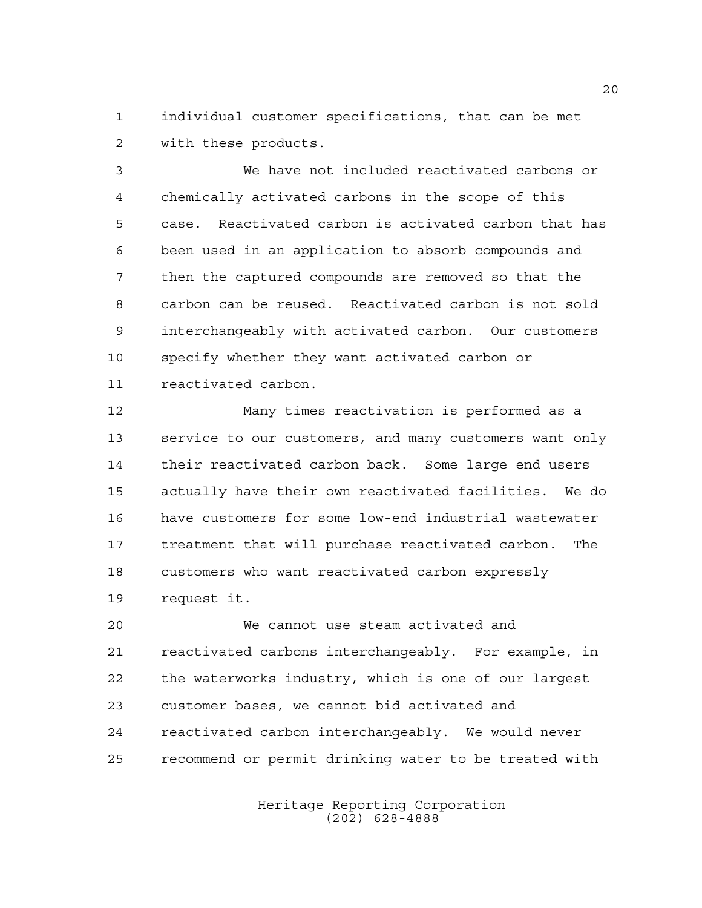individual customer specifications, that can be met with these products.

 We have not included reactivated carbons or chemically activated carbons in the scope of this case. Reactivated carbon is activated carbon that has been used in an application to absorb compounds and then the captured compounds are removed so that the carbon can be reused. Reactivated carbon is not sold interchangeably with activated carbon. Our customers specify whether they want activated carbon or reactivated carbon.

 Many times reactivation is performed as a service to our customers, and many customers want only their reactivated carbon back. Some large end users actually have their own reactivated facilities. We do have customers for some low-end industrial wastewater treatment that will purchase reactivated carbon. The customers who want reactivated carbon expressly request it.

 We cannot use steam activated and reactivated carbons interchangeably. For example, in the waterworks industry, which is one of our largest customer bases, we cannot bid activated and reactivated carbon interchangeably. We would never recommend or permit drinking water to be treated with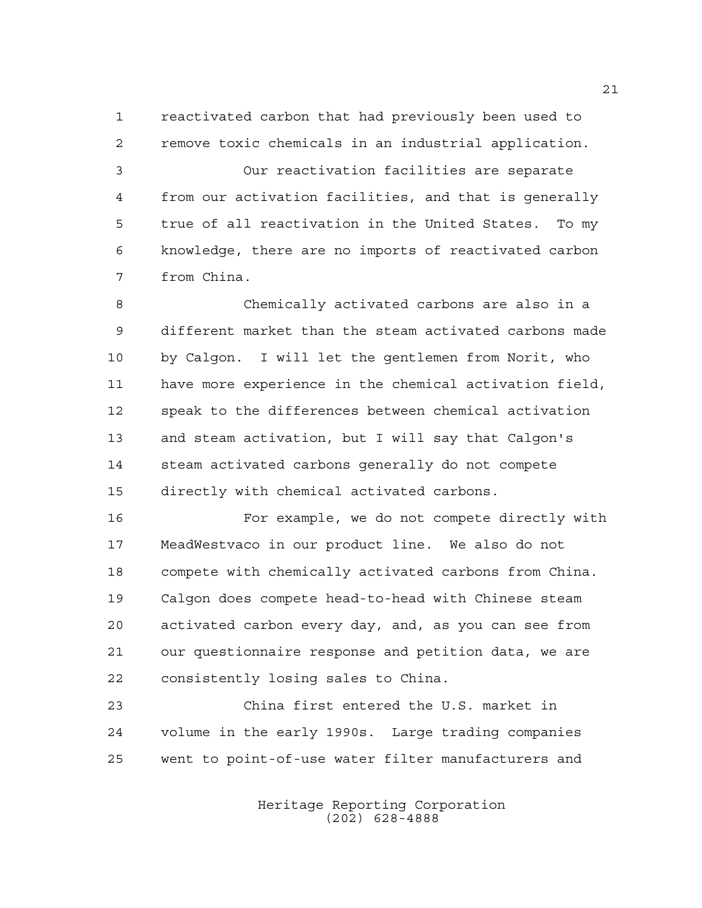reactivated carbon that had previously been used to remove toxic chemicals in an industrial application.

 Our reactivation facilities are separate from our activation facilities, and that is generally true of all reactivation in the United States. To my knowledge, there are no imports of reactivated carbon from China.

 Chemically activated carbons are also in a different market than the steam activated carbons made by Calgon. I will let the gentlemen from Norit, who have more experience in the chemical activation field, speak to the differences between chemical activation and steam activation, but I will say that Calgon's steam activated carbons generally do not compete directly with chemical activated carbons.

 For example, we do not compete directly with MeadWestvaco in our product line. We also do not compete with chemically activated carbons from China. Calgon does compete head-to-head with Chinese steam activated carbon every day, and, as you can see from our questionnaire response and petition data, we are consistently losing sales to China.

 China first entered the U.S. market in volume in the early 1990s. Large trading companies went to point-of-use water filter manufacturers and

> Heritage Reporting Corporation (202) 628-4888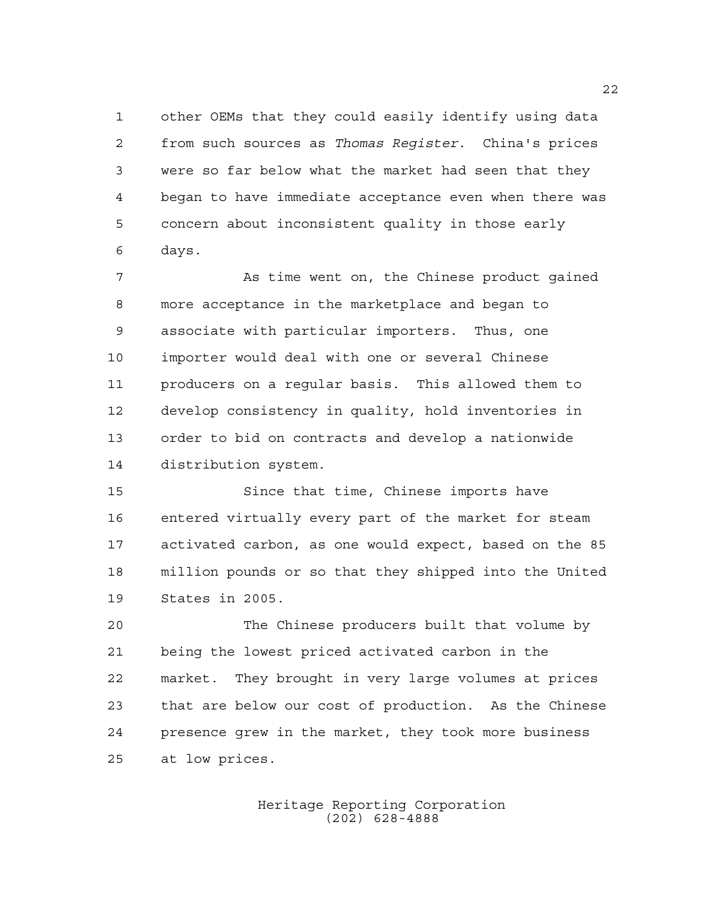other OEMs that they could easily identify using data from such sources as *Thomas Register*. China's prices were so far below what the market had seen that they began to have immediate acceptance even when there was concern about inconsistent quality in those early days.

 As time went on, the Chinese product gained more acceptance in the marketplace and began to associate with particular importers. Thus, one importer would deal with one or several Chinese producers on a regular basis. This allowed them to develop consistency in quality, hold inventories in order to bid on contracts and develop a nationwide distribution system.

 Since that time, Chinese imports have entered virtually every part of the market for steam activated carbon, as one would expect, based on the 85 million pounds or so that they shipped into the United States in 2005.

 The Chinese producers built that volume by being the lowest priced activated carbon in the market. They brought in very large volumes at prices that are below our cost of production. As the Chinese presence grew in the market, they took more business at low prices.

> Heritage Reporting Corporation (202) 628-4888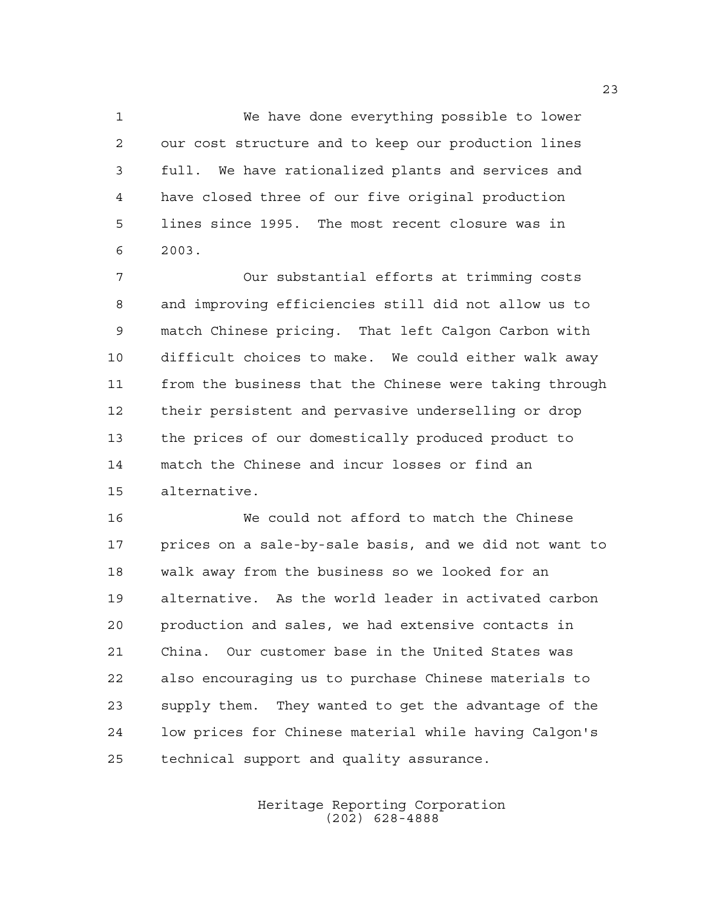We have done everything possible to lower our cost structure and to keep our production lines full. We have rationalized plants and services and have closed three of our five original production lines since 1995. The most recent closure was in 2003.

 Our substantial efforts at trimming costs and improving efficiencies still did not allow us to match Chinese pricing. That left Calgon Carbon with difficult choices to make. We could either walk away from the business that the Chinese were taking through their persistent and pervasive underselling or drop the prices of our domestically produced product to match the Chinese and incur losses or find an alternative.

 We could not afford to match the Chinese prices on a sale-by-sale basis, and we did not want to walk away from the business so we looked for an alternative. As the world leader in activated carbon production and sales, we had extensive contacts in China. Our customer base in the United States was also encouraging us to purchase Chinese materials to supply them. They wanted to get the advantage of the low prices for Chinese material while having Calgon's technical support and quality assurance.

> Heritage Reporting Corporation (202) 628-4888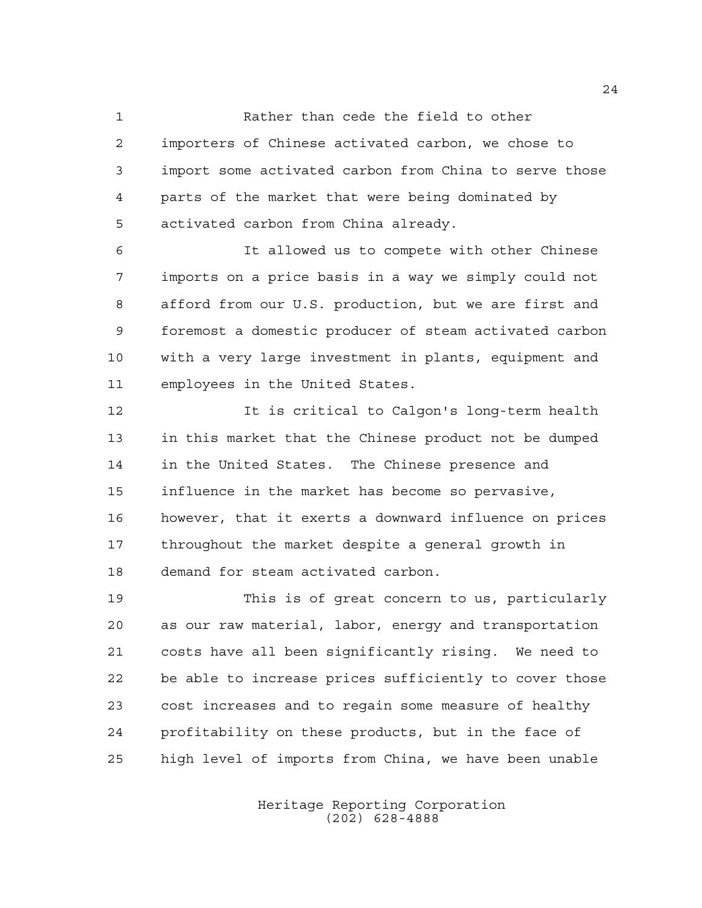Rather than cede the field to other importers of Chinese activated carbon, we chose to import some activated carbon from China to serve those parts of the market that were being dominated by activated carbon from China already.

 It allowed us to compete with other Chinese imports on a price basis in a way we simply could not afford from our U.S. production, but we are first and foremost a domestic producer of steam activated carbon with a very large investment in plants, equipment and employees in the United States.

 It is critical to Calgon's long-term health in this market that the Chinese product not be dumped in the United States. The Chinese presence and influence in the market has become so pervasive, however, that it exerts a downward influence on prices throughout the market despite a general growth in demand for steam activated carbon.

 This is of great concern to us, particularly as our raw material, labor, energy and transportation costs have all been significantly rising. We need to be able to increase prices sufficiently to cover those cost increases and to regain some measure of healthy profitability on these products, but in the face of high level of imports from China, we have been unable

> Heritage Reporting Corporation (202) 628-4888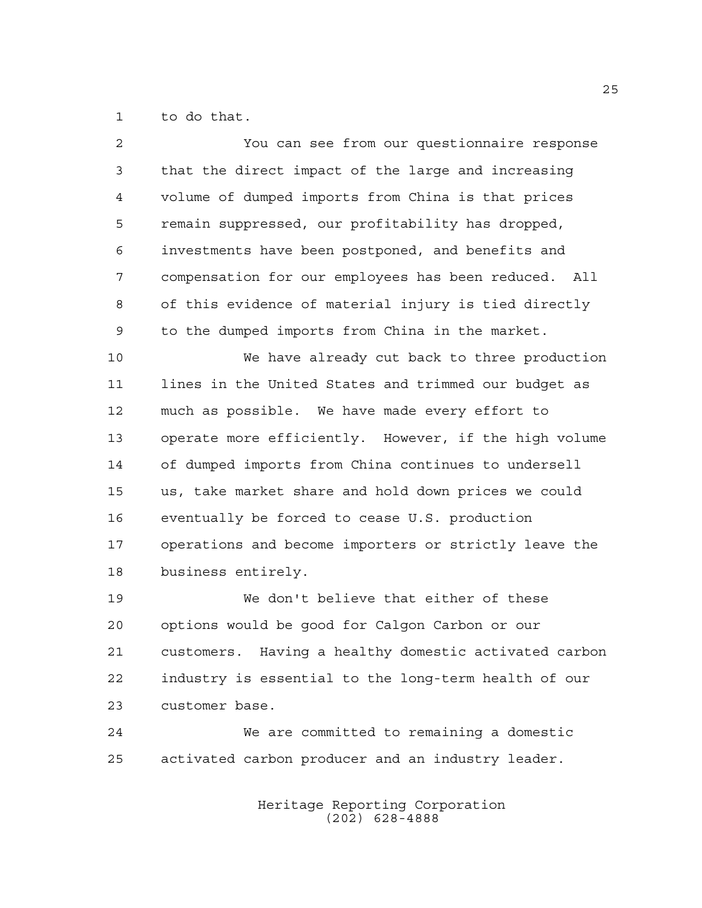to do that.

| $\overline{a}$ | You can see from our questionnaire response           |
|----------------|-------------------------------------------------------|
| 3              | that the direct impact of the large and increasing    |
| 4              | volume of dumped imports from China is that prices    |
| 5              | remain suppressed, our profitability has dropped,     |
| 6              | investments have been postponed, and benefits and     |
| 7              | compensation for our employees has been reduced. All  |
| 8              | of this evidence of material injury is tied directly  |
| 9              | to the dumped imports from China in the market.       |
| 10             | We have already cut back to three production          |
| 11             | lines in the United States and trimmed our budget as  |
| 12             | much as possible. We have made every effort to        |
| 13             | operate more efficiently. However, if the high volume |
| 14             | of dumped imports from China continues to undersell   |
| 15             | us, take market share and hold down prices we could   |
| 16             | eventually be forced to cease U.S. production         |
| 17             | operations and become importers or strictly leave the |
| 18             | business entirely.                                    |
| 19             | We don't believe that either of these                 |
| 20             | options would be good for Calgon Carbon or our        |
| 21             | customers. Having a healthy domestic activated carbon |
| 22             | industry is essential to the long-term health of our  |
| 23             | customer base.                                        |
| 24             | We are committed to remaining a domestic              |
| 25             | activated carbon producer and an industry leader.     |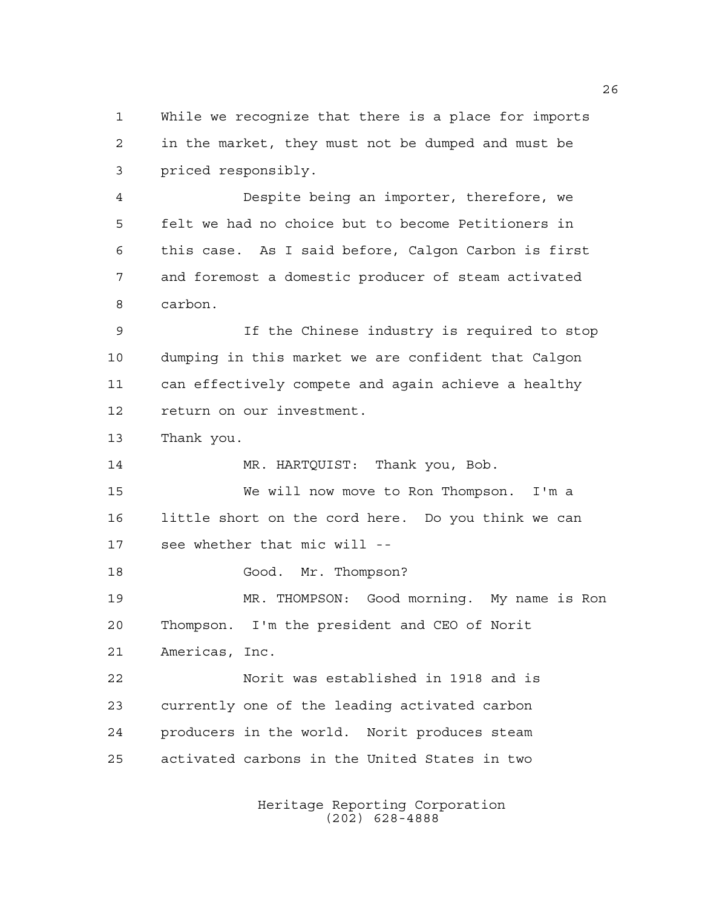While we recognize that there is a place for imports in the market, they must not be dumped and must be priced responsibly.

 Despite being an importer, therefore, we felt we had no choice but to become Petitioners in this case. As I said before, Calgon Carbon is first and foremost a domestic producer of steam activated carbon.

 If the Chinese industry is required to stop dumping in this market we are confident that Calgon can effectively compete and again achieve a healthy return on our investment.

Thank you.

14 MR. HARTQUIST: Thank you, Bob.

 We will now move to Ron Thompson. I'm a little short on the cord here. Do you think we can see whether that mic will --

18 Good. Mr. Thompson?

 MR. THOMPSON: Good morning. My name is Ron Thompson. I'm the president and CEO of Norit Americas, Inc.

 Norit was established in 1918 and is currently one of the leading activated carbon producers in the world. Norit produces steam activated carbons in the United States in two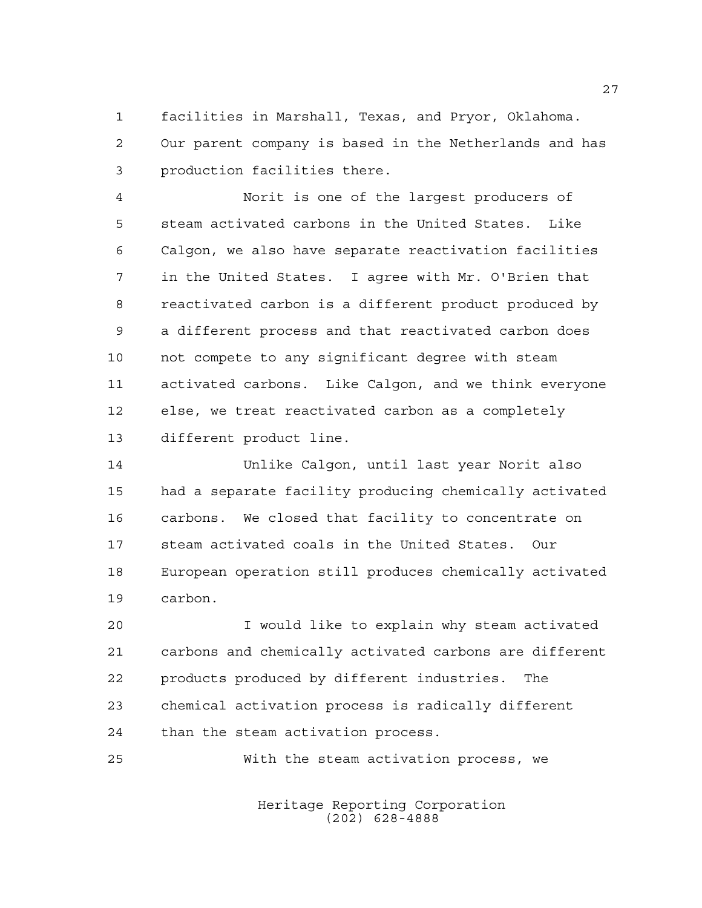facilities in Marshall, Texas, and Pryor, Oklahoma. Our parent company is based in the Netherlands and has production facilities there.

 Norit is one of the largest producers of steam activated carbons in the United States. Like Calgon, we also have separate reactivation facilities in the United States. I agree with Mr. O'Brien that reactivated carbon is a different product produced by a different process and that reactivated carbon does not compete to any significant degree with steam activated carbons. Like Calgon, and we think everyone else, we treat reactivated carbon as a completely different product line.

 Unlike Calgon, until last year Norit also had a separate facility producing chemically activated carbons. We closed that facility to concentrate on steam activated coals in the United States. Our European operation still produces chemically activated carbon.

 I would like to explain why steam activated carbons and chemically activated carbons are different products produced by different industries. The chemical activation process is radically different than the steam activation process.

With the steam activation process, we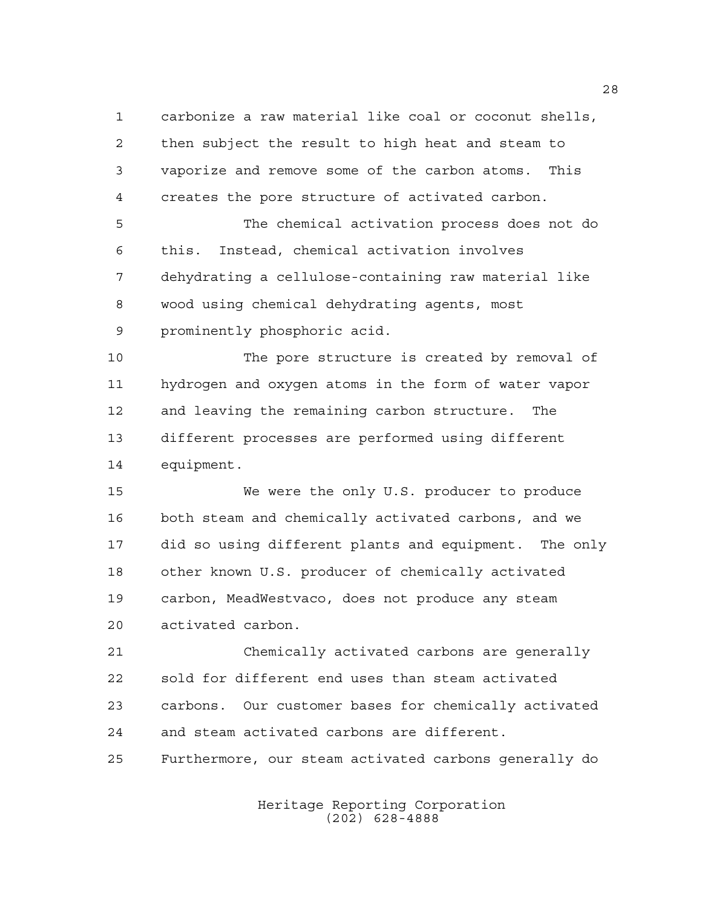carbonize a raw material like coal or coconut shells, then subject the result to high heat and steam to vaporize and remove some of the carbon atoms. This creates the pore structure of activated carbon.

 The chemical activation process does not do this. Instead, chemical activation involves dehydrating a cellulose-containing raw material like wood using chemical dehydrating agents, most prominently phosphoric acid.

 The pore structure is created by removal of hydrogen and oxygen atoms in the form of water vapor and leaving the remaining carbon structure. The different processes are performed using different equipment.

 We were the only U.S. producer to produce both steam and chemically activated carbons, and we did so using different plants and equipment. The only other known U.S. producer of chemically activated carbon, MeadWestvaco, does not produce any steam activated carbon.

 Chemically activated carbons are generally sold for different end uses than steam activated carbons. Our customer bases for chemically activated and steam activated carbons are different. Furthermore, our steam activated carbons generally do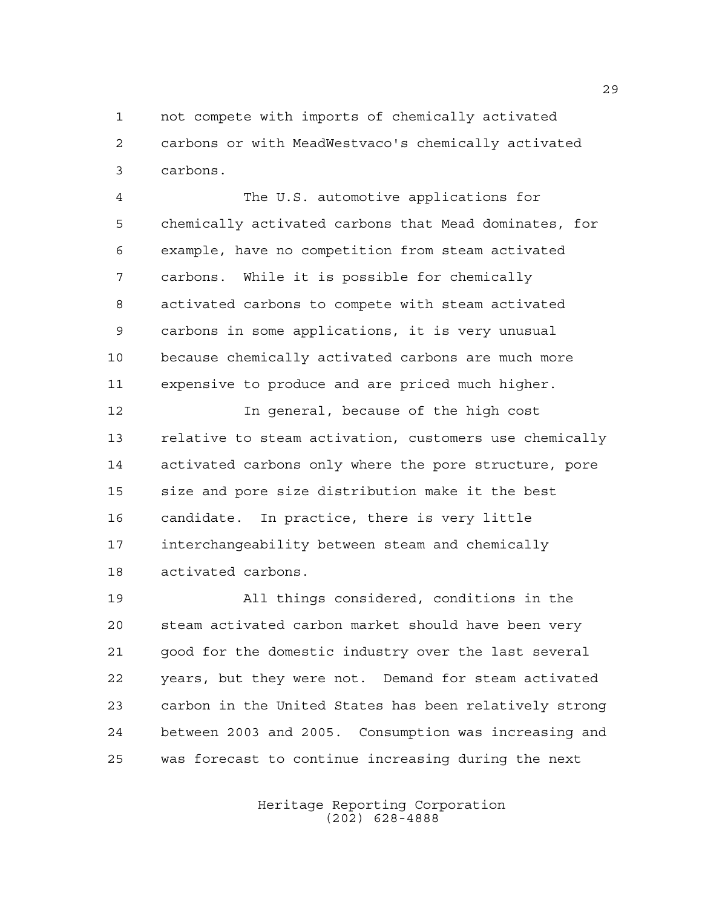not compete with imports of chemically activated carbons or with MeadWestvaco's chemically activated carbons.

 The U.S. automotive applications for chemically activated carbons that Mead dominates, for example, have no competition from steam activated carbons. While it is possible for chemically activated carbons to compete with steam activated carbons in some applications, it is very unusual because chemically activated carbons are much more expensive to produce and are priced much higher.

 In general, because of the high cost relative to steam activation, customers use chemically activated carbons only where the pore structure, pore size and pore size distribution make it the best candidate. In practice, there is very little interchangeability between steam and chemically activated carbons.

 All things considered, conditions in the steam activated carbon market should have been very good for the domestic industry over the last several years, but they were not. Demand for steam activated carbon in the United States has been relatively strong between 2003 and 2005. Consumption was increasing and was forecast to continue increasing during the next

> Heritage Reporting Corporation (202) 628-4888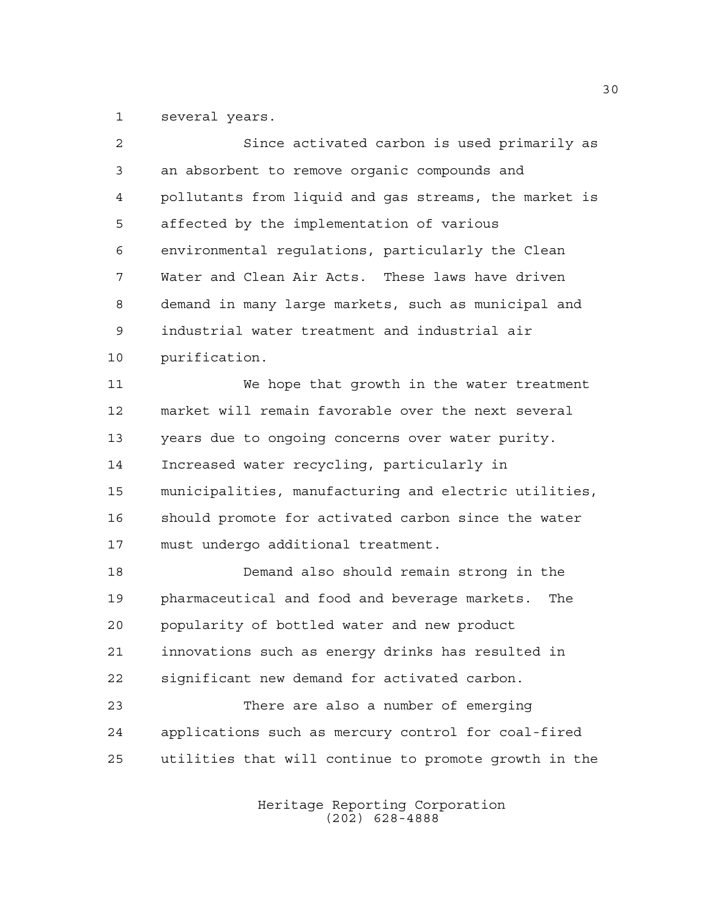several years.

| $\overline{2}$ | Since activated carbon is used primarily as           |
|----------------|-------------------------------------------------------|
| 3              | an absorbent to remove organic compounds and          |
| 4              | pollutants from liquid and gas streams, the market is |
| 5              | affected by the implementation of various             |
| 6              | environmental regulations, particularly the Clean     |
| 7              | Water and Clean Air Acts. These laws have driven      |
| 8              | demand in many large markets, such as municipal and   |
| 9              | industrial water treatment and industrial air         |
| 10             | purification.                                         |
| 11             | We hope that growth in the water treatment            |
| 12             | market will remain favorable over the next several    |
| 13             | years due to ongoing concerns over water purity.      |
| 14             | Increased water recycling, particularly in            |
| 15             | municipalities, manufacturing and electric utilities, |
| 16             | should promote for activated carbon since the water   |
| 17             | must undergo additional treatment.                    |
| 18             | Demand also should remain strong in the               |
| 19             | pharmaceutical and food and beverage markets.<br>The  |
| 20             | popularity of bottled water and new product           |
| 21             | innovations such as energy drinks has resulted in     |
| 22             | significant new demand for activated carbon.          |
| 23             | There are also a number of emerging                   |
| 24             | applications such as mercury control for coal-fired   |
| 25             | utilities that will continue to promote growth in the |
|                |                                                       |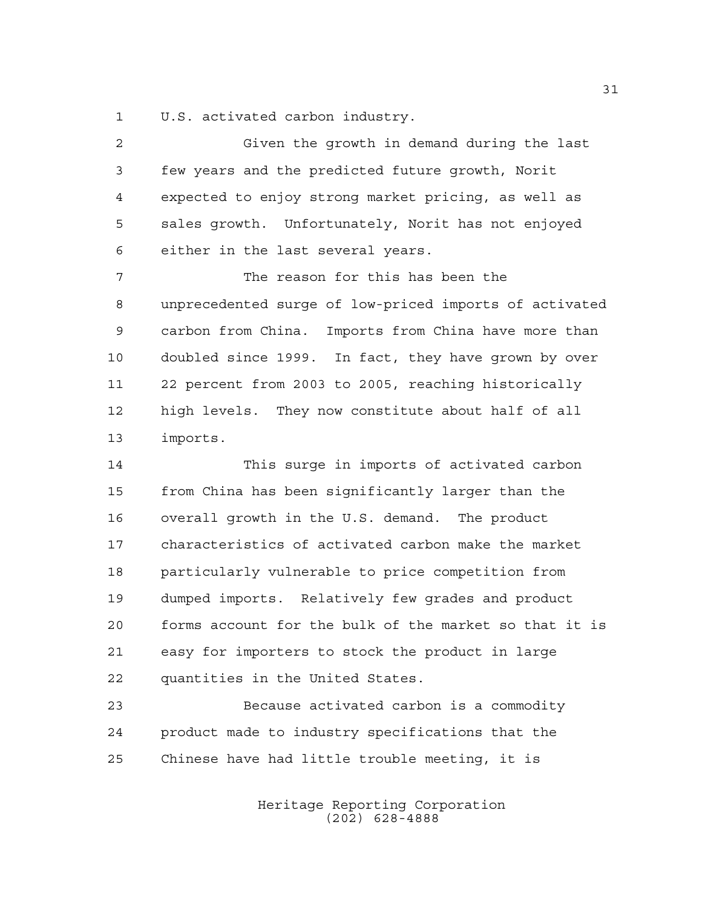U.S. activated carbon industry.

 Given the growth in demand during the last few years and the predicted future growth, Norit expected to enjoy strong market pricing, as well as sales growth. Unfortunately, Norit has not enjoyed either in the last several years. The reason for this has been the unprecedented surge of low-priced imports of activated carbon from China. Imports from China have more than doubled since 1999. In fact, they have grown by over 22 percent from 2003 to 2005, reaching historically

 high levels. They now constitute about half of all imports.

 This surge in imports of activated carbon from China has been significantly larger than the overall growth in the U.S. demand. The product characteristics of activated carbon make the market particularly vulnerable to price competition from dumped imports. Relatively few grades and product forms account for the bulk of the market so that it is easy for importers to stock the product in large quantities in the United States.

 Because activated carbon is a commodity product made to industry specifications that the Chinese have had little trouble meeting, it is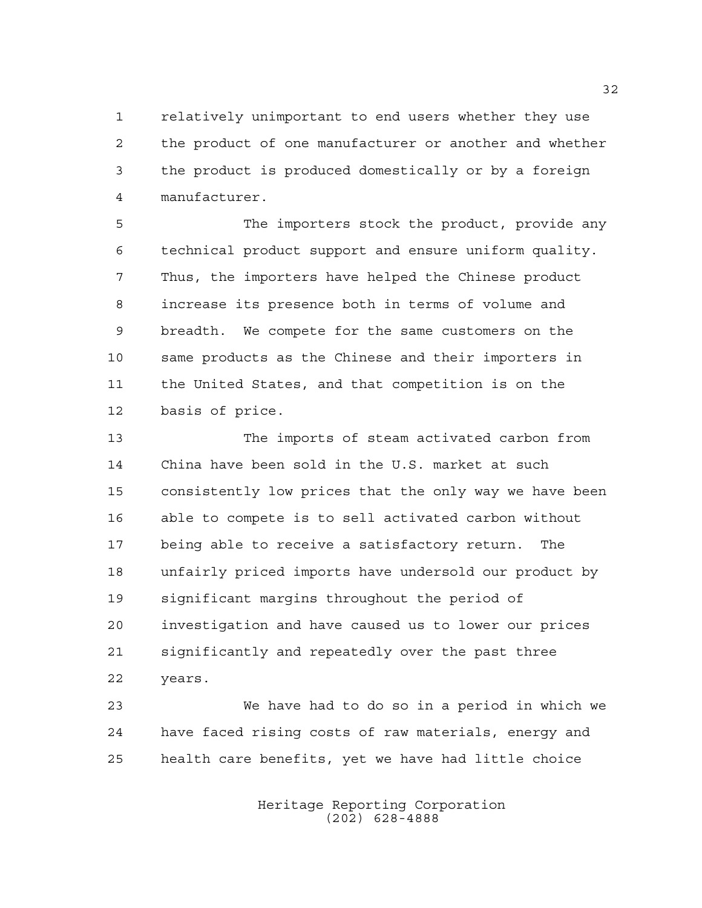relatively unimportant to end users whether they use the product of one manufacturer or another and whether the product is produced domestically or by a foreign manufacturer.

 The importers stock the product, provide any technical product support and ensure uniform quality. Thus, the importers have helped the Chinese product increase its presence both in terms of volume and breadth. We compete for the same customers on the same products as the Chinese and their importers in the United States, and that competition is on the basis of price.

 The imports of steam activated carbon from China have been sold in the U.S. market at such consistently low prices that the only way we have been able to compete is to sell activated carbon without being able to receive a satisfactory return. The unfairly priced imports have undersold our product by significant margins throughout the period of investigation and have caused us to lower our prices significantly and repeatedly over the past three years.

 We have had to do so in a period in which we have faced rising costs of raw materials, energy and health care benefits, yet we have had little choice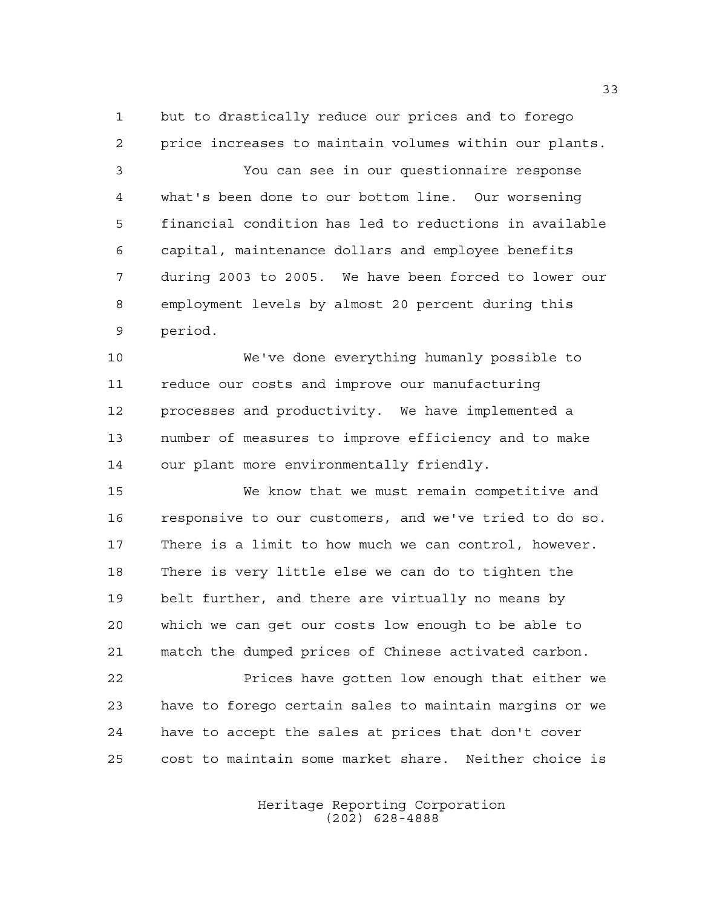but to drastically reduce our prices and to forego price increases to maintain volumes within our plants.

 You can see in our questionnaire response what's been done to our bottom line. Our worsening financial condition has led to reductions in available capital, maintenance dollars and employee benefits during 2003 to 2005. We have been forced to lower our employment levels by almost 20 percent during this period.

 We've done everything humanly possible to reduce our costs and improve our manufacturing processes and productivity. We have implemented a number of measures to improve efficiency and to make our plant more environmentally friendly.

 We know that we must remain competitive and responsive to our customers, and we've tried to do so. There is a limit to how much we can control, however. There is very little else we can do to tighten the belt further, and there are virtually no means by which we can get our costs low enough to be able to match the dumped prices of Chinese activated carbon.

 Prices have gotten low enough that either we have to forego certain sales to maintain margins or we have to accept the sales at prices that don't cover cost to maintain some market share. Neither choice is

> Heritage Reporting Corporation (202) 628-4888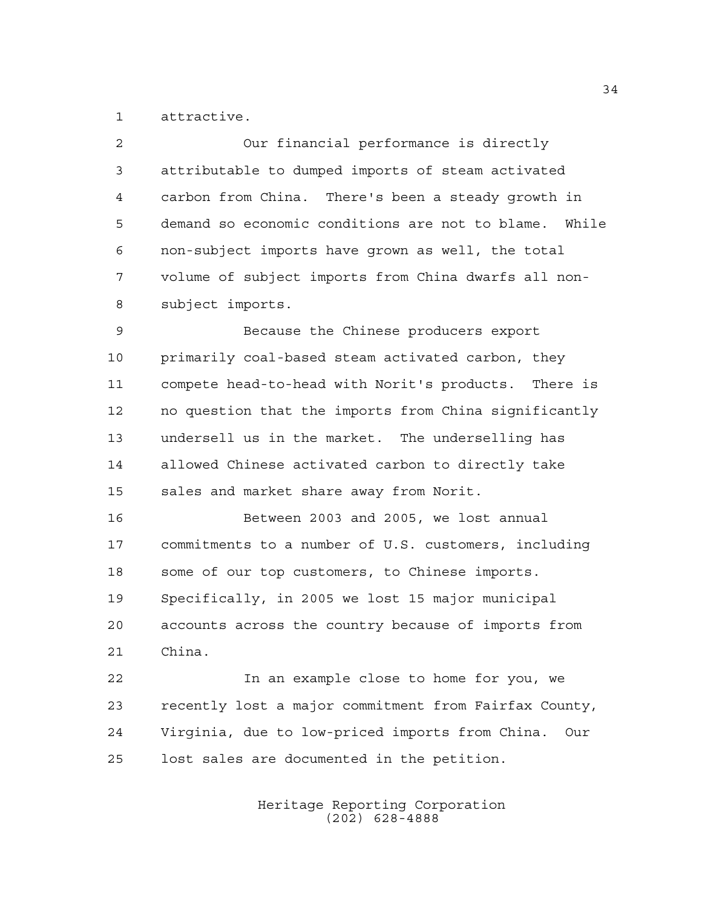attractive.

| $\overline{2}$ | Our financial performance is directly                  |
|----------------|--------------------------------------------------------|
| 3              | attributable to dumped imports of steam activated      |
| 4              | carbon from China. There's been a steady growth in     |
| 5              | demand so economic conditions are not to blame. While  |
| 6              | non-subject imports have grown as well, the total      |
| 7              | volume of subject imports from China dwarfs all non-   |
| 8              | subject imports.                                       |
| 9              | Because the Chinese producers export                   |
| 10             | primarily coal-based steam activated carbon, they      |
| 11             | compete head-to-head with Norit's products. There is   |
| 12             | no question that the imports from China significantly  |
| 13             | undersell us in the market. The underselling has       |
| 14             | allowed Chinese activated carbon to directly take      |
| 15             | sales and market share away from Norit.                |
| 16             | Between 2003 and 2005, we lost annual                  |
| 17             | commitments to a number of U.S. customers, including   |
| 18             | some of our top customers, to Chinese imports.         |
| 19             | Specifically, in 2005 we lost 15 major municipal       |
| 20             | accounts across the country because of imports from    |
| 21             | China.                                                 |
| 22             | In an example close to home for you, we                |
| 23             | recently lost a major commitment from Fairfax County,  |
| 24             | Virginia, due to low-priced imports from China.<br>Our |
| 25             | lost sales are documented in the petition.             |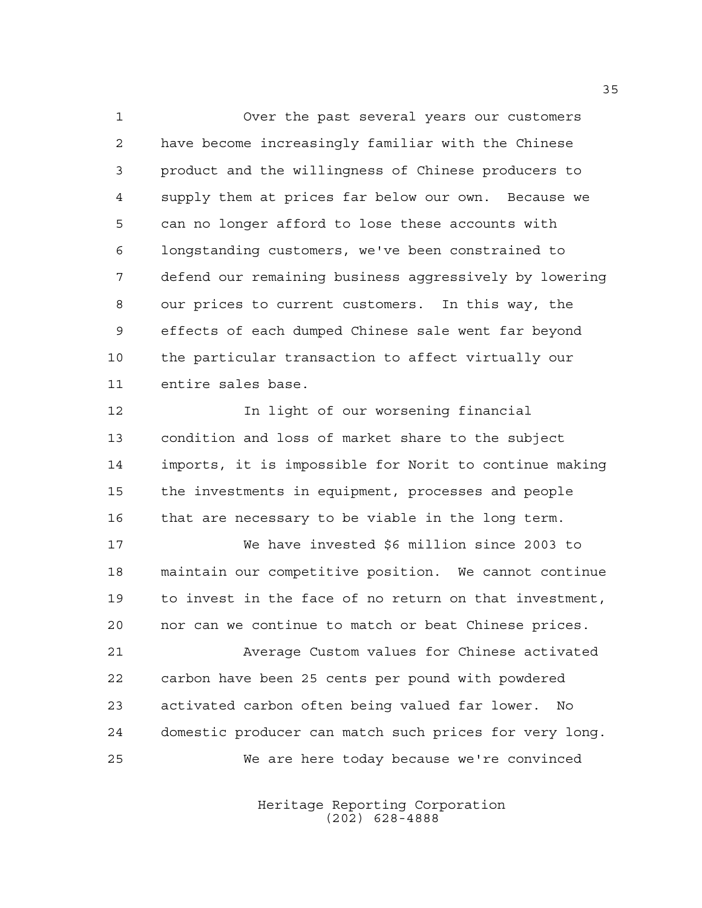Over the past several years our customers have become increasingly familiar with the Chinese product and the willingness of Chinese producers to supply them at prices far below our own. Because we can no longer afford to lose these accounts with longstanding customers, we've been constrained to defend our remaining business aggressively by lowering our prices to current customers. In this way, the effects of each dumped Chinese sale went far beyond the particular transaction to affect virtually our entire sales base.

**In light of our worsening financial**  condition and loss of market share to the subject imports, it is impossible for Norit to continue making the investments in equipment, processes and people that are necessary to be viable in the long term.

 We have invested \$6 million since 2003 to maintain our competitive position. We cannot continue to invest in the face of no return on that investment, nor can we continue to match or beat Chinese prices.

 Average Custom values for Chinese activated carbon have been 25 cents per pound with powdered activated carbon often being valued far lower. No domestic producer can match such prices for very long. We are here today because we're convinced

> Heritage Reporting Corporation (202) 628-4888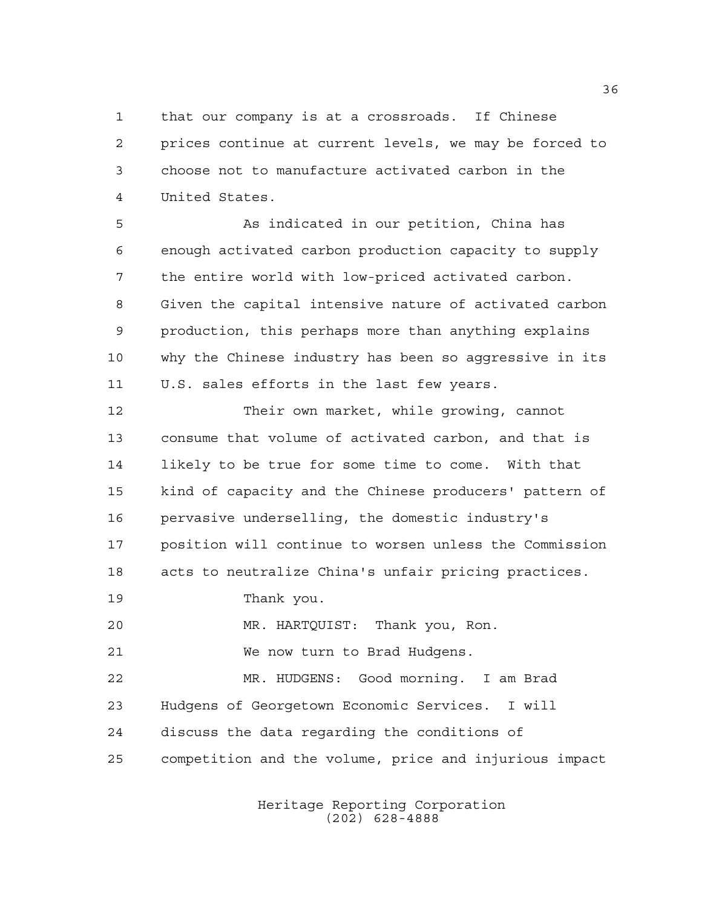that our company is at a crossroads. If Chinese prices continue at current levels, we may be forced to choose not to manufacture activated carbon in the United States.

 As indicated in our petition, China has enough activated carbon production capacity to supply the entire world with low-priced activated carbon. Given the capital intensive nature of activated carbon production, this perhaps more than anything explains why the Chinese industry has been so aggressive in its U.S. sales efforts in the last few years.

 Their own market, while growing, cannot consume that volume of activated carbon, and that is likely to be true for some time to come. With that kind of capacity and the Chinese producers' pattern of pervasive underselling, the domestic industry's position will continue to worsen unless the Commission acts to neutralize China's unfair pricing practices.

Thank you.

MR. HARTQUIST: Thank you, Ron.

We now turn to Brad Hudgens.

 MR. HUDGENS: Good morning. I am Brad Hudgens of Georgetown Economic Services. I will discuss the data regarding the conditions of competition and the volume, price and injurious impact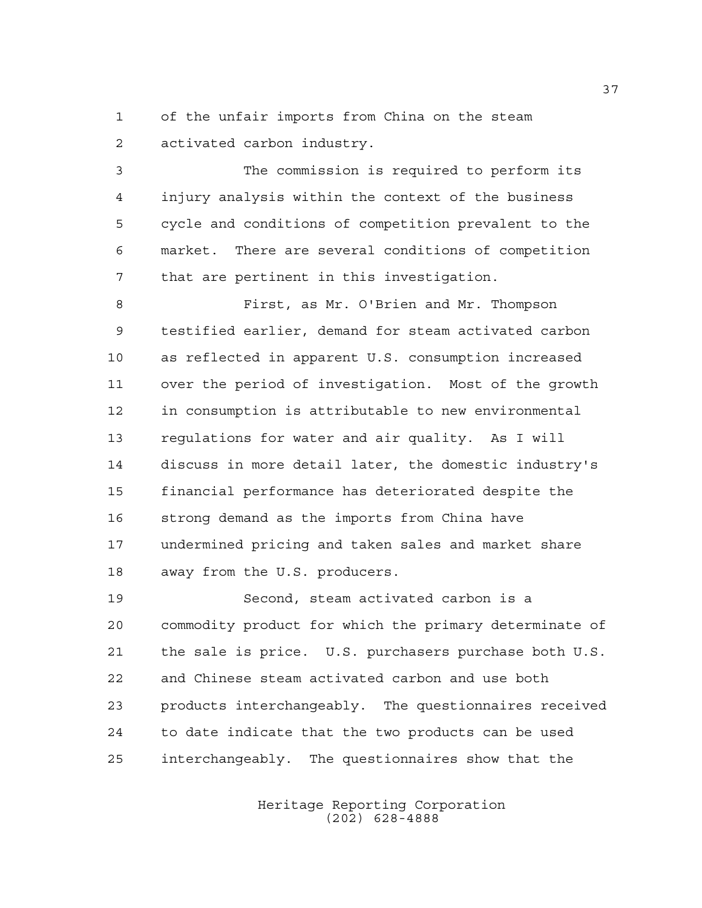of the unfair imports from China on the steam activated carbon industry.

 The commission is required to perform its injury analysis within the context of the business cycle and conditions of competition prevalent to the market. There are several conditions of competition that are pertinent in this investigation.

 First, as Mr. O'Brien and Mr. Thompson testified earlier, demand for steam activated carbon as reflected in apparent U.S. consumption increased over the period of investigation. Most of the growth in consumption is attributable to new environmental regulations for water and air quality. As I will discuss in more detail later, the domestic industry's financial performance has deteriorated despite the strong demand as the imports from China have undermined pricing and taken sales and market share away from the U.S. producers.

 Second, steam activated carbon is a commodity product for which the primary determinate of the sale is price. U.S. purchasers purchase both U.S. and Chinese steam activated carbon and use both products interchangeably. The questionnaires received to date indicate that the two products can be used interchangeably. The questionnaires show that the

> Heritage Reporting Corporation (202) 628-4888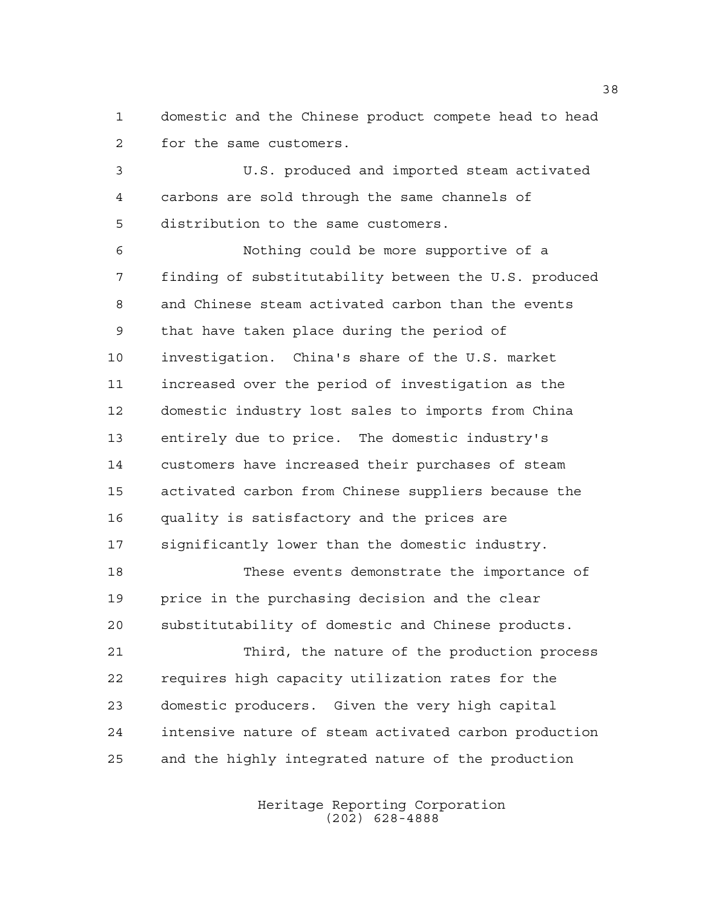domestic and the Chinese product compete head to head for the same customers.

 U.S. produced and imported steam activated carbons are sold through the same channels of distribution to the same customers.

 Nothing could be more supportive of a finding of substitutability between the U.S. produced and Chinese steam activated carbon than the events that have taken place during the period of investigation. China's share of the U.S. market increased over the period of investigation as the domestic industry lost sales to imports from China entirely due to price. The domestic industry's customers have increased their purchases of steam activated carbon from Chinese suppliers because the quality is satisfactory and the prices are significantly lower than the domestic industry.

 These events demonstrate the importance of price in the purchasing decision and the clear substitutability of domestic and Chinese products.

 Third, the nature of the production process requires high capacity utilization rates for the domestic producers. Given the very high capital intensive nature of steam activated carbon production and the highly integrated nature of the production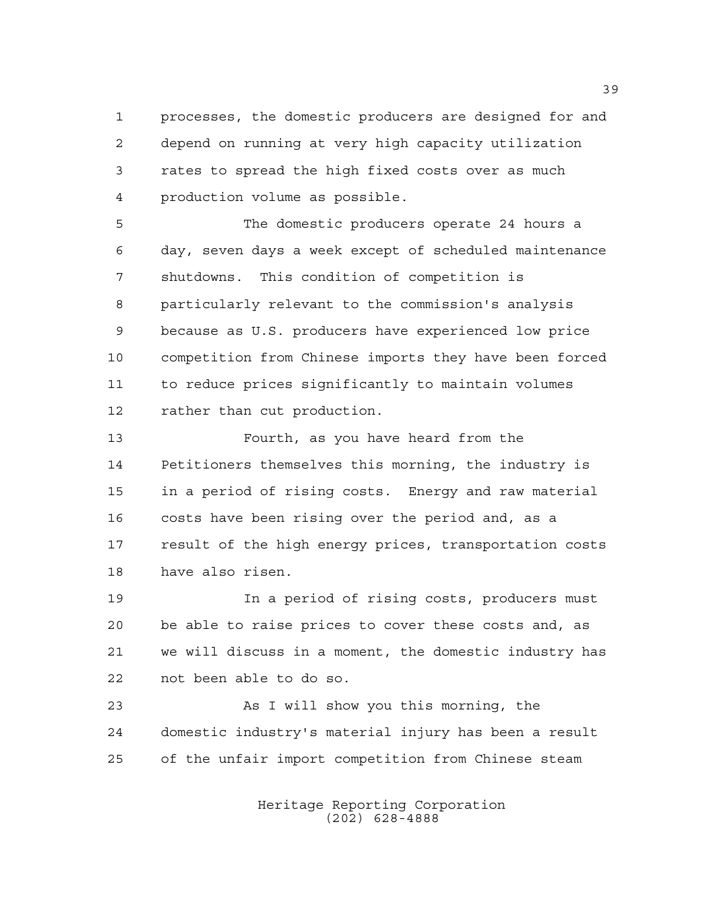processes, the domestic producers are designed for and depend on running at very high capacity utilization rates to spread the high fixed costs over as much production volume as possible.

 The domestic producers operate 24 hours a day, seven days a week except of scheduled maintenance shutdowns. This condition of competition is particularly relevant to the commission's analysis because as U.S. producers have experienced low price competition from Chinese imports they have been forced to reduce prices significantly to maintain volumes rather than cut production.

 Fourth, as you have heard from the Petitioners themselves this morning, the industry is in a period of rising costs. Energy and raw material costs have been rising over the period and, as a result of the high energy prices, transportation costs have also risen.

 In a period of rising costs, producers must be able to raise prices to cover these costs and, as we will discuss in a moment, the domestic industry has not been able to do so.

 As I will show you this morning, the domestic industry's material injury has been a result of the unfair import competition from Chinese steam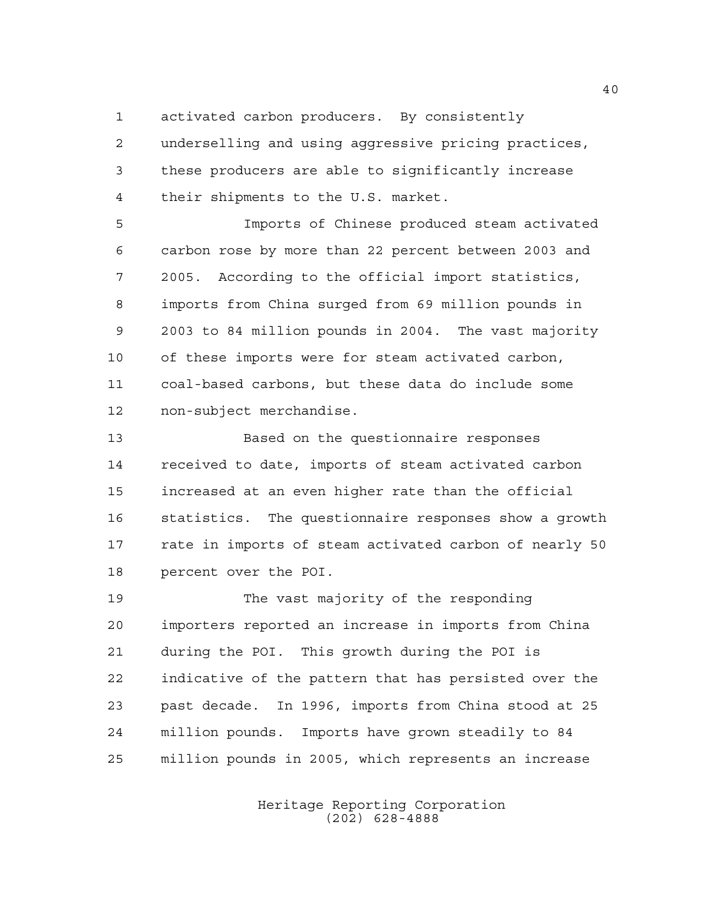activated carbon producers. By consistently

 underselling and using aggressive pricing practices, these producers are able to significantly increase their shipments to the U.S. market.

 Imports of Chinese produced steam activated carbon rose by more than 22 percent between 2003 and 2005. According to the official import statistics, imports from China surged from 69 million pounds in 2003 to 84 million pounds in 2004. The vast majority of these imports were for steam activated carbon, coal-based carbons, but these data do include some non-subject merchandise.

 Based on the questionnaire responses received to date, imports of steam activated carbon increased at an even higher rate than the official statistics. The questionnaire responses show a growth rate in imports of steam activated carbon of nearly 50 percent over the POI.

 The vast majority of the responding importers reported an increase in imports from China during the POI. This growth during the POI is indicative of the pattern that has persisted over the past decade. In 1996, imports from China stood at 25 million pounds. Imports have grown steadily to 84 million pounds in 2005, which represents an increase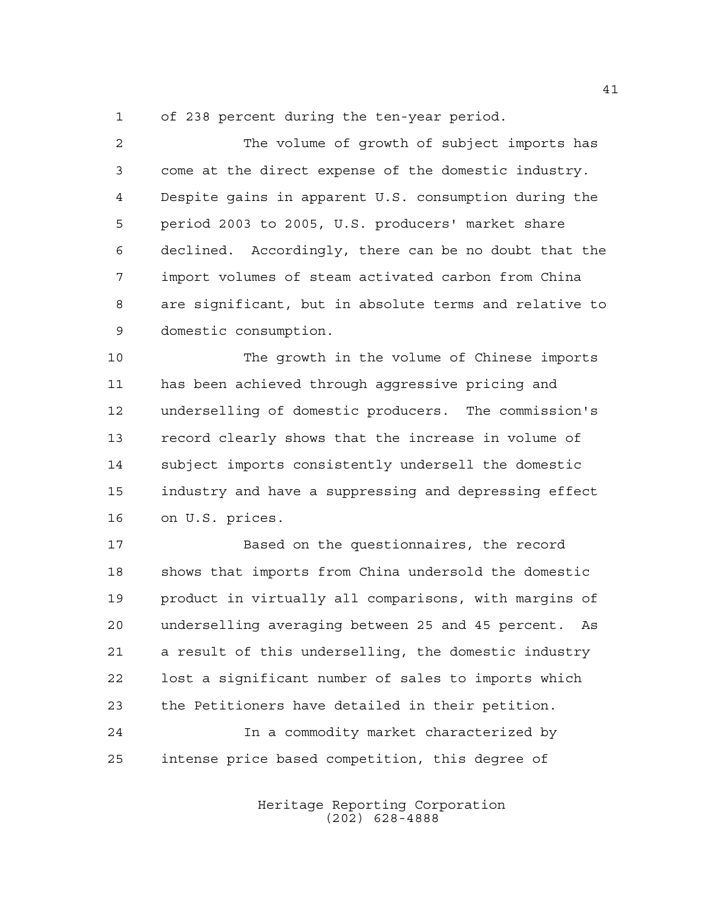of 238 percent during the ten-year period.

 The volume of growth of subject imports has come at the direct expense of the domestic industry. Despite gains in apparent U.S. consumption during the period 2003 to 2005, U.S. producers' market share declined. Accordingly, there can be no doubt that the import volumes of steam activated carbon from China are significant, but in absolute terms and relative to domestic consumption.

 The growth in the volume of Chinese imports has been achieved through aggressive pricing and underselling of domestic producers. The commission's record clearly shows that the increase in volume of subject imports consistently undersell the domestic industry and have a suppressing and depressing effect on U.S. prices.

 Based on the questionnaires, the record shows that imports from China undersold the domestic product in virtually all comparisons, with margins of underselling averaging between 25 and 45 percent. As a result of this underselling, the domestic industry lost a significant number of sales to imports which the Petitioners have detailed in their petition. In a commodity market characterized by intense price based competition, this degree of

> Heritage Reporting Corporation (202) 628-4888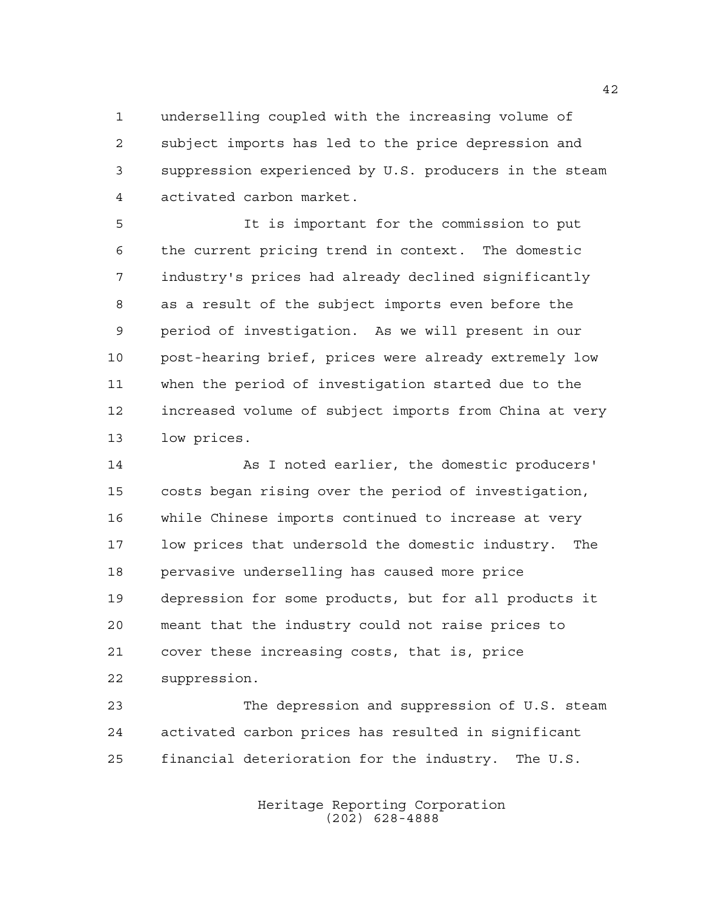underselling coupled with the increasing volume of subject imports has led to the price depression and suppression experienced by U.S. producers in the steam activated carbon market.

 It is important for the commission to put the current pricing trend in context. The domestic industry's prices had already declined significantly as a result of the subject imports even before the period of investigation. As we will present in our post-hearing brief, prices were already extremely low when the period of investigation started due to the increased volume of subject imports from China at very low prices.

 As I noted earlier, the domestic producers' costs began rising over the period of investigation, while Chinese imports continued to increase at very low prices that undersold the domestic industry. The pervasive underselling has caused more price depression for some products, but for all products it meant that the industry could not raise prices to cover these increasing costs, that is, price suppression.

 The depression and suppression of U.S. steam activated carbon prices has resulted in significant financial deterioration for the industry. The U.S.

> Heritage Reporting Corporation (202) 628-4888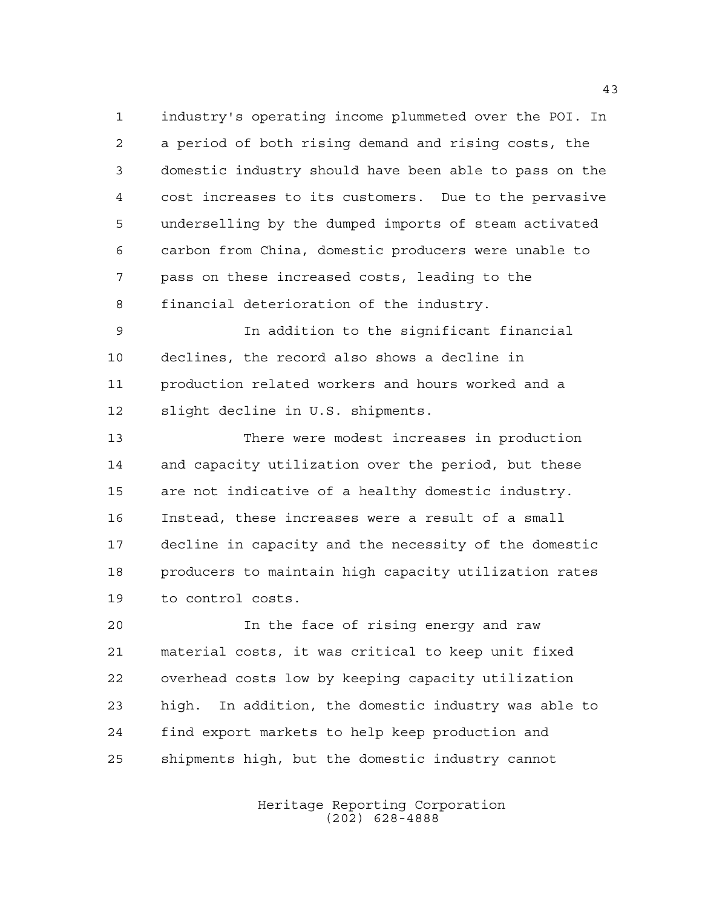industry's operating income plummeted over the POI. In a period of both rising demand and rising costs, the domestic industry should have been able to pass on the cost increases to its customers. Due to the pervasive underselling by the dumped imports of steam activated carbon from China, domestic producers were unable to pass on these increased costs, leading to the financial deterioration of the industry.

 In addition to the significant financial declines, the record also shows a decline in production related workers and hours worked and a slight decline in U.S. shipments.

 There were modest increases in production and capacity utilization over the period, but these are not indicative of a healthy domestic industry. Instead, these increases were a result of a small decline in capacity and the necessity of the domestic producers to maintain high capacity utilization rates to control costs.

 In the face of rising energy and raw material costs, it was critical to keep unit fixed overhead costs low by keeping capacity utilization high. In addition, the domestic industry was able to find export markets to help keep production and shipments high, but the domestic industry cannot

> Heritage Reporting Corporation (202) 628-4888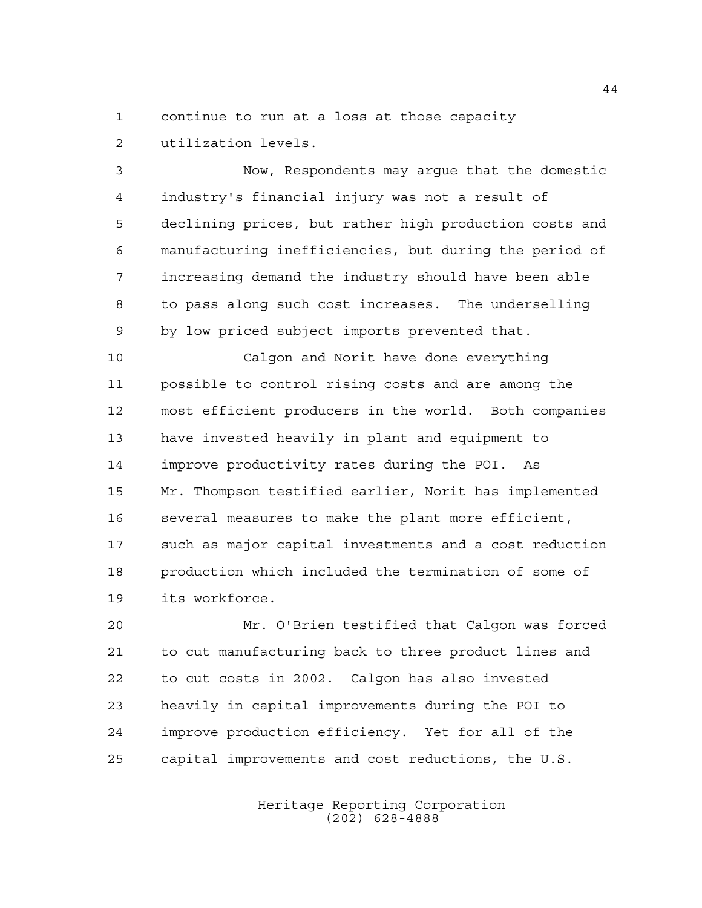continue to run at a loss at those capacity utilization levels.

 Now, Respondents may argue that the domestic industry's financial injury was not a result of declining prices, but rather high production costs and manufacturing inefficiencies, but during the period of increasing demand the industry should have been able to pass along such cost increases. The underselling by low priced subject imports prevented that.

 Calgon and Norit have done everything possible to control rising costs and are among the most efficient producers in the world. Both companies have invested heavily in plant and equipment to improve productivity rates during the POI. As Mr. Thompson testified earlier, Norit has implemented several measures to make the plant more efficient, such as major capital investments and a cost reduction production which included the termination of some of its workforce.

 Mr. O'Brien testified that Calgon was forced to cut manufacturing back to three product lines and to cut costs in 2002. Calgon has also invested heavily in capital improvements during the POI to improve production efficiency. Yet for all of the capital improvements and cost reductions, the U.S.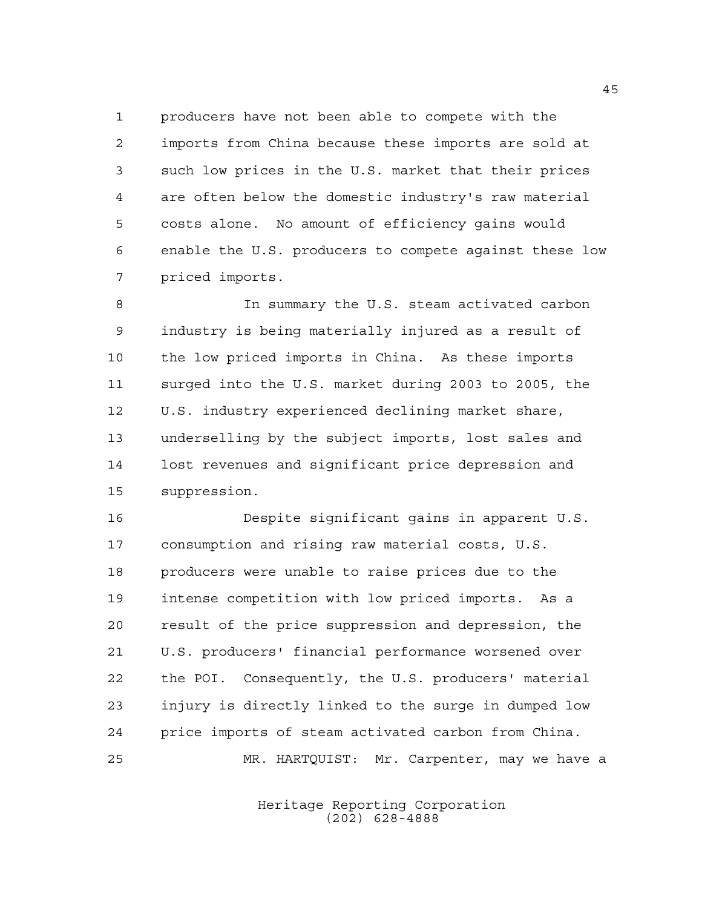producers have not been able to compete with the imports from China because these imports are sold at such low prices in the U.S. market that their prices are often below the domestic industry's raw material costs alone. No amount of efficiency gains would enable the U.S. producers to compete against these low priced imports.

 In summary the U.S. steam activated carbon industry is being materially injured as a result of the low priced imports in China. As these imports surged into the U.S. market during 2003 to 2005, the U.S. industry experienced declining market share, underselling by the subject imports, lost sales and lost revenues and significant price depression and suppression.

 Despite significant gains in apparent U.S. consumption and rising raw material costs, U.S. producers were unable to raise prices due to the intense competition with low priced imports. As a result of the price suppression and depression, the U.S. producers' financial performance worsened over the POI. Consequently, the U.S. producers' material injury is directly linked to the surge in dumped low price imports of steam activated carbon from China. MR. HARTQUIST: Mr. Carpenter, may we have a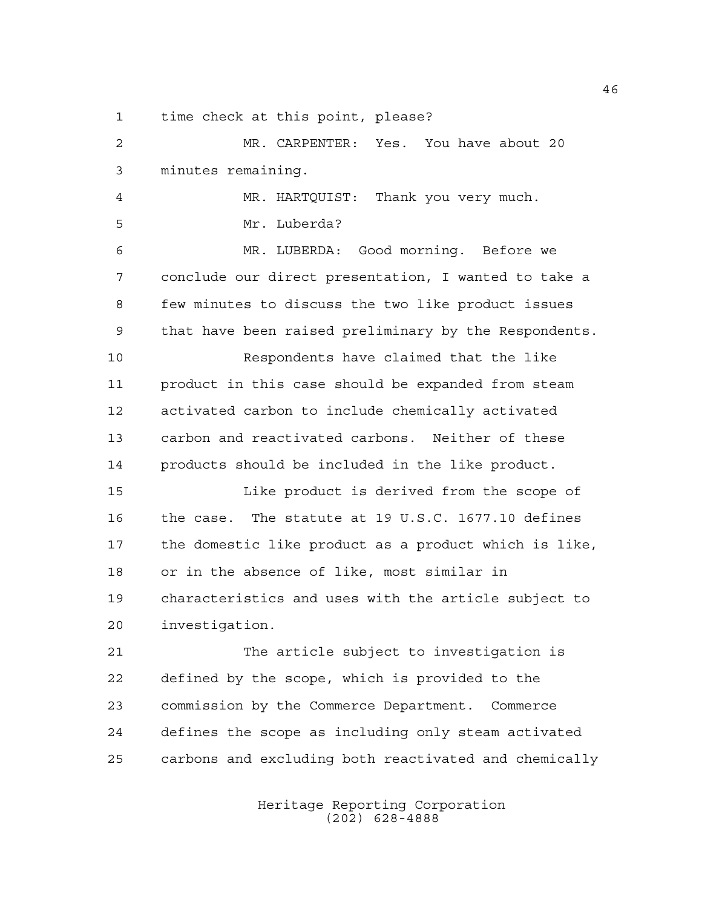time check at this point, please?

 MR. CARPENTER: Yes. You have about 20 minutes remaining. MR. HARTQUIST: Thank you very much. Mr. Luberda? MR. LUBERDA: Good morning. Before we conclude our direct presentation, I wanted to take a few minutes to discuss the two like product issues that have been raised preliminary by the Respondents. Respondents have claimed that the like product in this case should be expanded from steam activated carbon to include chemically activated carbon and reactivated carbons. Neither of these products should be included in the like product. Like product is derived from the scope of the case. The statute at 19 U.S.C. 1677.10 defines the domestic like product as a product which is like, or in the absence of like, most similar in characteristics and uses with the article subject to investigation. The article subject to investigation is defined by the scope, which is provided to the commission by the Commerce Department. Commerce defines the scope as including only steam activated

carbons and excluding both reactivated and chemically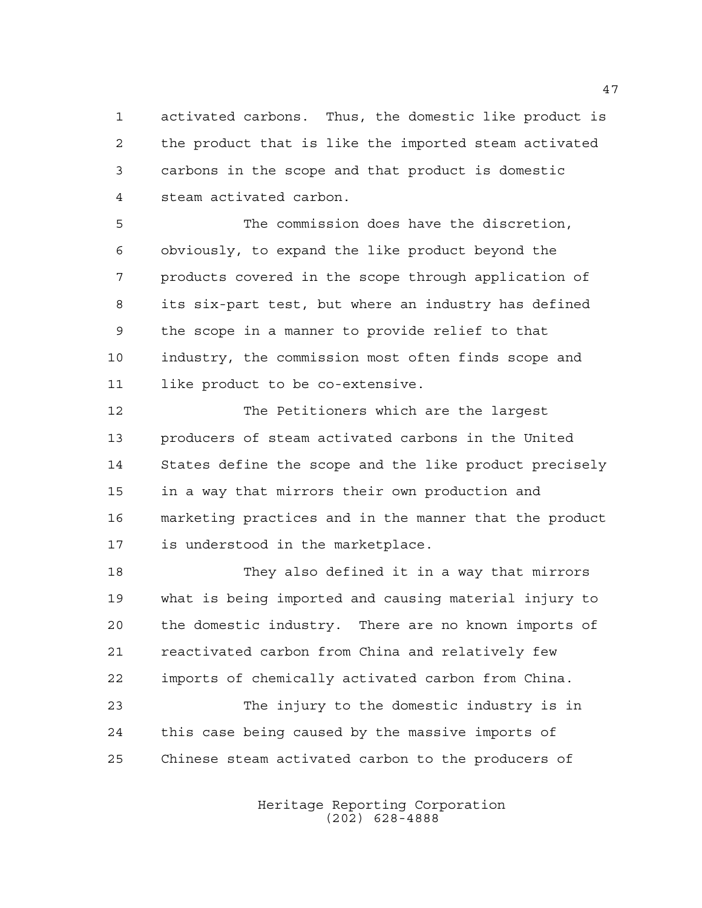activated carbons. Thus, the domestic like product is the product that is like the imported steam activated carbons in the scope and that product is domestic steam activated carbon.

 The commission does have the discretion, obviously, to expand the like product beyond the products covered in the scope through application of its six-part test, but where an industry has defined the scope in a manner to provide relief to that industry, the commission most often finds scope and like product to be co-extensive.

 The Petitioners which are the largest producers of steam activated carbons in the United States define the scope and the like product precisely in a way that mirrors their own production and marketing practices and in the manner that the product is understood in the marketplace.

 They also defined it in a way that mirrors what is being imported and causing material injury to the domestic industry. There are no known imports of reactivated carbon from China and relatively few imports of chemically activated carbon from China. The injury to the domestic industry is in this case being caused by the massive imports of Chinese steam activated carbon to the producers of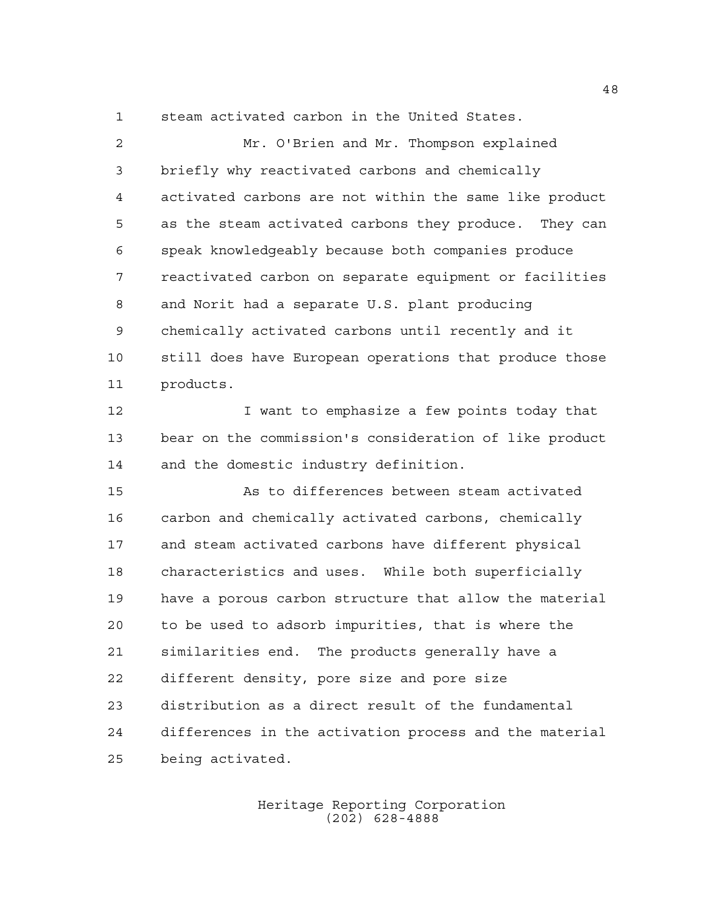steam activated carbon in the United States.

 Mr. O'Brien and Mr. Thompson explained briefly why reactivated carbons and chemically activated carbons are not within the same like product as the steam activated carbons they produce. They can speak knowledgeably because both companies produce reactivated carbon on separate equipment or facilities and Norit had a separate U.S. plant producing chemically activated carbons until recently and it still does have European operations that produce those products.

 I want to emphasize a few points today that bear on the commission's consideration of like product and the domestic industry definition.

 As to differences between steam activated carbon and chemically activated carbons, chemically and steam activated carbons have different physical characteristics and uses. While both superficially have a porous carbon structure that allow the material to be used to adsorb impurities, that is where the similarities end. The products generally have a different density, pore size and pore size distribution as a direct result of the fundamental differences in the activation process and the material being activated.

> Heritage Reporting Corporation (202) 628-4888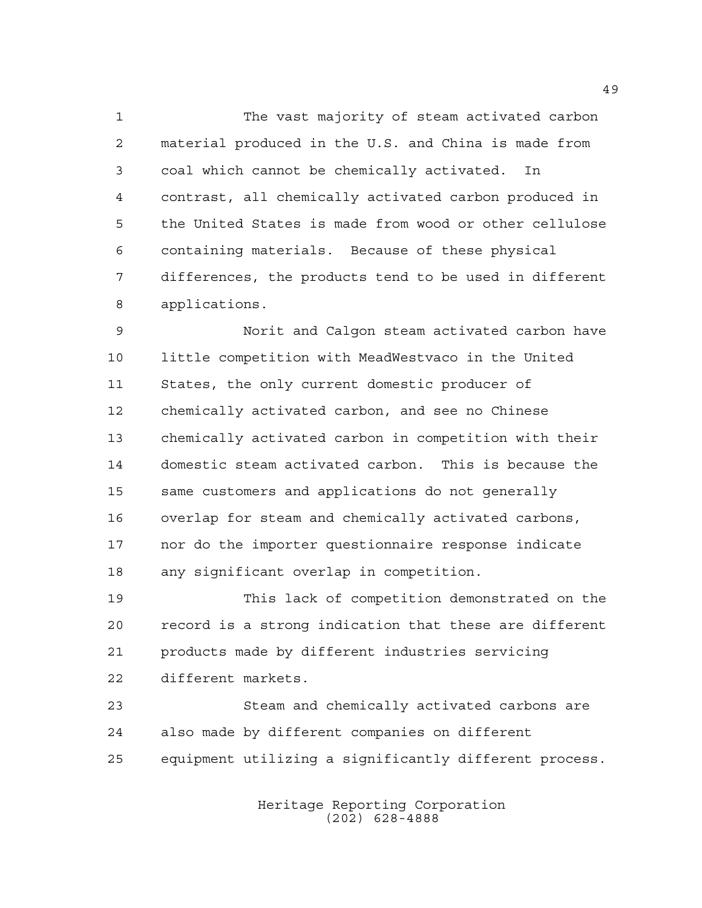The vast majority of steam activated carbon material produced in the U.S. and China is made from coal which cannot be chemically activated. In contrast, all chemically activated carbon produced in the United States is made from wood or other cellulose containing materials. Because of these physical differences, the products tend to be used in different applications.

 Norit and Calgon steam activated carbon have little competition with MeadWestvaco in the United States, the only current domestic producer of chemically activated carbon, and see no Chinese chemically activated carbon in competition with their domestic steam activated carbon. This is because the same customers and applications do not generally overlap for steam and chemically activated carbons, nor do the importer questionnaire response indicate any significant overlap in competition.

 This lack of competition demonstrated on the record is a strong indication that these are different products made by different industries servicing different markets.

 Steam and chemically activated carbons are also made by different companies on different equipment utilizing a significantly different process.

> Heritage Reporting Corporation (202) 628-4888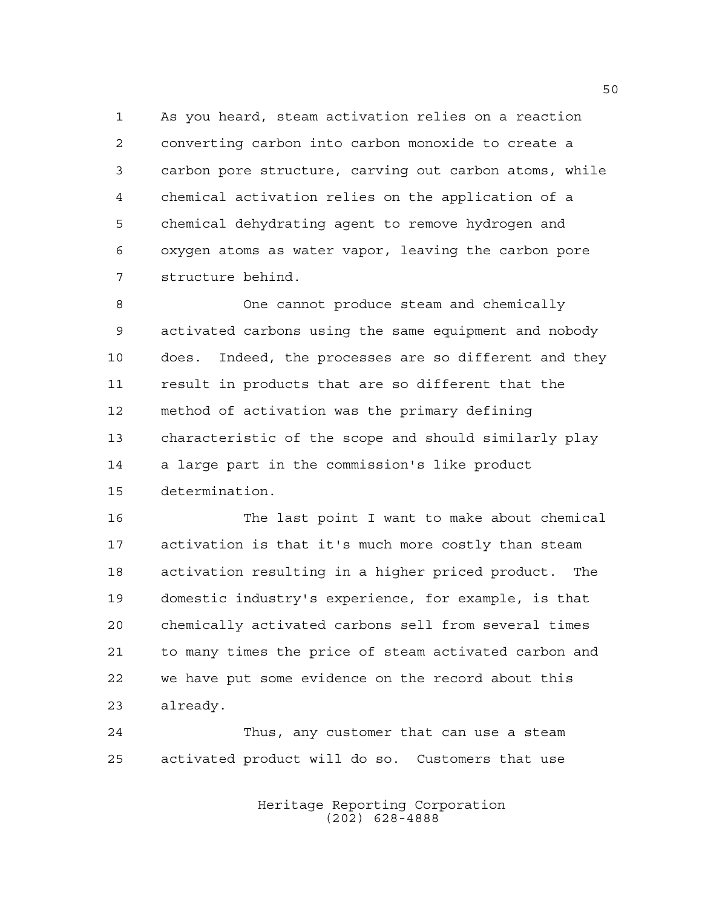As you heard, steam activation relies on a reaction converting carbon into carbon monoxide to create a carbon pore structure, carving out carbon atoms, while chemical activation relies on the application of a chemical dehydrating agent to remove hydrogen and oxygen atoms as water vapor, leaving the carbon pore structure behind.

 One cannot produce steam and chemically activated carbons using the same equipment and nobody does. Indeed, the processes are so different and they result in products that are so different that the method of activation was the primary defining characteristic of the scope and should similarly play a large part in the commission's like product determination.

 The last point I want to make about chemical activation is that it's much more costly than steam activation resulting in a higher priced product. The domestic industry's experience, for example, is that chemically activated carbons sell from several times to many times the price of steam activated carbon and we have put some evidence on the record about this already.

 Thus, any customer that can use a steam activated product will do so. Customers that use

> Heritage Reporting Corporation (202) 628-4888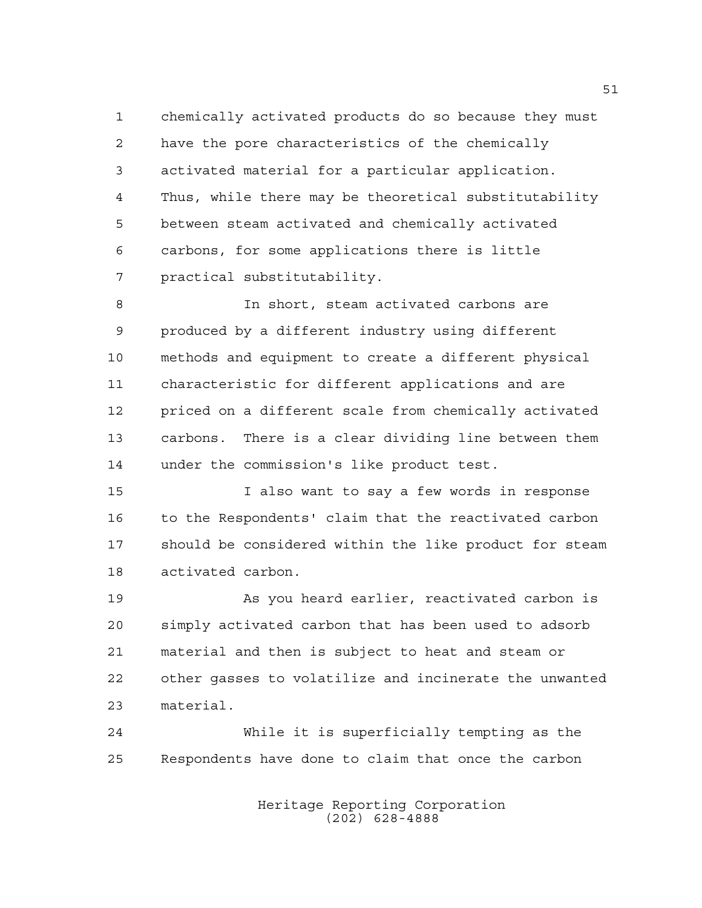chemically activated products do so because they must have the pore characteristics of the chemically activated material for a particular application. Thus, while there may be theoretical substitutability between steam activated and chemically activated carbons, for some applications there is little practical substitutability.

 In short, steam activated carbons are produced by a different industry using different methods and equipment to create a different physical characteristic for different applications and are priced on a different scale from chemically activated carbons. There is a clear dividing line between them under the commission's like product test.

 I also want to say a few words in response to the Respondents' claim that the reactivated carbon should be considered within the like product for steam activated carbon.

 As you heard earlier, reactivated carbon is simply activated carbon that has been used to adsorb material and then is subject to heat and steam or other gasses to volatilize and incinerate the unwanted material.

 While it is superficially tempting as the Respondents have done to claim that once the carbon

> Heritage Reporting Corporation (202) 628-4888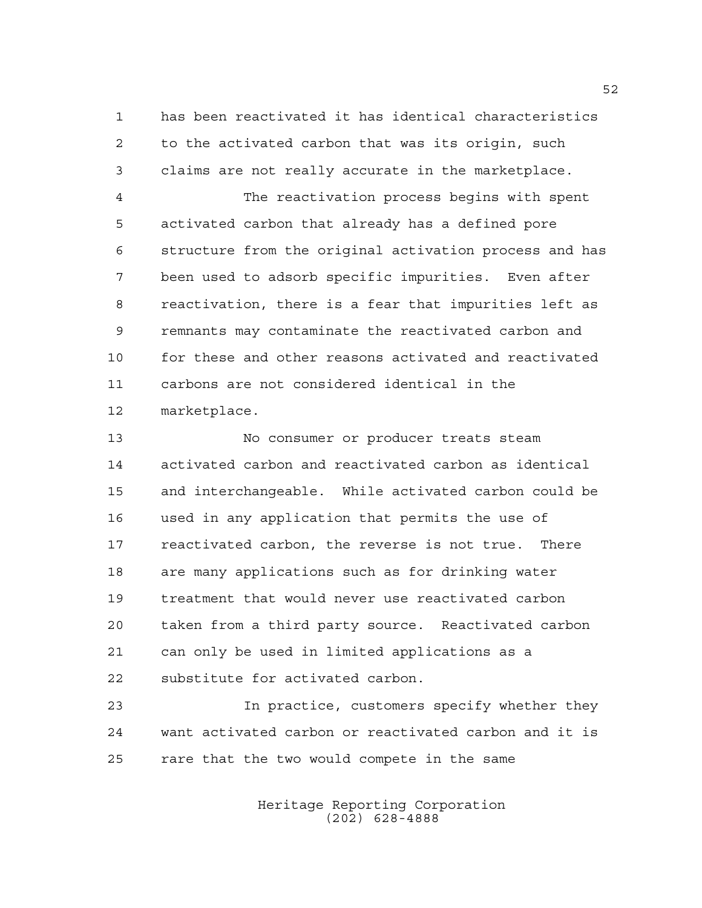has been reactivated it has identical characteristics to the activated carbon that was its origin, such claims are not really accurate in the marketplace.

 The reactivation process begins with spent activated carbon that already has a defined pore structure from the original activation process and has been used to adsorb specific impurities. Even after reactivation, there is a fear that impurities left as remnants may contaminate the reactivated carbon and for these and other reasons activated and reactivated carbons are not considered identical in the marketplace.

 No consumer or producer treats steam activated carbon and reactivated carbon as identical and interchangeable. While activated carbon could be used in any application that permits the use of reactivated carbon, the reverse is not true. There are many applications such as for drinking water treatment that would never use reactivated carbon taken from a third party source. Reactivated carbon can only be used in limited applications as a substitute for activated carbon.

 In practice, customers specify whether they want activated carbon or reactivated carbon and it is rare that the two would compete in the same

> Heritage Reporting Corporation (202) 628-4888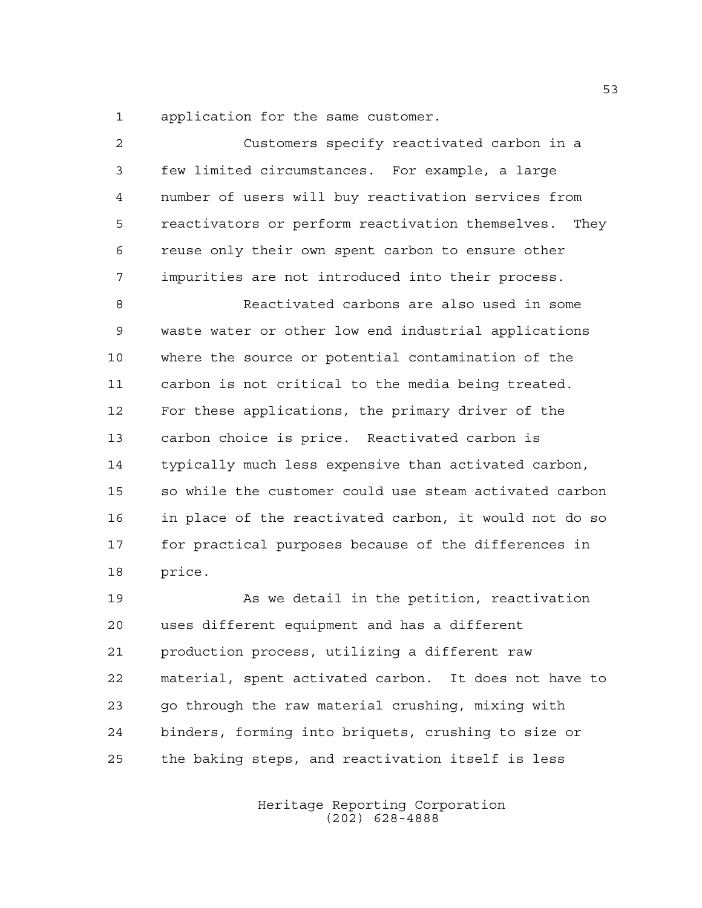application for the same customer.

| 2  | Customers specify reactivated carbon in a                |
|----|----------------------------------------------------------|
| 3  | few limited circumstances. For example, a large          |
| 4  | number of users will buy reactivation services from      |
| 5  | reactivators or perform reactivation themselves.<br>They |
| 6  | reuse only their own spent carbon to ensure other        |
| 7  | impurities are not introduced into their process.        |
| 8  | Reactivated carbons are also used in some                |
| 9  | waste water or other low end industrial applications     |
| 10 | where the source or potential contamination of the       |
| 11 | carbon is not critical to the media being treated.       |
| 12 | For these applications, the primary driver of the        |
| 13 | carbon choice is price. Reactivated carbon is            |
| 14 | typically much less expensive than activated carbon,     |
| 15 | so while the customer could use steam activated carbon   |
| 16 | in place of the reactivated carbon, it would not do so   |
| 17 | for practical purposes because of the differences in     |
| 18 | price.                                                   |
| 19 | As we detail in the petition, reactivation               |
| 20 | uses different equipment and has a different             |
| 21 | production process, utilizing a different raw            |
| 22 | material, spent activated carbon.<br>It does not have to |

 go through the raw material crushing, mixing with binders, forming into briquets, crushing to size or the baking steps, and reactivation itself is less

> Heritage Reporting Corporation (202) 628-4888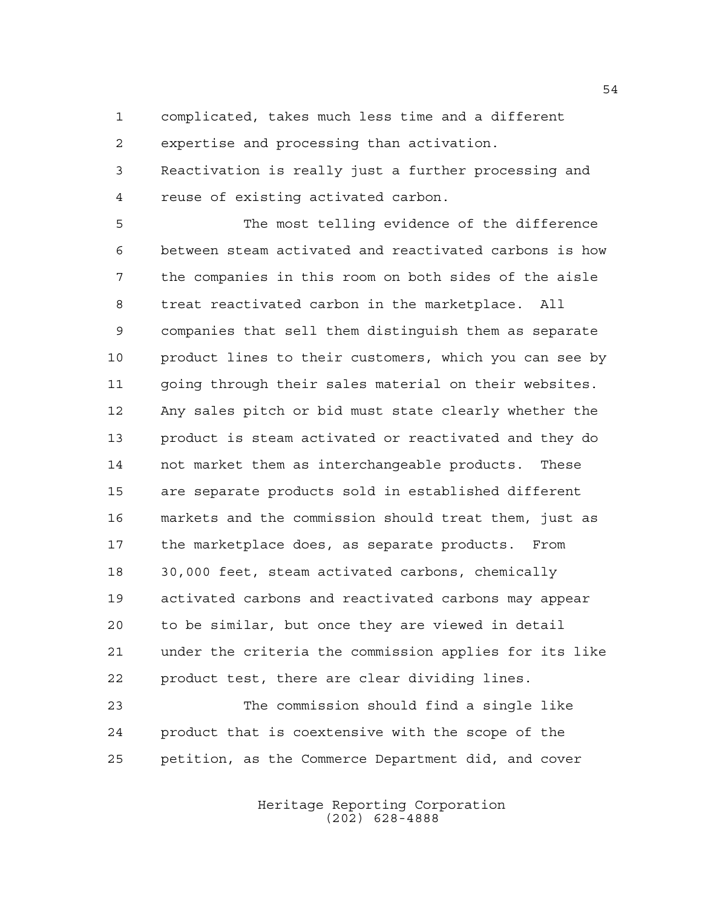complicated, takes much less time and a different

expertise and processing than activation.

 Reactivation is really just a further processing and reuse of existing activated carbon.

 The most telling evidence of the difference between steam activated and reactivated carbons is how the companies in this room on both sides of the aisle treat reactivated carbon in the marketplace. All companies that sell them distinguish them as separate product lines to their customers, which you can see by going through their sales material on their websites. Any sales pitch or bid must state clearly whether the product is steam activated or reactivated and they do not market them as interchangeable products. These are separate products sold in established different markets and the commission should treat them, just as the marketplace does, as separate products. From 30,000 feet, steam activated carbons, chemically activated carbons and reactivated carbons may appear to be similar, but once they are viewed in detail under the criteria the commission applies for its like product test, there are clear dividing lines. The commission should find a single like product that is coextensive with the scope of the

petition, as the Commerce Department did, and cover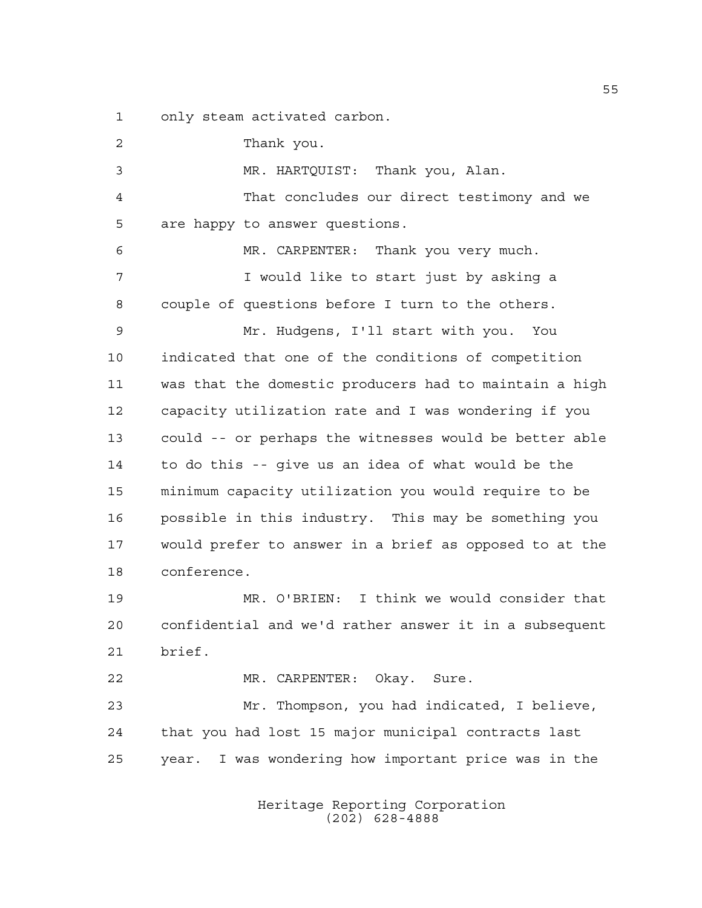only steam activated carbon.

 Thank you. MR. HARTQUIST: Thank you, Alan. That concludes our direct testimony and we are happy to answer questions. MR. CARPENTER: Thank you very much. 7 I would like to start just by asking a couple of questions before I turn to the others. Mr. Hudgens, I'll start with you. You indicated that one of the conditions of competition was that the domestic producers had to maintain a high capacity utilization rate and I was wondering if you could -- or perhaps the witnesses would be better able to do this -- give us an idea of what would be the minimum capacity utilization you would require to be possible in this industry. This may be something you would prefer to answer in a brief as opposed to at the conference. MR. O'BRIEN: I think we would consider that confidential and we'd rather answer it in a subsequent brief. MR. CARPENTER: Okay. Sure. Mr. Thompson, you had indicated, I believe, that you had lost 15 major municipal contracts last year. I was wondering how important price was in the

> Heritage Reporting Corporation (202) 628-4888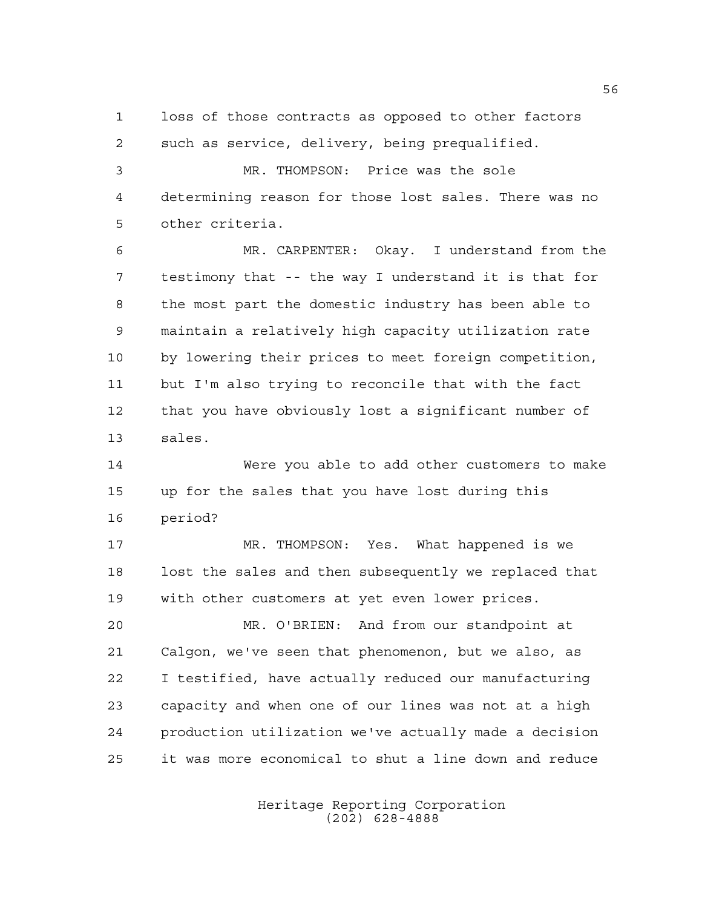loss of those contracts as opposed to other factors such as service, delivery, being prequalified.

 MR. THOMPSON: Price was the sole determining reason for those lost sales. There was no other criteria.

 MR. CARPENTER: Okay. I understand from the testimony that -- the way I understand it is that for the most part the domestic industry has been able to maintain a relatively high capacity utilization rate by lowering their prices to meet foreign competition, but I'm also trying to reconcile that with the fact that you have obviously lost a significant number of sales.

 Were you able to add other customers to make up for the sales that you have lost during this period?

 MR. THOMPSON: Yes. What happened is we lost the sales and then subsequently we replaced that with other customers at yet even lower prices.

 MR. O'BRIEN: And from our standpoint at Calgon, we've seen that phenomenon, but we also, as I testified, have actually reduced our manufacturing capacity and when one of our lines was not at a high production utilization we've actually made a decision it was more economical to shut a line down and reduce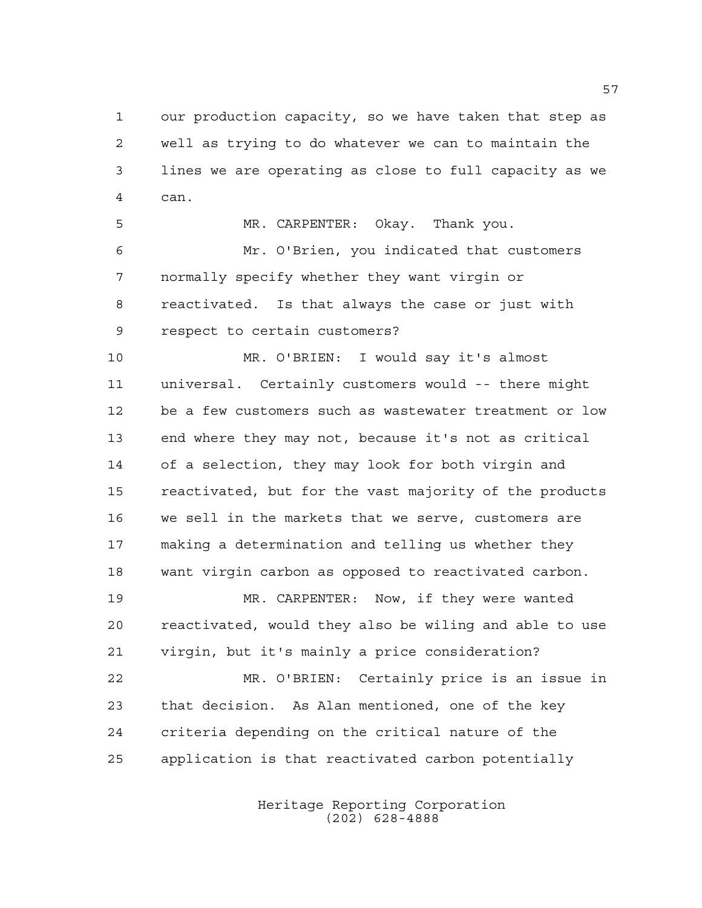our production capacity, so we have taken that step as well as trying to do whatever we can to maintain the lines we are operating as close to full capacity as we can.

 MR. CARPENTER: Okay. Thank you. Mr. O'Brien, you indicated that customers normally specify whether they want virgin or reactivated. Is that always the case or just with respect to certain customers?

 MR. O'BRIEN: I would say it's almost universal. Certainly customers would -- there might be a few customers such as wastewater treatment or low end where they may not, because it's not as critical of a selection, they may look for both virgin and reactivated, but for the vast majority of the products we sell in the markets that we serve, customers are making a determination and telling us whether they want virgin carbon as opposed to reactivated carbon.

 MR. CARPENTER: Now, if they were wanted reactivated, would they also be wiling and able to use virgin, but it's mainly a price consideration?

 MR. O'BRIEN: Certainly price is an issue in that decision. As Alan mentioned, one of the key criteria depending on the critical nature of the application is that reactivated carbon potentially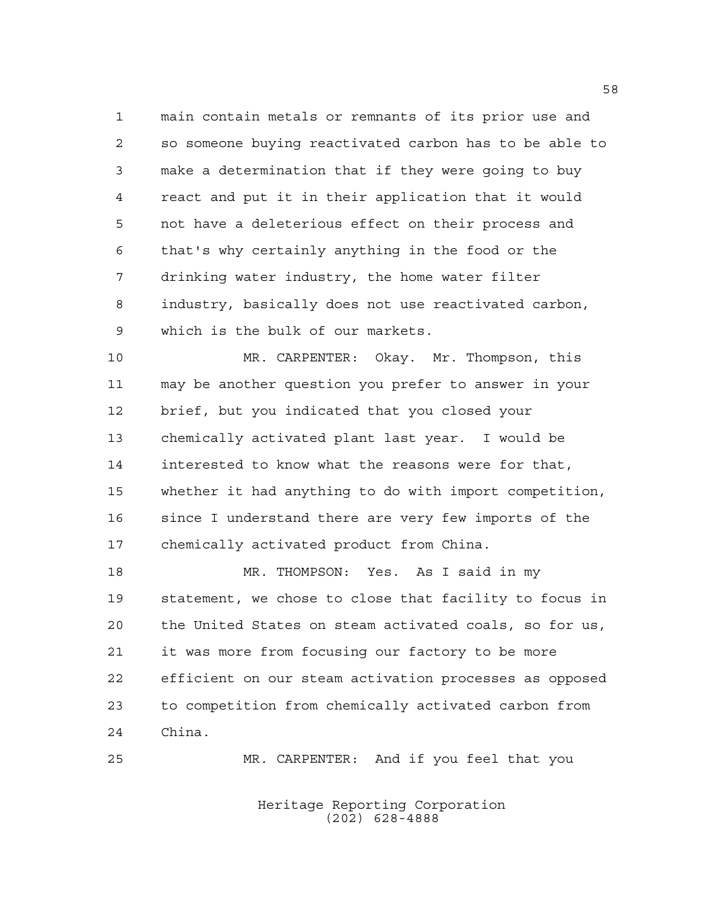main contain metals or remnants of its prior use and so someone buying reactivated carbon has to be able to make a determination that if they were going to buy react and put it in their application that it would not have a deleterious effect on their process and that's why certainly anything in the food or the drinking water industry, the home water filter industry, basically does not use reactivated carbon, which is the bulk of our markets.

 MR. CARPENTER: Okay. Mr. Thompson, this may be another question you prefer to answer in your brief, but you indicated that you closed your chemically activated plant last year. I would be interested to know what the reasons were for that, whether it had anything to do with import competition, since I understand there are very few imports of the chemically activated product from China.

 MR. THOMPSON: Yes. As I said in my statement, we chose to close that facility to focus in the United States on steam activated coals, so for us, it was more from focusing our factory to be more efficient on our steam activation processes as opposed to competition from chemically activated carbon from China.

MR. CARPENTER: And if you feel that you

Heritage Reporting Corporation (202) 628-4888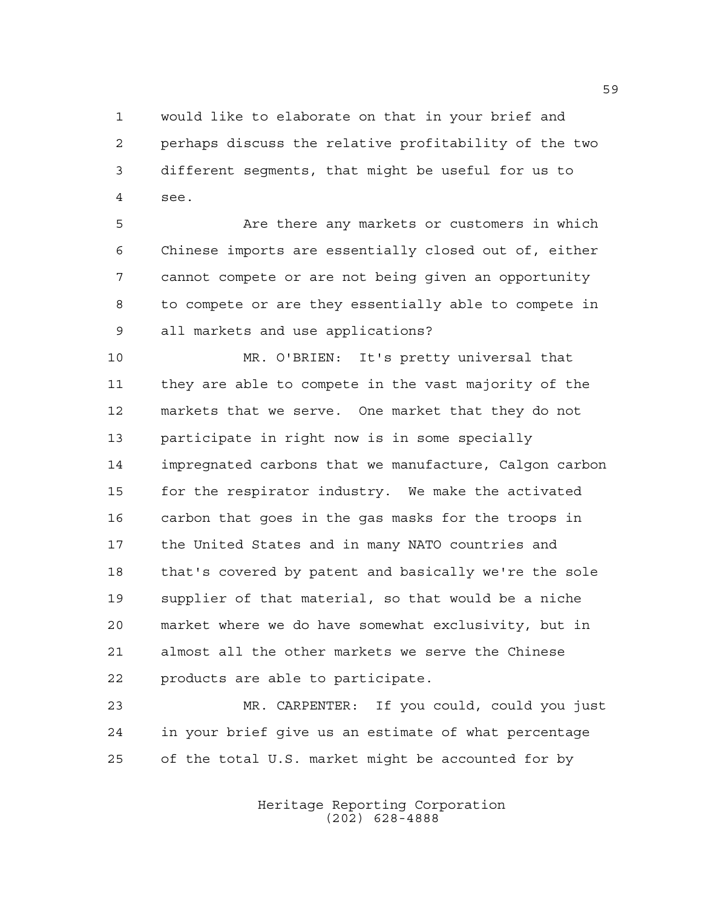would like to elaborate on that in your brief and perhaps discuss the relative profitability of the two different segments, that might be useful for us to see.

 Are there any markets or customers in which Chinese imports are essentially closed out of, either cannot compete or are not being given an opportunity to compete or are they essentially able to compete in all markets and use applications?

 MR. O'BRIEN: It's pretty universal that they are able to compete in the vast majority of the markets that we serve. One market that they do not participate in right now is in some specially impregnated carbons that we manufacture, Calgon carbon for the respirator industry. We make the activated carbon that goes in the gas masks for the troops in the United States and in many NATO countries and that's covered by patent and basically we're the sole supplier of that material, so that would be a niche market where we do have somewhat exclusivity, but in almost all the other markets we serve the Chinese products are able to participate.

 MR. CARPENTER: If you could, could you just in your brief give us an estimate of what percentage of the total U.S. market might be accounted for by

> Heritage Reporting Corporation (202) 628-4888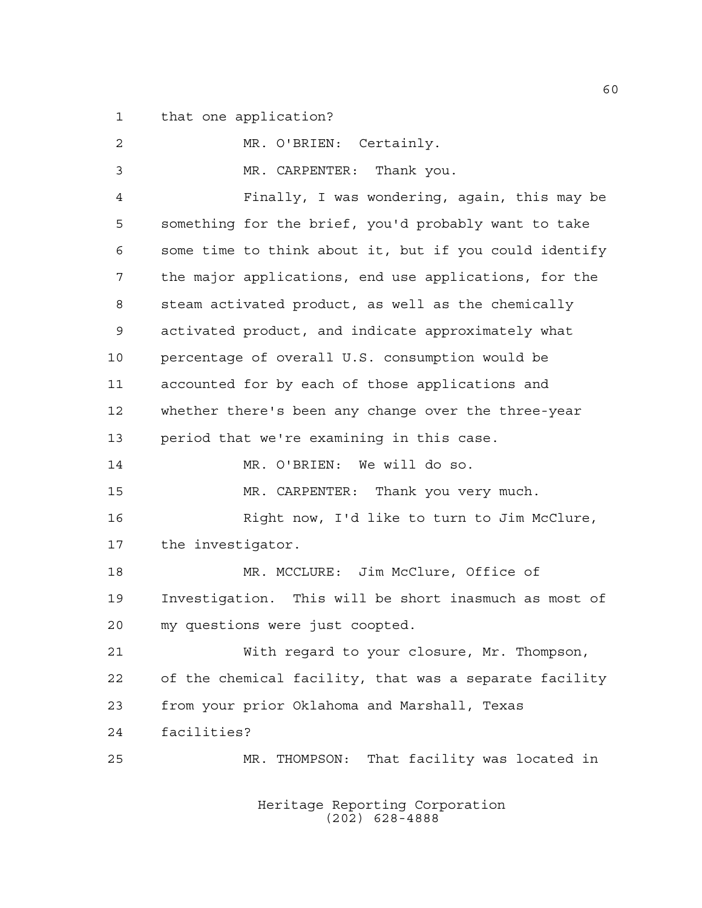that one application?

 MR. O'BRIEN: Certainly. MR. CARPENTER: Thank you. Finally, I was wondering, again, this may be something for the brief, you'd probably want to take some time to think about it, but if you could identify the major applications, end use applications, for the steam activated product, as well as the chemically activated product, and indicate approximately what percentage of overall U.S. consumption would be accounted for by each of those applications and whether there's been any change over the three-year period that we're examining in this case. MR. O'BRIEN: We will do so. MR. CARPENTER: Thank you very much. Right now, I'd like to turn to Jim McClure, the investigator. MR. MCCLURE: Jim McClure, Office of Investigation. This will be short inasmuch as most of my questions were just coopted. With regard to your closure, Mr. Thompson, of the chemical facility, that was a separate facility from your prior Oklahoma and Marshall, Texas facilities? MR. THOMPSON: That facility was located in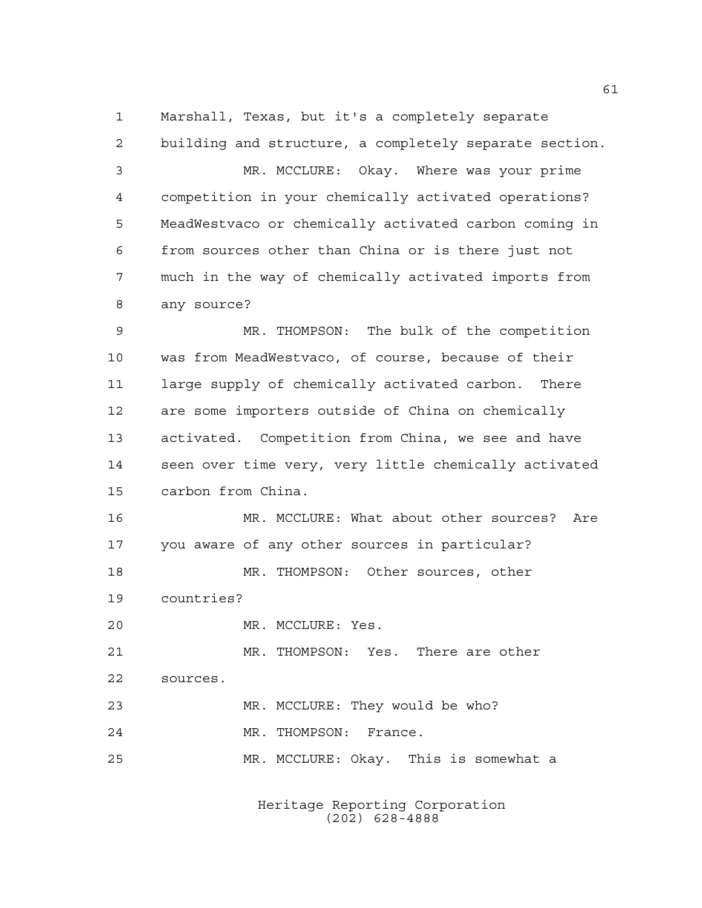Marshall, Texas, but it's a completely separate

 building and structure, a completely separate section. MR. MCCLURE: Okay. Where was your prime competition in your chemically activated operations? MeadWestvaco or chemically activated carbon coming in from sources other than China or is there just not much in the way of chemically activated imports from any source? MR. THOMPSON: The bulk of the competition was from MeadWestvaco, of course, because of their large supply of chemically activated carbon. There are some importers outside of China on chemically activated. Competition from China, we see and have

 seen over time very, very little chemically activated carbon from China.

 MR. MCCLURE: What about other sources? Are you aware of any other sources in particular? MR. THOMPSON: Other sources, other

countries?

MR. MCCLURE: Yes.

 MR. THOMPSON: Yes. There are other sources.

MR. MCCLURE: They would be who?

MR. THOMPSON: France.

MR. MCCLURE: Okay. This is somewhat a

Heritage Reporting Corporation (202) 628-4888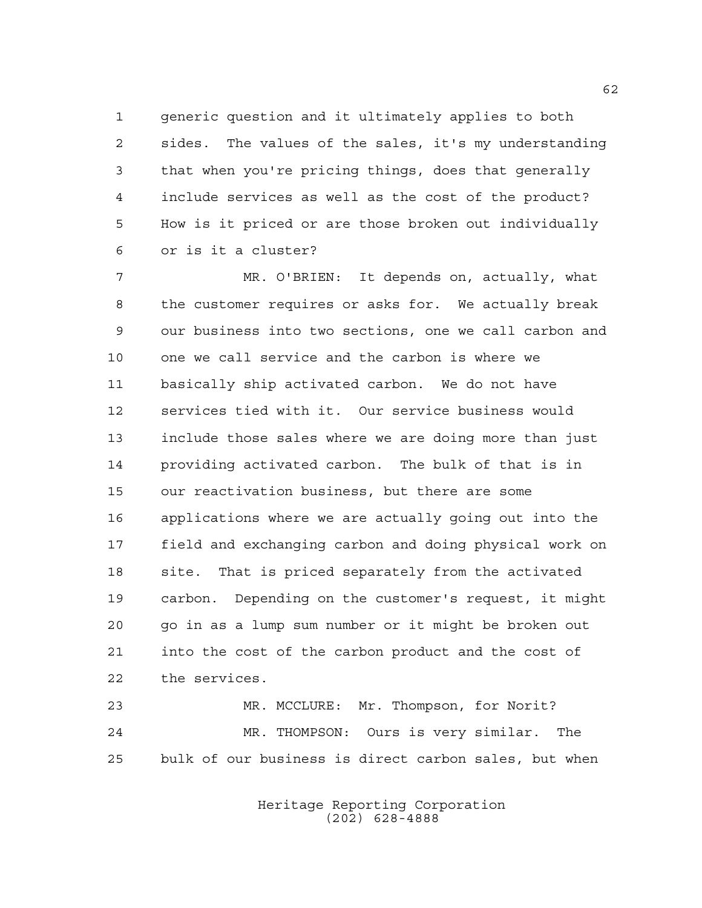generic question and it ultimately applies to both sides. The values of the sales, it's my understanding that when you're pricing things, does that generally include services as well as the cost of the product? How is it priced or are those broken out individually or is it a cluster?

 MR. O'BRIEN: It depends on, actually, what the customer requires or asks for. We actually break our business into two sections, one we call carbon and one we call service and the carbon is where we basically ship activated carbon. We do not have services tied with it. Our service business would include those sales where we are doing more than just providing activated carbon. The bulk of that is in our reactivation business, but there are some applications where we are actually going out into the field and exchanging carbon and doing physical work on site. That is priced separately from the activated carbon. Depending on the customer's request, it might go in as a lump sum number or it might be broken out into the cost of the carbon product and the cost of the services.

 MR. MCCLURE: Mr. Thompson, for Norit? MR. THOMPSON: Ours is very similar. The bulk of our business is direct carbon sales, but when

> Heritage Reporting Corporation (202) 628-4888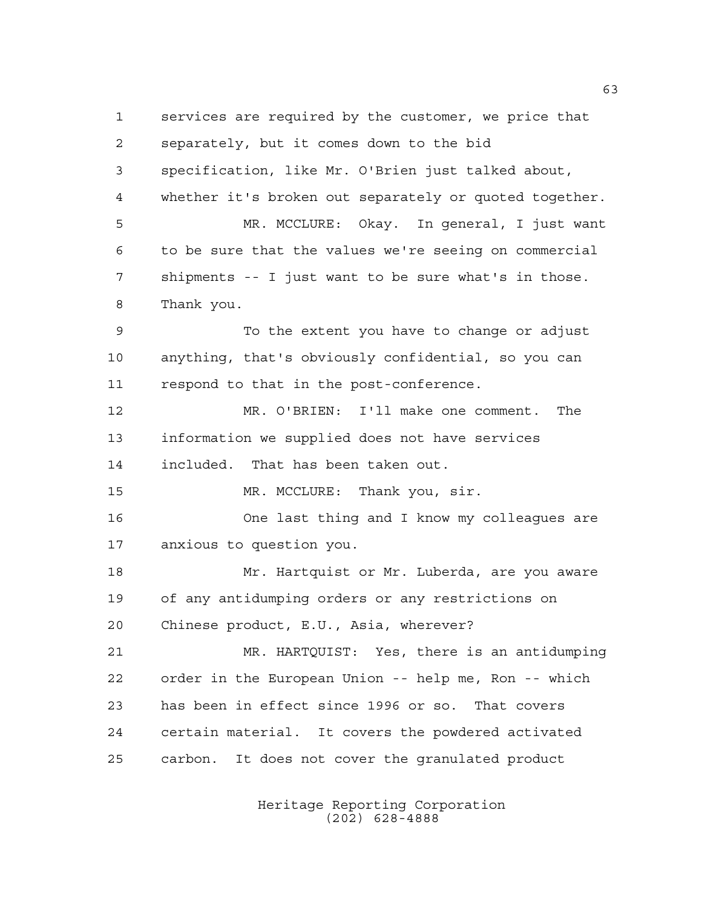services are required by the customer, we price that separately, but it comes down to the bid specification, like Mr. O'Brien just talked about, whether it's broken out separately or quoted together. MR. MCCLURE: Okay. In general, I just want to be sure that the values we're seeing on commercial shipments -- I just want to be sure what's in those. Thank you. To the extent you have to change or adjust anything, that's obviously confidential, so you can respond to that in the post-conference. MR. O'BRIEN: I'll make one comment. The information we supplied does not have services included. That has been taken out. 15 MR. MCCLURE: Thank you, sir. One last thing and I know my colleagues are anxious to question you. Mr. Hartquist or Mr. Luberda, are you aware of any antidumping orders or any restrictions on Chinese product, E.U., Asia, wherever? MR. HARTQUIST: Yes, there is an antidumping order in the European Union -- help me, Ron -- which has been in effect since 1996 or so. That covers certain material. It covers the powdered activated carbon. It does not cover the granulated product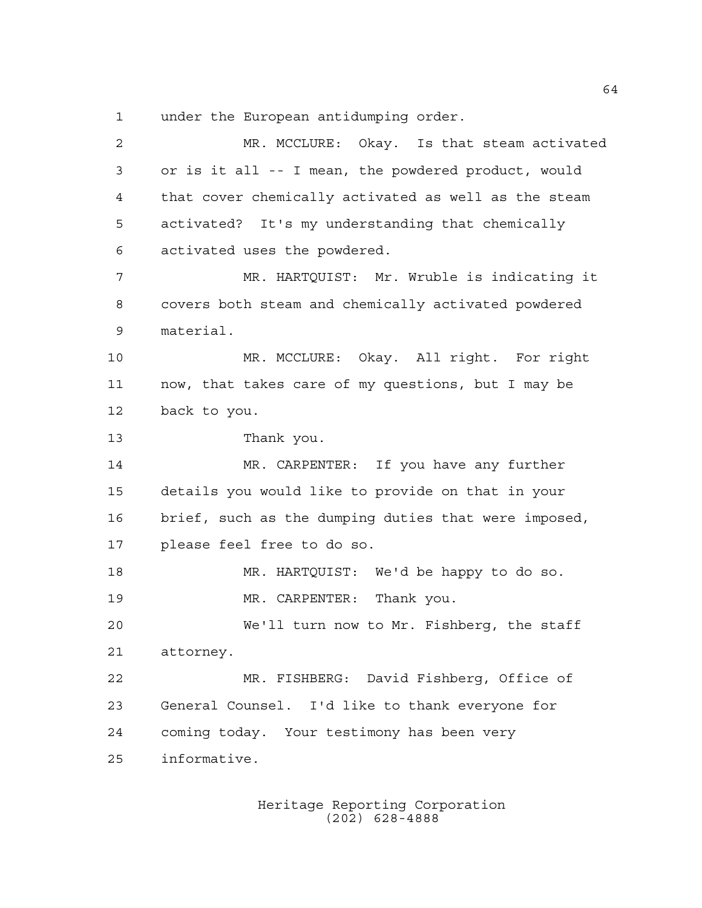under the European antidumping order.

 MR. MCCLURE: Okay. Is that steam activated or is it all -- I mean, the powdered product, would that cover chemically activated as well as the steam activated? It's my understanding that chemically activated uses the powdered. MR. HARTQUIST: Mr. Wruble is indicating it covers both steam and chemically activated powdered material. MR. MCCLURE: Okay. All right. For right now, that takes care of my questions, but I may be back to you. Thank you. MR. CARPENTER: If you have any further details you would like to provide on that in your brief, such as the dumping duties that were imposed, please feel free to do so. MR. HARTQUIST: We'd be happy to do so. MR. CARPENTER: Thank you. We'll turn now to Mr. Fishberg, the staff attorney. MR. FISHBERG: David Fishberg, Office of General Counsel. I'd like to thank everyone for coming today. Your testimony has been very informative.

> Heritage Reporting Corporation (202) 628-4888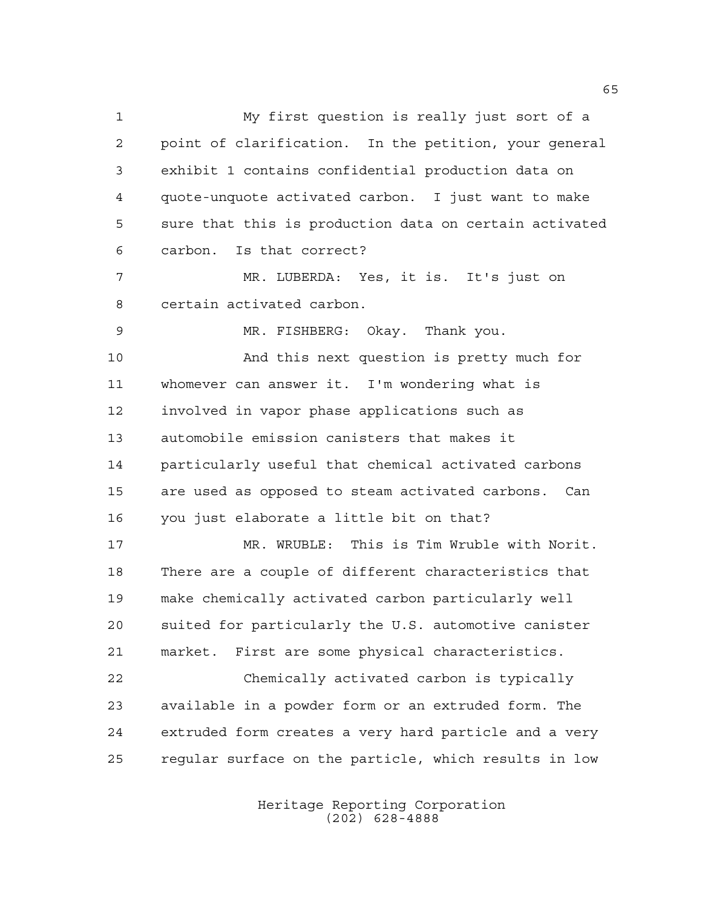My first question is really just sort of a point of clarification. In the petition, your general exhibit 1 contains confidential production data on quote-unquote activated carbon. I just want to make sure that this is production data on certain activated carbon. Is that correct? MR. LUBERDA: Yes, it is. It's just on certain activated carbon. MR. FISHBERG: Okay. Thank you. And this next question is pretty much for whomever can answer it. I'm wondering what is involved in vapor phase applications such as automobile emission canisters that makes it particularly useful that chemical activated carbons are used as opposed to steam activated carbons. Can you just elaborate a little bit on that? MR. WRUBLE: This is Tim Wruble with Norit. There are a couple of different characteristics that make chemically activated carbon particularly well suited for particularly the U.S. automotive canister market. First are some physical characteristics. Chemically activated carbon is typically available in a powder form or an extruded form. The extruded form creates a very hard particle and a very regular surface on the particle, which results in low

> Heritage Reporting Corporation (202) 628-4888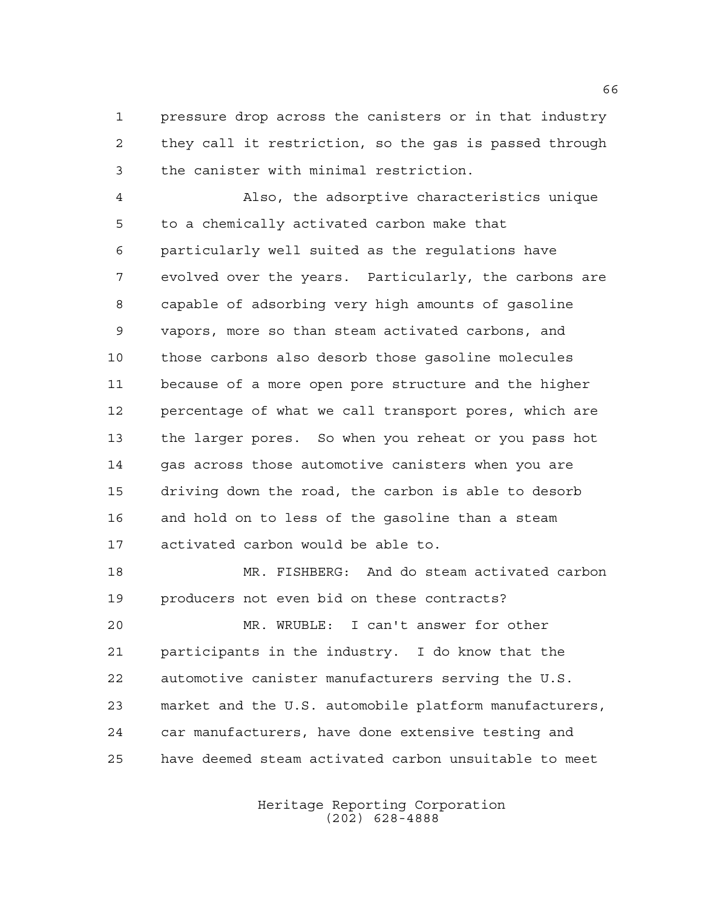pressure drop across the canisters or in that industry they call it restriction, so the gas is passed through the canister with minimal restriction.

 Also, the adsorptive characteristics unique to a chemically activated carbon make that particularly well suited as the regulations have evolved over the years. Particularly, the carbons are capable of adsorbing very high amounts of gasoline vapors, more so than steam activated carbons, and those carbons also desorb those gasoline molecules because of a more open pore structure and the higher percentage of what we call transport pores, which are the larger pores. So when you reheat or you pass hot gas across those automotive canisters when you are driving down the road, the carbon is able to desorb and hold on to less of the gasoline than a steam activated carbon would be able to.

 MR. FISHBERG: And do steam activated carbon producers not even bid on these contracts?

 MR. WRUBLE: I can't answer for other participants in the industry. I do know that the automotive canister manufacturers serving the U.S. market and the U.S. automobile platform manufacturers, car manufacturers, have done extensive testing and have deemed steam activated carbon unsuitable to meet

> Heritage Reporting Corporation (202) 628-4888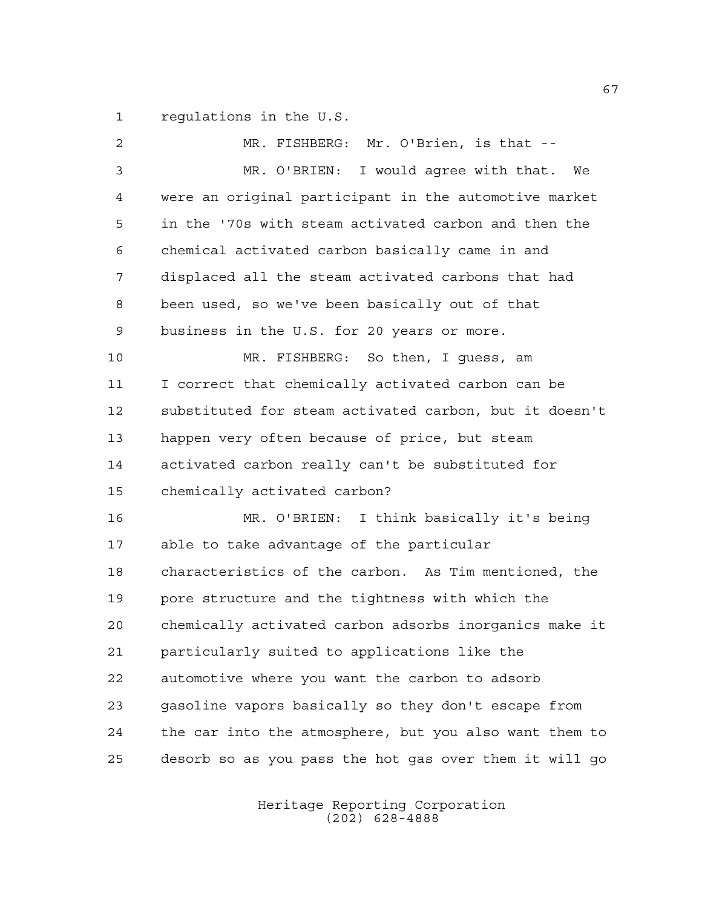regulations in the U.S.

 MR. FISHBERG: Mr. O'Brien, is that -- MR. O'BRIEN: I would agree with that. We were an original participant in the automotive market in the '70s with steam activated carbon and then the chemical activated carbon basically came in and displaced all the steam activated carbons that had been used, so we've been basically out of that business in the U.S. for 20 years or more. MR. FISHBERG: So then, I guess, am I correct that chemically activated carbon can be substituted for steam activated carbon, but it doesn't happen very often because of price, but steam activated carbon really can't be substituted for chemically activated carbon? MR. O'BRIEN: I think basically it's being able to take advantage of the particular characteristics of the carbon. As Tim mentioned, the pore structure and the tightness with which the chemically activated carbon adsorbs inorganics make it particularly suited to applications like the automotive where you want the carbon to adsorb gasoline vapors basically so they don't escape from the car into the atmosphere, but you also want them to desorb so as you pass the hot gas over them it will go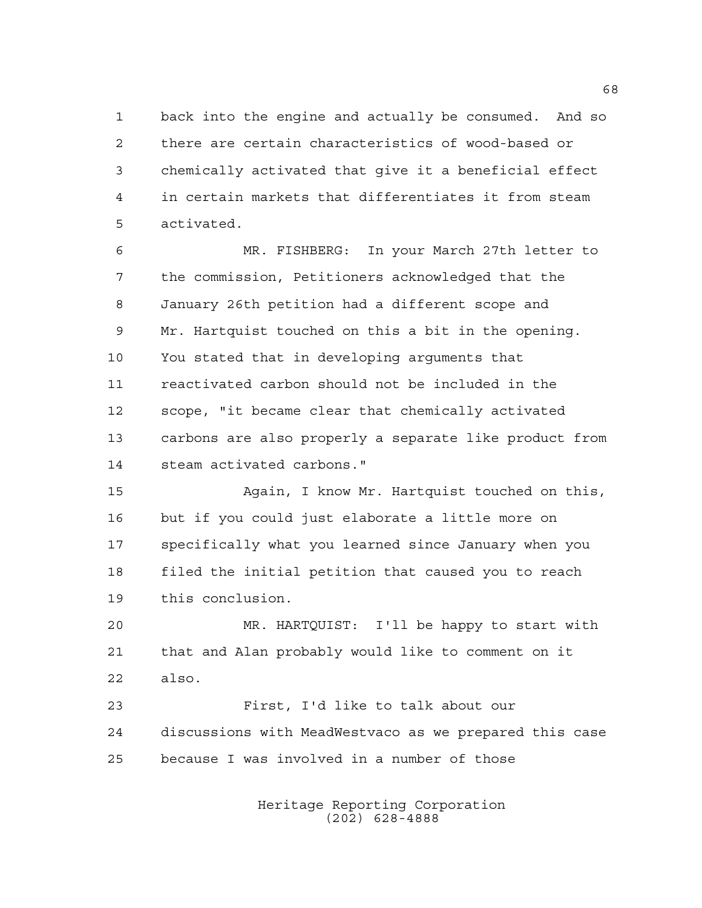back into the engine and actually be consumed. And so there are certain characteristics of wood-based or chemically activated that give it a beneficial effect in certain markets that differentiates it from steam activated.

 MR. FISHBERG: In your March 27th letter to the commission, Petitioners acknowledged that the January 26th petition had a different scope and Mr. Hartquist touched on this a bit in the opening. You stated that in developing arguments that reactivated carbon should not be included in the scope, "it became clear that chemically activated carbons are also properly a separate like product from steam activated carbons."

 Again, I know Mr. Hartquist touched on this, but if you could just elaborate a little more on specifically what you learned since January when you filed the initial petition that caused you to reach this conclusion.

 MR. HARTQUIST: I'll be happy to start with that and Alan probably would like to comment on it also.

 First, I'd like to talk about our discussions with MeadWestvaco as we prepared this case because I was involved in a number of those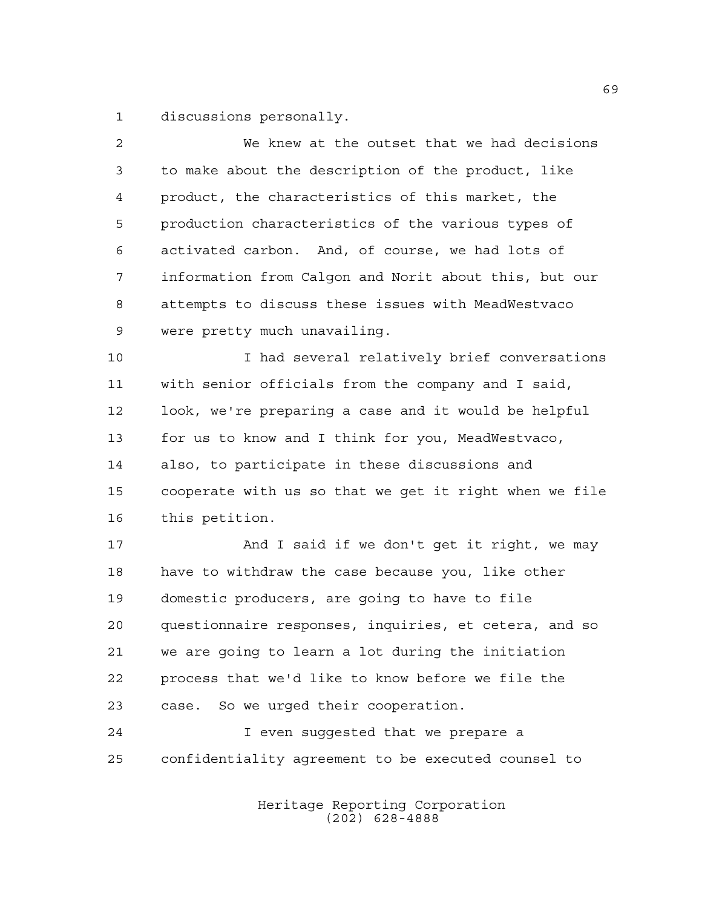discussions personally.

| $\overline{a}$ | We knew at the outset that we had decisions            |
|----------------|--------------------------------------------------------|
| 3              | to make about the description of the product, like     |
| 4              | product, the characteristics of this market, the       |
| 5              | production characteristics of the various types of     |
| 6              | activated carbon. And, of course, we had lots of       |
| 7              | information from Calgon and Norit about this, but our  |
| 8              | attempts to discuss these issues with MeadWestvaco     |
| 9              | were pretty much unavailing.                           |
| 10             | I had several relatively brief conversations           |
| 11             | with senior officials from the company and I said,     |
| 12             | look, we're preparing a case and it would be helpful   |
| 13             | for us to know and I think for you, MeadWestvaco,      |
| 14             | also, to participate in these discussions and          |
| 15             | cooperate with us so that we get it right when we file |
| 16             | this petition.                                         |
| 17             | And I said if we don't get it right, we may            |
| 18             | have to withdraw the case because you, like other      |
| 19             | domestic producers, are going to have to file          |
| 20             | questionnaire responses, inquiries, et cetera, and so  |
| 21             | we are going to learn a lot during the initiation      |
| 22             | process that we'd like to know before we file the      |
| 23             | case. So we urged their cooperation.                   |
| 24             | I even suggested that we prepare a                     |
| 25             | confidentiality agreement to be executed counsel to    |
|                |                                                        |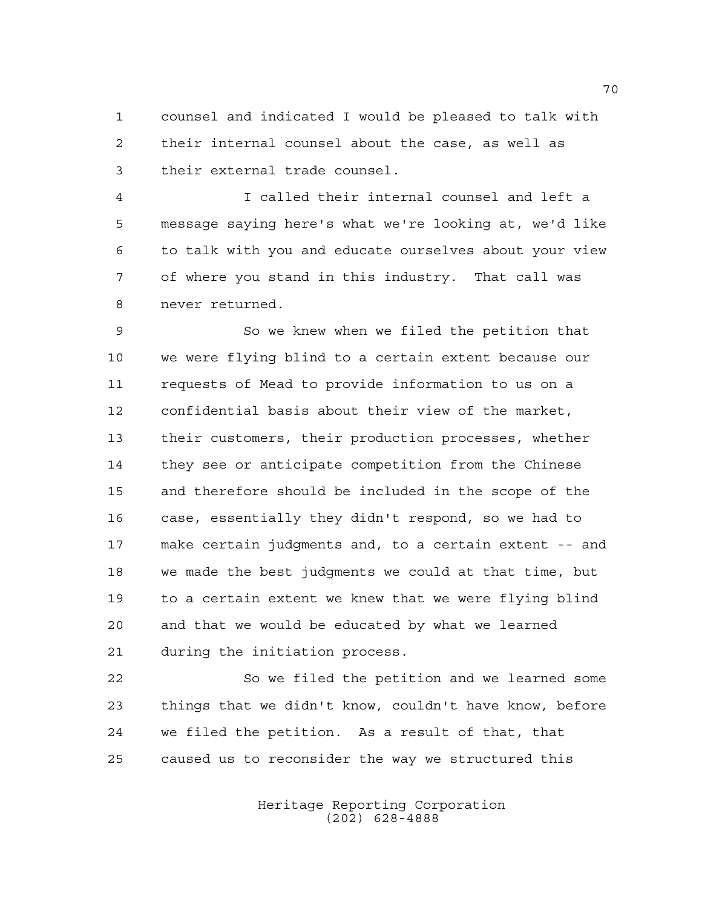counsel and indicated I would be pleased to talk with their internal counsel about the case, as well as their external trade counsel.

 I called their internal counsel and left a message saying here's what we're looking at, we'd like to talk with you and educate ourselves about your view of where you stand in this industry. That call was never returned.

 So we knew when we filed the petition that we were flying blind to a certain extent because our requests of Mead to provide information to us on a confidential basis about their view of the market, their customers, their production processes, whether they see or anticipate competition from the Chinese and therefore should be included in the scope of the case, essentially they didn't respond, so we had to make certain judgments and, to a certain extent -- and we made the best judgments we could at that time, but to a certain extent we knew that we were flying blind and that we would be educated by what we learned during the initiation process.

 So we filed the petition and we learned some things that we didn't know, couldn't have know, before we filed the petition. As a result of that, that caused us to reconsider the way we structured this

> Heritage Reporting Corporation (202) 628-4888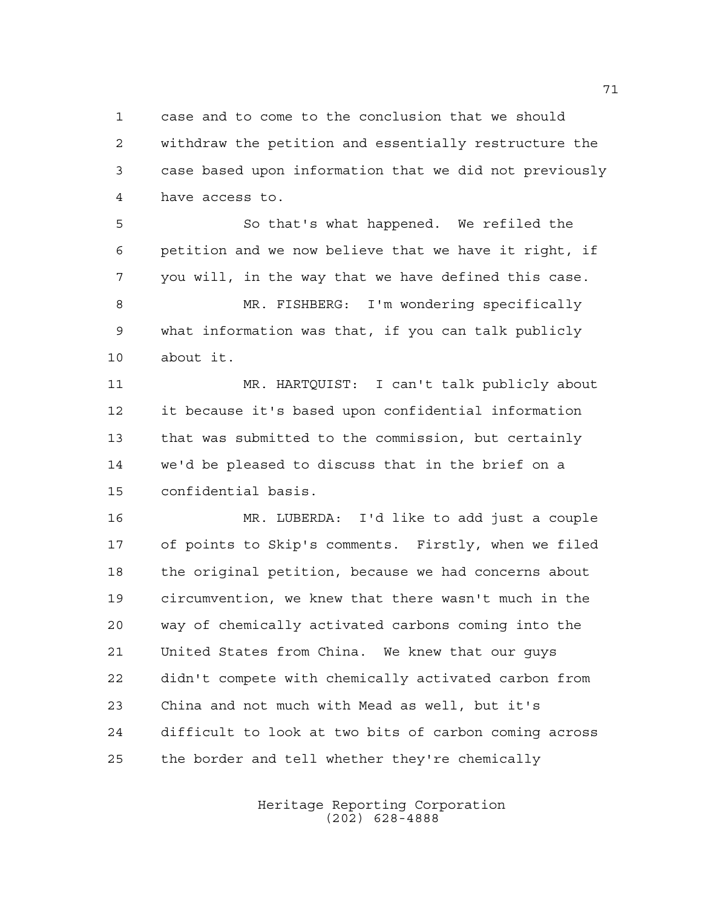case and to come to the conclusion that we should withdraw the petition and essentially restructure the case based upon information that we did not previously have access to.

 So that's what happened. We refiled the petition and we now believe that we have it right, if you will, in the way that we have defined this case. MR. FISHBERG: I'm wondering specifically what information was that, if you can talk publicly about it.

 MR. HARTQUIST: I can't talk publicly about it because it's based upon confidential information that was submitted to the commission, but certainly we'd be pleased to discuss that in the brief on a confidential basis.

 MR. LUBERDA: I'd like to add just a couple of points to Skip's comments. Firstly, when we filed the original petition, because we had concerns about circumvention, we knew that there wasn't much in the way of chemically activated carbons coming into the United States from China. We knew that our guys didn't compete with chemically activated carbon from China and not much with Mead as well, but it's difficult to look at two bits of carbon coming across the border and tell whether they're chemically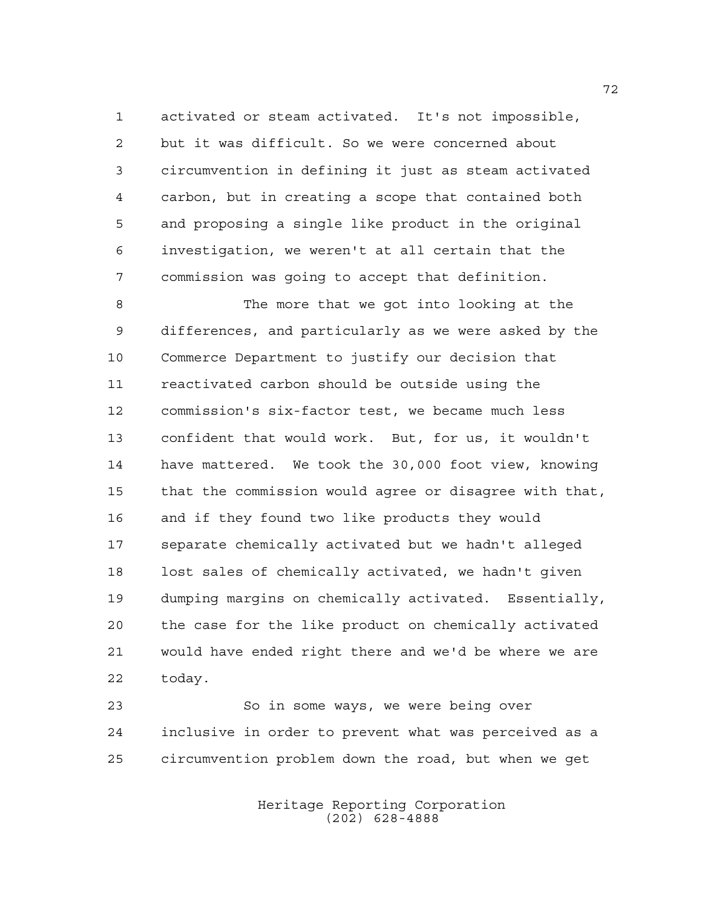activated or steam activated. It's not impossible, but it was difficult. So we were concerned about circumvention in defining it just as steam activated carbon, but in creating a scope that contained both and proposing a single like product in the original investigation, we weren't at all certain that the commission was going to accept that definition.

 The more that we got into looking at the differences, and particularly as we were asked by the Commerce Department to justify our decision that reactivated carbon should be outside using the commission's six-factor test, we became much less confident that would work. But, for us, it wouldn't have mattered. We took the 30,000 foot view, knowing that the commission would agree or disagree with that, and if they found two like products they would separate chemically activated but we hadn't alleged lost sales of chemically activated, we hadn't given dumping margins on chemically activated. Essentially, the case for the like product on chemically activated would have ended right there and we'd be where we are today.

 So in some ways, we were being over inclusive in order to prevent what was perceived as a circumvention problem down the road, but when we get

> Heritage Reporting Corporation (202) 628-4888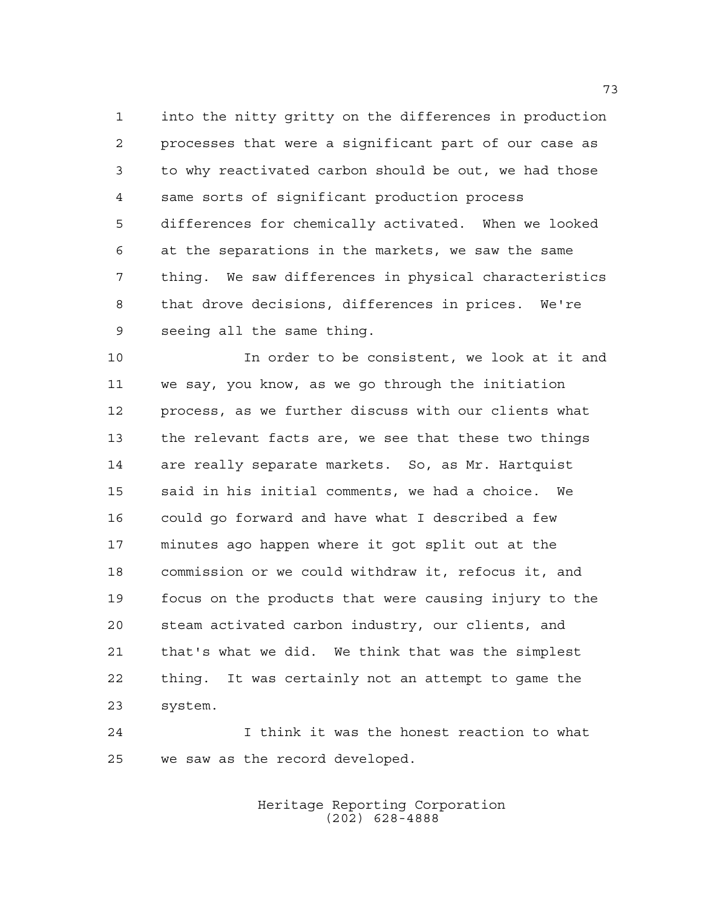into the nitty gritty on the differences in production processes that were a significant part of our case as to why reactivated carbon should be out, we had those same sorts of significant production process differences for chemically activated. When we looked at the separations in the markets, we saw the same thing. We saw differences in physical characteristics that drove decisions, differences in prices. We're seeing all the same thing.

 In order to be consistent, we look at it and we say, you know, as we go through the initiation process, as we further discuss with our clients what the relevant facts are, we see that these two things are really separate markets. So, as Mr. Hartquist said in his initial comments, we had a choice. We could go forward and have what I described a few minutes ago happen where it got split out at the commission or we could withdraw it, refocus it, and focus on the products that were causing injury to the steam activated carbon industry, our clients, and that's what we did. We think that was the simplest thing. It was certainly not an attempt to game the system.

 I think it was the honest reaction to what we saw as the record developed.

> Heritage Reporting Corporation (202) 628-4888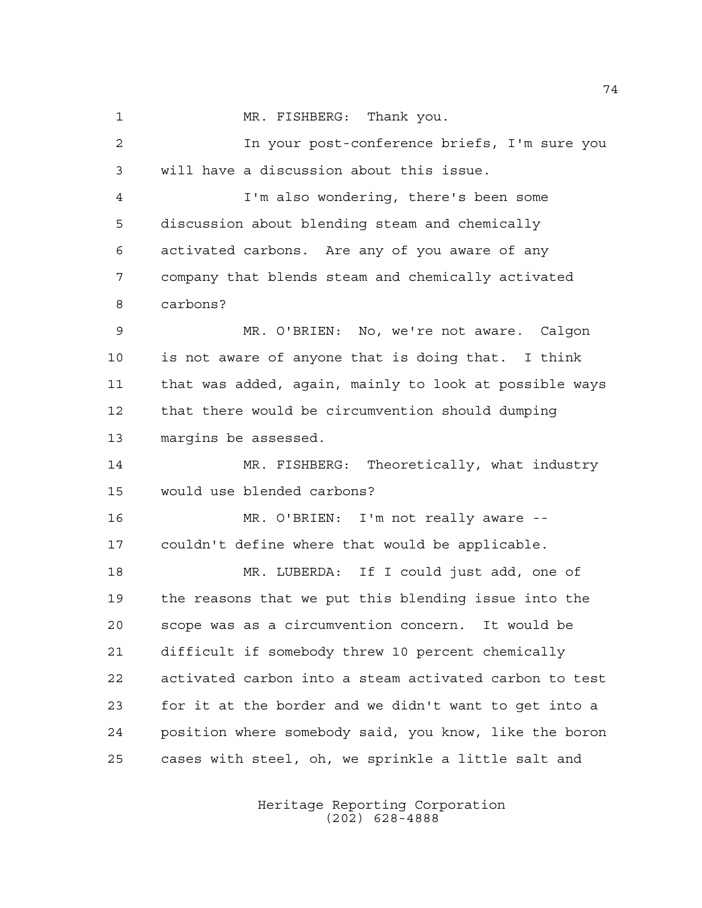1 MR. FISHBERG: Thank you. In your post-conference briefs, I'm sure you will have a discussion about this issue. I'm also wondering, there's been some discussion about blending steam and chemically activated carbons. Are any of you aware of any company that blends steam and chemically activated carbons? MR. O'BRIEN: No, we're not aware. Calgon is not aware of anyone that is doing that. I think that was added, again, mainly to look at possible ways that there would be circumvention should dumping margins be assessed. MR. FISHBERG: Theoretically, what industry would use blended carbons? MR. O'BRIEN: I'm not really aware -- couldn't define where that would be applicable. MR. LUBERDA: If I could just add, one of the reasons that we put this blending issue into the scope was as a circumvention concern. It would be difficult if somebody threw 10 percent chemically activated carbon into a steam activated carbon to test for it at the border and we didn't want to get into a position where somebody said, you know, like the boron cases with steel, oh, we sprinkle a little salt and

> Heritage Reporting Corporation (202) 628-4888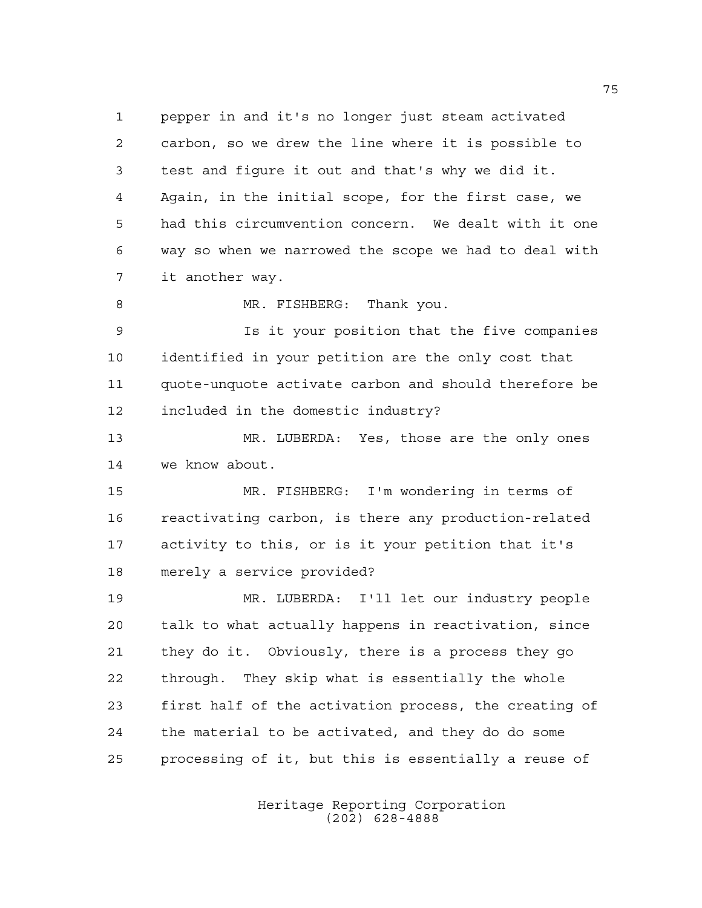pepper in and it's no longer just steam activated carbon, so we drew the line where it is possible to test and figure it out and that's why we did it. Again, in the initial scope, for the first case, we had this circumvention concern. We dealt with it one way so when we narrowed the scope we had to deal with it another way. 8 MR. FISHBERG: Thank you. Is it your position that the five companies identified in your petition are the only cost that quote-unquote activate carbon and should therefore be included in the domestic industry?

 MR. LUBERDA: Yes, those are the only ones we know about.

 MR. FISHBERG: I'm wondering in terms of reactivating carbon, is there any production-related activity to this, or is it your petition that it's merely a service provided?

 MR. LUBERDA: I'll let our industry people talk to what actually happens in reactivation, since they do it. Obviously, there is a process they go through. They skip what is essentially the whole first half of the activation process, the creating of the material to be activated, and they do do some processing of it, but this is essentially a reuse of

> Heritage Reporting Corporation (202) 628-4888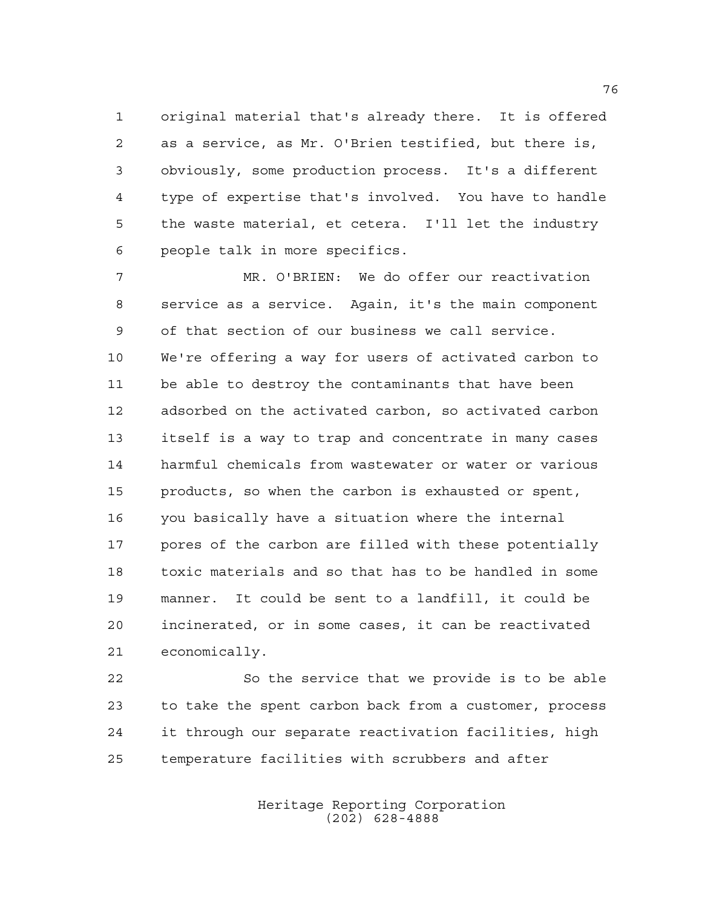original material that's already there. It is offered as a service, as Mr. O'Brien testified, but there is, obviously, some production process. It's a different type of expertise that's involved. You have to handle the waste material, et cetera. I'll let the industry people talk in more specifics.

 MR. O'BRIEN: We do offer our reactivation service as a service. Again, it's the main component of that section of our business we call service. We're offering a way for users of activated carbon to be able to destroy the contaminants that have been adsorbed on the activated carbon, so activated carbon itself is a way to trap and concentrate in many cases harmful chemicals from wastewater or water or various products, so when the carbon is exhausted or spent, you basically have a situation where the internal pores of the carbon are filled with these potentially toxic materials and so that has to be handled in some manner. It could be sent to a landfill, it could be incinerated, or in some cases, it can be reactivated economically.

 So the service that we provide is to be able to take the spent carbon back from a customer, process it through our separate reactivation facilities, high temperature facilities with scrubbers and after

> Heritage Reporting Corporation (202) 628-4888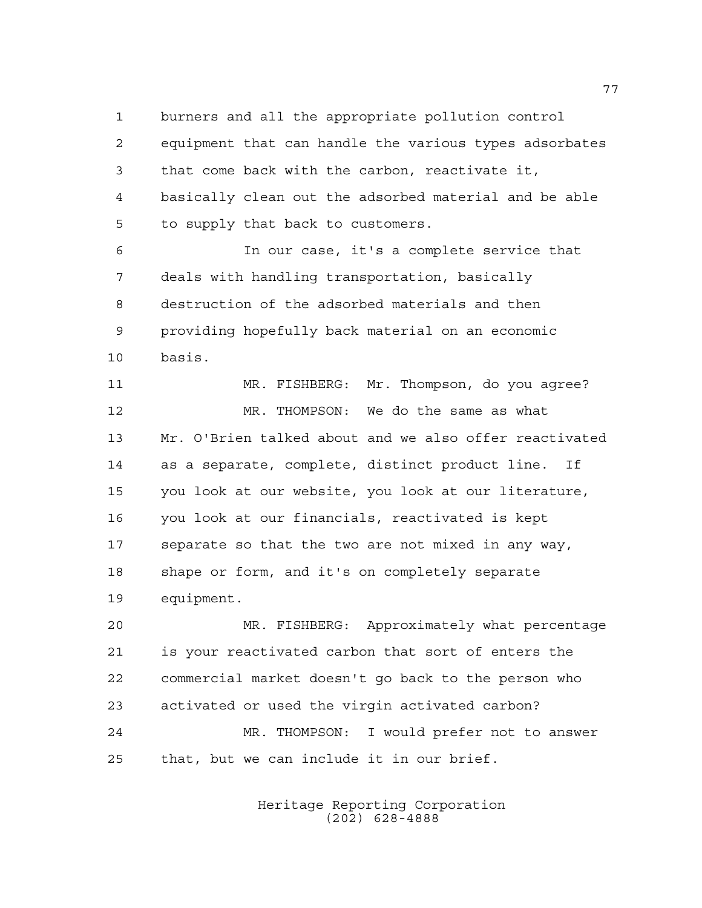burners and all the appropriate pollution control equipment that can handle the various types adsorbates that come back with the carbon, reactivate it,

 basically clean out the adsorbed material and be able to supply that back to customers.

 In our case, it's a complete service that deals with handling transportation, basically destruction of the adsorbed materials and then providing hopefully back material on an economic basis.

 MR. FISHBERG: Mr. Thompson, do you agree? MR. THOMPSON: We do the same as what Mr. O'Brien talked about and we also offer reactivated as a separate, complete, distinct product line. If you look at our website, you look at our literature, you look at our financials, reactivated is kept separate so that the two are not mixed in any way, shape or form, and it's on completely separate equipment.

 MR. FISHBERG: Approximately what percentage is your reactivated carbon that sort of enters the commercial market doesn't go back to the person who activated or used the virgin activated carbon? MR. THOMPSON: I would prefer not to answer that, but we can include it in our brief.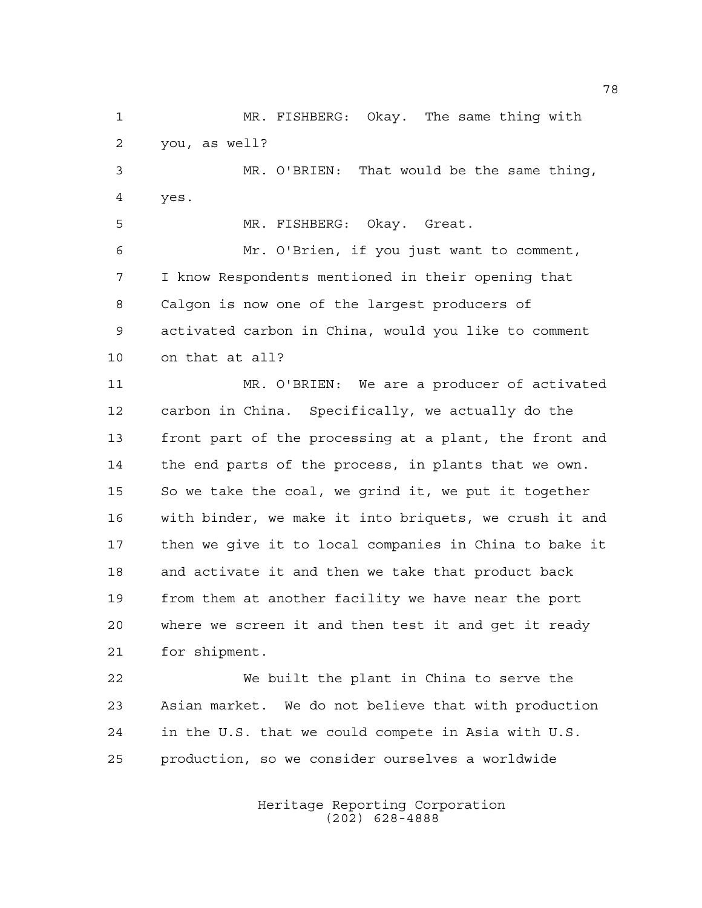MR. FISHBERG: Okay. The same thing with you, as well?

 MR. O'BRIEN: That would be the same thing, yes.

MR. FISHBERG: Okay. Great.

 Mr. O'Brien, if you just want to comment, I know Respondents mentioned in their opening that Calgon is now one of the largest producers of activated carbon in China, would you like to comment on that at all?

 MR. O'BRIEN: We are a producer of activated carbon in China. Specifically, we actually do the front part of the processing at a plant, the front and the end parts of the process, in plants that we own. So we take the coal, we grind it, we put it together with binder, we make it into briquets, we crush it and then we give it to local companies in China to bake it and activate it and then we take that product back from them at another facility we have near the port where we screen it and then test it and get it ready for shipment.

 We built the plant in China to serve the Asian market. We do not believe that with production in the U.S. that we could compete in Asia with U.S. production, so we consider ourselves a worldwide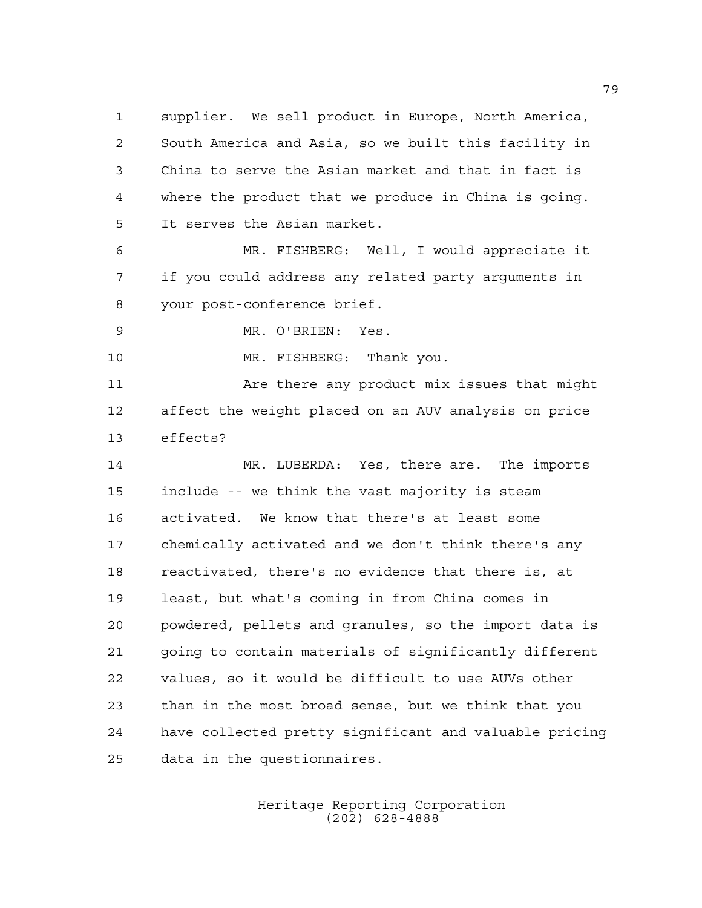supplier. We sell product in Europe, North America, South America and Asia, so we built this facility in China to serve the Asian market and that in fact is where the product that we produce in China is going. It serves the Asian market. MR. FISHBERG: Well, I would appreciate it

 if you could address any related party arguments in your post-conference brief.

MR. O'BRIEN: Yes.

10 MR. FISHBERG: Thank you.

 Are there any product mix issues that might affect the weight placed on an AUV analysis on price effects?

 MR. LUBERDA: Yes, there are. The imports include -- we think the vast majority is steam activated. We know that there's at least some chemically activated and we don't think there's any reactivated, there's no evidence that there is, at least, but what's coming in from China comes in powdered, pellets and granules, so the import data is going to contain materials of significantly different values, so it would be difficult to use AUVs other than in the most broad sense, but we think that you have collected pretty significant and valuable pricing data in the questionnaires.

> Heritage Reporting Corporation (202) 628-4888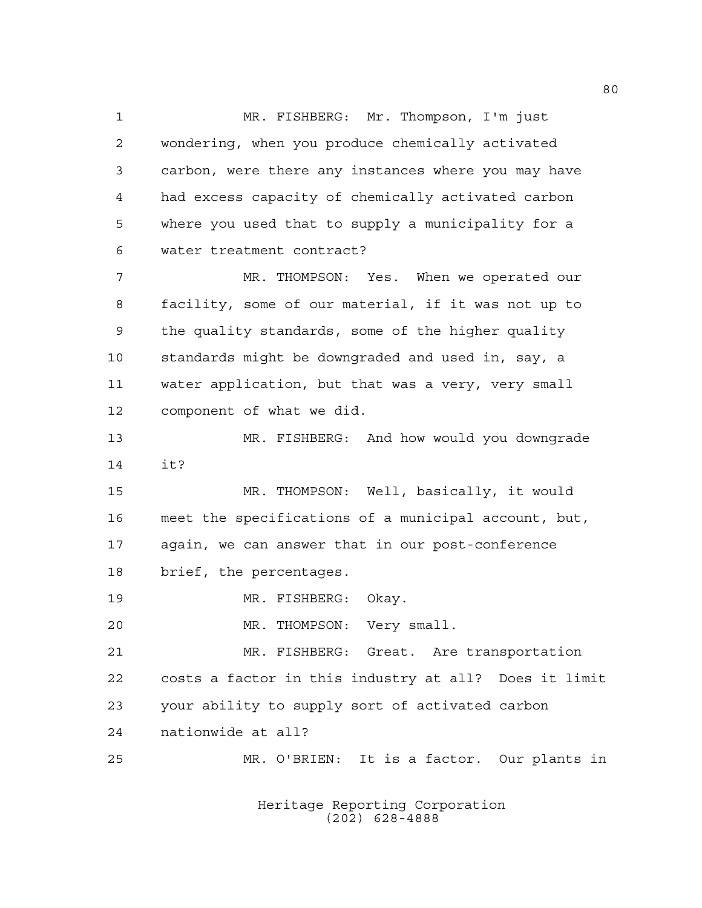MR. FISHBERG: Mr. Thompson, I'm just wondering, when you produce chemically activated carbon, were there any instances where you may have had excess capacity of chemically activated carbon where you used that to supply a municipality for a water treatment contract? MR. THOMPSON: Yes. When we operated our facility, some of our material, if it was not up to the quality standards, some of the higher quality standards might be downgraded and used in, say, a water application, but that was a very, very small component of what we did. MR. FISHBERG: And how would you downgrade it? MR. THOMPSON: Well, basically, it would meet the specifications of a municipal account, but, again, we can answer that in our post-conference brief, the percentages. MR. FISHBERG: Okay. MR. THOMPSON: Very small. MR. FISHBERG: Great. Are transportation costs a factor in this industry at all? Does it limit your ability to supply sort of activated carbon nationwide at all? MR. O'BRIEN: It is a factor. Our plants in

> Heritage Reporting Corporation (202) 628-4888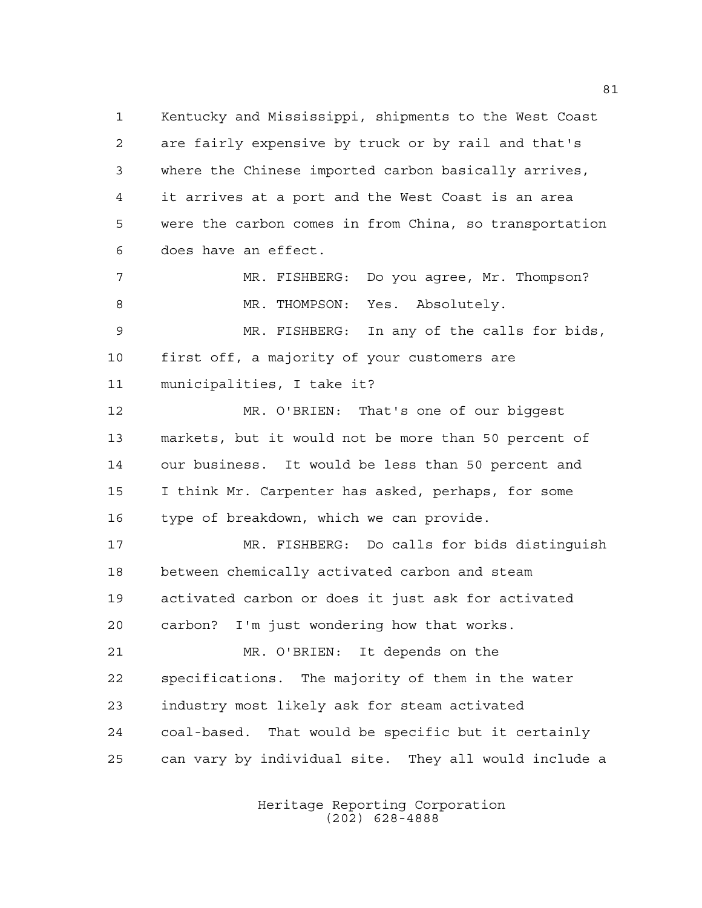Kentucky and Mississippi, shipments to the West Coast are fairly expensive by truck or by rail and that's where the Chinese imported carbon basically arrives, it arrives at a port and the West Coast is an area were the carbon comes in from China, so transportation does have an effect.

 MR. FISHBERG: Do you agree, Mr. Thompson? 8 MR. THOMPSON: Yes. Absolutely. MR. FISHBERG: In any of the calls for bids,

 first off, a majority of your customers are municipalities, I take it?

 MR. O'BRIEN: That's one of our biggest markets, but it would not be more than 50 percent of our business. It would be less than 50 percent and I think Mr. Carpenter has asked, perhaps, for some type of breakdown, which we can provide.

 MR. FISHBERG: Do calls for bids distinguish between chemically activated carbon and steam activated carbon or does it just ask for activated carbon? I'm just wondering how that works. MR. O'BRIEN: It depends on the

 specifications. The majority of them in the water industry most likely ask for steam activated coal-based. That would be specific but it certainly can vary by individual site. They all would include a

> Heritage Reporting Corporation (202) 628-4888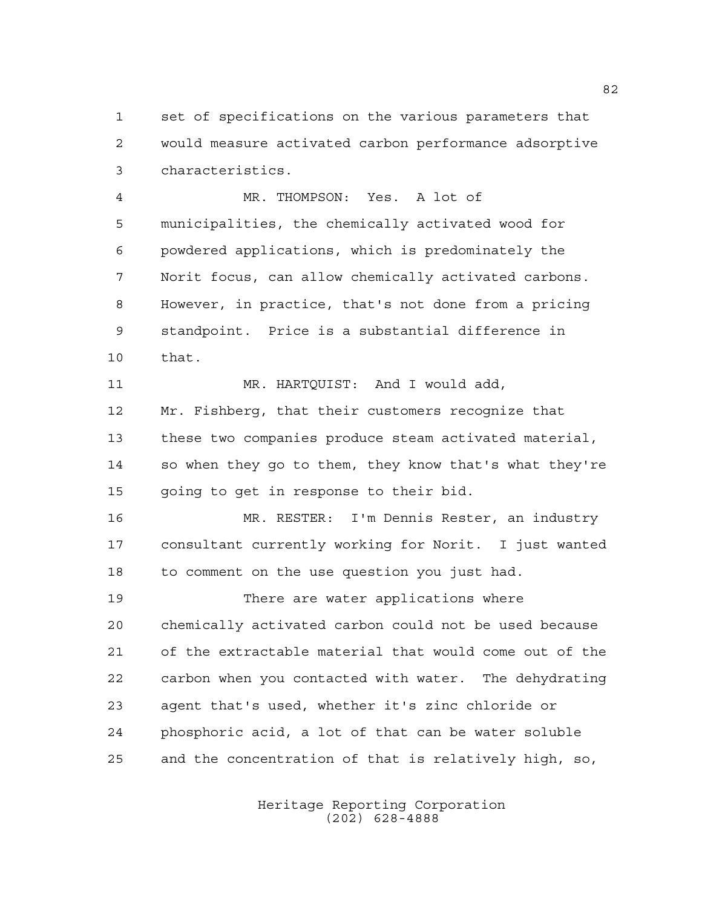set of specifications on the various parameters that would measure activated carbon performance adsorptive characteristics.

 MR. THOMPSON: Yes. A lot of municipalities, the chemically activated wood for powdered applications, which is predominately the Norit focus, can allow chemically activated carbons. However, in practice, that's not done from a pricing standpoint. Price is a substantial difference in that. 11 MR. HARTQUIST: And I would add,

 Mr. Fishberg, that their customers recognize that these two companies produce steam activated material, so when they go to them, they know that's what they're going to get in response to their bid.

 MR. RESTER: I'm Dennis Rester, an industry consultant currently working for Norit. I just wanted to comment on the use question you just had.

 There are water applications where chemically activated carbon could not be used because of the extractable material that would come out of the carbon when you contacted with water. The dehydrating agent that's used, whether it's zinc chloride or phosphoric acid, a lot of that can be water soluble and the concentration of that is relatively high, so,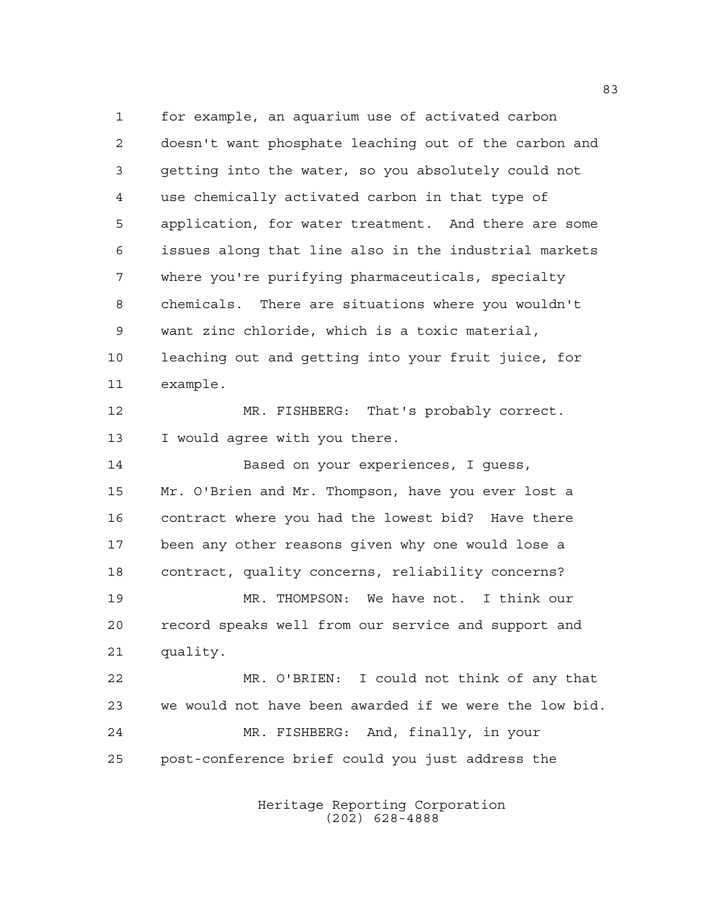for example, an aquarium use of activated carbon doesn't want phosphate leaching out of the carbon and getting into the water, so you absolutely could not use chemically activated carbon in that type of application, for water treatment. And there are some issues along that line also in the industrial markets where you're purifying pharmaceuticals, specialty chemicals. There are situations where you wouldn't want zinc chloride, which is a toxic material, leaching out and getting into your fruit juice, for example. MR. FISHBERG: That's probably correct. 13 I would agree with you there. Based on your experiences, I guess, Mr. O'Brien and Mr. Thompson, have you ever lost a contract where you had the lowest bid? Have there been any other reasons given why one would lose a contract, quality concerns, reliability concerns? MR. THOMPSON: We have not. I think our record speaks well from our service and support and quality. MR. O'BRIEN: I could not think of any that we would not have been awarded if we were the low bid. MR. FISHBERG: And, finally, in your post-conference brief could you just address the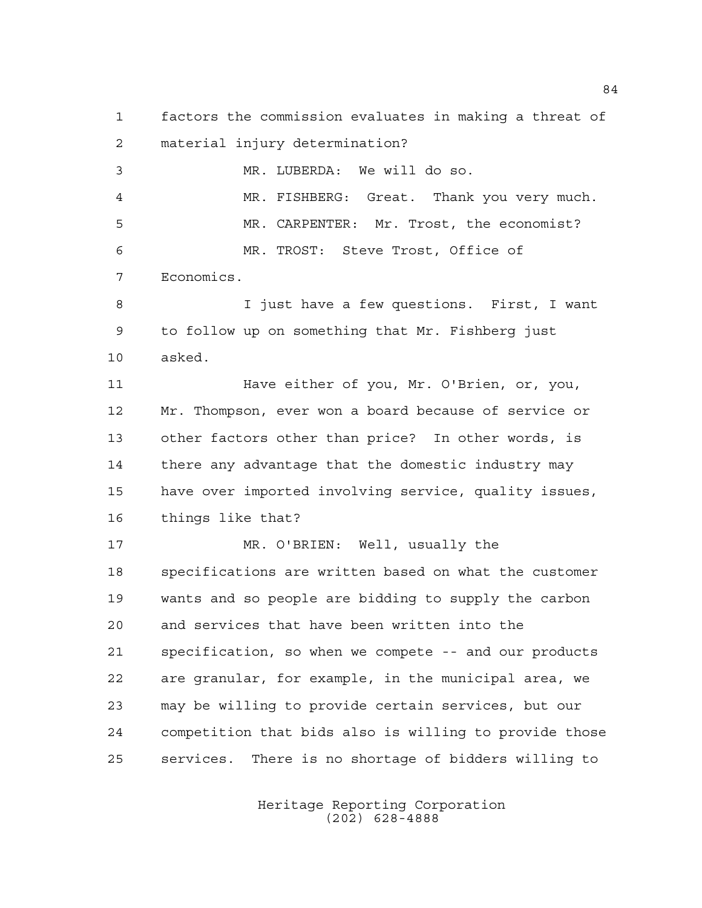factors the commission evaluates in making a threat of material injury determination? MR. LUBERDA: We will do so.

 MR. FISHBERG: Great. Thank you very much. MR. CARPENTER: Mr. Trost, the economist? MR. TROST: Steve Trost, Office of

Economics.

 I just have a few questions. First, I want to follow up on something that Mr. Fishberg just asked.

 Have either of you, Mr. O'Brien, or, you, Mr. Thompson, ever won a board because of service or other factors other than price? In other words, is there any advantage that the domestic industry may have over imported involving service, quality issues, things like that?

 MR. O'BRIEN: Well, usually the specifications are written based on what the customer wants and so people are bidding to supply the carbon and services that have been written into the specification, so when we compete -- and our products are granular, for example, in the municipal area, we may be willing to provide certain services, but our competition that bids also is willing to provide those services. There is no shortage of bidders willing to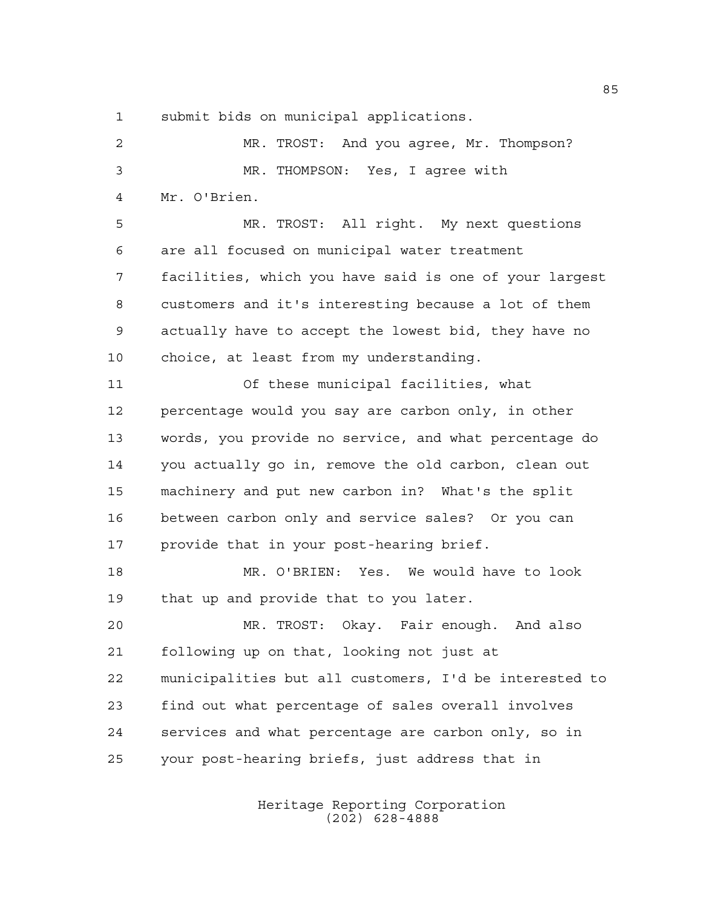submit bids on municipal applications.

 MR. TROST: And you agree, Mr. Thompson? MR. THOMPSON: Yes, I agree with Mr. O'Brien. MR. TROST: All right. My next questions are all focused on municipal water treatment facilities, which you have said is one of your largest customers and it's interesting because a lot of them actually have to accept the lowest bid, they have no choice, at least from my understanding. Of these municipal facilities, what percentage would you say are carbon only, in other words, you provide no service, and what percentage do you actually go in, remove the old carbon, clean out machinery and put new carbon in? What's the split between carbon only and service sales? Or you can provide that in your post-hearing brief. MR. O'BRIEN: Yes. We would have to look that up and provide that to you later. MR. TROST: Okay. Fair enough. And also following up on that, looking not just at municipalities but all customers, I'd be interested to find out what percentage of sales overall involves services and what percentage are carbon only, so in your post-hearing briefs, just address that in

> Heritage Reporting Corporation (202) 628-4888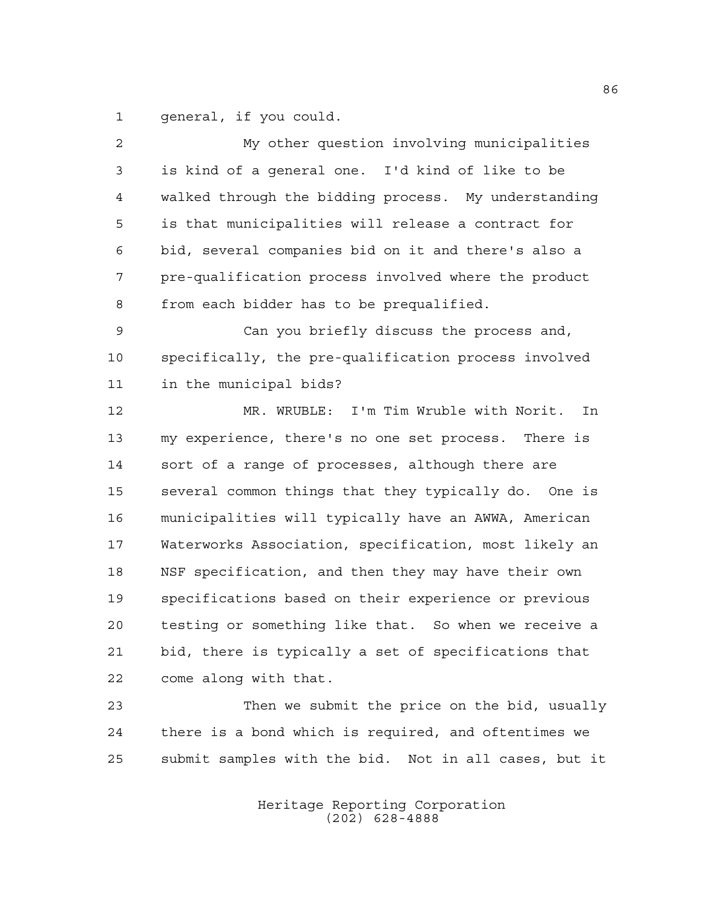general, if you could.

| 2              | My other question involving municipalities            |
|----------------|-------------------------------------------------------|
| $\mathfrak{Z}$ | is kind of a general one. I'd kind of like to be      |
| 4              | walked through the bidding process. My understanding  |
| 5              | is that municipalities will release a contract for    |
| 6              | bid, several companies bid on it and there's also a   |
| 7              | pre-qualification process involved where the product  |
| 8              | from each bidder has to be prequalified.              |
| $\mathsf 9$    | Can you briefly discuss the process and,              |
| 10             | specifically, the pre-qualification process involved  |
| 11             | in the municipal bids?                                |
| 12             | MR. WRUBLE: I'm Tim Wruble with Norit.<br>In          |
| 13             | my experience, there's no one set process. There is   |
| 14             | sort of a range of processes, although there are      |
| 15             | several common things that they typically do. One is  |
| 16             | municipalities will typically have an AWWA, American  |
| 17             | Waterworks Association, specification, most likely an |
| 18             | NSF specification, and then they may have their own   |
| 19             | specifications based on their experience or previous  |
| 20             | testing or something like that. So when we receive a  |
| 21             | bid, there is typically a set of specifications that  |
| 22             | come along with that.                                 |
| 23             | Then we submit the price on the bid, usually          |
| 24             | there is a bond which is required, and oftentimes we  |
| 25             | submit samples with the bid. Not in all cases, but it |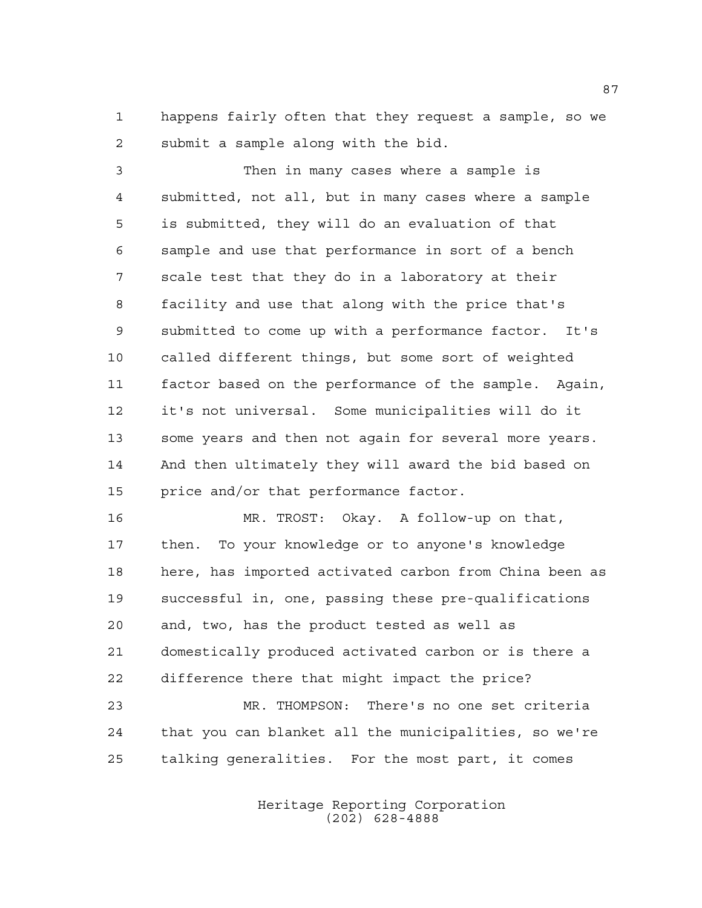happens fairly often that they request a sample, so we submit a sample along with the bid.

 Then in many cases where a sample is submitted, not all, but in many cases where a sample is submitted, they will do an evaluation of that sample and use that performance in sort of a bench scale test that they do in a laboratory at their facility and use that along with the price that's submitted to come up with a performance factor. It's called different things, but some sort of weighted factor based on the performance of the sample. Again, it's not universal. Some municipalities will do it some years and then not again for several more years. And then ultimately they will award the bid based on price and/or that performance factor.

 MR. TROST: Okay. A follow-up on that, then. To your knowledge or to anyone's knowledge here, has imported activated carbon from China been as successful in, one, passing these pre-qualifications and, two, has the product tested as well as domestically produced activated carbon or is there a difference there that might impact the price? MR. THOMPSON: There's no one set criteria

 that you can blanket all the municipalities, so we're talking generalities. For the most part, it comes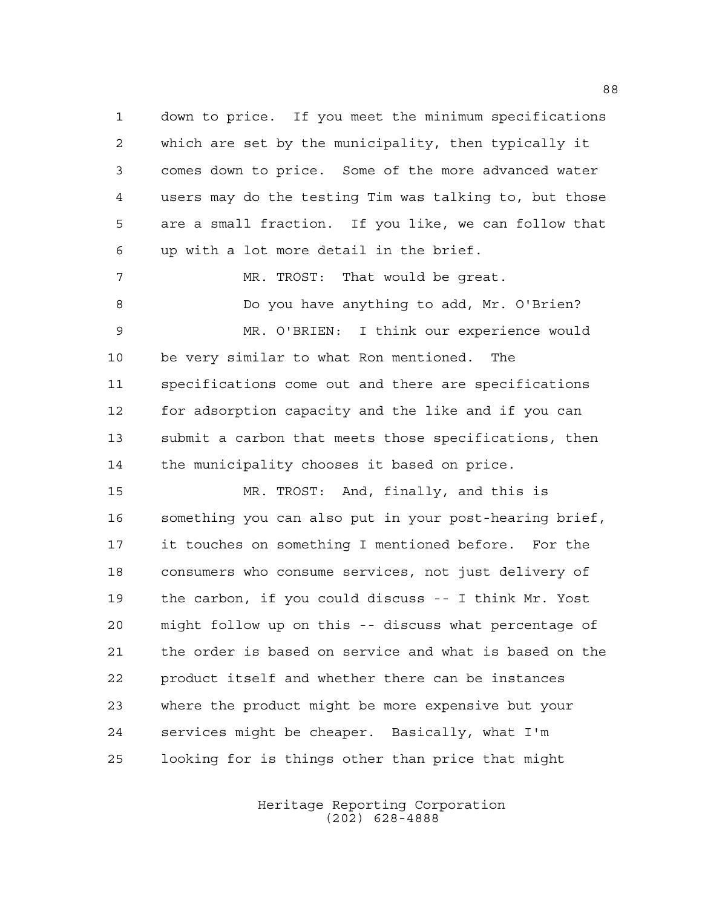down to price. If you meet the minimum specifications which are set by the municipality, then typically it comes down to price. Some of the more advanced water users may do the testing Tim was talking to, but those are a small fraction. If you like, we can follow that up with a lot more detail in the brief.

 MR. TROST: That would be great. Do you have anything to add, Mr. O'Brien? MR. O'BRIEN: I think our experience would be very similar to what Ron mentioned. The specifications come out and there are specifications for adsorption capacity and the like and if you can submit a carbon that meets those specifications, then the municipality chooses it based on price.

 MR. TROST: And, finally, and this is something you can also put in your post-hearing brief, it touches on something I mentioned before. For the consumers who consume services, not just delivery of the carbon, if you could discuss -- I think Mr. Yost might follow up on this -- discuss what percentage of the order is based on service and what is based on the product itself and whether there can be instances where the product might be more expensive but your services might be cheaper. Basically, what I'm looking for is things other than price that might

> Heritage Reporting Corporation (202) 628-4888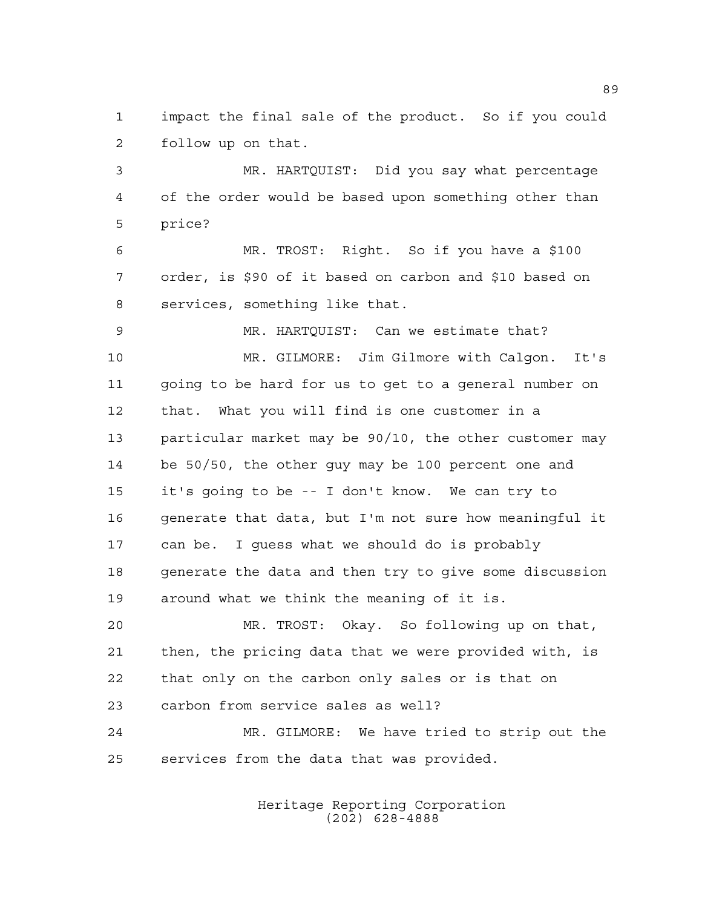impact the final sale of the product. So if you could follow up on that.

 MR. HARTQUIST: Did you say what percentage of the order would be based upon something other than price?

 MR. TROST: Right. So if you have a \$100 order, is \$90 of it based on carbon and \$10 based on services, something like that.

 MR. HARTQUIST: Can we estimate that? MR. GILMORE: Jim Gilmore with Calgon. It's going to be hard for us to get to a general number on that. What you will find is one customer in a particular market may be 90/10, the other customer may be 50/50, the other guy may be 100 percent one and it's going to be -- I don't know. We can try to generate that data, but I'm not sure how meaningful it can be. I guess what we should do is probably generate the data and then try to give some discussion around what we think the meaning of it is.

 MR. TROST: Okay. So following up on that, then, the pricing data that we were provided with, is that only on the carbon only sales or is that on carbon from service sales as well?

 MR. GILMORE: We have tried to strip out the services from the data that was provided.

> Heritage Reporting Corporation (202) 628-4888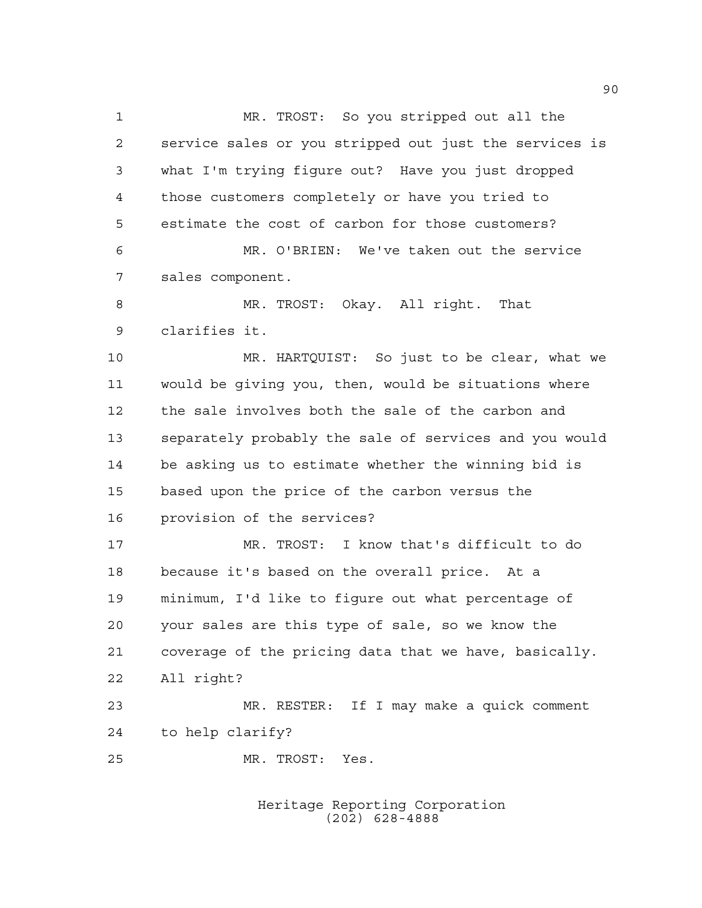MR. TROST: So you stripped out all the service sales or you stripped out just the services is what I'm trying figure out? Have you just dropped those customers completely or have you tried to estimate the cost of carbon for those customers? MR. O'BRIEN: We've taken out the service sales component. 8 MR. TROST: Okay. All right. That clarifies it. MR. HARTQUIST: So just to be clear, what we would be giving you, then, would be situations where the sale involves both the sale of the carbon and separately probably the sale of services and you would be asking us to estimate whether the winning bid is based upon the price of the carbon versus the provision of the services? MR. TROST: I know that's difficult to do because it's based on the overall price. At a minimum, I'd like to figure out what percentage of your sales are this type of sale, so we know the coverage of the pricing data that we have, basically. All right? MR. RESTER: If I may make a quick comment to help clarify? MR. TROST: Yes.

> Heritage Reporting Corporation (202) 628-4888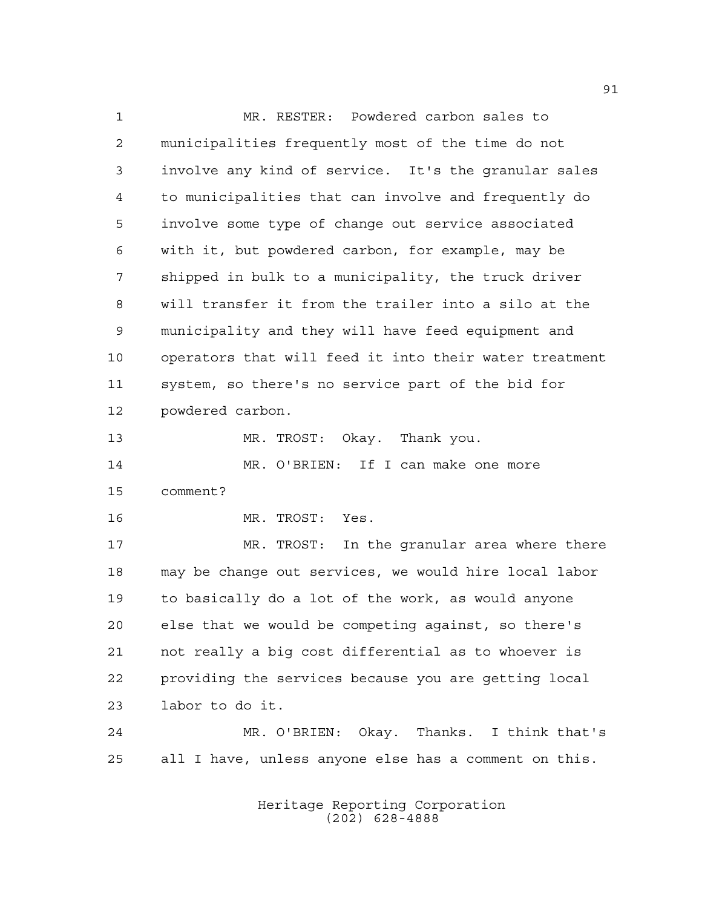MR. RESTER: Powdered carbon sales to municipalities frequently most of the time do not involve any kind of service. It's the granular sales to municipalities that can involve and frequently do involve some type of change out service associated with it, but powdered carbon, for example, may be shipped in bulk to a municipality, the truck driver will transfer it from the trailer into a silo at the municipality and they will have feed equipment and operators that will feed it into their water treatment system, so there's no service part of the bid for powdered carbon. MR. TROST: Okay. Thank you. MR. O'BRIEN: If I can make one more comment? MR. TROST: Yes. MR. TROST: In the granular area where there may be change out services, we would hire local labor to basically do a lot of the work, as would anyone else that we would be competing against, so there's not really a big cost differential as to whoever is providing the services because you are getting local labor to do it. MR. O'BRIEN: Okay. Thanks. I think that's all I have, unless anyone else has a comment on this.

> Heritage Reporting Corporation (202) 628-4888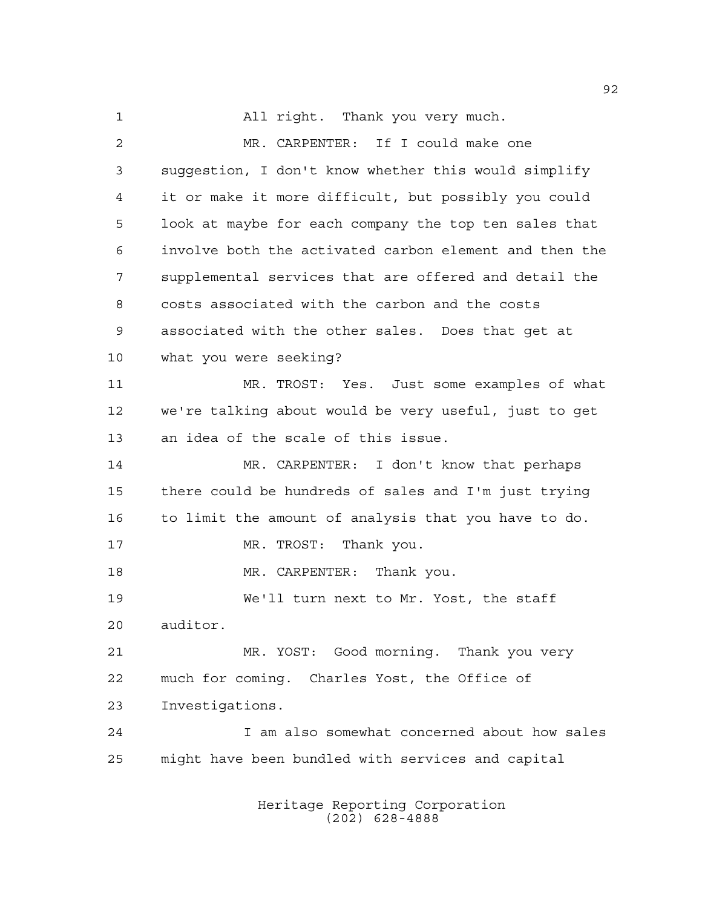All right. Thank you very much. MR. CARPENTER: If I could make one suggestion, I don't know whether this would simplify it or make it more difficult, but possibly you could look at maybe for each company the top ten sales that involve both the activated carbon element and then the supplemental services that are offered and detail the costs associated with the carbon and the costs associated with the other sales. Does that get at what you were seeking? MR. TROST: Yes. Just some examples of what we're talking about would be very useful, just to get an idea of the scale of this issue. MR. CARPENTER: I don't know that perhaps there could be hundreds of sales and I'm just trying to limit the amount of analysis that you have to do. 17 MR. TROST: Thank you. 18 MR. CARPENTER: Thank you. We'll turn next to Mr. Yost, the staff auditor. MR. YOST: Good morning. Thank you very much for coming. Charles Yost, the Office of Investigations. I am also somewhat concerned about how sales might have been bundled with services and capital

> Heritage Reporting Corporation (202) 628-4888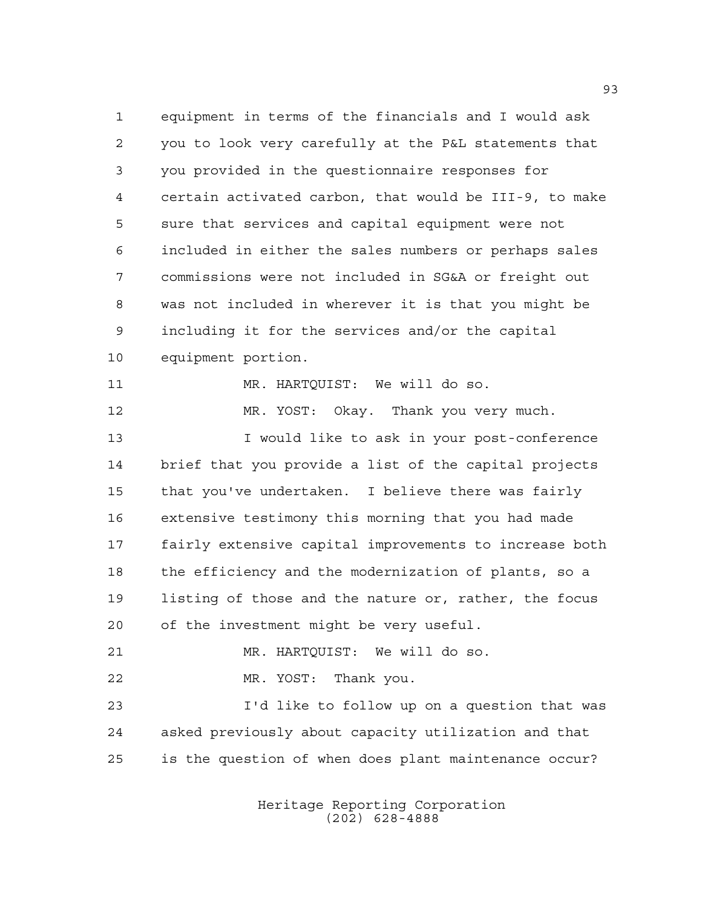equipment in terms of the financials and I would ask you to look very carefully at the P&L statements that you provided in the questionnaire responses for certain activated carbon, that would be III-9, to make sure that services and capital equipment were not included in either the sales numbers or perhaps sales commissions were not included in SG&A or freight out was not included in wherever it is that you might be including it for the services and/or the capital equipment portion. MR. HARTQUIST: We will do so. MR. YOST: Okay. Thank you very much. I would like to ask in your post-conference brief that you provide a list of the capital projects that you've undertaken. I believe there was fairly extensive testimony this morning that you had made fairly extensive capital improvements to increase both the efficiency and the modernization of plants, so a listing of those and the nature or, rather, the focus of the investment might be very useful. MR. HARTQUIST: We will do so. MR. YOST: Thank you. I'd like to follow up on a question that was asked previously about capacity utilization and that is the question of when does plant maintenance occur?

> Heritage Reporting Corporation (202) 628-4888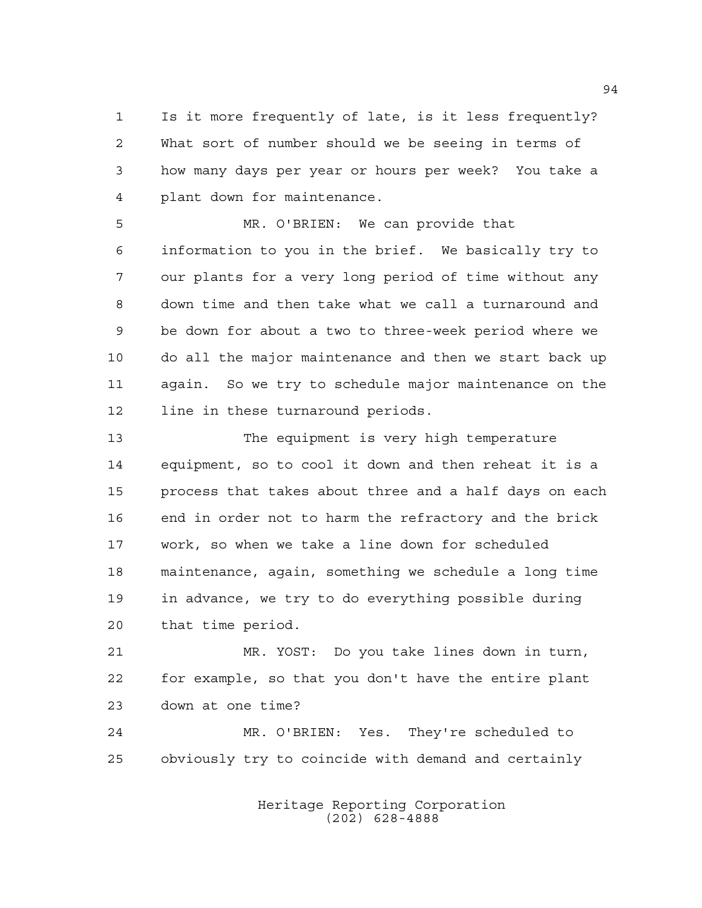Is it more frequently of late, is it less frequently? What sort of number should we be seeing in terms of how many days per year or hours per week? You take a plant down for maintenance.

 MR. O'BRIEN: We can provide that information to you in the brief. We basically try to our plants for a very long period of time without any down time and then take what we call a turnaround and be down for about a two to three-week period where we do all the major maintenance and then we start back up again. So we try to schedule major maintenance on the line in these turnaround periods.

 The equipment is very high temperature equipment, so to cool it down and then reheat it is a process that takes about three and a half days on each end in order not to harm the refractory and the brick work, so when we take a line down for scheduled maintenance, again, something we schedule a long time in advance, we try to do everything possible during that time period.

 MR. YOST: Do you take lines down in turn, for example, so that you don't have the entire plant down at one time?

 MR. O'BRIEN: Yes. They're scheduled to obviously try to coincide with demand and certainly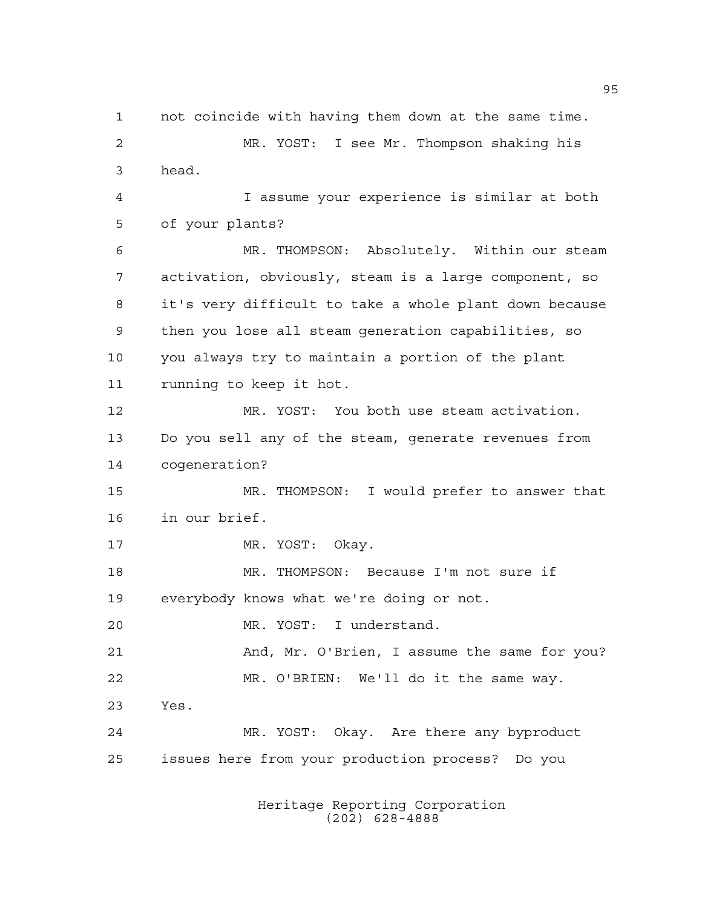not coincide with having them down at the same time. MR. YOST: I see Mr. Thompson shaking his head. I assume your experience is similar at both of your plants? MR. THOMPSON: Absolutely. Within our steam activation, obviously, steam is a large component, so it's very difficult to take a whole plant down because then you lose all steam generation capabilities, so you always try to maintain a portion of the plant running to keep it hot. MR. YOST: You both use steam activation. Do you sell any of the steam, generate revenues from cogeneration? MR. THOMPSON: I would prefer to answer that in our brief. 17 MR. YOST: Okay. MR. THOMPSON: Because I'm not sure if everybody knows what we're doing or not. MR. YOST: I understand. 21 And, Mr. O'Brien, I assume the same for you? MR. O'BRIEN: We'll do it the same way. Yes. MR. YOST: Okay. Are there any byproduct issues here from your production process? Do you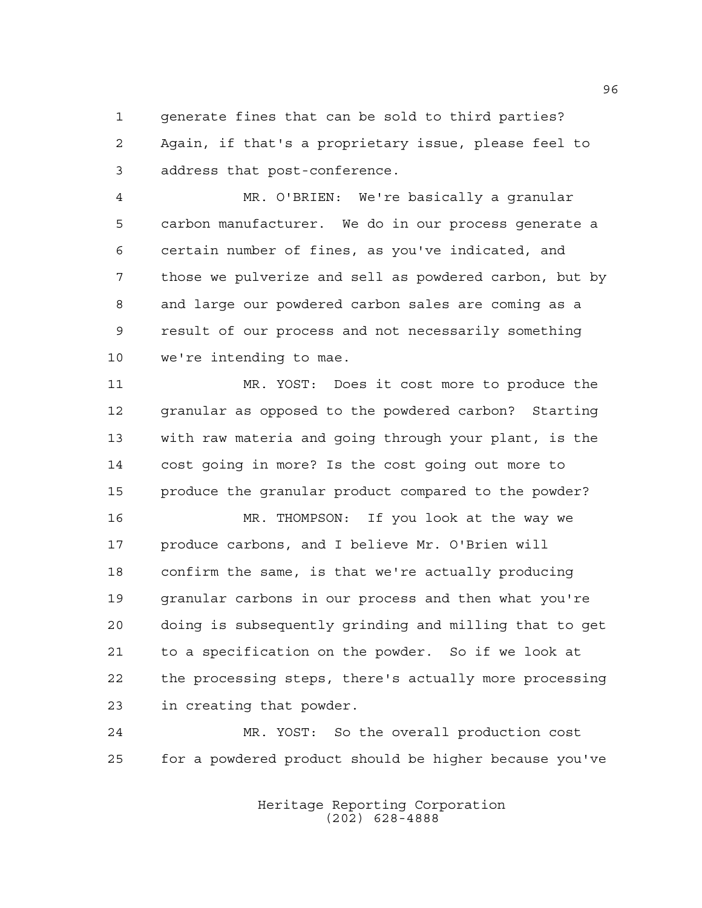generate fines that can be sold to third parties? Again, if that's a proprietary issue, please feel to address that post-conference.

 MR. O'BRIEN: We're basically a granular carbon manufacturer. We do in our process generate a certain number of fines, as you've indicated, and those we pulverize and sell as powdered carbon, but by and large our powdered carbon sales are coming as a result of our process and not necessarily something we're intending to mae.

 MR. YOST: Does it cost more to produce the granular as opposed to the powdered carbon? Starting with raw materia and going through your plant, is the cost going in more? Is the cost going out more to produce the granular product compared to the powder?

 MR. THOMPSON: If you look at the way we produce carbons, and I believe Mr. O'Brien will confirm the same, is that we're actually producing granular carbons in our process and then what you're doing is subsequently grinding and milling that to get to a specification on the powder. So if we look at the processing steps, there's actually more processing in creating that powder.

 MR. YOST: So the overall production cost for a powdered product should be higher because you've

> Heritage Reporting Corporation (202) 628-4888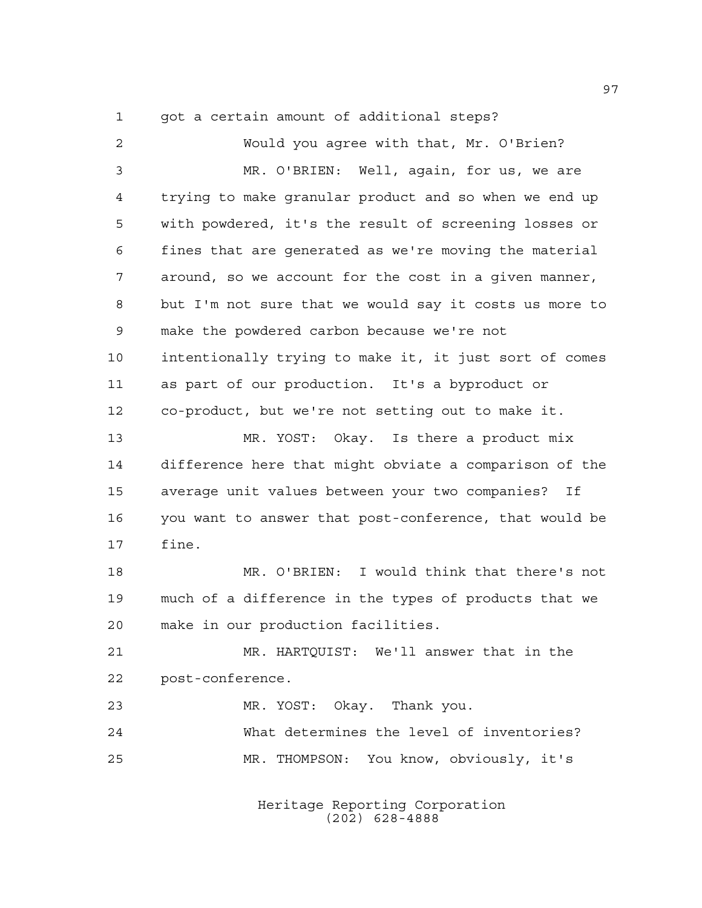got a certain amount of additional steps?

 Would you agree with that, Mr. O'Brien? MR. O'BRIEN: Well, again, for us, we are trying to make granular product and so when we end up with powdered, it's the result of screening losses or fines that are generated as we're moving the material around, so we account for the cost in a given manner, but I'm not sure that we would say it costs us more to make the powdered carbon because we're not intentionally trying to make it, it just sort of comes as part of our production. It's a byproduct or co-product, but we're not setting out to make it. MR. YOST: Okay. Is there a product mix difference here that might obviate a comparison of the average unit values between your two companies? If you want to answer that post-conference, that would be fine. MR. O'BRIEN: I would think that there's not much of a difference in the types of products that we make in our production facilities. MR. HARTQUIST: We'll answer that in the post-conference. MR. YOST: Okay. Thank you. What determines the level of inventories? MR. THOMPSON: You know, obviously, it's

> Heritage Reporting Corporation (202) 628-4888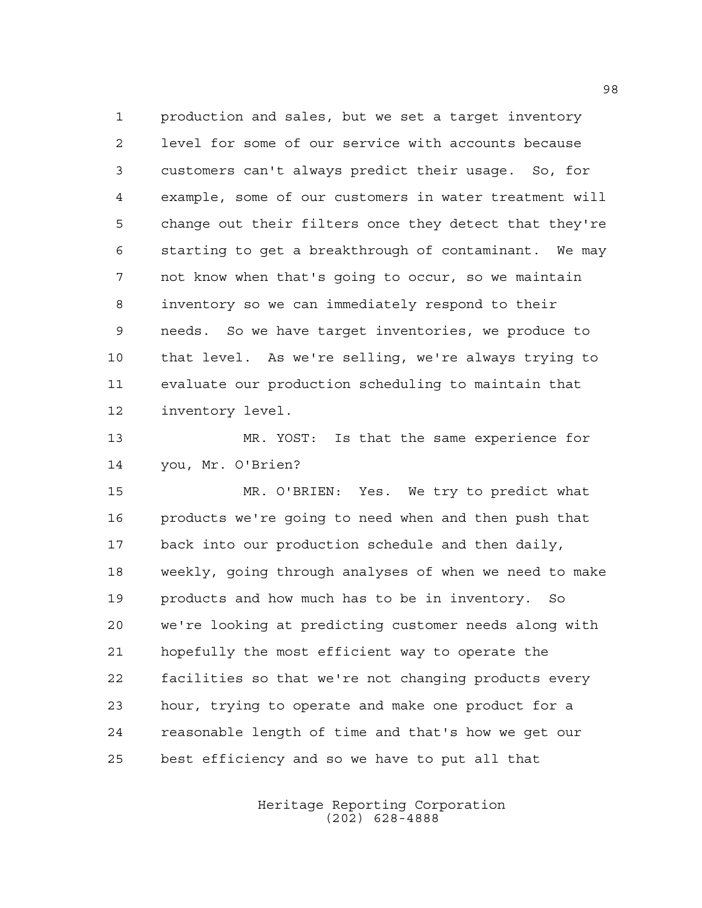production and sales, but we set a target inventory level for some of our service with accounts because customers can't always predict their usage. So, for example, some of our customers in water treatment will change out their filters once they detect that they're starting to get a breakthrough of contaminant. We may not know when that's going to occur, so we maintain inventory so we can immediately respond to their needs. So we have target inventories, we produce to that level. As we're selling, we're always trying to evaluate our production scheduling to maintain that inventory level.

 MR. YOST: Is that the same experience for you, Mr. O'Brien?

 MR. O'BRIEN: Yes. We try to predict what products we're going to need when and then push that back into our production schedule and then daily, weekly, going through analyses of when we need to make products and how much has to be in inventory. So we're looking at predicting customer needs along with hopefully the most efficient way to operate the facilities so that we're not changing products every hour, trying to operate and make one product for a reasonable length of time and that's how we get our best efficiency and so we have to put all that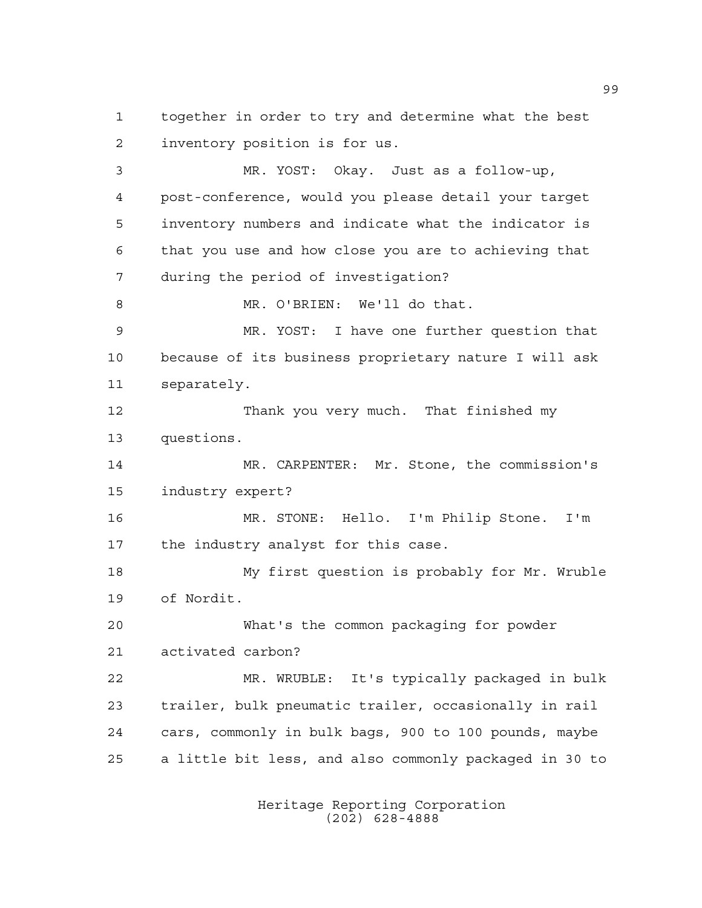together in order to try and determine what the best inventory position is for us.

 MR. YOST: Okay. Just as a follow-up, post-conference, would you please detail your target inventory numbers and indicate what the indicator is that you use and how close you are to achieving that during the period of investigation? MR. O'BRIEN: We'll do that. MR. YOST: I have one further question that because of its business proprietary nature I will ask separately. Thank you very much. That finished my questions. MR. CARPENTER: Mr. Stone, the commission's industry expert? MR. STONE: Hello. I'm Philip Stone. I'm the industry analyst for this case. My first question is probably for Mr. Wruble of Nordit. What's the common packaging for powder activated carbon? MR. WRUBLE: It's typically packaged in bulk trailer, bulk pneumatic trailer, occasionally in rail cars, commonly in bulk bags, 900 to 100 pounds, maybe a little bit less, and also commonly packaged in 30 to

> Heritage Reporting Corporation (202) 628-4888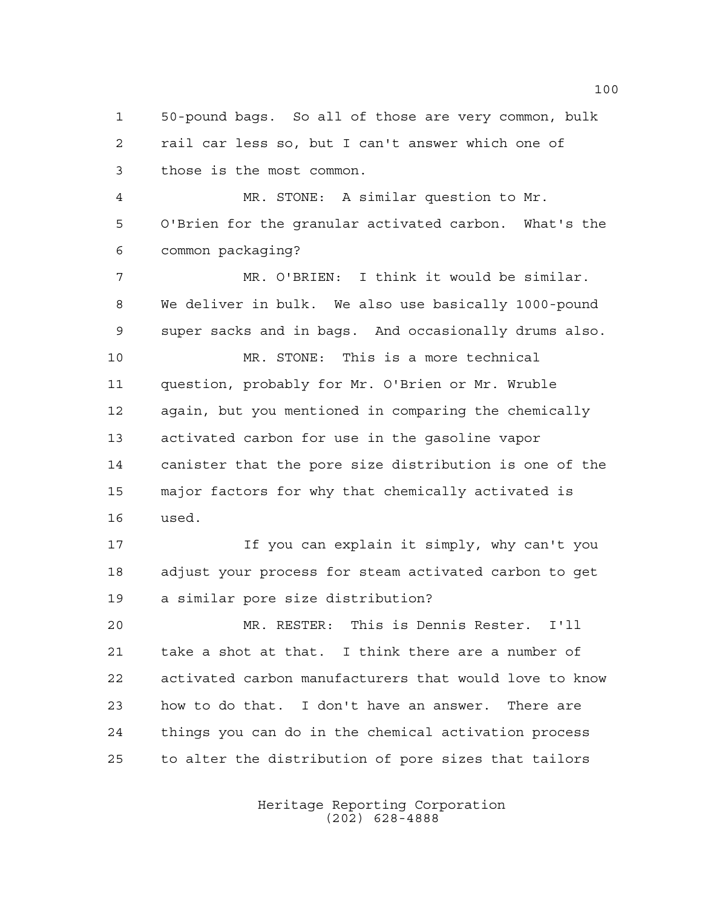50-pound bags. So all of those are very common, bulk rail car less so, but I can't answer which one of those is the most common.

 MR. STONE: A similar question to Mr. O'Brien for the granular activated carbon. What's the common packaging?

 MR. O'BRIEN: I think it would be similar. We deliver in bulk. We also use basically 1000-pound super sacks and in bags. And occasionally drums also. MR. STONE: This is a more technical question, probably for Mr. O'Brien or Mr. Wruble again, but you mentioned in comparing the chemically activated carbon for use in the gasoline vapor canister that the pore size distribution is one of the major factors for why that chemically activated is used.

 If you can explain it simply, why can't you adjust your process for steam activated carbon to get a similar pore size distribution?

 MR. RESTER: This is Dennis Rester. I'll take a shot at that. I think there are a number of activated carbon manufacturers that would love to know how to do that. I don't have an answer. There are things you can do in the chemical activation process to alter the distribution of pore sizes that tailors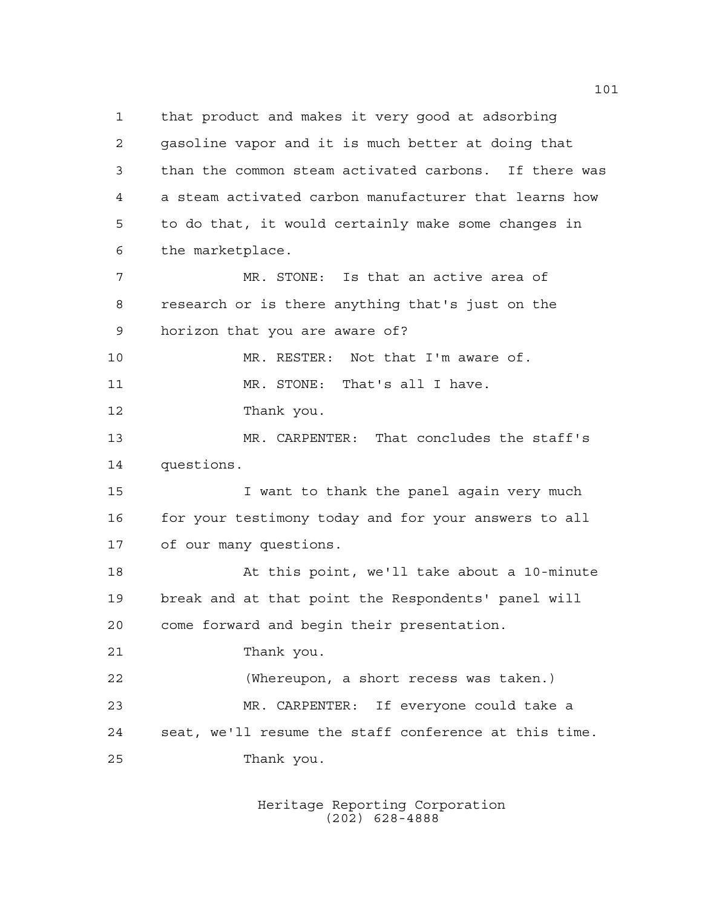that product and makes it very good at adsorbing gasoline vapor and it is much better at doing that than the common steam activated carbons. If there was a steam activated carbon manufacturer that learns how to do that, it would certainly make some changes in the marketplace. MR. STONE: Is that an active area of research or is there anything that's just on the horizon that you are aware of? MR. RESTER: Not that I'm aware of. 11 MR. STONE: That's all I have. Thank you. MR. CARPENTER: That concludes the staff's questions. 15 I want to thank the panel again very much 16 for your testimony today and for your answers to all of our many questions. At this point, we'll take about a 10-minute break and at that point the Respondents' panel will come forward and begin their presentation. Thank you. (Whereupon, a short recess was taken.) MR. CARPENTER: If everyone could take a seat, we'll resume the staff conference at this time. Thank you.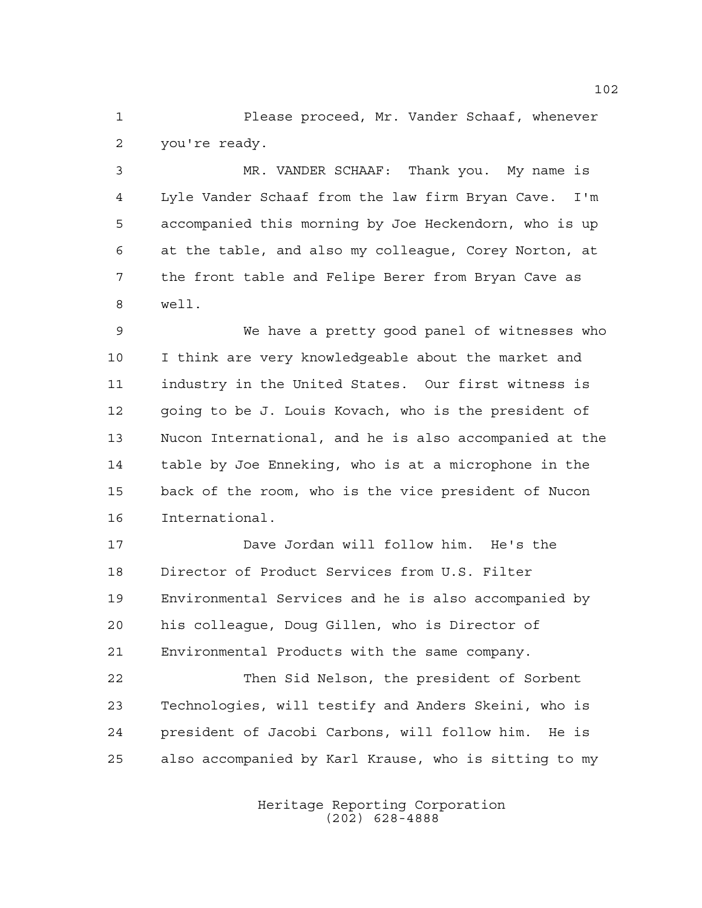Please proceed, Mr. Vander Schaaf, whenever you're ready.

 MR. VANDER SCHAAF: Thank you. My name is Lyle Vander Schaaf from the law firm Bryan Cave. I'm accompanied this morning by Joe Heckendorn, who is up at the table, and also my colleague, Corey Norton, at the front table and Felipe Berer from Bryan Cave as well.

 We have a pretty good panel of witnesses who I think are very knowledgeable about the market and industry in the United States. Our first witness is going to be J. Louis Kovach, who is the president of Nucon International, and he is also accompanied at the table by Joe Enneking, who is at a microphone in the back of the room, who is the vice president of Nucon International.

 Dave Jordan will follow him. He's the Director of Product Services from U.S. Filter Environmental Services and he is also accompanied by his colleague, Doug Gillen, who is Director of Environmental Products with the same company.

 Then Sid Nelson, the president of Sorbent Technologies, will testify and Anders Skeini, who is president of Jacobi Carbons, will follow him. He is also accompanied by Karl Krause, who is sitting to my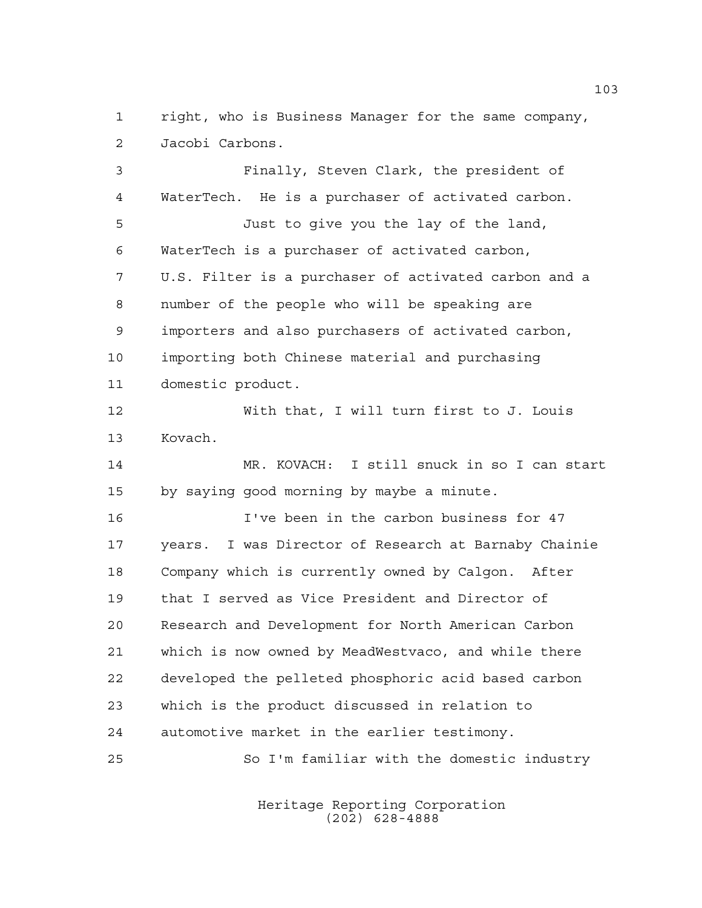right, who is Business Manager for the same company, Jacobi Carbons.

 Finally, Steven Clark, the president of WaterTech. He is a purchaser of activated carbon. Just to give you the lay of the land, WaterTech is a purchaser of activated carbon, U.S. Filter is a purchaser of activated carbon and a number of the people who will be speaking are importers and also purchasers of activated carbon, importing both Chinese material and purchasing domestic product. With that, I will turn first to J. Louis Kovach. MR. KOVACH: I still snuck in so I can start by saying good morning by maybe a minute. I've been in the carbon business for 47 years. I was Director of Research at Barnaby Chainie Company which is currently owned by Calgon. After that I served as Vice President and Director of Research and Development for North American Carbon which is now owned by MeadWestvaco, and while there developed the pelleted phosphoric acid based carbon which is the product discussed in relation to automotive market in the earlier testimony. So I'm familiar with the domestic industry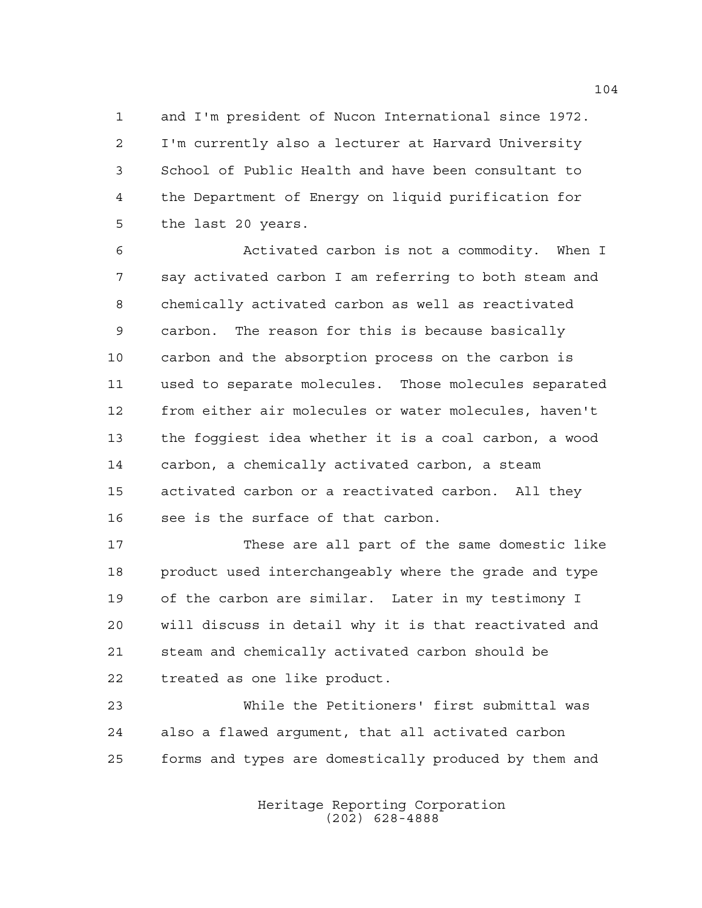and I'm president of Nucon International since 1972. I'm currently also a lecturer at Harvard University School of Public Health and have been consultant to the Department of Energy on liquid purification for the last 20 years.

 Activated carbon is not a commodity. When I say activated carbon I am referring to both steam and chemically activated carbon as well as reactivated carbon. The reason for this is because basically carbon and the absorption process on the carbon is used to separate molecules. Those molecules separated from either air molecules or water molecules, haven't the foggiest idea whether it is a coal carbon, a wood carbon, a chemically activated carbon, a steam activated carbon or a reactivated carbon. All they see is the surface of that carbon.

 These are all part of the same domestic like product used interchangeably where the grade and type of the carbon are similar. Later in my testimony I will discuss in detail why it is that reactivated and steam and chemically activated carbon should be treated as one like product.

 While the Petitioners' first submittal was also a flawed argument, that all activated carbon forms and types are domestically produced by them and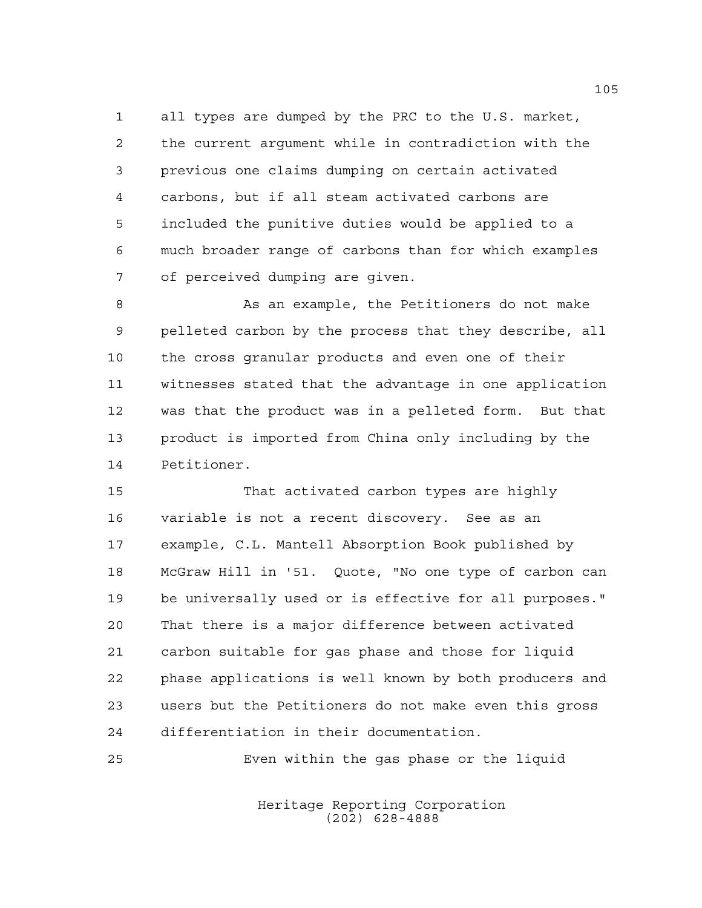all types are dumped by the PRC to the U.S. market, the current argument while in contradiction with the previous one claims dumping on certain activated carbons, but if all steam activated carbons are included the punitive duties would be applied to a much broader range of carbons than for which examples of perceived dumping are given.

8 As an example, the Petitioners do not make pelleted carbon by the process that they describe, all the cross granular products and even one of their witnesses stated that the advantage in one application was that the product was in a pelleted form. But that product is imported from China only including by the Petitioner.

 That activated carbon types are highly variable is not a recent discovery. See as an example, C.L. Mantell Absorption Book published by McGraw Hill in '51. Quote, "No one type of carbon can be universally used or is effective for all purposes." That there is a major difference between activated carbon suitable for gas phase and those for liquid phase applications is well known by both producers and users but the Petitioners do not make even this gross differentiation in their documentation.

Even within the gas phase or the liquid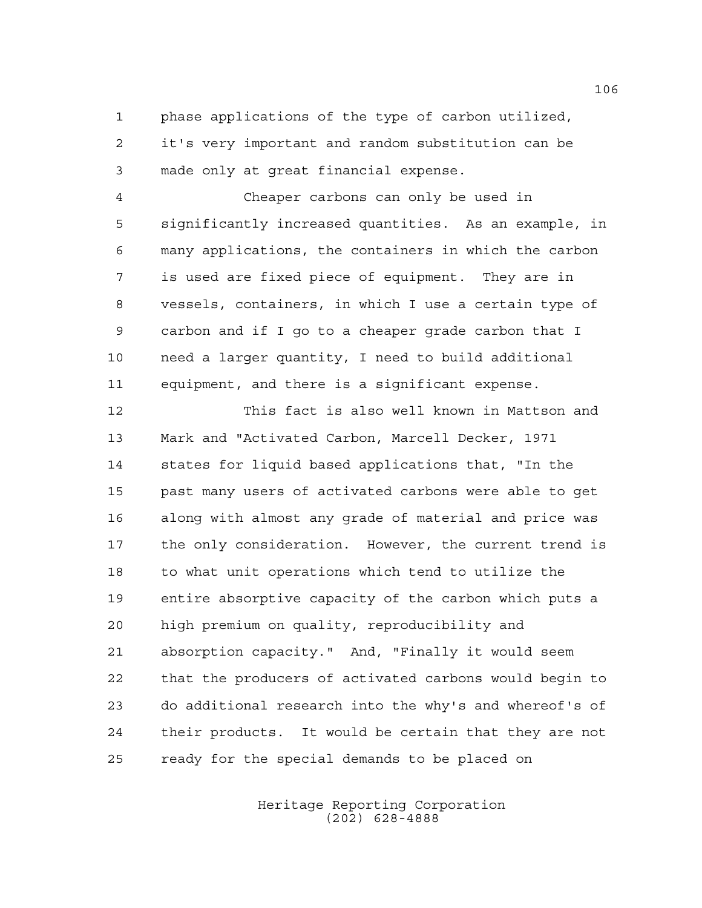phase applications of the type of carbon utilized, it's very important and random substitution can be made only at great financial expense.

 Cheaper carbons can only be used in significantly increased quantities. As an example, in many applications, the containers in which the carbon is used are fixed piece of equipment. They are in vessels, containers, in which I use a certain type of carbon and if I go to a cheaper grade carbon that I need a larger quantity, I need to build additional equipment, and there is a significant expense.

 This fact is also well known in Mattson and Mark and "Activated Carbon, Marcell Decker, 1971 states for liquid based applications that, "In the past many users of activated carbons were able to get along with almost any grade of material and price was the only consideration. However, the current trend is to what unit operations which tend to utilize the entire absorptive capacity of the carbon which puts a high premium on quality, reproducibility and absorption capacity." And, "Finally it would seem that the producers of activated carbons would begin to do additional research into the why's and whereof's of their products. It would be certain that they are not ready for the special demands to be placed on

> Heritage Reporting Corporation (202) 628-4888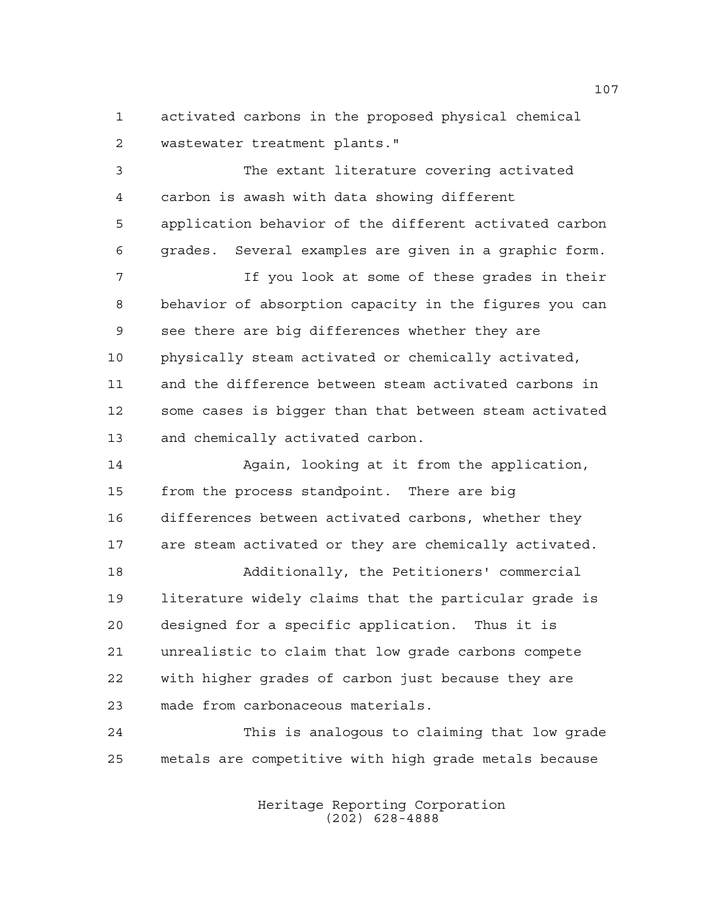activated carbons in the proposed physical chemical wastewater treatment plants."

 The extant literature covering activated carbon is awash with data showing different application behavior of the different activated carbon grades. Several examples are given in a graphic form. If you look at some of these grades in their

 behavior of absorption capacity in the figures you can see there are big differences whether they are physically steam activated or chemically activated, and the difference between steam activated carbons in some cases is bigger than that between steam activated and chemically activated carbon.

14 Again, looking at it from the application, from the process standpoint. There are big differences between activated carbons, whether they are steam activated or they are chemically activated.

 Additionally, the Petitioners' commercial literature widely claims that the particular grade is designed for a specific application. Thus it is unrealistic to claim that low grade carbons compete with higher grades of carbon just because they are made from carbonaceous materials.

 This is analogous to claiming that low grade metals are competitive with high grade metals because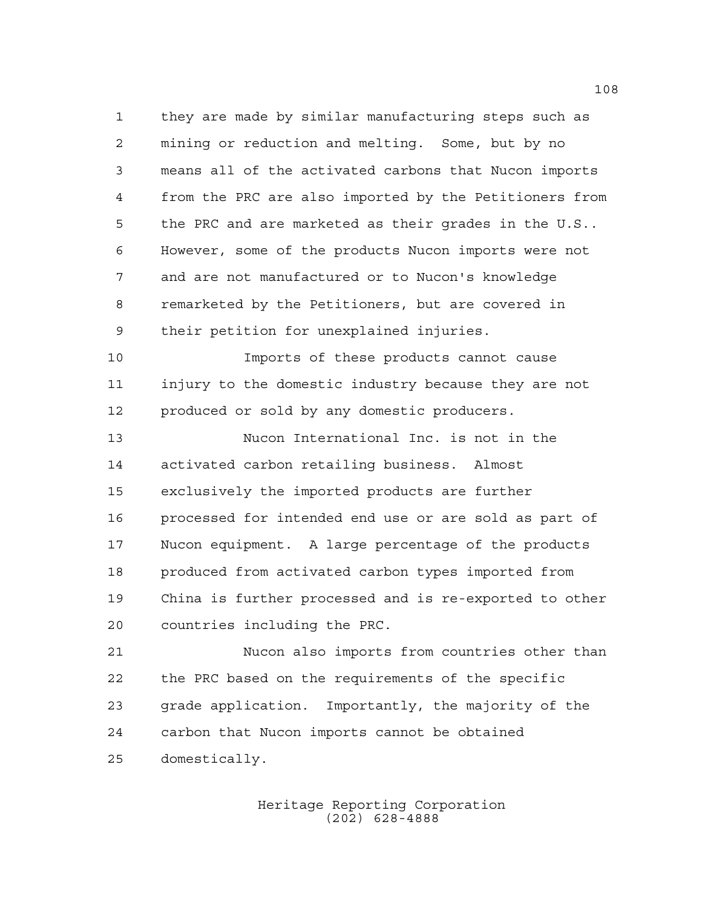they are made by similar manufacturing steps such as mining or reduction and melting. Some, but by no means all of the activated carbons that Nucon imports from the PRC are also imported by the Petitioners from the PRC and are marketed as their grades in the U.S.. However, some of the products Nucon imports were not and are not manufactured or to Nucon's knowledge remarketed by the Petitioners, but are covered in their petition for unexplained injuries.

 Imports of these products cannot cause injury to the domestic industry because they are not 12 produced or sold by any domestic producers.

 Nucon International Inc. is not in the activated carbon retailing business. Almost exclusively the imported products are further processed for intended end use or are sold as part of Nucon equipment. A large percentage of the products produced from activated carbon types imported from China is further processed and is re-exported to other countries including the PRC.

 Nucon also imports from countries other than the PRC based on the requirements of the specific grade application. Importantly, the majority of the carbon that Nucon imports cannot be obtained domestically.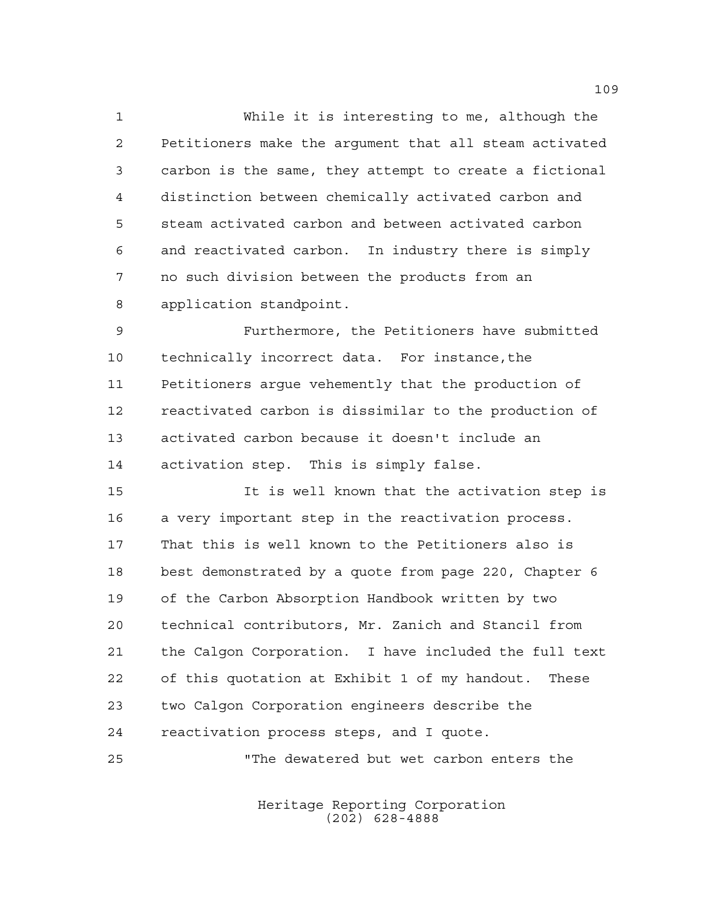While it is interesting to me, although the Petitioners make the argument that all steam activated carbon is the same, they attempt to create a fictional distinction between chemically activated carbon and steam activated carbon and between activated carbon and reactivated carbon. In industry there is simply no such division between the products from an application standpoint.

 Furthermore, the Petitioners have submitted technically incorrect data. For instance,the Petitioners argue vehemently that the production of reactivated carbon is dissimilar to the production of activated carbon because it doesn't include an activation step. This is simply false.

 It is well known that the activation step is a very important step in the reactivation process. That this is well known to the Petitioners also is best demonstrated by a quote from page 220, Chapter 6 of the Carbon Absorption Handbook written by two technical contributors, Mr. Zanich and Stancil from the Calgon Corporation. I have included the full text of this quotation at Exhibit 1 of my handout. These two Calgon Corporation engineers describe the reactivation process steps, and I quote. "The dewatered but wet carbon enters the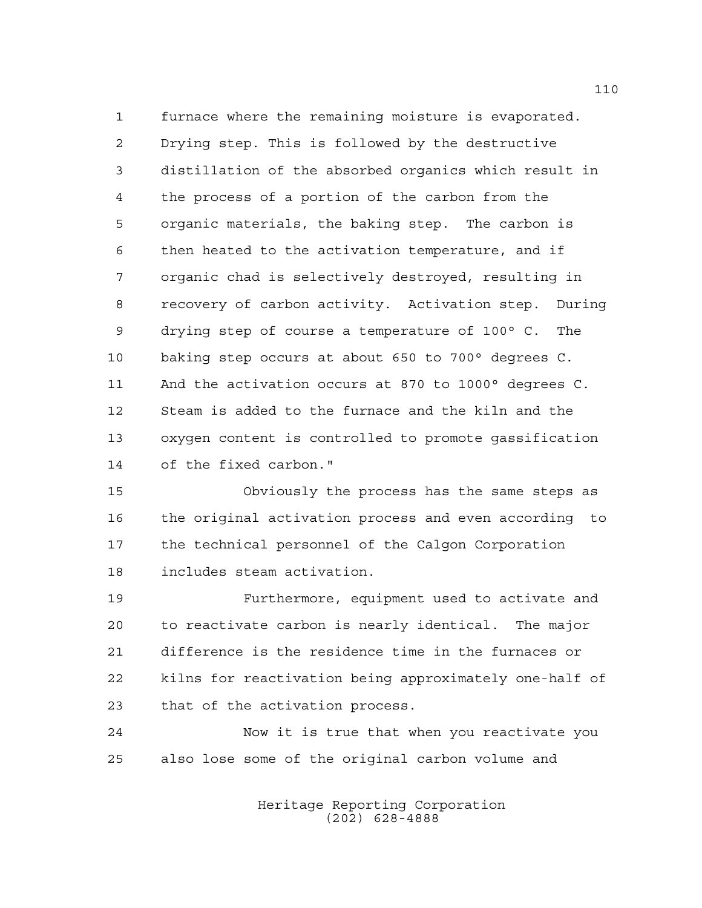furnace where the remaining moisture is evaporated. Drying step. This is followed by the destructive distillation of the absorbed organics which result in the process of a portion of the carbon from the organic materials, the baking step. The carbon is then heated to the activation temperature, and if organic chad is selectively destroyed, resulting in recovery of carbon activity. Activation step. During drying step of course a temperature of 100° C. The baking step occurs at about 650 to 700° degrees C. And the activation occurs at 870 to 1000° degrees C. Steam is added to the furnace and the kiln and the oxygen content is controlled to promote gassification of the fixed carbon."

 Obviously the process has the same steps as the original activation process and even according to the technical personnel of the Calgon Corporation includes steam activation.

 Furthermore, equipment used to activate and to reactivate carbon is nearly identical. The major difference is the residence time in the furnaces or kilns for reactivation being approximately one-half of that of the activation process.

 Now it is true that when you reactivate you also lose some of the original carbon volume and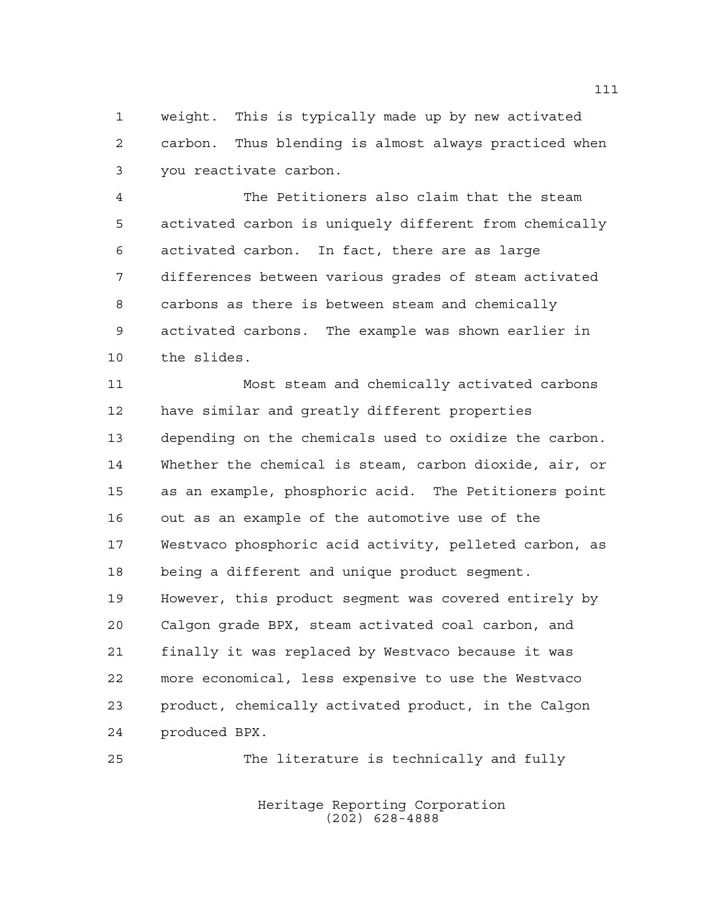weight. This is typically made up by new activated carbon. Thus blending is almost always practiced when you reactivate carbon.

 The Petitioners also claim that the steam activated carbon is uniquely different from chemically activated carbon. In fact, there are as large differences between various grades of steam activated carbons as there is between steam and chemically activated carbons. The example was shown earlier in the slides.

 Most steam and chemically activated carbons have similar and greatly different properties depending on the chemicals used to oxidize the carbon. Whether the chemical is steam, carbon dioxide, air, or as an example, phosphoric acid. The Petitioners point out as an example of the automotive use of the Westvaco phosphoric acid activity, pelleted carbon, as being a different and unique product segment. However, this product segment was covered entirely by Calgon grade BPX, steam activated coal carbon, and finally it was replaced by Westvaco because it was more economical, less expensive to use the Westvaco product, chemically activated product, in the Calgon produced BPX.

The literature is technically and fully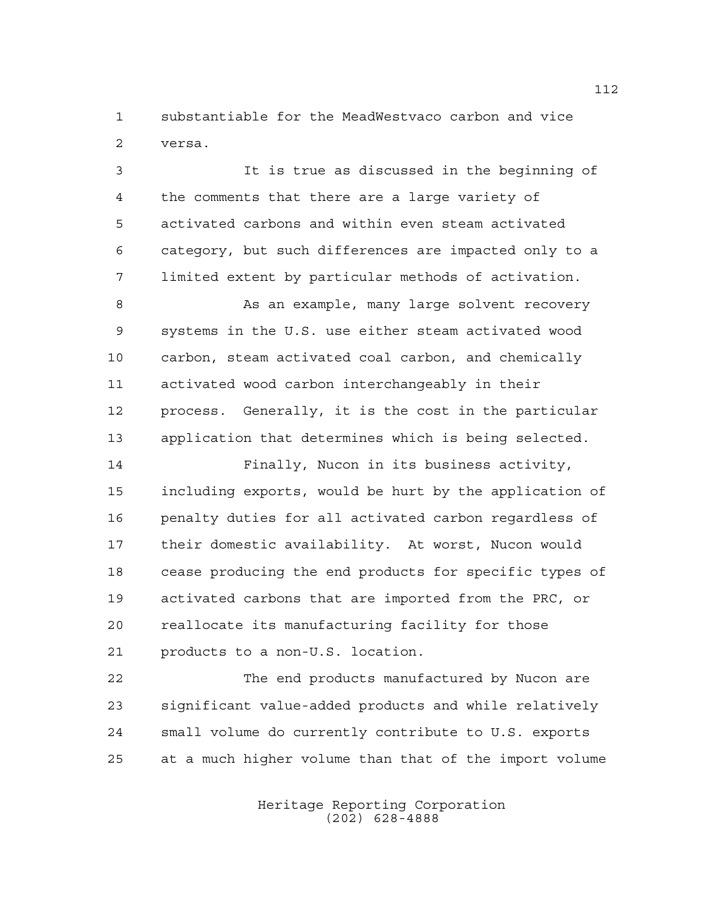substantiable for the MeadWestvaco carbon and vice versa.

 It is true as discussed in the beginning of the comments that there are a large variety of activated carbons and within even steam activated category, but such differences are impacted only to a limited extent by particular methods of activation.

8 As an example, many large solvent recovery systems in the U.S. use either steam activated wood carbon, steam activated coal carbon, and chemically activated wood carbon interchangeably in their process. Generally, it is the cost in the particular application that determines which is being selected.

 Finally, Nucon in its business activity, including exports, would be hurt by the application of penalty duties for all activated carbon regardless of their domestic availability. At worst, Nucon would cease producing the end products for specific types of activated carbons that are imported from the PRC, or reallocate its manufacturing facility for those products to a non-U.S. location.

 The end products manufactured by Nucon are significant value-added products and while relatively small volume do currently contribute to U.S. exports at a much higher volume than that of the import volume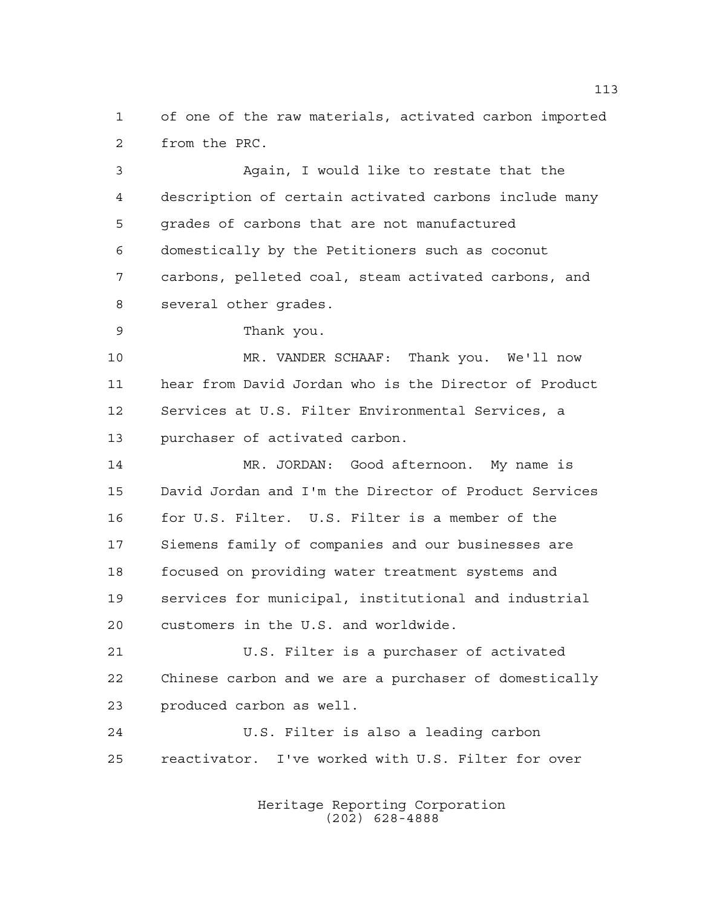of one of the raw materials, activated carbon imported from the PRC.

 Again, I would like to restate that the description of certain activated carbons include many grades of carbons that are not manufactured domestically by the Petitioners such as coconut carbons, pelleted coal, steam activated carbons, and several other grades.

Thank you.

 MR. VANDER SCHAAF: Thank you. We'll now hear from David Jordan who is the Director of Product Services at U.S. Filter Environmental Services, a purchaser of activated carbon.

 MR. JORDAN: Good afternoon. My name is David Jordan and I'm the Director of Product Services for U.S. Filter. U.S. Filter is a member of the Siemens family of companies and our businesses are focused on providing water treatment systems and services for municipal, institutional and industrial customers in the U.S. and worldwide.

 U.S. Filter is a purchaser of activated Chinese carbon and we are a purchaser of domestically produced carbon as well.

 U.S. Filter is also a leading carbon reactivator. I've worked with U.S. Filter for over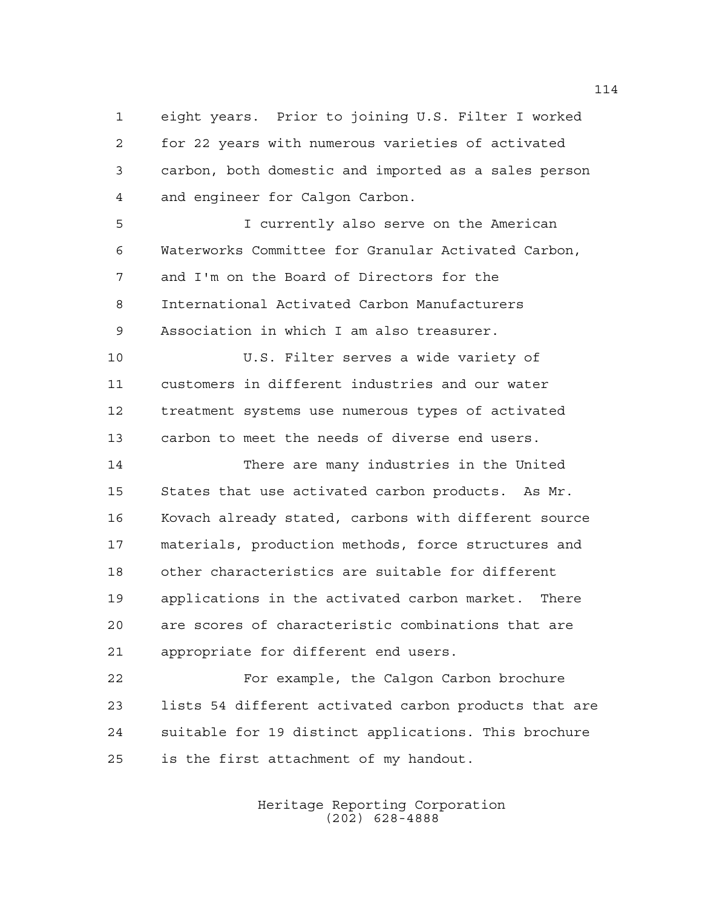eight years. Prior to joining U.S. Filter I worked for 22 years with numerous varieties of activated carbon, both domestic and imported as a sales person and engineer for Calgon Carbon.

 I currently also serve on the American Waterworks Committee for Granular Activated Carbon, and I'm on the Board of Directors for the International Activated Carbon Manufacturers Association in which I am also treasurer.

 U.S. Filter serves a wide variety of customers in different industries and our water treatment systems use numerous types of activated carbon to meet the needs of diverse end users.

 There are many industries in the United States that use activated carbon products. As Mr. Kovach already stated, carbons with different source materials, production methods, force structures and other characteristics are suitable for different applications in the activated carbon market. There are scores of characteristic combinations that are appropriate for different end users.

 For example, the Calgon Carbon brochure lists 54 different activated carbon products that are suitable for 19 distinct applications. This brochure is the first attachment of my handout.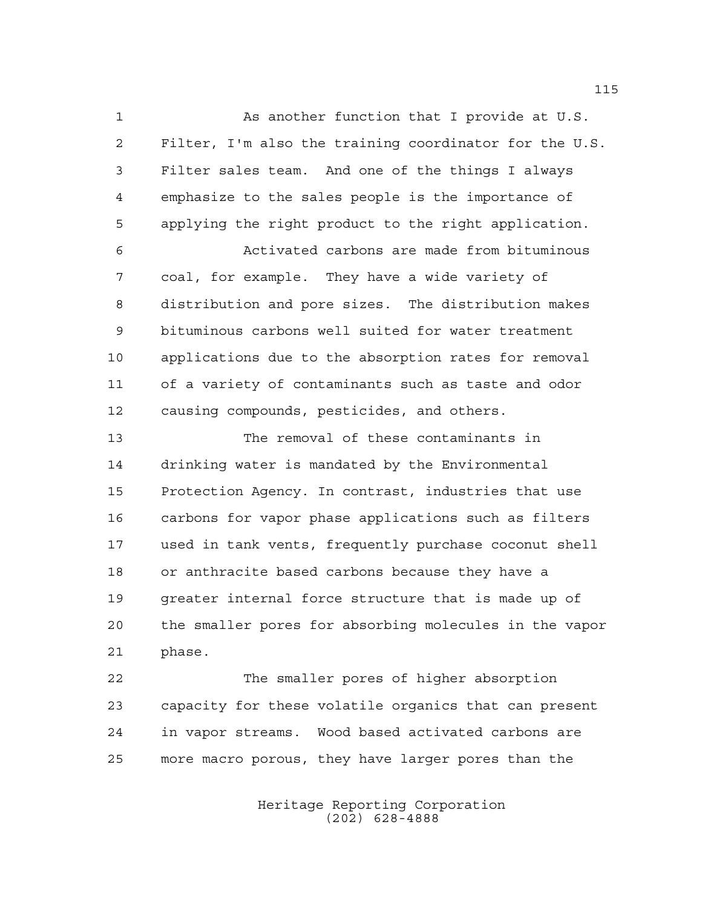As another function that I provide at U.S. Filter, I'm also the training coordinator for the U.S. Filter sales team. And one of the things I always emphasize to the sales people is the importance of applying the right product to the right application. Activated carbons are made from bituminous coal, for example. They have a wide variety of distribution and pore sizes. The distribution makes bituminous carbons well suited for water treatment applications due to the absorption rates for removal of a variety of contaminants such as taste and odor causing compounds, pesticides, and others.

 The removal of these contaminants in drinking water is mandated by the Environmental Protection Agency. In contrast, industries that use carbons for vapor phase applications such as filters used in tank vents, frequently purchase coconut shell or anthracite based carbons because they have a greater internal force structure that is made up of the smaller pores for absorbing molecules in the vapor phase.

 The smaller pores of higher absorption capacity for these volatile organics that can present in vapor streams. Wood based activated carbons are more macro porous, they have larger pores than the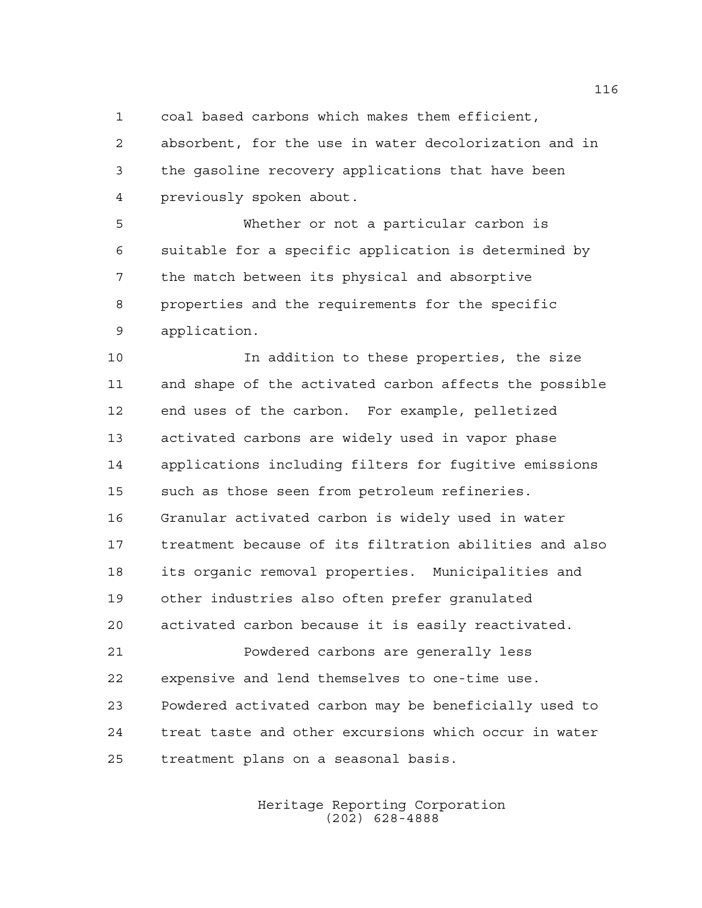coal based carbons which makes them efficient,

 absorbent, for the use in water decolorization and in the gasoline recovery applications that have been previously spoken about.

 Whether or not a particular carbon is suitable for a specific application is determined by the match between its physical and absorptive properties and the requirements for the specific application.

 In addition to these properties, the size and shape of the activated carbon affects the possible end uses of the carbon. For example, pelletized activated carbons are widely used in vapor phase applications including filters for fugitive emissions such as those seen from petroleum refineries. Granular activated carbon is widely used in water treatment because of its filtration abilities and also its organic removal properties. Municipalities and other industries also often prefer granulated activated carbon because it is easily reactivated. Powdered carbons are generally less expensive and lend themselves to one-time use. Powdered activated carbon may be beneficially used to treat taste and other excursions which occur in water treatment plans on a seasonal basis.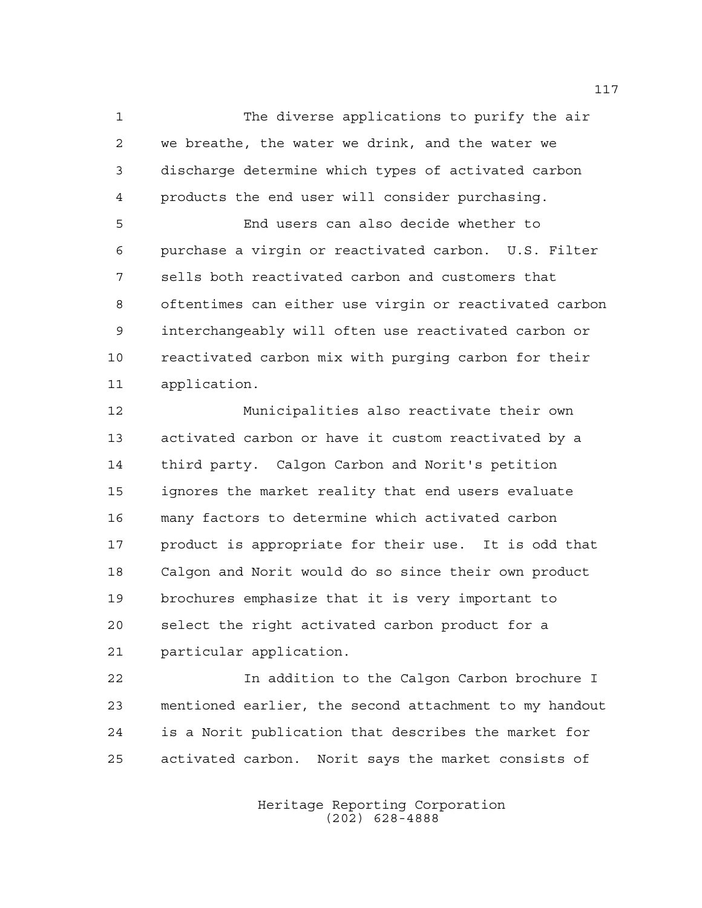The diverse applications to purify the air we breathe, the water we drink, and the water we discharge determine which types of activated carbon products the end user will consider purchasing.

 End users can also decide whether to purchase a virgin or reactivated carbon. U.S. Filter sells both reactivated carbon and customers that oftentimes can either use virgin or reactivated carbon interchangeably will often use reactivated carbon or reactivated carbon mix with purging carbon for their application.

 Municipalities also reactivate their own activated carbon or have it custom reactivated by a third party. Calgon Carbon and Norit's petition ignores the market reality that end users evaluate many factors to determine which activated carbon product is appropriate for their use. It is odd that Calgon and Norit would do so since their own product brochures emphasize that it is very important to select the right activated carbon product for a particular application.

 In addition to the Calgon Carbon brochure I mentioned earlier, the second attachment to my handout is a Norit publication that describes the market for activated carbon. Norit says the market consists of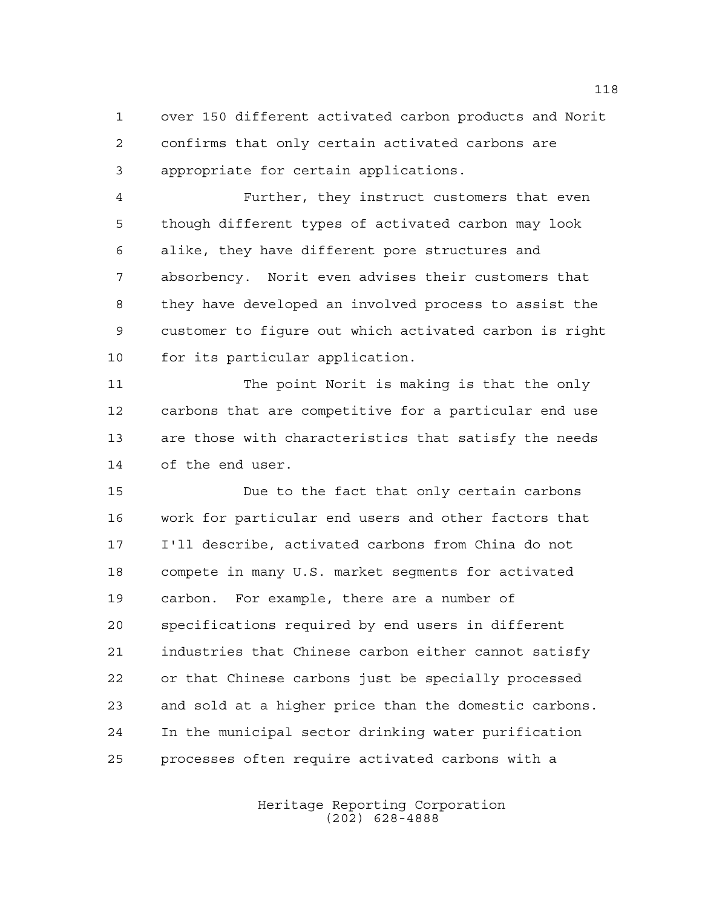over 150 different activated carbon products and Norit confirms that only certain activated carbons are appropriate for certain applications.

 Further, they instruct customers that even though different types of activated carbon may look alike, they have different pore structures and absorbency. Norit even advises their customers that they have developed an involved process to assist the customer to figure out which activated carbon is right for its particular application.

 The point Norit is making is that the only carbons that are competitive for a particular end use are those with characteristics that satisfy the needs of the end user.

 Due to the fact that only certain carbons work for particular end users and other factors that I'll describe, activated carbons from China do not compete in many U.S. market segments for activated carbon. For example, there are a number of specifications required by end users in different industries that Chinese carbon either cannot satisfy or that Chinese carbons just be specially processed and sold at a higher price than the domestic carbons. In the municipal sector drinking water purification processes often require activated carbons with a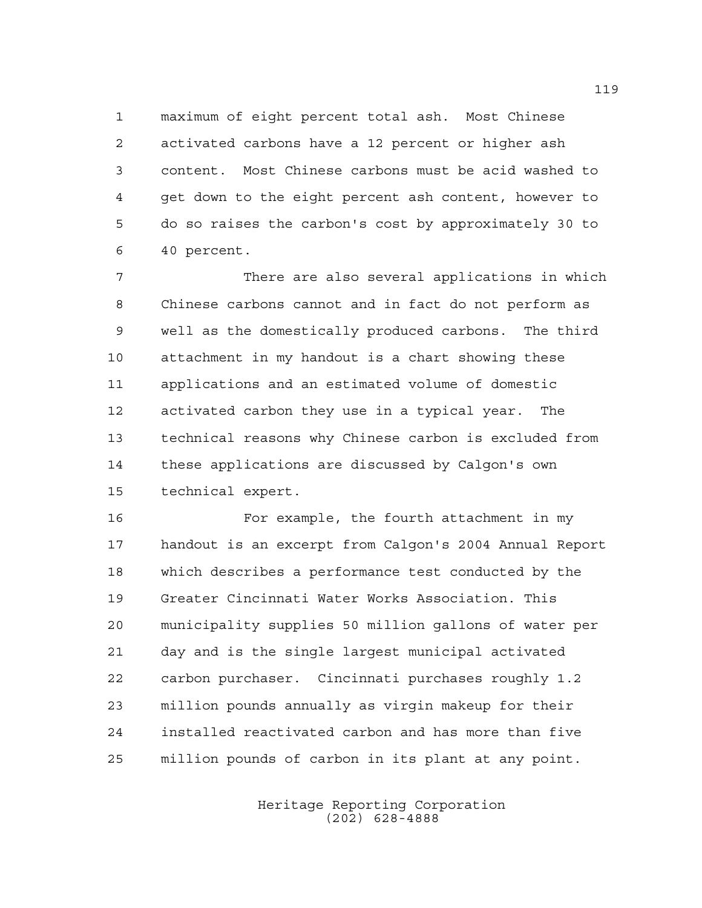maximum of eight percent total ash. Most Chinese activated carbons have a 12 percent or higher ash content. Most Chinese carbons must be acid washed to get down to the eight percent ash content, however to do so raises the carbon's cost by approximately 30 to 40 percent.

 There are also several applications in which Chinese carbons cannot and in fact do not perform as well as the domestically produced carbons. The third attachment in my handout is a chart showing these applications and an estimated volume of domestic activated carbon they use in a typical year. The technical reasons why Chinese carbon is excluded from these applications are discussed by Calgon's own technical expert.

 For example, the fourth attachment in my handout is an excerpt from Calgon's 2004 Annual Report which describes a performance test conducted by the Greater Cincinnati Water Works Association. This municipality supplies 50 million gallons of water per day and is the single largest municipal activated carbon purchaser. Cincinnati purchases roughly 1.2 million pounds annually as virgin makeup for their installed reactivated carbon and has more than five million pounds of carbon in its plant at any point.

> Heritage Reporting Corporation (202) 628-4888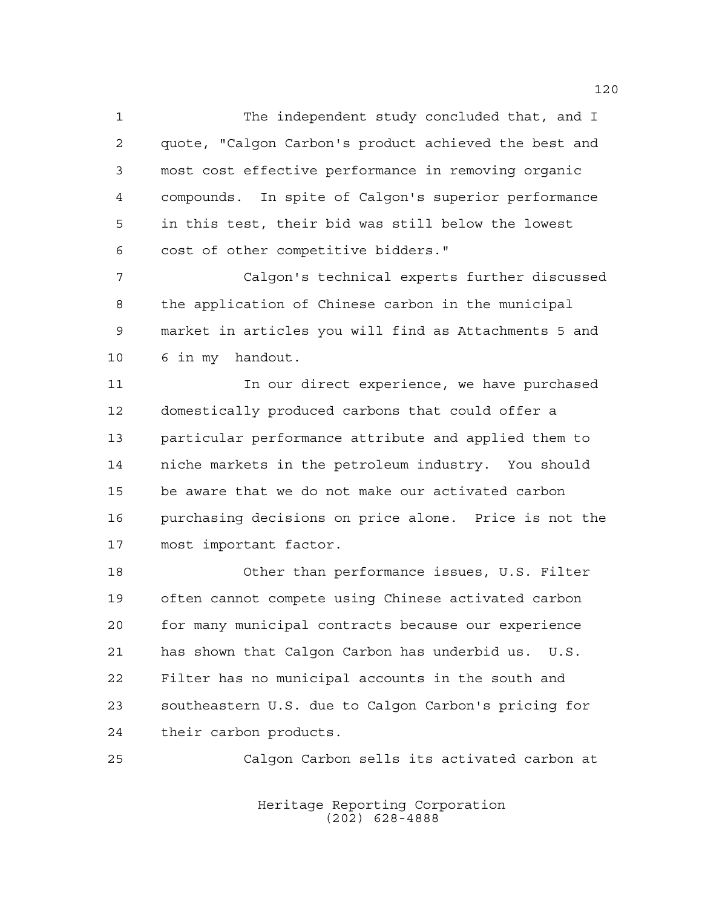The independent study concluded that, and I quote, "Calgon Carbon's product achieved the best and most cost effective performance in removing organic compounds. In spite of Calgon's superior performance in this test, their bid was still below the lowest cost of other competitive bidders."

 Calgon's technical experts further discussed the application of Chinese carbon in the municipal market in articles you will find as Attachments 5 and 6 in my handout.

11 11 In our direct experience, we have purchased domestically produced carbons that could offer a particular performance attribute and applied them to niche markets in the petroleum industry. You should be aware that we do not make our activated carbon purchasing decisions on price alone. Price is not the most important factor.

 Other than performance issues, U.S. Filter often cannot compete using Chinese activated carbon for many municipal contracts because our experience has shown that Calgon Carbon has underbid us. U.S. Filter has no municipal accounts in the south and southeastern U.S. due to Calgon Carbon's pricing for their carbon products.

Calgon Carbon sells its activated carbon at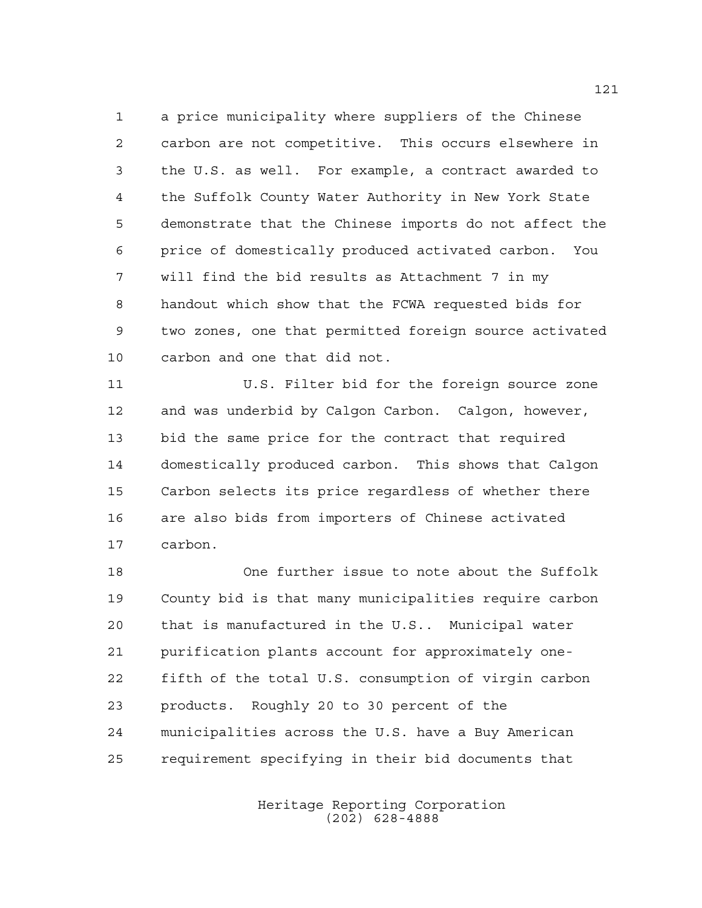a price municipality where suppliers of the Chinese carbon are not competitive. This occurs elsewhere in the U.S. as well. For example, a contract awarded to the Suffolk County Water Authority in New York State demonstrate that the Chinese imports do not affect the price of domestically produced activated carbon. You will find the bid results as Attachment 7 in my handout which show that the FCWA requested bids for two zones, one that permitted foreign source activated carbon and one that did not.

 U.S. Filter bid for the foreign source zone and was underbid by Calgon Carbon. Calgon, however, bid the same price for the contract that required domestically produced carbon. This shows that Calgon Carbon selects its price regardless of whether there are also bids from importers of Chinese activated carbon.

 One further issue to note about the Suffolk County bid is that many municipalities require carbon that is manufactured in the U.S.. Municipal water purification plants account for approximately one- fifth of the total U.S. consumption of virgin carbon products. Roughly 20 to 30 percent of the municipalities across the U.S. have a Buy American requirement specifying in their bid documents that

> Heritage Reporting Corporation (202) 628-4888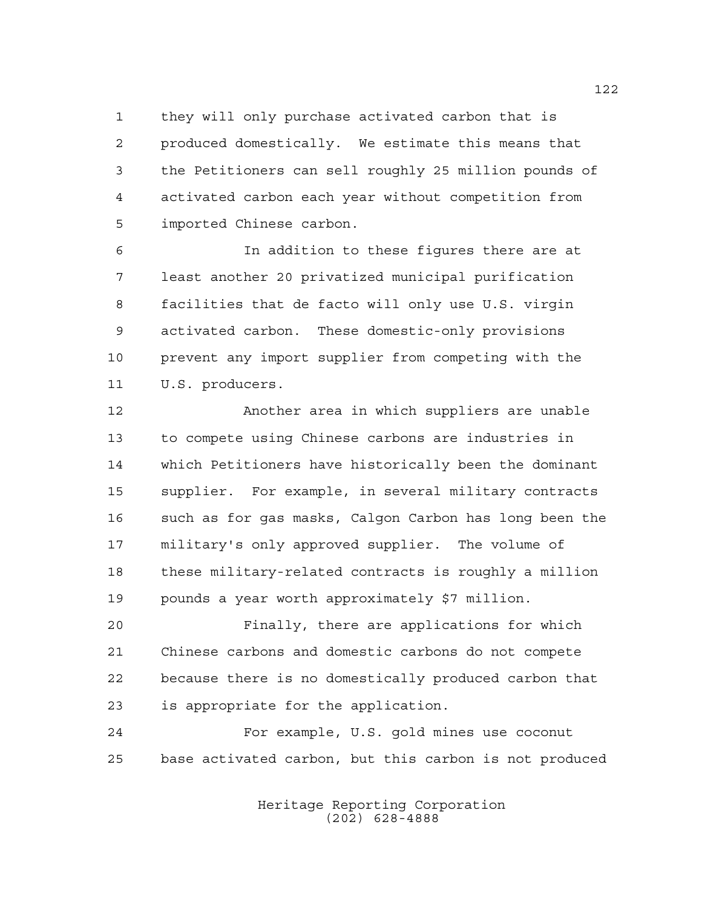they will only purchase activated carbon that is produced domestically. We estimate this means that the Petitioners can sell roughly 25 million pounds of activated carbon each year without competition from imported Chinese carbon.

 In addition to these figures there are at least another 20 privatized municipal purification facilities that de facto will only use U.S. virgin activated carbon. These domestic-only provisions prevent any import supplier from competing with the 11 U.S. producers.

 Another area in which suppliers are unable to compete using Chinese carbons are industries in which Petitioners have historically been the dominant supplier. For example, in several military contracts such as for gas masks, Calgon Carbon has long been the military's only approved supplier. The volume of these military-related contracts is roughly a million pounds a year worth approximately \$7 million.

 Finally, there are applications for which Chinese carbons and domestic carbons do not compete because there is no domestically produced carbon that is appropriate for the application.

 For example, U.S. gold mines use coconut base activated carbon, but this carbon is not produced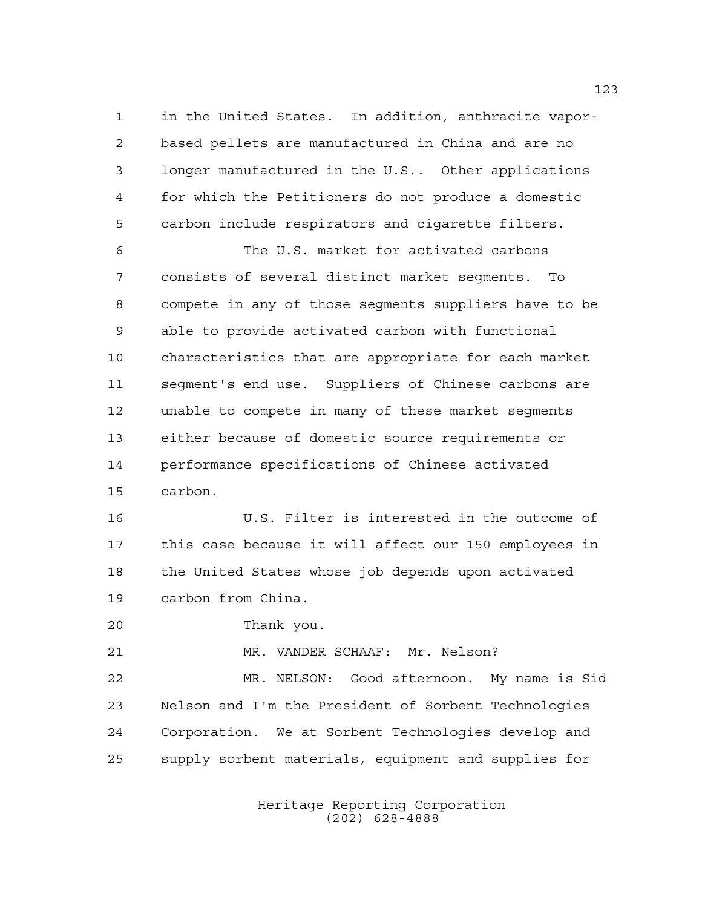in the United States. In addition, anthracite vapor- based pellets are manufactured in China and are no longer manufactured in the U.S.. Other applications for which the Petitioners do not produce a domestic carbon include respirators and cigarette filters.

 The U.S. market for activated carbons consists of several distinct market segments. To compete in any of those segments suppliers have to be able to provide activated carbon with functional characteristics that are appropriate for each market segment's end use. Suppliers of Chinese carbons are unable to compete in many of these market segments either because of domestic source requirements or performance specifications of Chinese activated carbon.

 U.S. Filter is interested in the outcome of this case because it will affect our 150 employees in the United States whose job depends upon activated carbon from China.

Thank you.

MR. VANDER SCHAAF: Mr. Nelson?

 MR. NELSON: Good afternoon. My name is Sid Nelson and I'm the President of Sorbent Technologies Corporation. We at Sorbent Technologies develop and supply sorbent materials, equipment and supplies for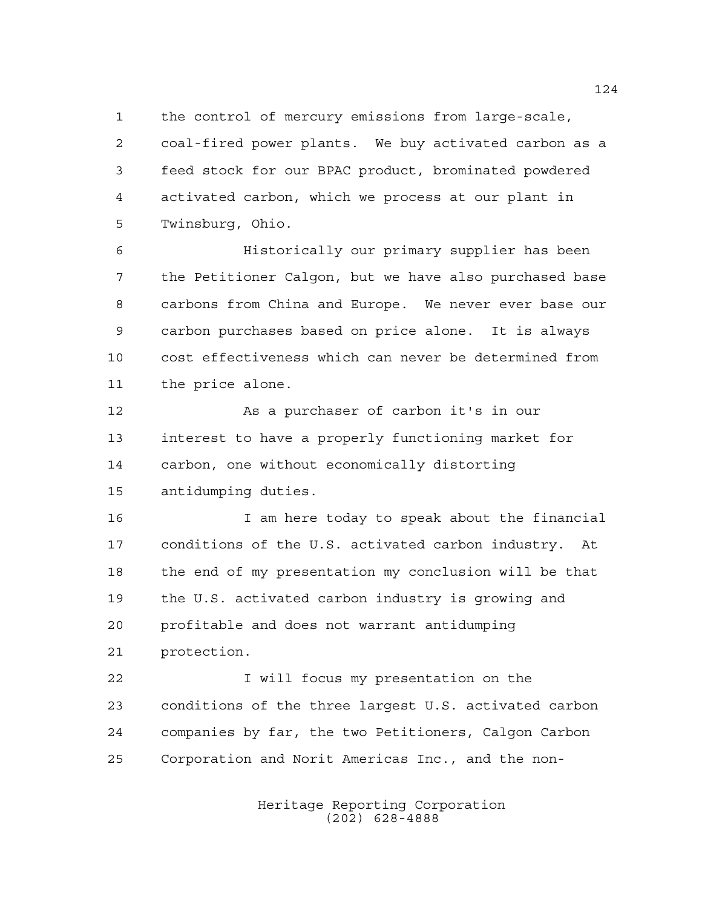the control of mercury emissions from large-scale,

 coal-fired power plants. We buy activated carbon as a feed stock for our BPAC product, brominated powdered activated carbon, which we process at our plant in Twinsburg, Ohio.

 Historically our primary supplier has been the Petitioner Calgon, but we have also purchased base carbons from China and Europe. We never ever base our carbon purchases based on price alone. It is always cost effectiveness which can never be determined from the price alone.

12 As a purchaser of carbon it's in our interest to have a properly functioning market for carbon, one without economically distorting antidumping duties.

 I am here today to speak about the financial conditions of the U.S. activated carbon industry. At the end of my presentation my conclusion will be that the U.S. activated carbon industry is growing and profitable and does not warrant antidumping protection.

**I** will focus my presentation on the conditions of the three largest U.S. activated carbon companies by far, the two Petitioners, Calgon Carbon Corporation and Norit Americas Inc., and the non-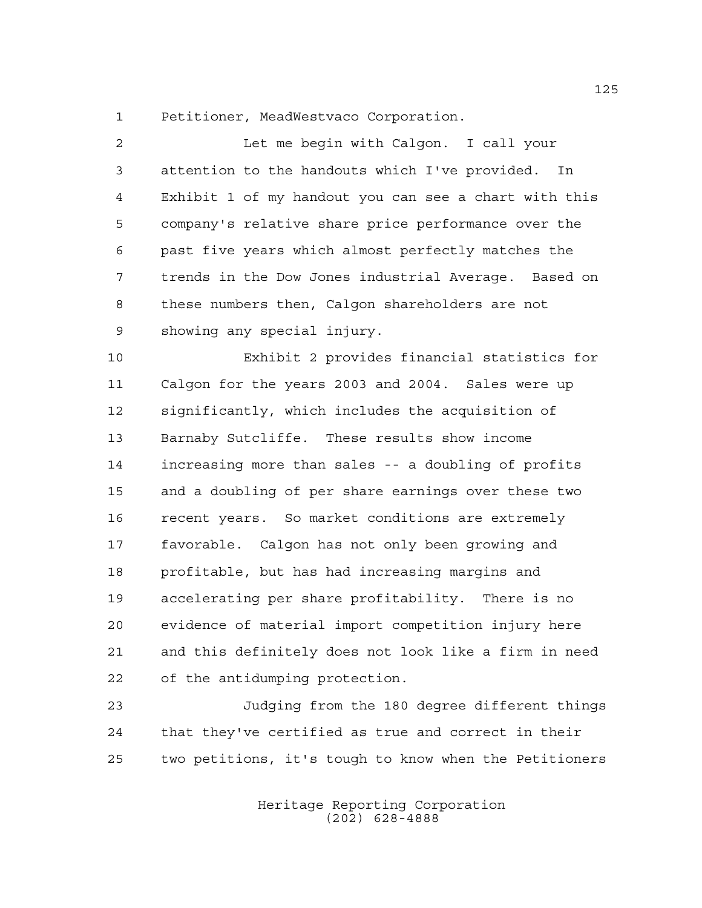Petitioner, MeadWestvaco Corporation.

 Let me begin with Calgon. I call your attention to the handouts which I've provided. In Exhibit 1 of my handout you can see a chart with this company's relative share price performance over the past five years which almost perfectly matches the trends in the Dow Jones industrial Average. Based on these numbers then, Calgon shareholders are not showing any special injury. Exhibit 2 provides financial statistics for Calgon for the years 2003 and 2004. Sales were up significantly, which includes the acquisition of Barnaby Sutcliffe. These results show income increasing more than sales -- a doubling of profits and a doubling of per share earnings over these two recent years. So market conditions are extremely favorable. Calgon has not only been growing and profitable, but has had increasing margins and accelerating per share profitability. There is no evidence of material import competition injury here and this definitely does not look like a firm in need of the antidumping protection.

 Judging from the 180 degree different things that they've certified as true and correct in their two petitions, it's tough to know when the Petitioners

> Heritage Reporting Corporation (202) 628-4888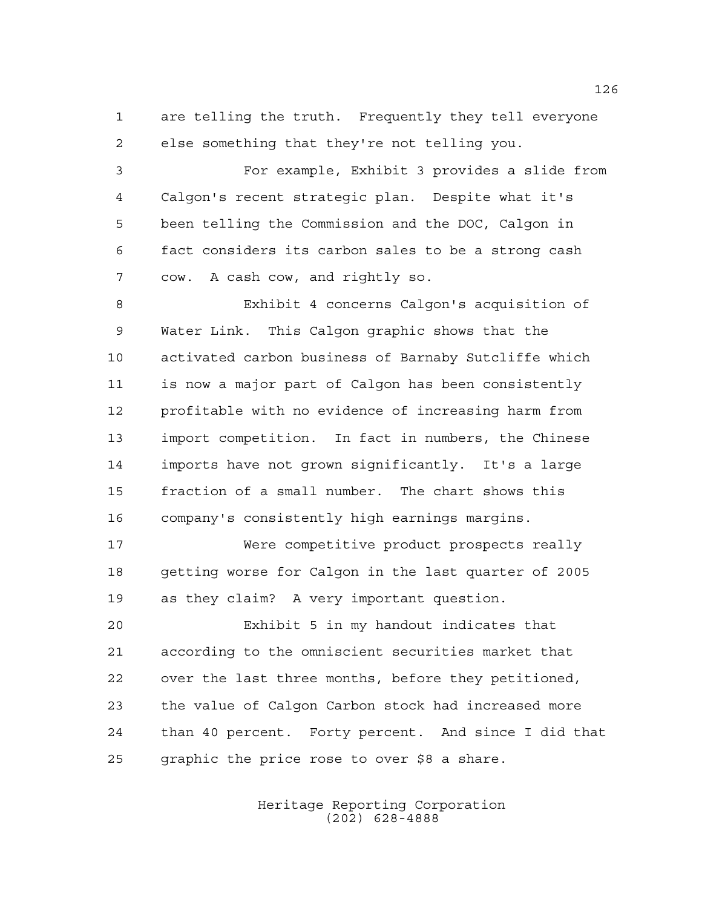are telling the truth. Frequently they tell everyone else something that they're not telling you.

 For example, Exhibit 3 provides a slide from Calgon's recent strategic plan. Despite what it's been telling the Commission and the DOC, Calgon in fact considers its carbon sales to be a strong cash cow. A cash cow, and rightly so.

 Exhibit 4 concerns Calgon's acquisition of Water Link. This Calgon graphic shows that the activated carbon business of Barnaby Sutcliffe which is now a major part of Calgon has been consistently profitable with no evidence of increasing harm from import competition. In fact in numbers, the Chinese imports have not grown significantly. It's a large fraction of a small number. The chart shows this company's consistently high earnings margins.

 Were competitive product prospects really getting worse for Calgon in the last quarter of 2005 as they claim? A very important question.

 Exhibit 5 in my handout indicates that according to the omniscient securities market that over the last three months, before they petitioned, the value of Calgon Carbon stock had increased more than 40 percent. Forty percent. And since I did that graphic the price rose to over \$8 a share.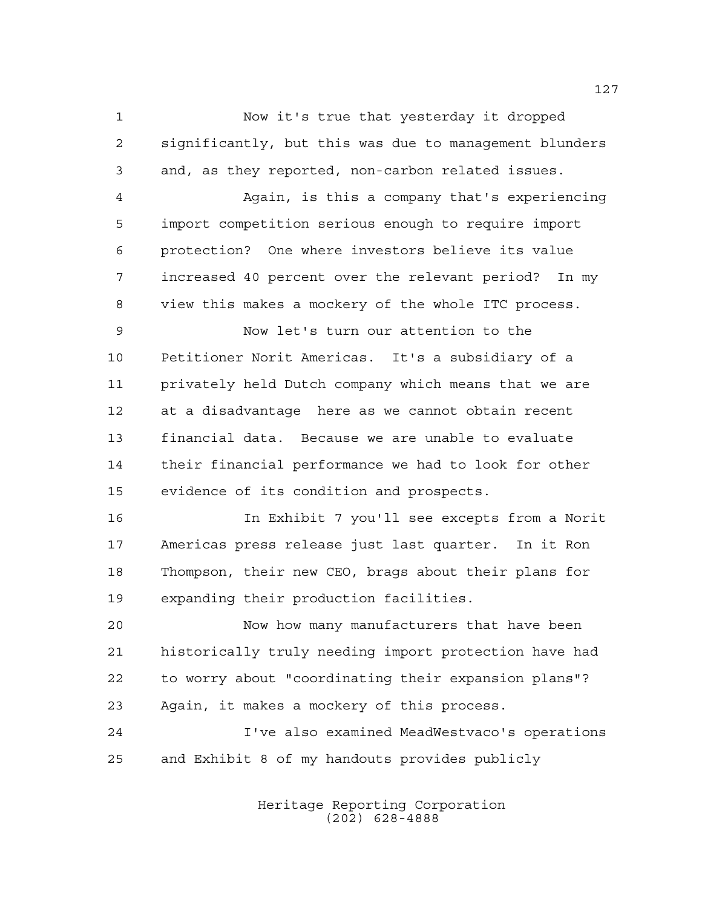Now it's true that yesterday it dropped significantly, but this was due to management blunders and, as they reported, non-carbon related issues.

 Again, is this a company that's experiencing import competition serious enough to require import protection? One where investors believe its value increased 40 percent over the relevant period? In my view this makes a mockery of the whole ITC process.

 Now let's turn our attention to the Petitioner Norit Americas. It's a subsidiary of a privately held Dutch company which means that we are at a disadvantage here as we cannot obtain recent financial data. Because we are unable to evaluate their financial performance we had to look for other evidence of its condition and prospects.

 In Exhibit 7 you'll see excepts from a Norit Americas press release just last quarter. In it Ron Thompson, their new CEO, brags about their plans for expanding their production facilities.

 Now how many manufacturers that have been historically truly needing import protection have had to worry about "coordinating their expansion plans"? Again, it makes a mockery of this process.

 I've also examined MeadWestvaco's operations and Exhibit 8 of my handouts provides publicly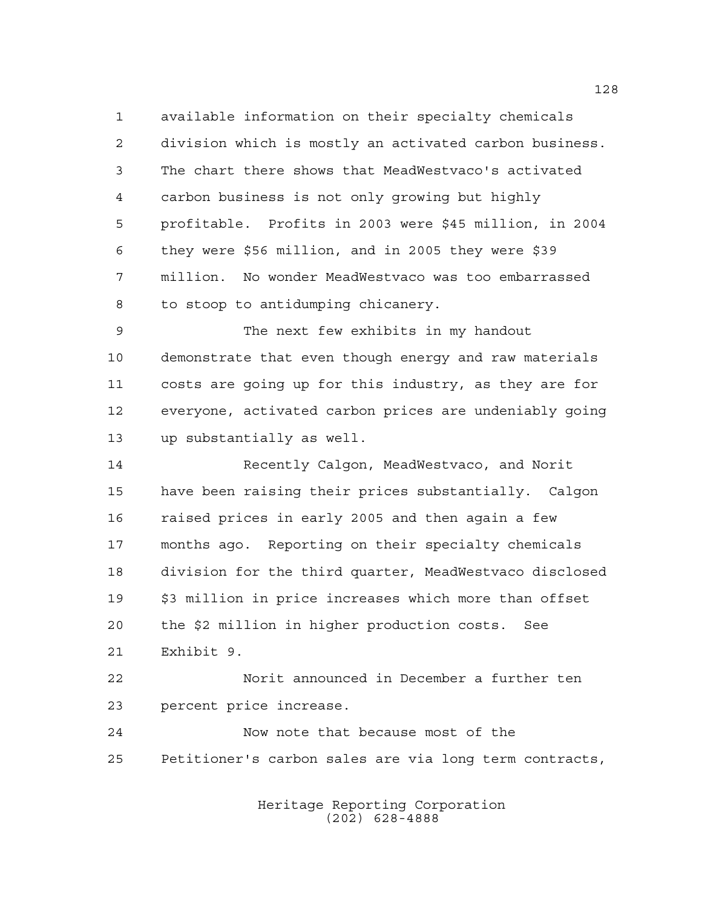available information on their specialty chemicals division which is mostly an activated carbon business. The chart there shows that MeadWestvaco's activated carbon business is not only growing but highly profitable. Profits in 2003 were \$45 million, in 2004 they were \$56 million, and in 2005 they were \$39 million. No wonder MeadWestvaco was too embarrassed to stoop to antidumping chicanery.

 The next few exhibits in my handout demonstrate that even though energy and raw materials costs are going up for this industry, as they are for everyone, activated carbon prices are undeniably going up substantially as well.

 Recently Calgon, MeadWestvaco, and Norit have been raising their prices substantially. Calgon raised prices in early 2005 and then again a few months ago. Reporting on their specialty chemicals division for the third quarter, MeadWestvaco disclosed \$3 million in price increases which more than offset the \$2 million in higher production costs. See Exhibit 9.

 Norit announced in December a further ten percent price increase.

 Now note that because most of the Petitioner's carbon sales are via long term contracts,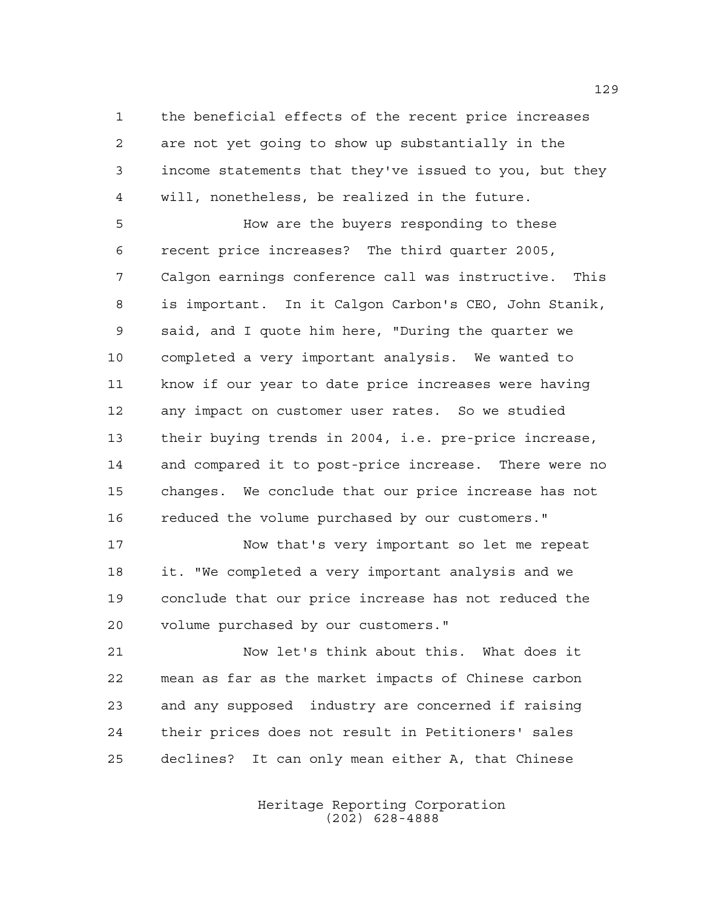the beneficial effects of the recent price increases are not yet going to show up substantially in the income statements that they've issued to you, but they will, nonetheless, be realized in the future.

 How are the buyers responding to these recent price increases? The third quarter 2005, Calgon earnings conference call was instructive. This is important. In it Calgon Carbon's CEO, John Stanik, said, and I quote him here, "During the quarter we completed a very important analysis. We wanted to know if our year to date price increases were having any impact on customer user rates. So we studied their buying trends in 2004, i.e. pre-price increase, and compared it to post-price increase. There were no changes. We conclude that our price increase has not reduced the volume purchased by our customers."

 Now that's very important so let me repeat it. "We completed a very important analysis and we conclude that our price increase has not reduced the volume purchased by our customers."

 Now let's think about this. What does it mean as far as the market impacts of Chinese carbon and any supposed industry are concerned if raising their prices does not result in Petitioners' sales declines? It can only mean either A, that Chinese

> Heritage Reporting Corporation (202) 628-4888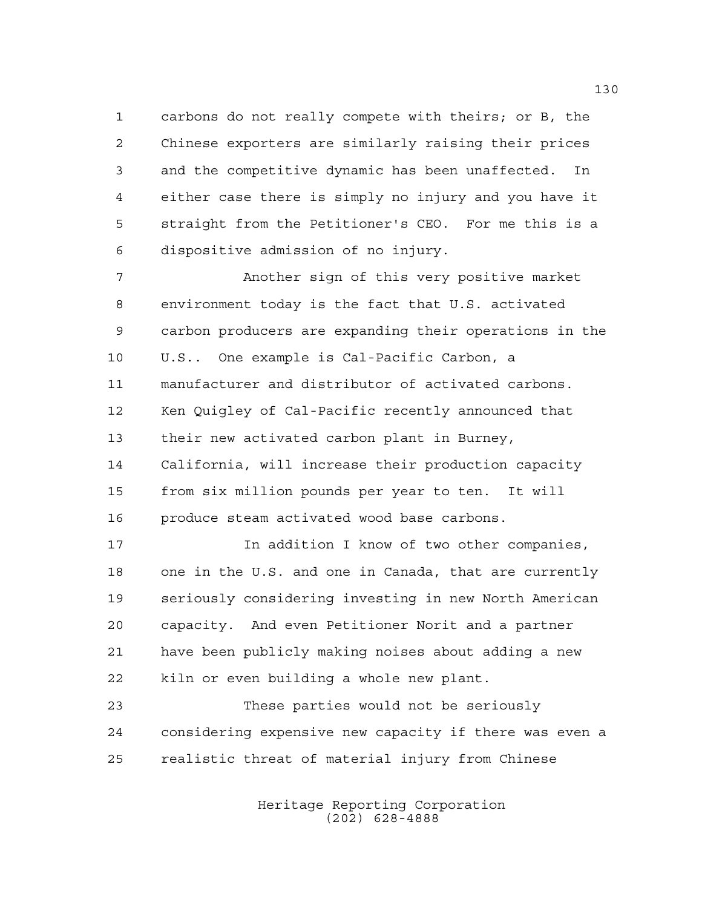carbons do not really compete with theirs; or B, the Chinese exporters are similarly raising their prices and the competitive dynamic has been unaffected. In either case there is simply no injury and you have it straight from the Petitioner's CEO. For me this is a dispositive admission of no injury.

 Another sign of this very positive market environment today is the fact that U.S. activated carbon producers are expanding their operations in the U.S.. One example is Cal-Pacific Carbon, a manufacturer and distributor of activated carbons. Ken Quigley of Cal-Pacific recently announced that their new activated carbon plant in Burney, California, will increase their production capacity from six million pounds per year to ten. It will produce steam activated wood base carbons.

17 17 In addition I know of two other companies, one in the U.S. and one in Canada, that are currently seriously considering investing in new North American capacity. And even Petitioner Norit and a partner have been publicly making noises about adding a new kiln or even building a whole new plant.

 These parties would not be seriously considering expensive new capacity if there was even a realistic threat of material injury from Chinese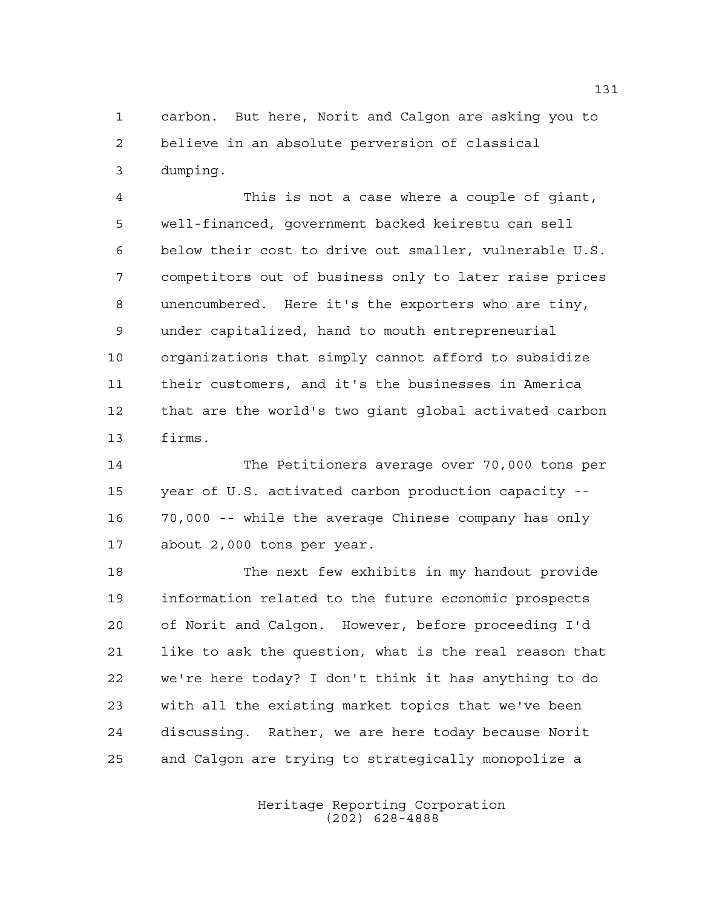carbon. But here, Norit and Calgon are asking you to believe in an absolute perversion of classical dumping.

 This is not a case where a couple of giant, well-financed, government backed keirestu can sell below their cost to drive out smaller, vulnerable U.S. competitors out of business only to later raise prices unencumbered. Here it's the exporters who are tiny, under capitalized, hand to mouth entrepreneurial organizations that simply cannot afford to subsidize their customers, and it's the businesses in America that are the world's two giant global activated carbon firms.

 The Petitioners average over 70,000 tons per year of U.S. activated carbon production capacity -- 70,000 -- while the average Chinese company has only about 2,000 tons per year.

 The next few exhibits in my handout provide information related to the future economic prospects of Norit and Calgon. However, before proceeding I'd like to ask the question, what is the real reason that we're here today? I don't think it has anything to do with all the existing market topics that we've been discussing. Rather, we are here today because Norit and Calgon are trying to strategically monopolize a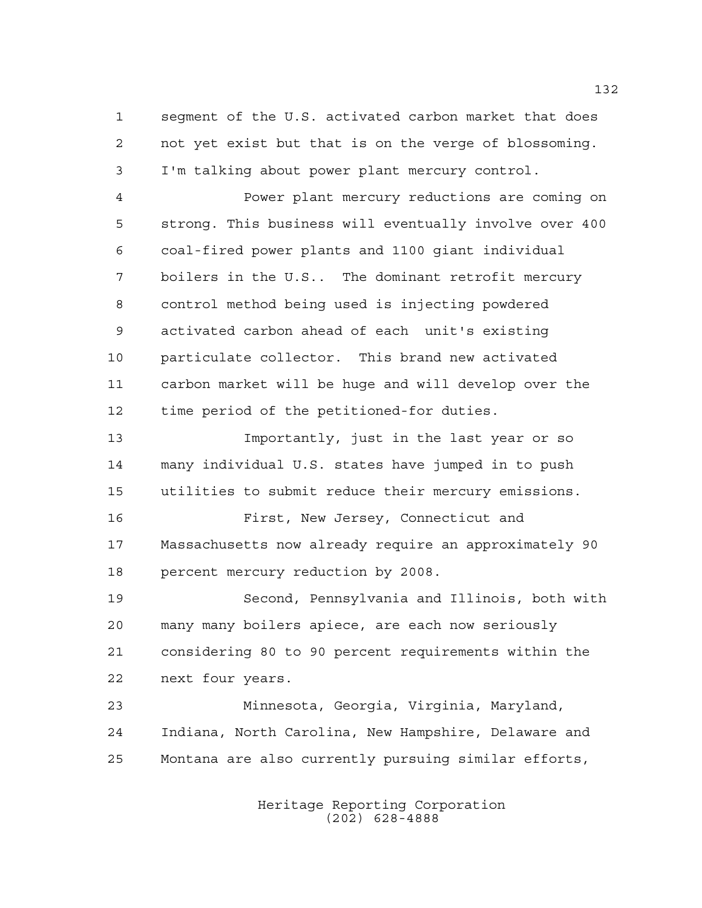segment of the U.S. activated carbon market that does not yet exist but that is on the verge of blossoming. I'm talking about power plant mercury control.

 Power plant mercury reductions are coming on strong. This business will eventually involve over 400 coal-fired power plants and 1100 giant individual boilers in the U.S.. The dominant retrofit mercury control method being used is injecting powdered activated carbon ahead of each unit's existing particulate collector. This brand new activated carbon market will be huge and will develop over the time period of the petitioned-for duties.

 Importantly, just in the last year or so many individual U.S. states have jumped in to push utilities to submit reduce their mercury emissions.

 First, New Jersey, Connecticut and Massachusetts now already require an approximately 90 percent mercury reduction by 2008.

 Second, Pennsylvania and Illinois, both with many many boilers apiece, are each now seriously considering 80 to 90 percent requirements within the next four years.

 Minnesota, Georgia, Virginia, Maryland, Indiana, North Carolina, New Hampshire, Delaware and Montana are also currently pursuing similar efforts,

> Heritage Reporting Corporation (202) 628-4888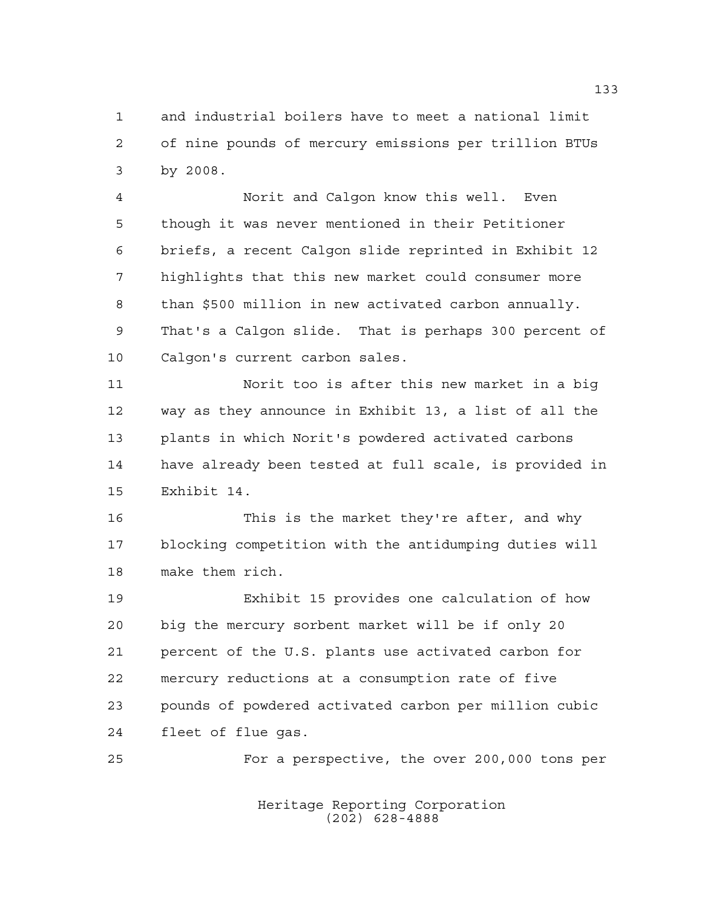and industrial boilers have to meet a national limit of nine pounds of mercury emissions per trillion BTUs by 2008.

 Norit and Calgon know this well. Even though it was never mentioned in their Petitioner briefs, a recent Calgon slide reprinted in Exhibit 12 highlights that this new market could consumer more than \$500 million in new activated carbon annually. That's a Calgon slide. That is perhaps 300 percent of Calgon's current carbon sales.

 Norit too is after this new market in a big way as they announce in Exhibit 13, a list of all the plants in which Norit's powdered activated carbons have already been tested at full scale, is provided in Exhibit 14.

 This is the market they're after, and why blocking competition with the antidumping duties will make them rich.

 Exhibit 15 provides one calculation of how big the mercury sorbent market will be if only 20 percent of the U.S. plants use activated carbon for mercury reductions at a consumption rate of five pounds of powdered activated carbon per million cubic fleet of flue gas.

For a perspective, the over 200,000 tons per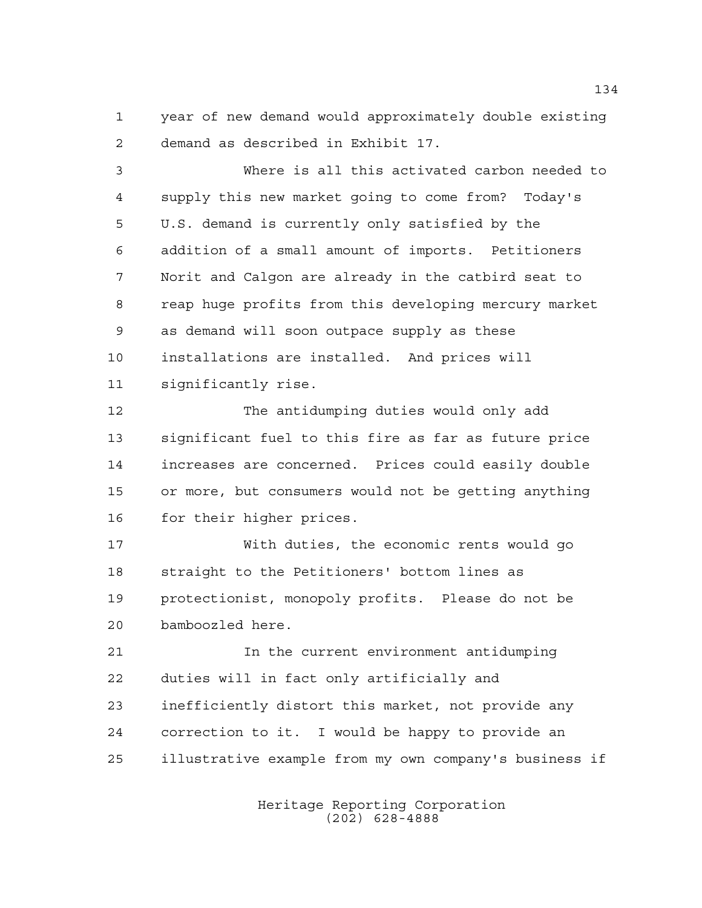year of new demand would approximately double existing demand as described in Exhibit 17.

 Where is all this activated carbon needed to supply this new market going to come from? Today's U.S. demand is currently only satisfied by the addition of a small amount of imports. Petitioners Norit and Calgon are already in the catbird seat to reap huge profits from this developing mercury market as demand will soon outpace supply as these installations are installed. And prices will significantly rise.

 The antidumping duties would only add significant fuel to this fire as far as future price increases are concerned. Prices could easily double or more, but consumers would not be getting anything for their higher prices.

 With duties, the economic rents would go straight to the Petitioners' bottom lines as protectionist, monopoly profits. Please do not be bamboozled here.

 In the current environment antidumping duties will in fact only artificially and inefficiently distort this market, not provide any correction to it. I would be happy to provide an illustrative example from my own company's business if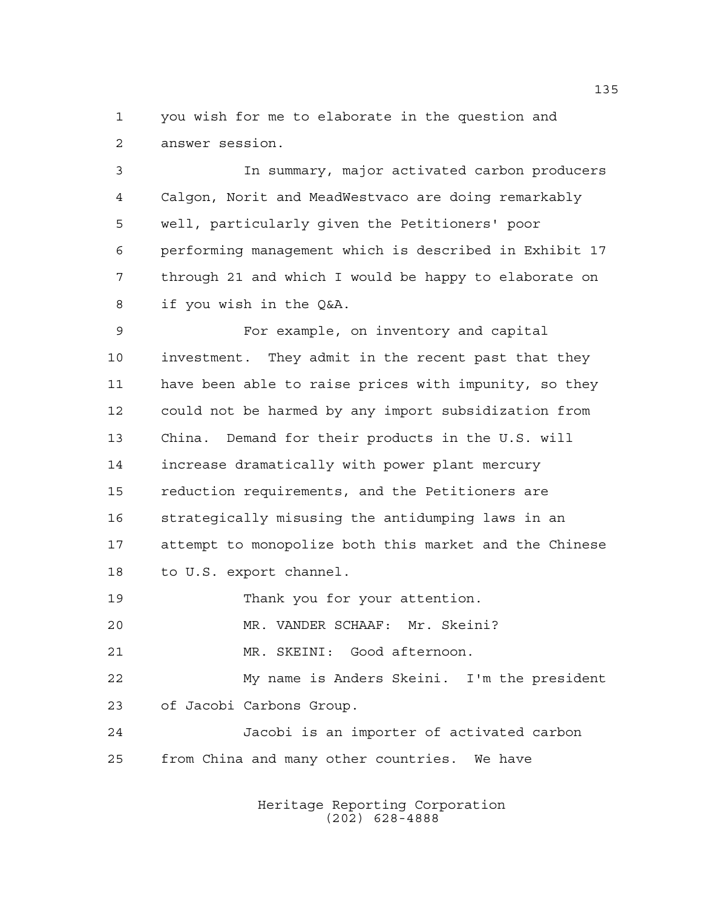you wish for me to elaborate in the question and answer session.

 In summary, major activated carbon producers Calgon, Norit and MeadWestvaco are doing remarkably well, particularly given the Petitioners' poor performing management which is described in Exhibit 17 through 21 and which I would be happy to elaborate on if you wish in the Q&A.

 For example, on inventory and capital investment. They admit in the recent past that they have been able to raise prices with impunity, so they could not be harmed by any import subsidization from China. Demand for their products in the U.S. will increase dramatically with power plant mercury reduction requirements, and the Petitioners are strategically misusing the antidumping laws in an attempt to monopolize both this market and the Chinese to U.S. export channel.

19 Thank you for your attention.

MR. VANDER SCHAAF: Mr. Skeini?

MR. SKEINI: Good afternoon.

 My name is Anders Skeini. I'm the president of Jacobi Carbons Group.

 Jacobi is an importer of activated carbon from China and many other countries. We have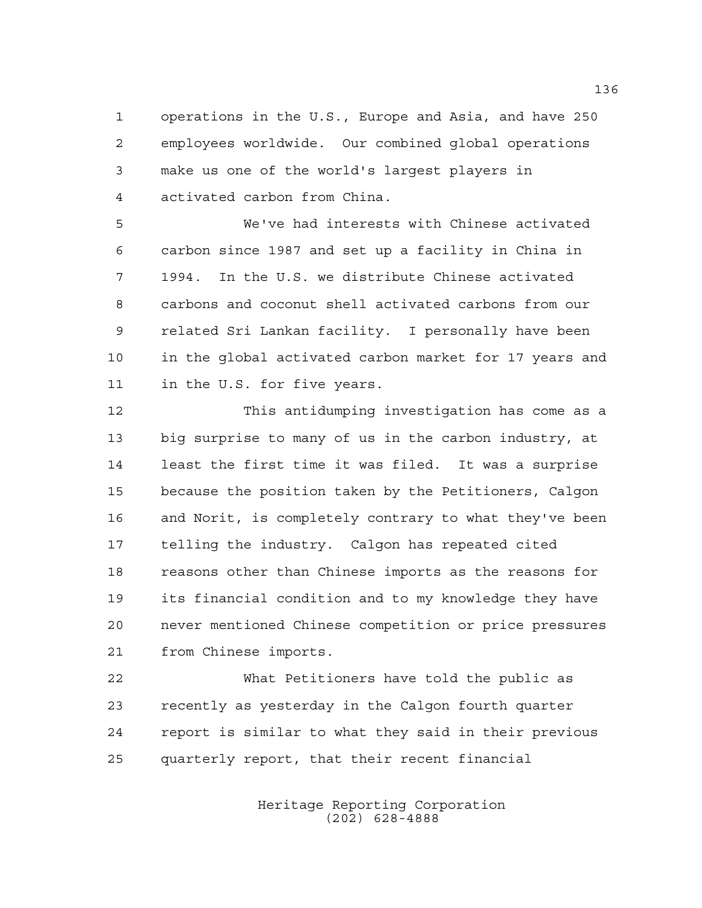operations in the U.S., Europe and Asia, and have 250 employees worldwide. Our combined global operations make us one of the world's largest players in activated carbon from China.

 We've had interests with Chinese activated carbon since 1987 and set up a facility in China in 1994. In the U.S. we distribute Chinese activated carbons and coconut shell activated carbons from our related Sri Lankan facility. I personally have been in the global activated carbon market for 17 years and in the U.S. for five years.

 This antidumping investigation has come as a big surprise to many of us in the carbon industry, at least the first time it was filed. It was a surprise because the position taken by the Petitioners, Calgon and Norit, is completely contrary to what they've been telling the industry. Calgon has repeated cited reasons other than Chinese imports as the reasons for its financial condition and to my knowledge they have never mentioned Chinese competition or price pressures from Chinese imports.

 What Petitioners have told the public as recently as yesterday in the Calgon fourth quarter report is similar to what they said in their previous quarterly report, that their recent financial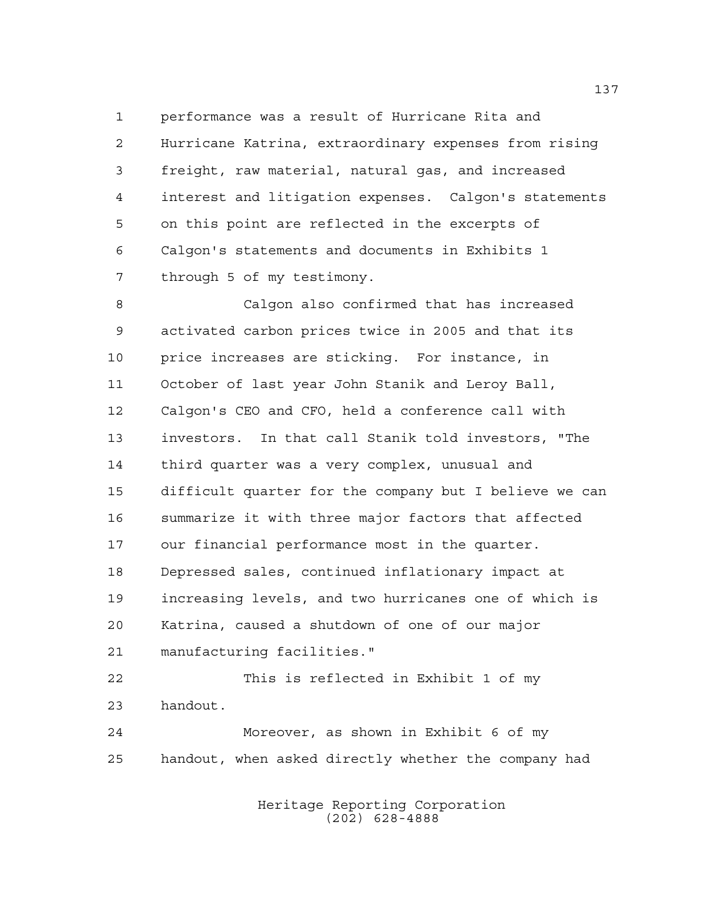performance was a result of Hurricane Rita and Hurricane Katrina, extraordinary expenses from rising freight, raw material, natural gas, and increased interest and litigation expenses. Calgon's statements on this point are reflected in the excerpts of Calgon's statements and documents in Exhibits 1 through 5 of my testimony.

 Calgon also confirmed that has increased activated carbon prices twice in 2005 and that its price increases are sticking. For instance, in October of last year John Stanik and Leroy Ball, Calgon's CEO and CFO, held a conference call with investors. In that call Stanik told investors, "The third quarter was a very complex, unusual and difficult quarter for the company but I believe we can summarize it with three major factors that affected our financial performance most in the quarter. Depressed sales, continued inflationary impact at increasing levels, and two hurricanes one of which is Katrina, caused a shutdown of one of our major manufacturing facilities."

 This is reflected in Exhibit 1 of my handout.

 Moreover, as shown in Exhibit 6 of my handout, when asked directly whether the company had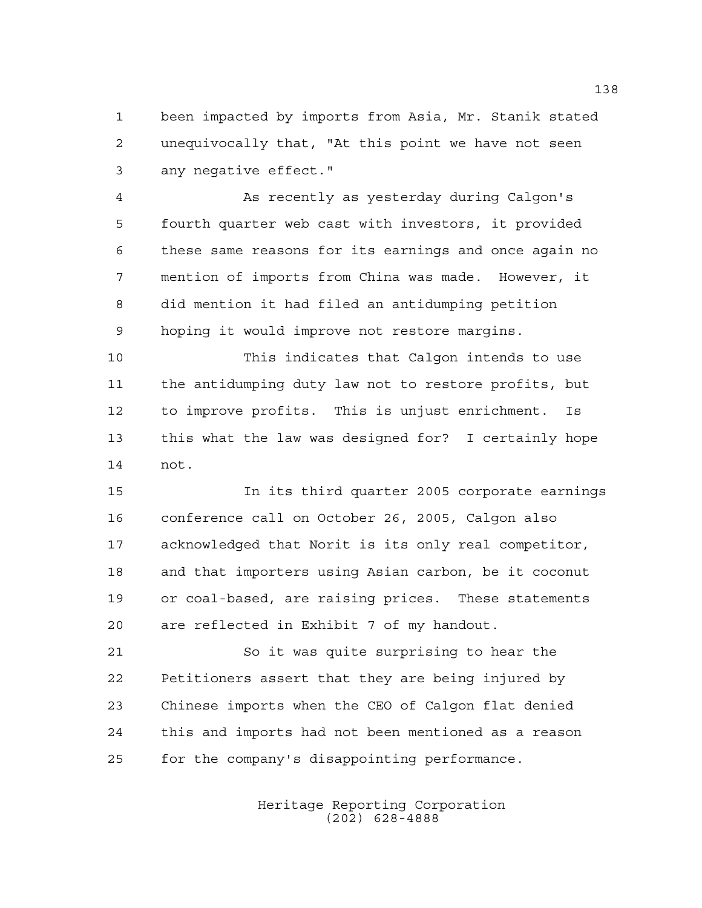been impacted by imports from Asia, Mr. Stanik stated unequivocally that, "At this point we have not seen any negative effect."

 As recently as yesterday during Calgon's fourth quarter web cast with investors, it provided these same reasons for its earnings and once again no mention of imports from China was made. However, it did mention it had filed an antidumping petition hoping it would improve not restore margins.

 This indicates that Calgon intends to use the antidumping duty law not to restore profits, but to improve profits. This is unjust enrichment. Is this what the law was designed for? I certainly hope not.

 In its third quarter 2005 corporate earnings conference call on October 26, 2005, Calgon also acknowledged that Norit is its only real competitor, and that importers using Asian carbon, be it coconut or coal-based, are raising prices. These statements are reflected in Exhibit 7 of my handout.

 So it was quite surprising to hear the Petitioners assert that they are being injured by Chinese imports when the CEO of Calgon flat denied this and imports had not been mentioned as a reason for the company's disappointing performance.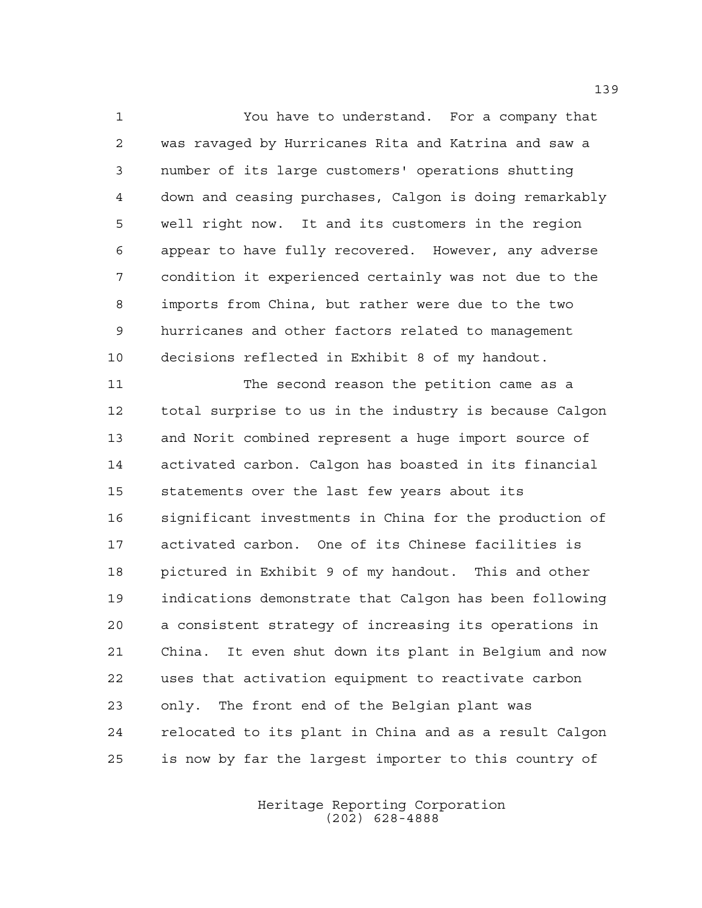You have to understand. For a company that was ravaged by Hurricanes Rita and Katrina and saw a number of its large customers' operations shutting down and ceasing purchases, Calgon is doing remarkably well right now. It and its customers in the region appear to have fully recovered. However, any adverse condition it experienced certainly was not due to the imports from China, but rather were due to the two hurricanes and other factors related to management decisions reflected in Exhibit 8 of my handout.

 The second reason the petition came as a total surprise to us in the industry is because Calgon and Norit combined represent a huge import source of activated carbon. Calgon has boasted in its financial statements over the last few years about its significant investments in China for the production of activated carbon. One of its Chinese facilities is pictured in Exhibit 9 of my handout. This and other indications demonstrate that Calgon has been following a consistent strategy of increasing its operations in China. It even shut down its plant in Belgium and now uses that activation equipment to reactivate carbon only. The front end of the Belgian plant was relocated to its plant in China and as a result Calgon is now by far the largest importer to this country of

> Heritage Reporting Corporation (202) 628-4888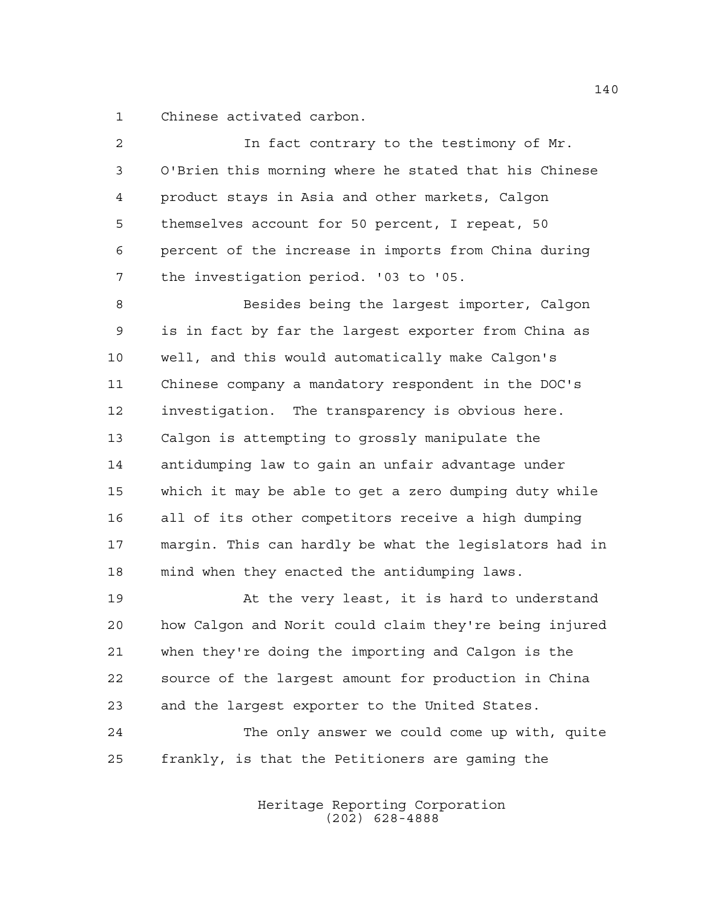Chinese activated carbon.

| $\overline{2}$ | In fact contrary to the testimony of Mr.               |
|----------------|--------------------------------------------------------|
| 3              | O'Brien this morning where he stated that his Chinese  |
| 4              | product stays in Asia and other markets, Calgon        |
| 5              | themselves account for 50 percent, I repeat, 50        |
| 6              | percent of the increase in imports from China during   |
| 7              | the investigation period. '03 to '05.                  |
| 8              | Besides being the largest importer, Calgon             |
| 9              | is in fact by far the largest exporter from China as   |
| 10             | well, and this would automatically make Calgon's       |
| 11             | Chinese company a mandatory respondent in the DOC's    |
| 12             | investigation. The transparency is obvious here.       |
| 13             | Calgon is attempting to grossly manipulate the         |
| 14             | antidumping law to gain an unfair advantage under      |
| 15             | which it may be able to get a zero dumping duty while  |
| 16             | all of its other competitors receive a high dumping    |
| 17             | margin. This can hardly be what the legislators had in |
| 18             | mind when they enacted the antidumping laws.           |
| 19             | At the very least, it is hard to understand            |
| 20             | how Calgon and Norit could claim they're being injured |
| 21             | when they're doing the importing and Calgon is the     |
| 22             | source of the largest amount for production in China   |
| 23             | and the largest exporter to the United States.         |
| 24             | The only answer we could come up with, quite           |
| 25             | frankly, is that the Petitioners are gaming the        |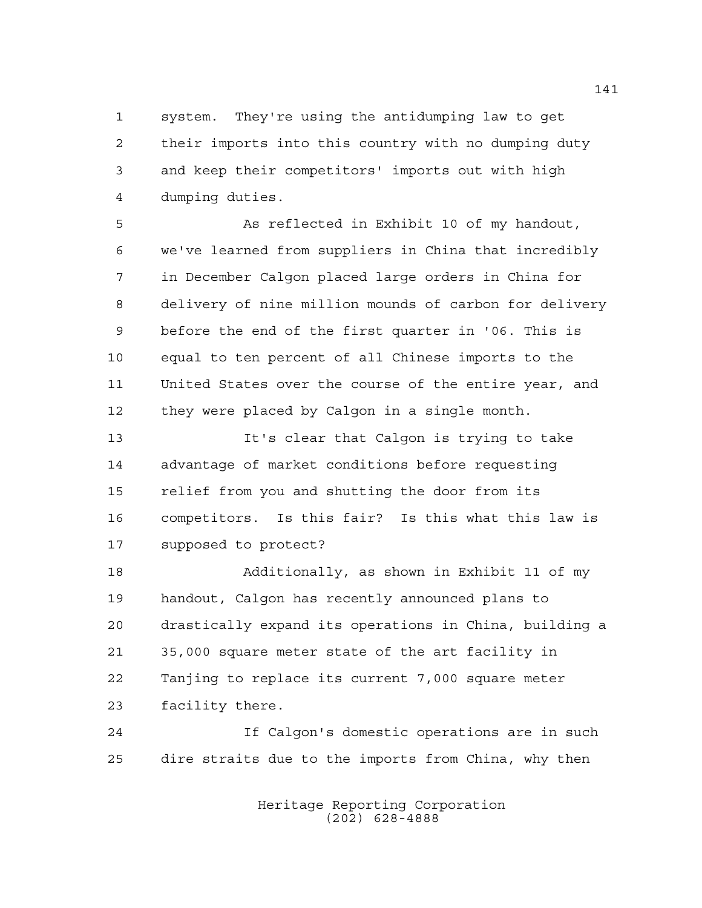system. They're using the antidumping law to get their imports into this country with no dumping duty and keep their competitors' imports out with high dumping duties.

 As reflected in Exhibit 10 of my handout, we've learned from suppliers in China that incredibly in December Calgon placed large orders in China for delivery of nine million mounds of carbon for delivery before the end of the first quarter in '06. This is equal to ten percent of all Chinese imports to the United States over the course of the entire year, and they were placed by Calgon in a single month.

 It's clear that Calgon is trying to take advantage of market conditions before requesting relief from you and shutting the door from its competitors. Is this fair? Is this what this law is supposed to protect?

 Additionally, as shown in Exhibit 11 of my handout, Calgon has recently announced plans to drastically expand its operations in China, building a 35,000 square meter state of the art facility in Tanjing to replace its current 7,000 square meter facility there.

 If Calgon's domestic operations are in such dire straits due to the imports from China, why then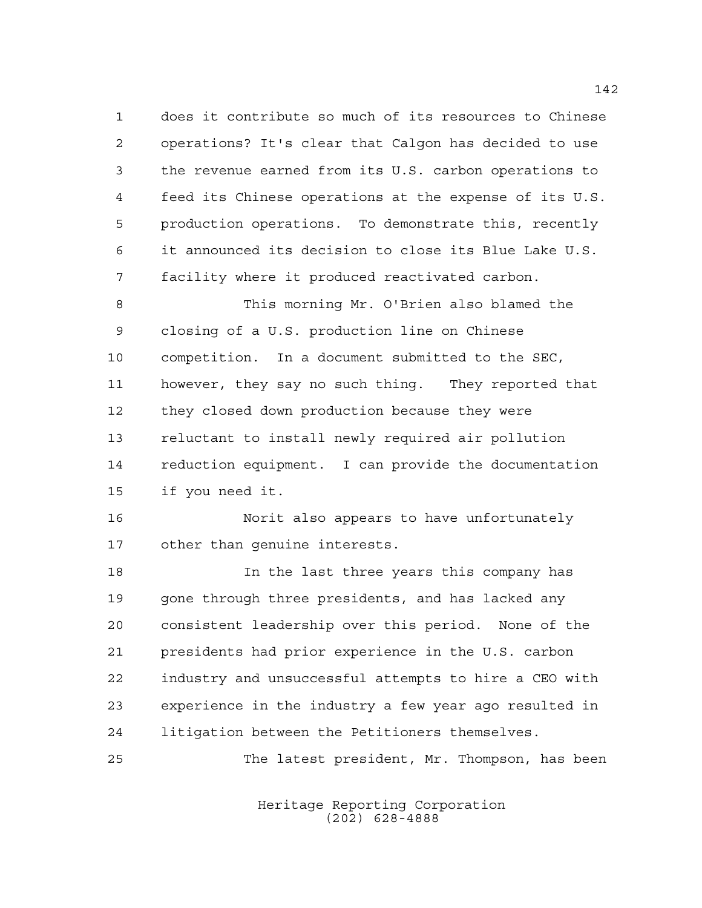does it contribute so much of its resources to Chinese operations? It's clear that Calgon has decided to use the revenue earned from its U.S. carbon operations to feed its Chinese operations at the expense of its U.S. production operations. To demonstrate this, recently it announced its decision to close its Blue Lake U.S. facility where it produced reactivated carbon.

 This morning Mr. O'Brien also blamed the closing of a U.S. production line on Chinese competition. In a document submitted to the SEC, however, they say no such thing. They reported that they closed down production because they were reluctant to install newly required air pollution reduction equipment. I can provide the documentation if you need it.

 Norit also appears to have unfortunately other than genuine interests.

 In the last three years this company has gone through three presidents, and has lacked any consistent leadership over this period. None of the presidents had prior experience in the U.S. carbon industry and unsuccessful attempts to hire a CEO with experience in the industry a few year ago resulted in litigation between the Petitioners themselves.

The latest president, Mr. Thompson, has been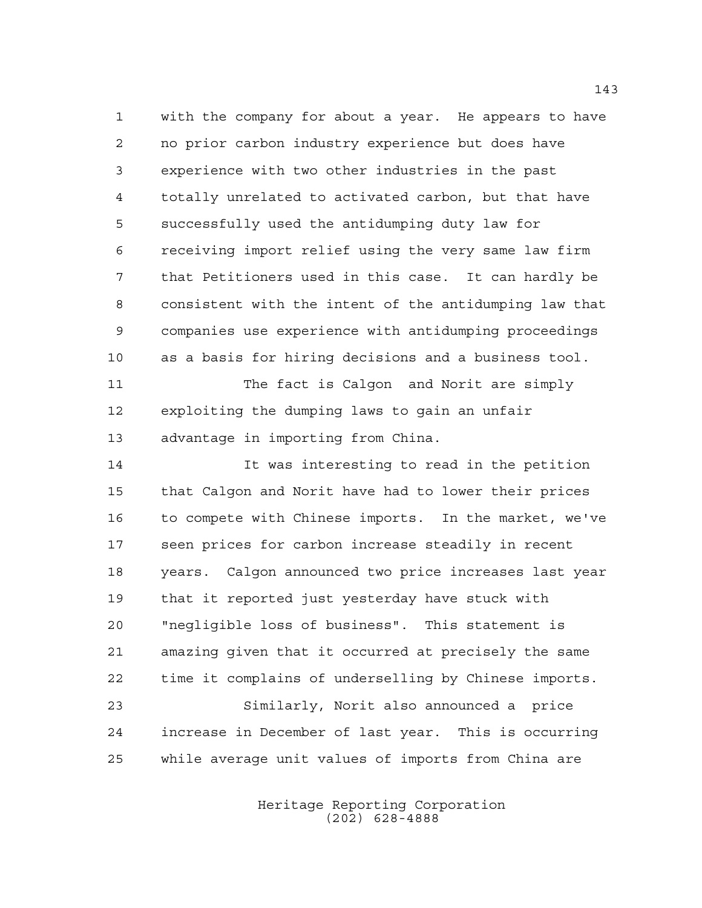with the company for about a year. He appears to have no prior carbon industry experience but does have experience with two other industries in the past totally unrelated to activated carbon, but that have successfully used the antidumping duty law for receiving import relief using the very same law firm that Petitioners used in this case. It can hardly be consistent with the intent of the antidumping law that companies use experience with antidumping proceedings as a basis for hiring decisions and a business tool.

 The fact is Calgon and Norit are simply exploiting the dumping laws to gain an unfair advantage in importing from China.

 It was interesting to read in the petition that Calgon and Norit have had to lower their prices to compete with Chinese imports. In the market, we've seen prices for carbon increase steadily in recent years. Calgon announced two price increases last year that it reported just yesterday have stuck with "negligible loss of business". This statement is amazing given that it occurred at precisely the same time it complains of underselling by Chinese imports. Similarly, Norit also announced a price increase in December of last year. This is occurring while average unit values of imports from China are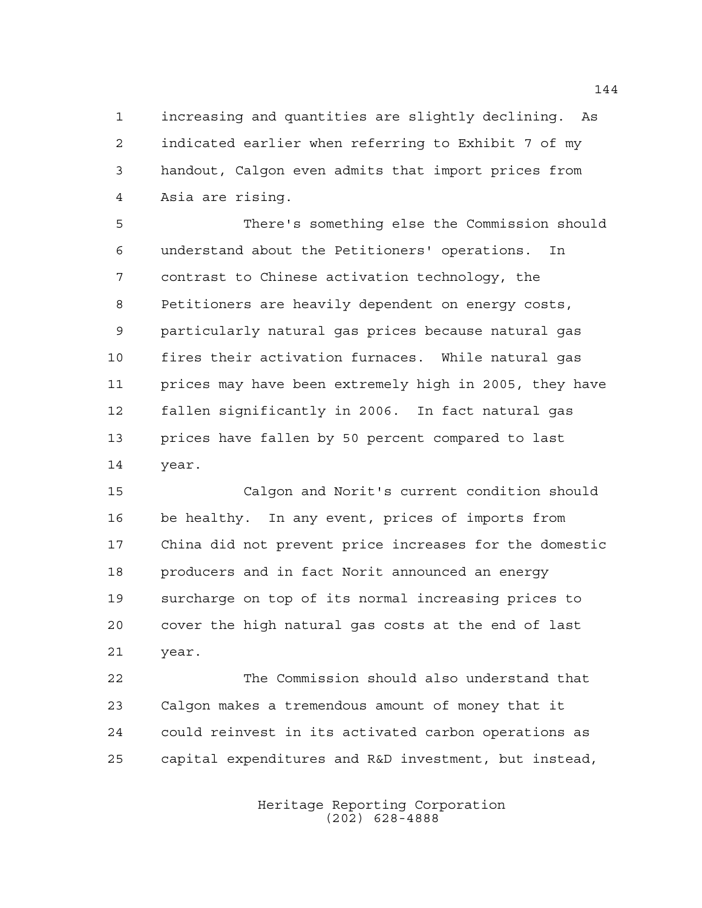increasing and quantities are slightly declining. As indicated earlier when referring to Exhibit 7 of my handout, Calgon even admits that import prices from Asia are rising.

 There's something else the Commission should understand about the Petitioners' operations. In contrast to Chinese activation technology, the Petitioners are heavily dependent on energy costs, particularly natural gas prices because natural gas fires their activation furnaces. While natural gas prices may have been extremely high in 2005, they have fallen significantly in 2006. In fact natural gas prices have fallen by 50 percent compared to last year.

 Calgon and Norit's current condition should be healthy. In any event, prices of imports from China did not prevent price increases for the domestic producers and in fact Norit announced an energy surcharge on top of its normal increasing prices to cover the high natural gas costs at the end of last year.

 The Commission should also understand that Calgon makes a tremendous amount of money that it could reinvest in its activated carbon operations as capital expenditures and R&D investment, but instead,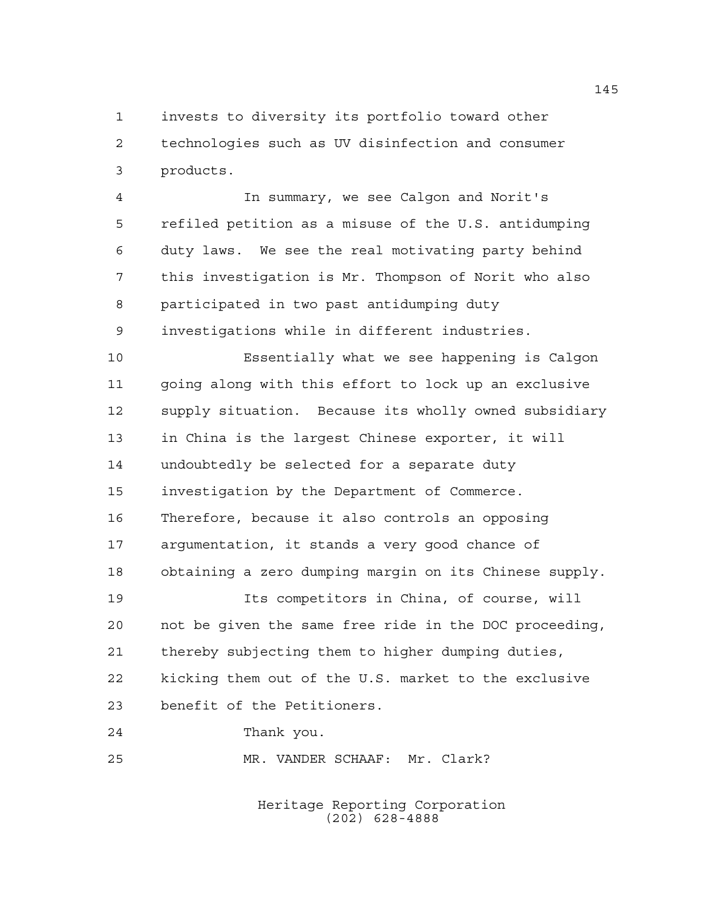invests to diversity its portfolio toward other technologies such as UV disinfection and consumer products.

 In summary, we see Calgon and Norit's refiled petition as a misuse of the U.S. antidumping duty laws. We see the real motivating party behind this investigation is Mr. Thompson of Norit who also participated in two past antidumping duty investigations while in different industries.

 Essentially what we see happening is Calgon going along with this effort to lock up an exclusive supply situation. Because its wholly owned subsidiary in China is the largest Chinese exporter, it will undoubtedly be selected for a separate duty investigation by the Department of Commerce. Therefore, because it also controls an opposing argumentation, it stands a very good chance of obtaining a zero dumping margin on its Chinese supply.

 Its competitors in China, of course, will not be given the same free ride in the DOC proceeding, thereby subjecting them to higher dumping duties, kicking them out of the U.S. market to the exclusive benefit of the Petitioners.

Thank you.

MR. VANDER SCHAAF: Mr. Clark?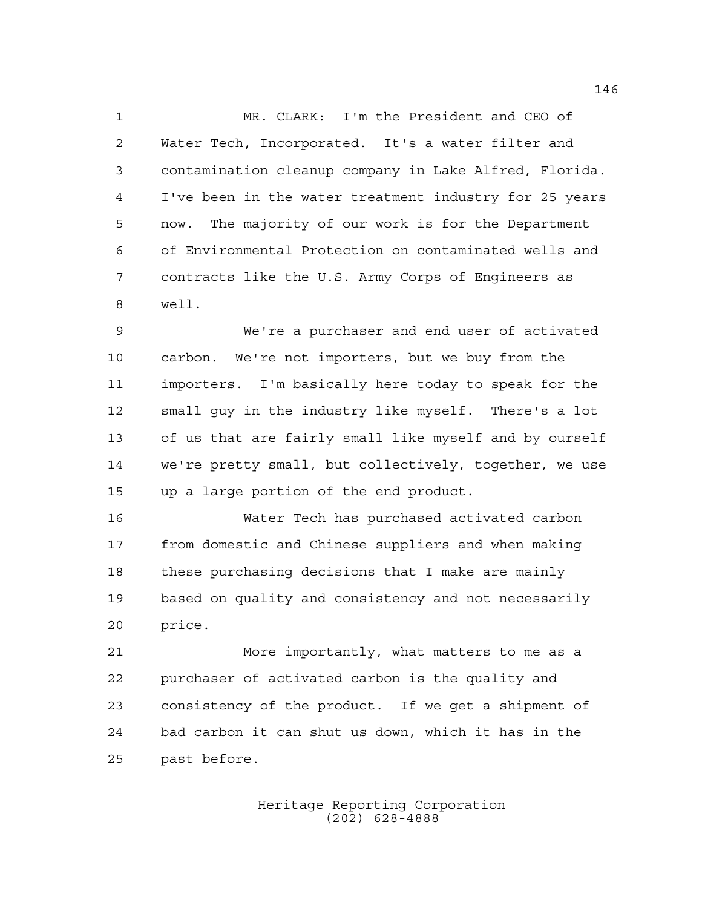MR. CLARK: I'm the President and CEO of Water Tech, Incorporated. It's a water filter and contamination cleanup company in Lake Alfred, Florida. I've been in the water treatment industry for 25 years now. The majority of our work is for the Department of Environmental Protection on contaminated wells and contracts like the U.S. Army Corps of Engineers as well.

 We're a purchaser and end user of activated carbon. We're not importers, but we buy from the importers. I'm basically here today to speak for the small guy in the industry like myself. There's a lot of us that are fairly small like myself and by ourself we're pretty small, but collectively, together, we use up a large portion of the end product.

 Water Tech has purchased activated carbon from domestic and Chinese suppliers and when making these purchasing decisions that I make are mainly based on quality and consistency and not necessarily price.

 More importantly, what matters to me as a purchaser of activated carbon is the quality and consistency of the product. If we get a shipment of bad carbon it can shut us down, which it has in the past before.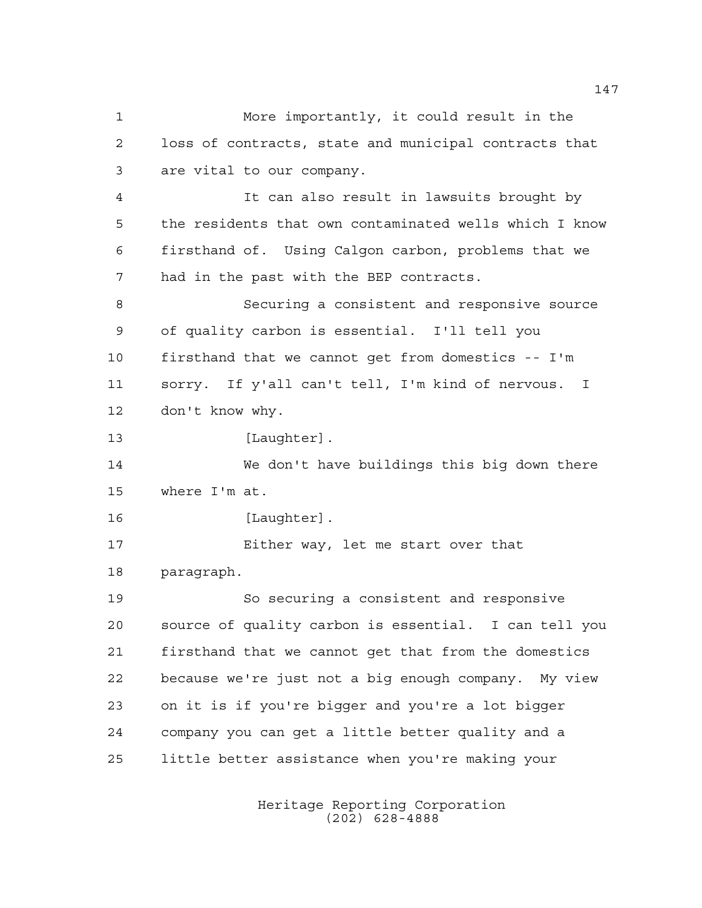More importantly, it could result in the loss of contracts, state and municipal contracts that are vital to our company. It can also result in lawsuits brought by the residents that own contaminated wells which I know firsthand of. Using Calgon carbon, problems that we had in the past with the BEP contracts. Securing a consistent and responsive source of quality carbon is essential. I'll tell you firsthand that we cannot get from domestics -- I'm sorry. If y'all can't tell, I'm kind of nervous. I don't know why. 13 [Laughter]. We don't have buildings this big down there where I'm at. 16 [Laughter]. Either way, let me start over that paragraph. So securing a consistent and responsive source of quality carbon is essential. I can tell you firsthand that we cannot get that from the domestics because we're just not a big enough company. My view on it is if you're bigger and you're a lot bigger company you can get a little better quality and a little better assistance when you're making your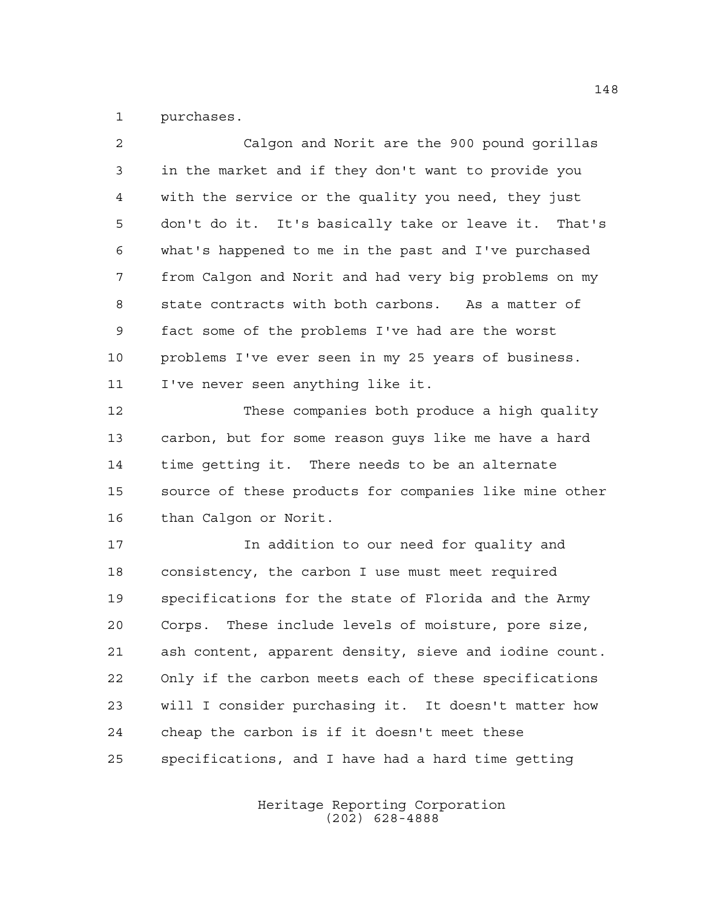purchases.

| $\overline{2}$ | Calgon and Norit are the 900 pound gorillas            |
|----------------|--------------------------------------------------------|
| 3              | in the market and if they don't want to provide you    |
| $\overline{4}$ | with the service or the quality you need, they just    |
| 5              | don't do it. It's basically take or leave it. That's   |
| 6              | what's happened to me in the past and I've purchased   |
| 7              | from Calgon and Norit and had very big problems on my  |
| 8              | state contracts with both carbons. As a matter of      |
| 9              | fact some of the problems I've had are the worst       |
| 10             | problems I've ever seen in my 25 years of business.    |
| 11             | I've never seen anything like it.                      |
| 12             | These companies both produce a high quality            |
| 13             | carbon, but for some reason guys like me have a hard   |
| 14             | time getting it. There needs to be an alternate        |
| 15             | source of these products for companies like mine other |
| 16             | than Calgon or Norit.                                  |
| 17             | In addition to our need for quality and                |
| 18             | consistency, the carbon I use must meet required       |
| 19             | specifications for the state of Florida and the Army   |
| 20             | These include levels of moisture, pore size,<br>Corps. |
| 21             | ash content, apparent density, sieve and iodine count. |
| 22             | Only if the carbon meets each of these specifications  |

 will I consider purchasing it. It doesn't matter how cheap the carbon is if it doesn't meet these specifications, and I have had a hard time getting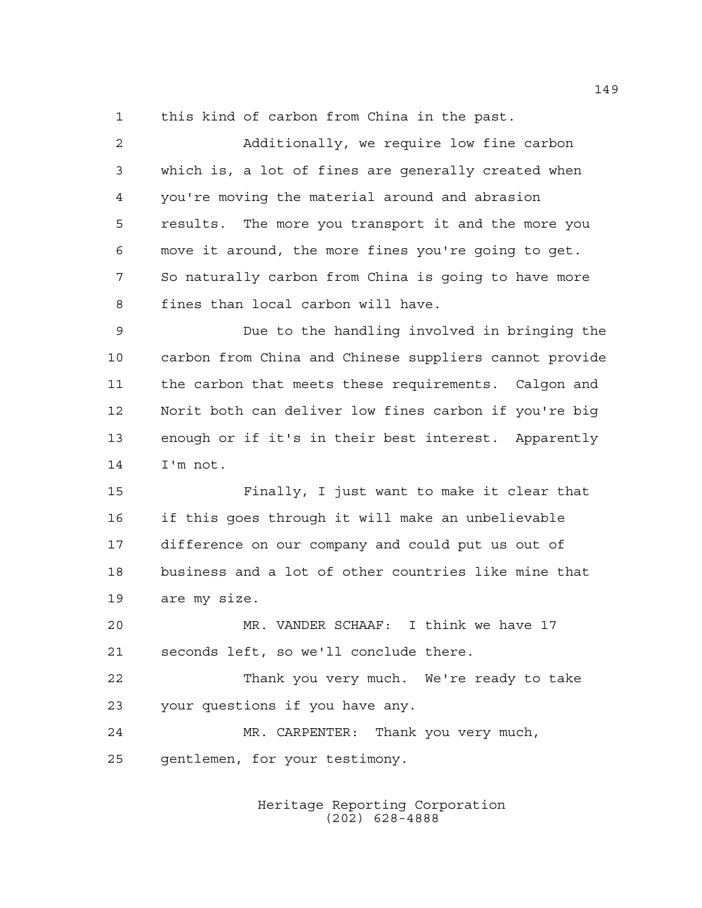this kind of carbon from China in the past.

| $\overline{2}$ | Additionally, we require low fine carbon               |
|----------------|--------------------------------------------------------|
| 3              | which is, a lot of fines are generally created when    |
| 4              | you're moving the material around and abrasion         |
| 5              | results. The more you transport it and the more you    |
| 6              | move it around, the more fines you're going to get.    |
| 7              | So naturally carbon from China is going to have more   |
| 8              | fines than local carbon will have.                     |
| $\mathsf 9$    | Due to the handling involved in bringing the           |
| 10             | carbon from China and Chinese suppliers cannot provide |
| 11             | the carbon that meets these requirements. Calgon and   |
| 12             | Norit both can deliver low fines carbon if you're big  |
| 13             | enough or if it's in their best interest. Apparently   |
| 14             | I'm not.                                               |
| 15             | Finally, I just want to make it clear that             |
| 16             | if this goes through it will make an unbelievable      |
| 17             | difference on our company and could put us out of      |
| 18             | business and a lot of other countries like mine that   |
| 19             | are my size.                                           |
| 20             | MR. VANDER SCHAAF: I think we have 17                  |
| 21             | seconds left, so we'll conclude there.                 |
| 22             | Thank you very much. We're ready to take               |
| 23             | your questions if you have any.                        |
| 24             | MR. CARPENTER: Thank you very much,                    |
| 25             | gentlemen, for your testimony.                         |
|                |                                                        |

Heritage Reporting Corporation (202) 628-4888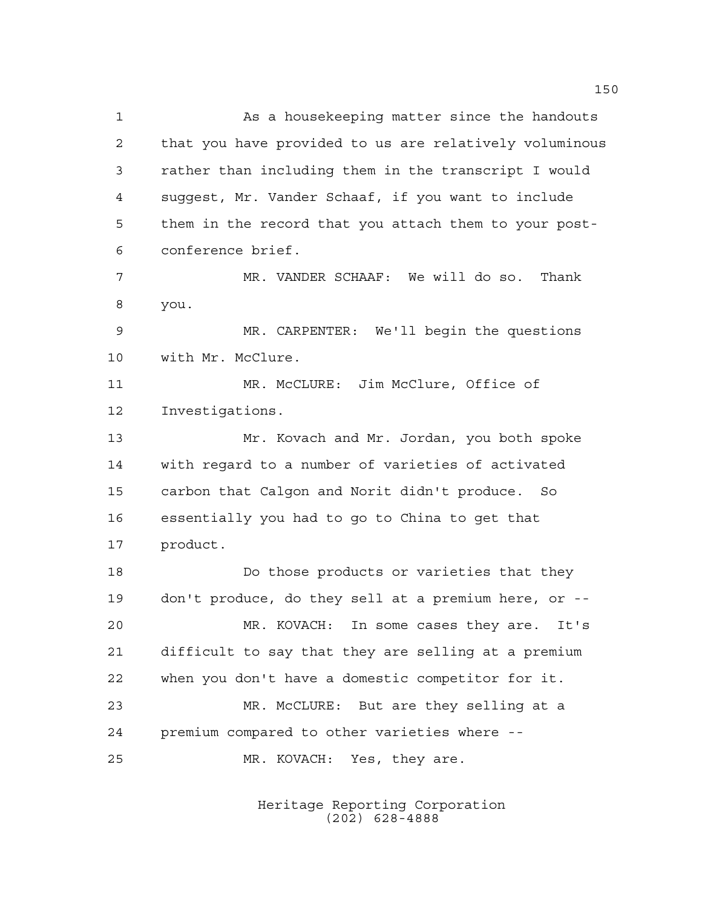As a housekeeping matter since the handouts that you have provided to us are relatively voluminous rather than including them in the transcript I would suggest, Mr. Vander Schaaf, if you want to include them in the record that you attach them to your post- conference brief. MR. VANDER SCHAAF: We will do so. Thank you. MR. CARPENTER: We'll begin the questions with Mr. McClure. MR. McCLURE: Jim McClure, Office of Investigations. Mr. Kovach and Mr. Jordan, you both spoke with regard to a number of varieties of activated carbon that Calgon and Norit didn't produce. So essentially you had to go to China to get that product. Do those products or varieties that they don't produce, do they sell at a premium here, or -- MR. KOVACH: In some cases they are. It's difficult to say that they are selling at a premium when you don't have a domestic competitor for it. MR. McCLURE: But are they selling at a premium compared to other varieties where -- MR. KOVACH: Yes, they are.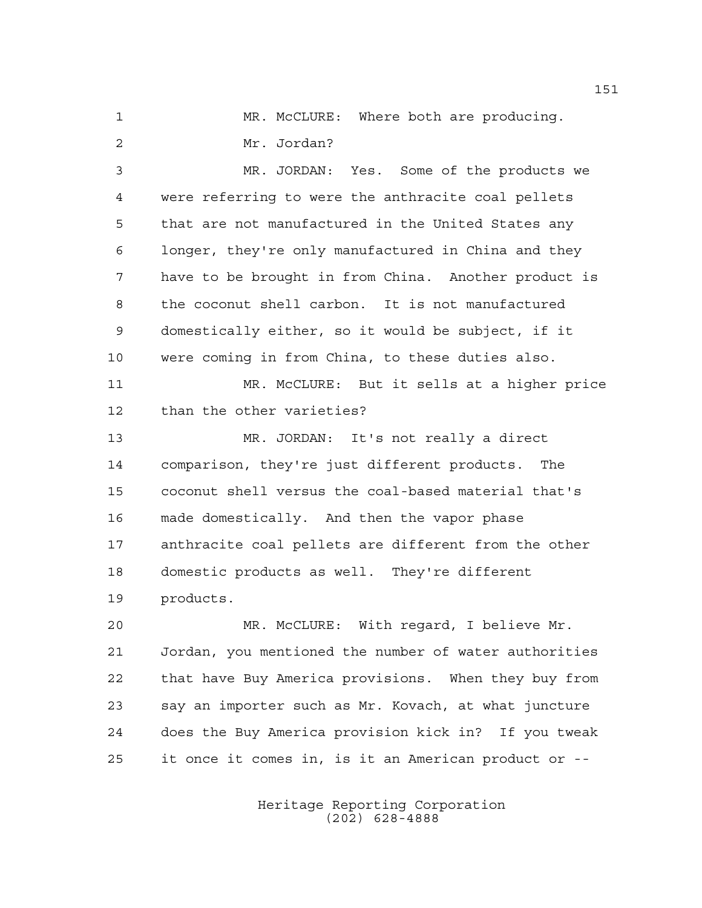MR. McCLURE: Where both are producing. Mr. Jordan?

 MR. JORDAN: Yes. Some of the products we were referring to were the anthracite coal pellets that are not manufactured in the United States any longer, they're only manufactured in China and they have to be brought in from China. Another product is the coconut shell carbon. It is not manufactured domestically either, so it would be subject, if it were coming in from China, to these duties also.

 MR. McCLURE: But it sells at a higher price than the other varieties?

 MR. JORDAN: It's not really a direct comparison, they're just different products. The coconut shell versus the coal-based material that's made domestically. And then the vapor phase anthracite coal pellets are different from the other domestic products as well. They're different products.

 MR. McCLURE: With regard, I believe Mr. Jordan, you mentioned the number of water authorities that have Buy America provisions. When they buy from say an importer such as Mr. Kovach, at what juncture does the Buy America provision kick in? If you tweak it once it comes in, is it an American product or --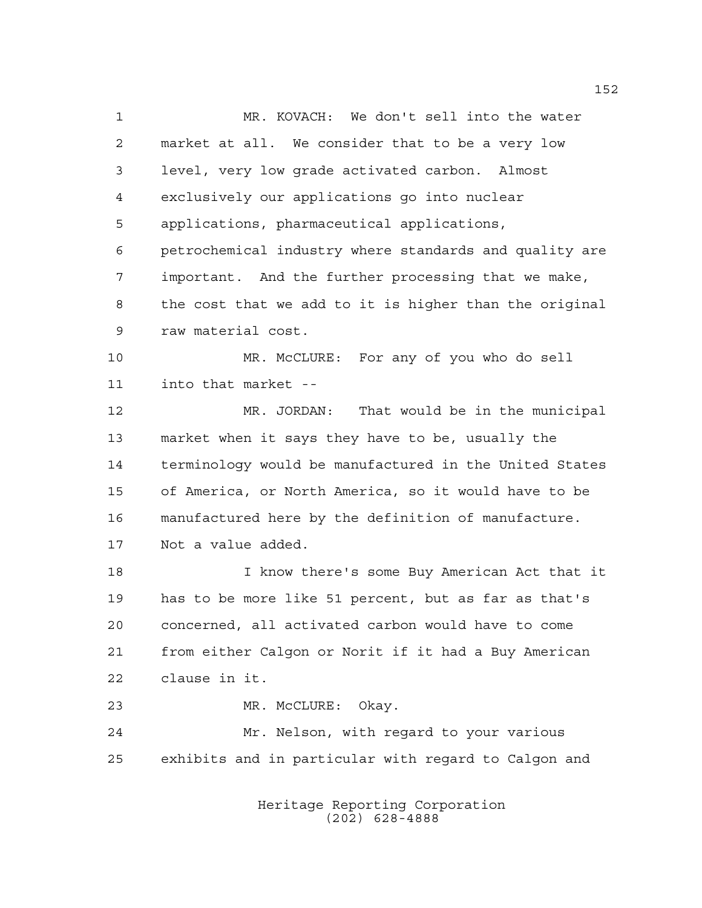MR. KOVACH: We don't sell into the water market at all. We consider that to be a very low level, very low grade activated carbon. Almost exclusively our applications go into nuclear applications, pharmaceutical applications, petrochemical industry where standards and quality are important. And the further processing that we make, the cost that we add to it is higher than the original raw material cost. MR. McCLURE: For any of you who do sell into that market -- MR. JORDAN: That would be in the municipal market when it says they have to be, usually the terminology would be manufactured in the United States of America, or North America, so it would have to be manufactured here by the definition of manufacture. Not a value added. I know there's some Buy American Act that it has to be more like 51 percent, but as far as that's concerned, all activated carbon would have to come from either Calgon or Norit if it had a Buy American clause in it. MR. McCLURE: Okay. Mr. Nelson, with regard to your various exhibits and in particular with regard to Calgon and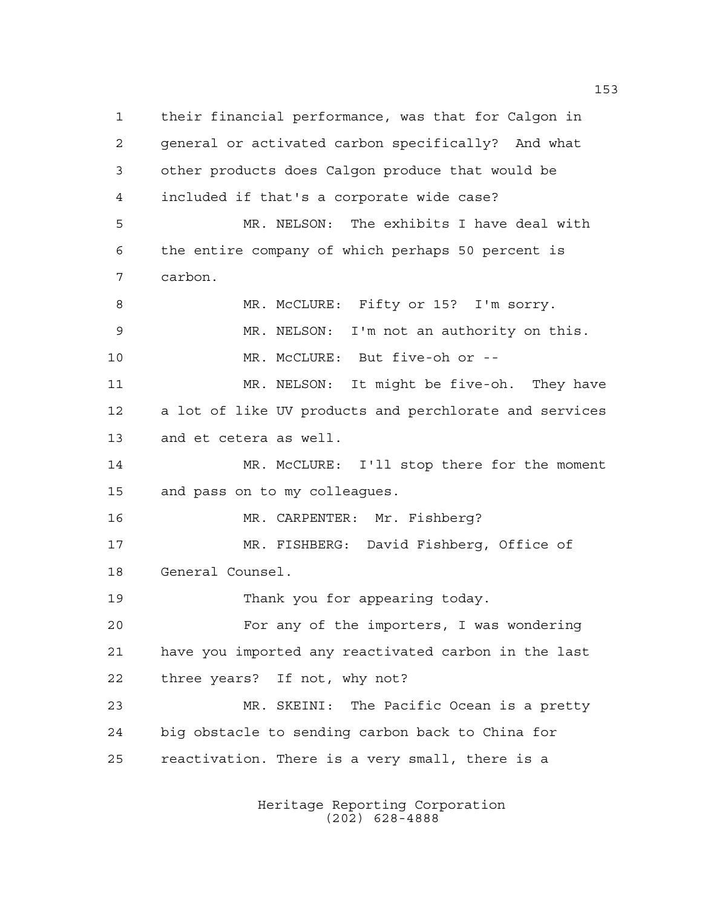their financial performance, was that for Calgon in general or activated carbon specifically? And what other products does Calgon produce that would be included if that's a corporate wide case? MR. NELSON: The exhibits I have deal with the entire company of which perhaps 50 percent is carbon. MR. McCLURE: Fifty or 15? I'm sorry. MR. NELSON: I'm not an authority on this. MR. McCLURE: But five-oh or -- MR. NELSON: It might be five-oh. They have a lot of like UV products and perchlorate and services and et cetera as well. MR. McCLURE: I'll stop there for the moment and pass on to my colleagues. MR. CARPENTER: Mr. Fishberg? MR. FISHBERG: David Fishberg, Office of General Counsel. Thank you for appearing today. For any of the importers, I was wondering have you imported any reactivated carbon in the last three years? If not, why not? MR. SKEINI: The Pacific Ocean is a pretty big obstacle to sending carbon back to China for reactivation. There is a very small, there is a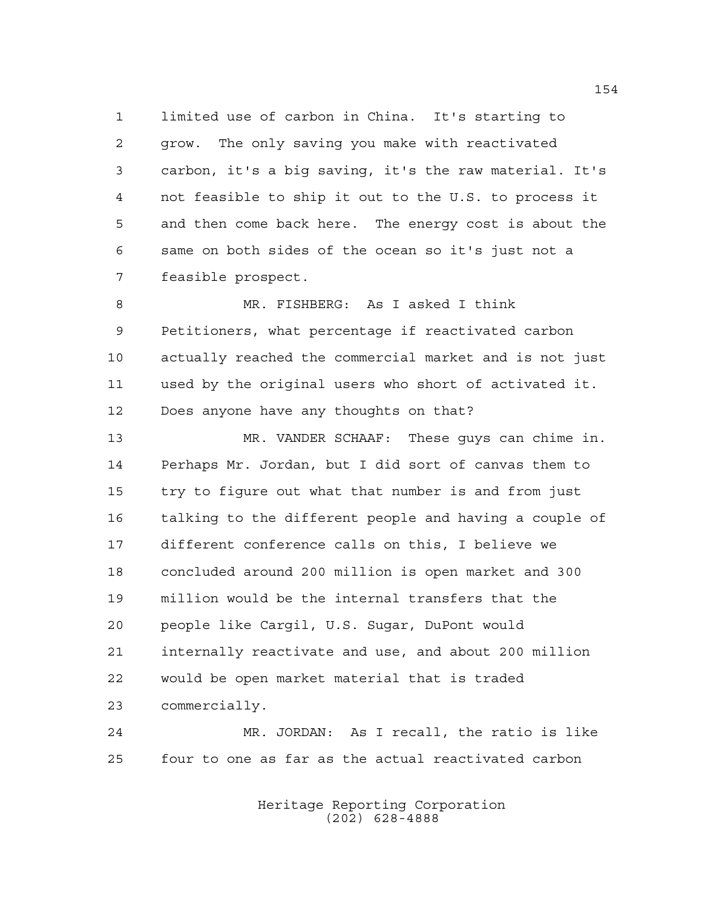limited use of carbon in China. It's starting to grow. The only saving you make with reactivated carbon, it's a big saving, it's the raw material. It's not feasible to ship it out to the U.S. to process it and then come back here. The energy cost is about the same on both sides of the ocean so it's just not a feasible prospect.

 MR. FISHBERG: As I asked I think Petitioners, what percentage if reactivated carbon actually reached the commercial market and is not just used by the original users who short of activated it. Does anyone have any thoughts on that?

 MR. VANDER SCHAAF: These guys can chime in. Perhaps Mr. Jordan, but I did sort of canvas them to try to figure out what that number is and from just talking to the different people and having a couple of different conference calls on this, I believe we concluded around 200 million is open market and 300 million would be the internal transfers that the people like Cargil, U.S. Sugar, DuPont would internally reactivate and use, and about 200 million would be open market material that is traded commercially.

 MR. JORDAN: As I recall, the ratio is like four to one as far as the actual reactivated carbon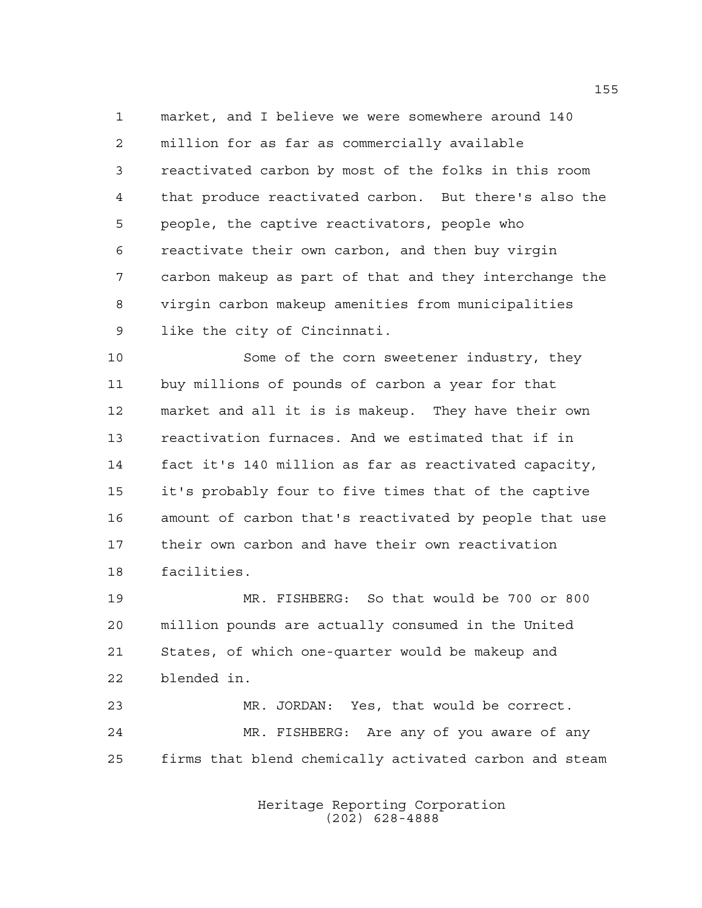market, and I believe we were somewhere around 140 million for as far as commercially available reactivated carbon by most of the folks in this room that produce reactivated carbon. But there's also the people, the captive reactivators, people who reactivate their own carbon, and then buy virgin carbon makeup as part of that and they interchange the virgin carbon makeup amenities from municipalities like the city of Cincinnati.

 Some of the corn sweetener industry, they buy millions of pounds of carbon a year for that market and all it is is makeup. They have their own reactivation furnaces. And we estimated that if in fact it's 140 million as far as reactivated capacity, it's probably four to five times that of the captive amount of carbon that's reactivated by people that use their own carbon and have their own reactivation facilities.

 MR. FISHBERG: So that would be 700 or 800 million pounds are actually consumed in the United States, of which one-quarter would be makeup and blended in.

 MR. JORDAN: Yes, that would be correct. MR. FISHBERG: Are any of you aware of any firms that blend chemically activated carbon and steam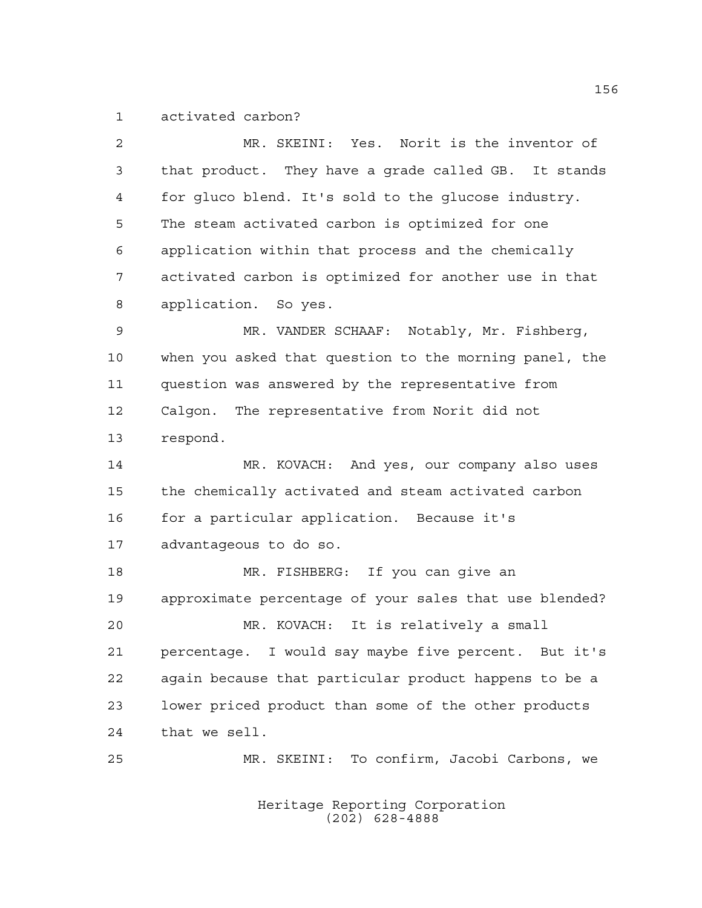activated carbon?

| $\overline{a}$ | MR. SKEINI: Yes. Norit is the inventor of              |
|----------------|--------------------------------------------------------|
| 3              | that product. They have a grade called GB. It stands   |
| $\overline{4}$ | for gluco blend. It's sold to the glucose industry.    |
| 5              | The steam activated carbon is optimized for one        |
| 6              | application within that process and the chemically     |
| 7              | activated carbon is optimized for another use in that  |
| 8              | application. So yes.                                   |
| 9              | MR. VANDER SCHAAF: Notably, Mr. Fishberg,              |
| 10             | when you asked that question to the morning panel, the |
| 11             | question was answered by the representative from       |
| 12             | Calgon. The representative from Norit did not          |
| 13             | respond.                                               |
| 14             | MR. KOVACH: And yes, our company also uses             |
| 15             | the chemically activated and steam activated carbon    |
| 16             | for a particular application. Because it's             |
| 17             | advantageous to do so.                                 |
| 18             | MR. FISHBERG: If you can give an                       |
| 19             | approximate percentage of your sales that use blended? |
| 20             | MR. KOVACH: It is relatively a small                   |
| 21             | percentage. I would say maybe five percent. But it's   |
| 22             | again because that particular product happens to be a  |
| 23             | lower priced product than some of the other products   |
| 24             | that we sell.                                          |
| 25             | MR. SKEINI: To confirm, Jacobi Carbons, we             |
|                |                                                        |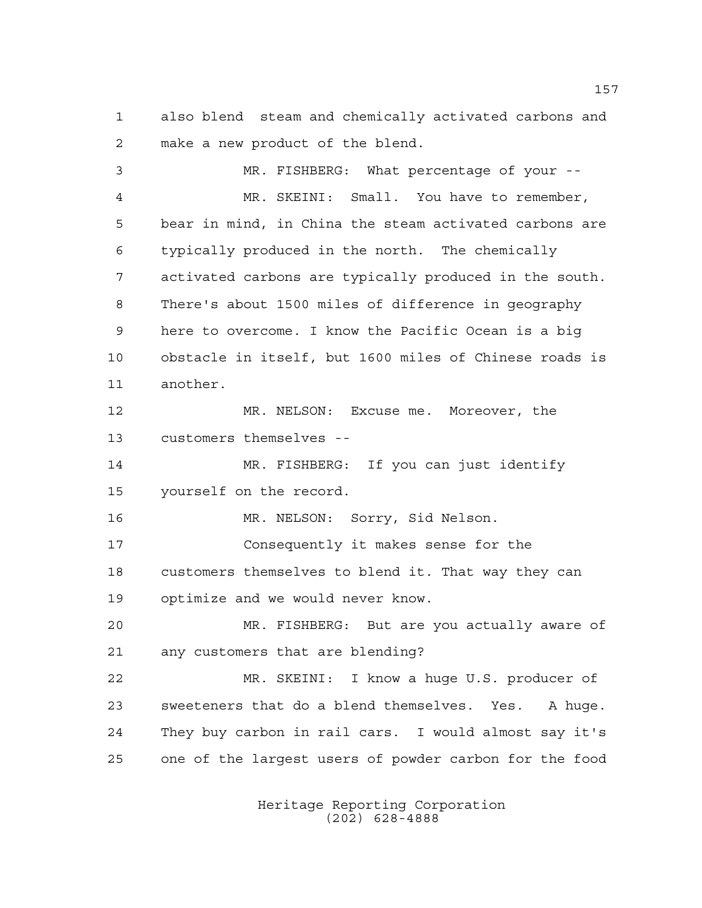also blend steam and chemically activated carbons and make a new product of the blend.

 MR. FISHBERG: What percentage of your -- MR. SKEINI: Small. You have to remember, bear in mind, in China the steam activated carbons are typically produced in the north. The chemically activated carbons are typically produced in the south. There's about 1500 miles of difference in geography here to overcome. I know the Pacific Ocean is a big obstacle in itself, but 1600 miles of Chinese roads is another. MR. NELSON: Excuse me. Moreover, the customers themselves -- MR. FISHBERG: If you can just identify yourself on the record. MR. NELSON: Sorry, Sid Nelson. Consequently it makes sense for the customers themselves to blend it. That way they can optimize and we would never know. MR. FISHBERG: But are you actually aware of any customers that are blending? MR. SKEINI: I know a huge U.S. producer of sweeteners that do a blend themselves. Yes. A huge. They buy carbon in rail cars. I would almost say it's one of the largest users of powder carbon for the food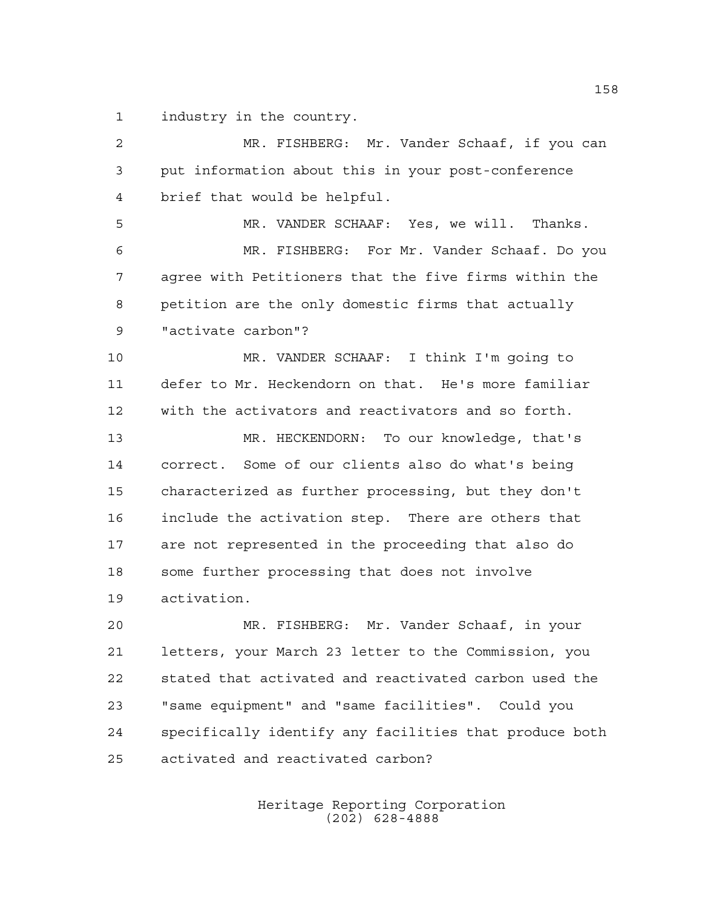industry in the country.

 MR. FISHBERG: Mr. Vander Schaaf, if you can put information about this in your post-conference brief that would be helpful. MR. VANDER SCHAAF: Yes, we will. Thanks. MR. FISHBERG: For Mr. Vander Schaaf. Do you agree with Petitioners that the five firms within the petition are the only domestic firms that actually "activate carbon"? MR. VANDER SCHAAF: I think I'm going to defer to Mr. Heckendorn on that. He's more familiar with the activators and reactivators and so forth. MR. HECKENDORN: To our knowledge, that's correct. Some of our clients also do what's being characterized as further processing, but they don't include the activation step. There are others that are not represented in the proceeding that also do some further processing that does not involve activation. MR. FISHBERG: Mr. Vander Schaaf, in your letters, your March 23 letter to the Commission, you stated that activated and reactivated carbon used the "same equipment" and "same facilities". Could you specifically identify any facilities that produce both

activated and reactivated carbon?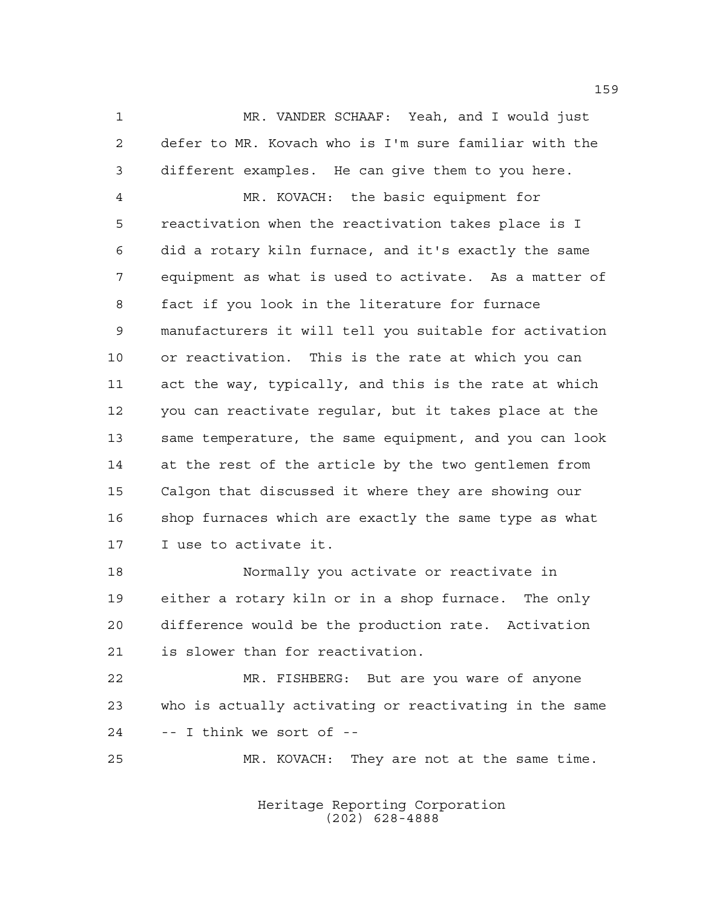MR. VANDER SCHAAF: Yeah, and I would just defer to MR. Kovach who is I'm sure familiar with the different examples. He can give them to you here.

 MR. KOVACH: the basic equipment for reactivation when the reactivation takes place is I did a rotary kiln furnace, and it's exactly the same equipment as what is used to activate. As a matter of fact if you look in the literature for furnace manufacturers it will tell you suitable for activation or reactivation. This is the rate at which you can act the way, typically, and this is the rate at which you can reactivate regular, but it takes place at the same temperature, the same equipment, and you can look at the rest of the article by the two gentlemen from Calgon that discussed it where they are showing our shop furnaces which are exactly the same type as what I use to activate it.

 Normally you activate or reactivate in either a rotary kiln or in a shop furnace. The only difference would be the production rate. Activation is slower than for reactivation.

 MR. FISHBERG: But are you ware of anyone who is actually activating or reactivating in the same -- I think we sort of --

MR. KOVACH: They are not at the same time.

Heritage Reporting Corporation (202) 628-4888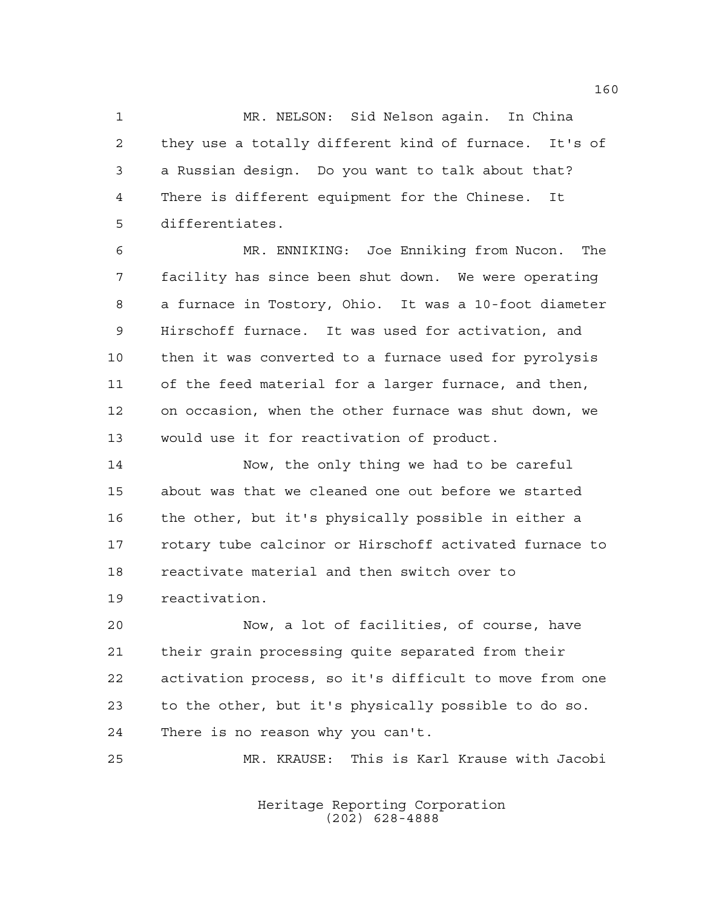MR. NELSON: Sid Nelson again. In China they use a totally different kind of furnace. It's of a Russian design. Do you want to talk about that? There is different equipment for the Chinese. It differentiates.

 MR. ENNIKING: Joe Enniking from Nucon. The facility has since been shut down. We were operating a furnace in Tostory, Ohio. It was a 10-foot diameter Hirschoff furnace. It was used for activation, and then it was converted to a furnace used for pyrolysis of the feed material for a larger furnace, and then, on occasion, when the other furnace was shut down, we would use it for reactivation of product.

 Now, the only thing we had to be careful about was that we cleaned one out before we started the other, but it's physically possible in either a rotary tube calcinor or Hirschoff activated furnace to reactivate material and then switch over to reactivation.

 Now, a lot of facilities, of course, have their grain processing quite separated from their activation process, so it's difficult to move from one to the other, but it's physically possible to do so. There is no reason why you can't.

MR. KRAUSE: This is Karl Krause with Jacobi

Heritage Reporting Corporation (202) 628-4888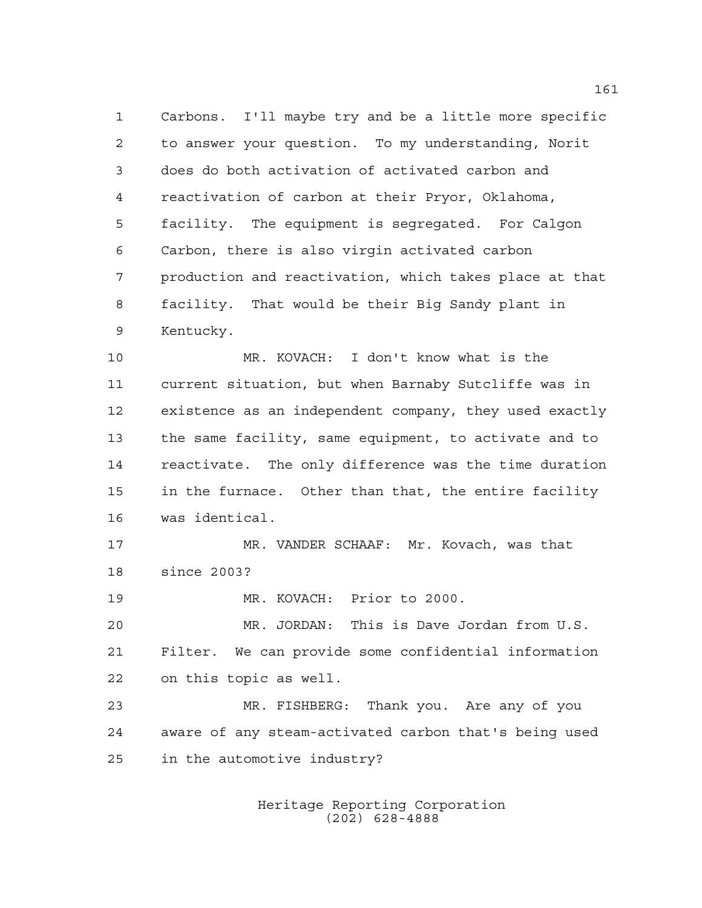Carbons. I'll maybe try and be a little more specific to answer your question. To my understanding, Norit does do both activation of activated carbon and reactivation of carbon at their Pryor, Oklahoma, facility. The equipment is segregated. For Calgon Carbon, there is also virgin activated carbon production and reactivation, which takes place at that facility. That would be their Big Sandy plant in Kentucky.

 MR. KOVACH: I don't know what is the current situation, but when Barnaby Sutcliffe was in existence as an independent company, they used exactly the same facility, same equipment, to activate and to reactivate. The only difference was the time duration in the furnace. Other than that, the entire facility was identical.

 MR. VANDER SCHAAF: Mr. Kovach, was that since 2003?

MR. KOVACH: Prior to 2000.

 MR. JORDAN: This is Dave Jordan from U.S. Filter. We can provide some confidential information on this topic as well.

 MR. FISHBERG: Thank you. Are any of you aware of any steam-activated carbon that's being used in the automotive industry?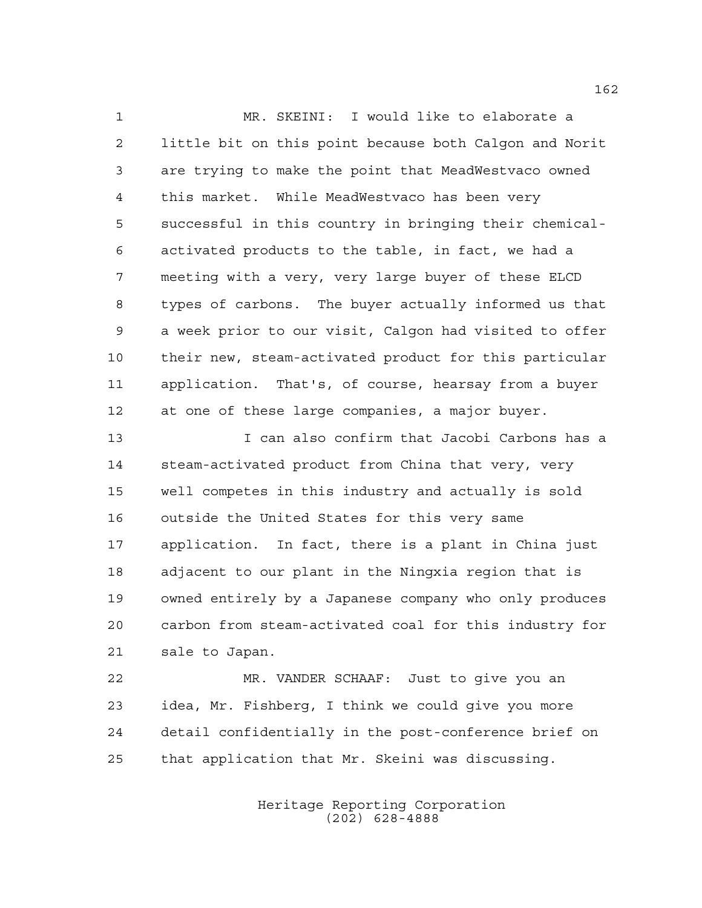MR. SKEINI: I would like to elaborate a little bit on this point because both Calgon and Norit are trying to make the point that MeadWestvaco owned this market. While MeadWestvaco has been very successful in this country in bringing their chemical- activated products to the table, in fact, we had a meeting with a very, very large buyer of these ELCD types of carbons. The buyer actually informed us that a week prior to our visit, Calgon had visited to offer their new, steam-activated product for this particular application. That's, of course, hearsay from a buyer at one of these large companies, a major buyer.

 I can also confirm that Jacobi Carbons has a steam-activated product from China that very, very well competes in this industry and actually is sold outside the United States for this very same application. In fact, there is a plant in China just adjacent to our plant in the Ningxia region that is owned entirely by a Japanese company who only produces carbon from steam-activated coal for this industry for sale to Japan.

 MR. VANDER SCHAAF: Just to give you an idea, Mr. Fishberg, I think we could give you more detail confidentially in the post-conference brief on that application that Mr. Skeini was discussing.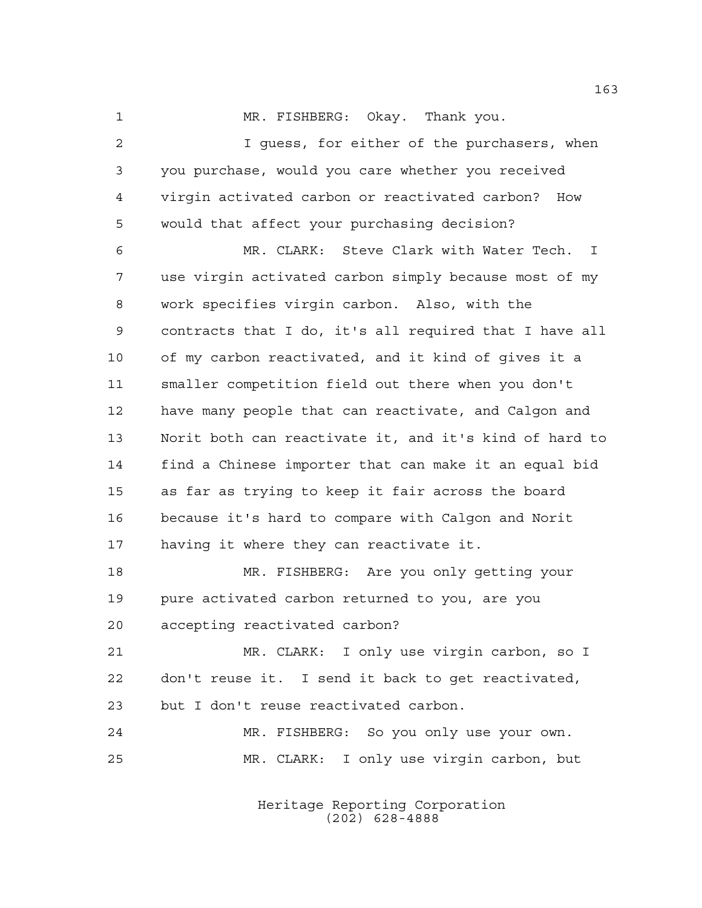1 MR. FISHBERG: Okay. Thank you.

 I guess, for either of the purchasers, when you purchase, would you care whether you received virgin activated carbon or reactivated carbon? How would that affect your purchasing decision?

 MR. CLARK: Steve Clark with Water Tech. I use virgin activated carbon simply because most of my work specifies virgin carbon. Also, with the contracts that I do, it's all required that I have all of my carbon reactivated, and it kind of gives it a smaller competition field out there when you don't have many people that can reactivate, and Calgon and Norit both can reactivate it, and it's kind of hard to find a Chinese importer that can make it an equal bid as far as trying to keep it fair across the board because it's hard to compare with Calgon and Norit having it where they can reactivate it.

 MR. FISHBERG: Are you only getting your pure activated carbon returned to you, are you accepting reactivated carbon?

 MR. CLARK: I only use virgin carbon, so I don't reuse it. I send it back to get reactivated, but I don't reuse reactivated carbon.

 MR. FISHBERG: So you only use your own. MR. CLARK: I only use virgin carbon, but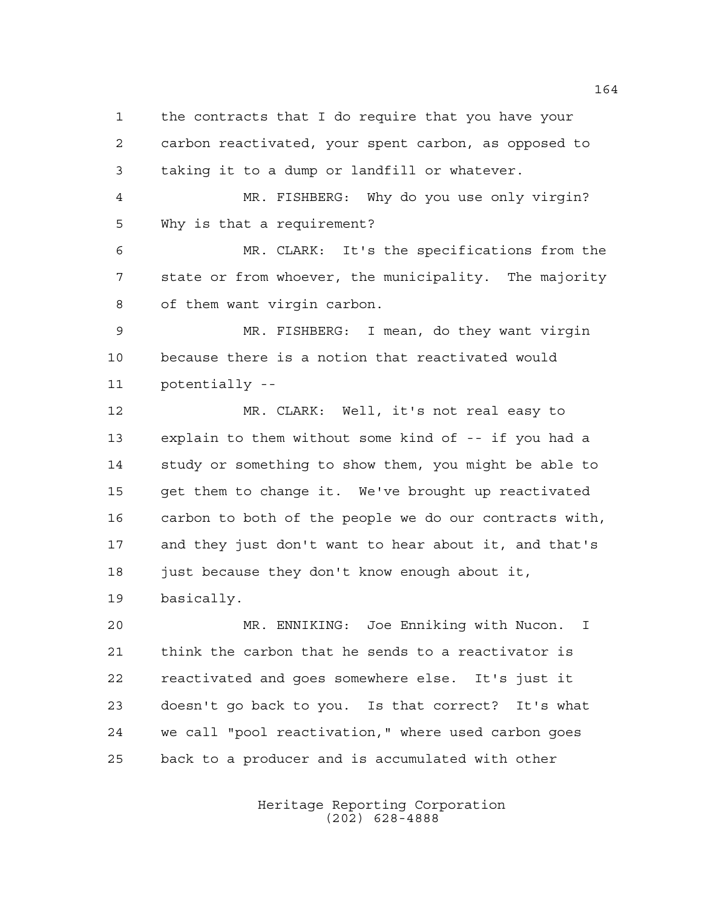the contracts that I do require that you have your carbon reactivated, your spent carbon, as opposed to taking it to a dump or landfill or whatever.

 MR. FISHBERG: Why do you use only virgin? Why is that a requirement?

 MR. CLARK: It's the specifications from the state or from whoever, the municipality. The majority of them want virgin carbon.

 MR. FISHBERG: I mean, do they want virgin because there is a notion that reactivated would potentially --

 MR. CLARK: Well, it's not real easy to explain to them without some kind of -- if you had a study or something to show them, you might be able to get them to change it. We've brought up reactivated carbon to both of the people we do our contracts with, and they just don't want to hear about it, and that's just because they don't know enough about it, basically.

 MR. ENNIKING: Joe Enniking with Nucon. I think the carbon that he sends to a reactivator is reactivated and goes somewhere else. It's just it doesn't go back to you. Is that correct? It's what we call "pool reactivation," where used carbon goes back to a producer and is accumulated with other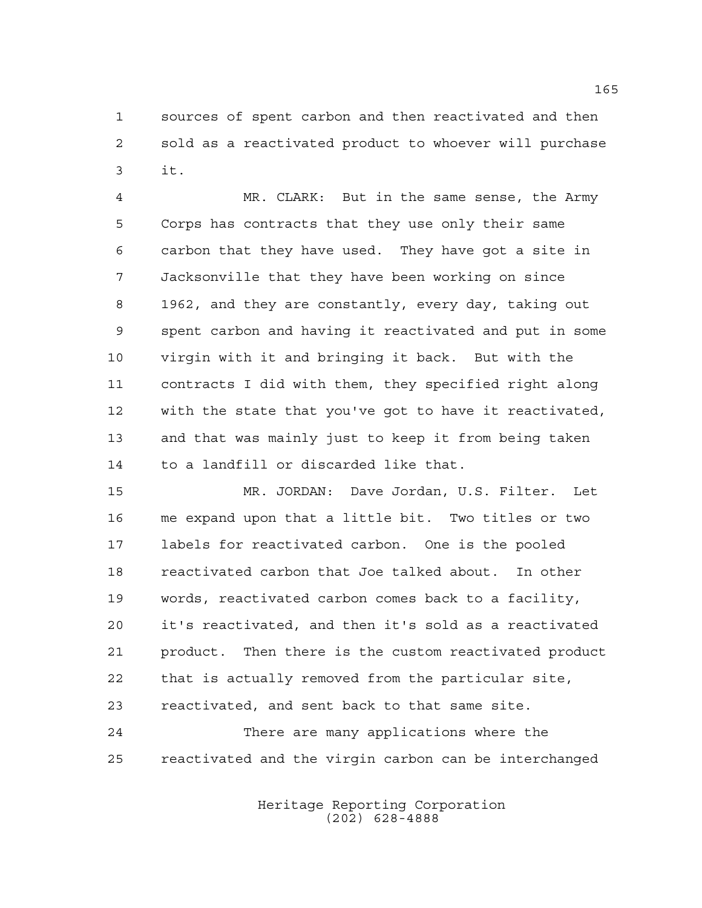sources of spent carbon and then reactivated and then sold as a reactivated product to whoever will purchase it.

 MR. CLARK: But in the same sense, the Army Corps has contracts that they use only their same carbon that they have used. They have got a site in Jacksonville that they have been working on since 1962, and they are constantly, every day, taking out spent carbon and having it reactivated and put in some virgin with it and bringing it back. But with the contracts I did with them, they specified right along with the state that you've got to have it reactivated, and that was mainly just to keep it from being taken to a landfill or discarded like that.

 MR. JORDAN: Dave Jordan, U.S. Filter. Let me expand upon that a little bit. Two titles or two labels for reactivated carbon. One is the pooled reactivated carbon that Joe talked about. In other words, reactivated carbon comes back to a facility, it's reactivated, and then it's sold as a reactivated product. Then there is the custom reactivated product that is actually removed from the particular site, reactivated, and sent back to that same site. There are many applications where the

reactivated and the virgin carbon can be interchanged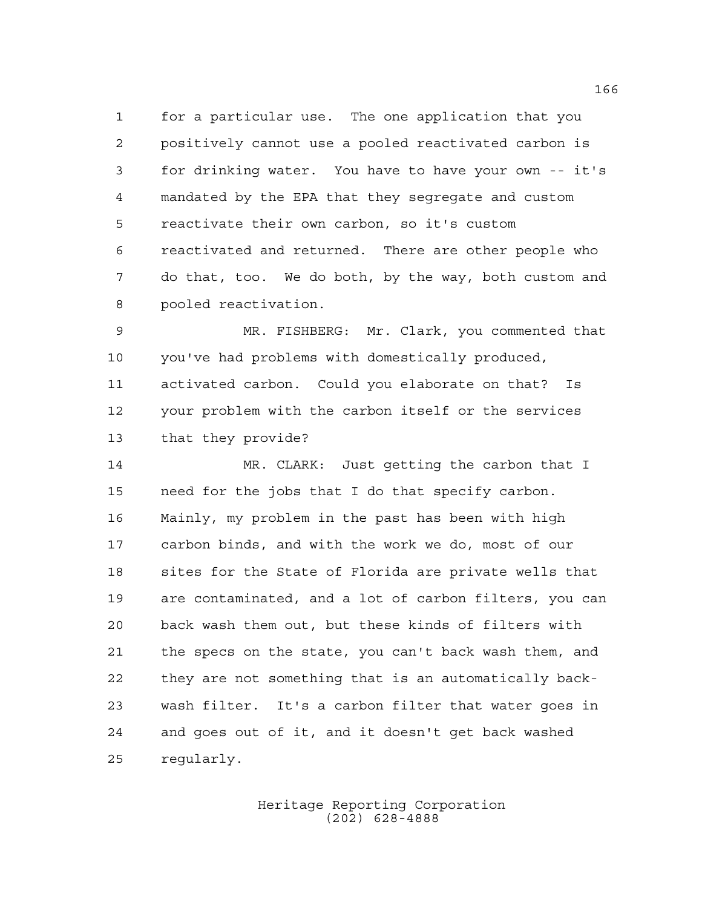for a particular use. The one application that you positively cannot use a pooled reactivated carbon is for drinking water. You have to have your own -- it's mandated by the EPA that they segregate and custom reactivate their own carbon, so it's custom reactivated and returned. There are other people who do that, too. We do both, by the way, both custom and pooled reactivation.

 MR. FISHBERG: Mr. Clark, you commented that you've had problems with domestically produced, activated carbon. Could you elaborate on that? Is your problem with the carbon itself or the services that they provide?

 MR. CLARK: Just getting the carbon that I need for the jobs that I do that specify carbon. Mainly, my problem in the past has been with high carbon binds, and with the work we do, most of our sites for the State of Florida are private wells that are contaminated, and a lot of carbon filters, you can back wash them out, but these kinds of filters with the specs on the state, you can't back wash them, and they are not something that is an automatically back- wash filter. It's a carbon filter that water goes in and goes out of it, and it doesn't get back washed regularly.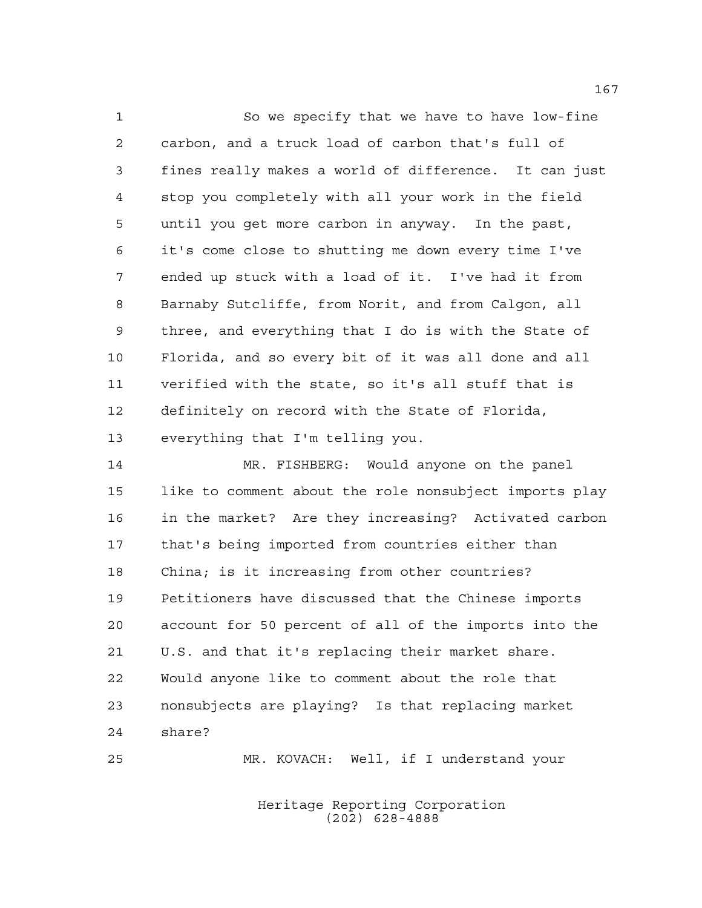So we specify that we have to have low-fine carbon, and a truck load of carbon that's full of fines really makes a world of difference. It can just stop you completely with all your work in the field until you get more carbon in anyway. In the past, it's come close to shutting me down every time I've ended up stuck with a load of it. I've had it from Barnaby Sutcliffe, from Norit, and from Calgon, all three, and everything that I do is with the State of Florida, and so every bit of it was all done and all verified with the state, so it's all stuff that is definitely on record with the State of Florida, everything that I'm telling you.

 MR. FISHBERG: Would anyone on the panel like to comment about the role nonsubject imports play in the market? Are they increasing? Activated carbon that's being imported from countries either than China; is it increasing from other countries? Petitioners have discussed that the Chinese imports account for 50 percent of all of the imports into the U.S. and that it's replacing their market share. Would anyone like to comment about the role that nonsubjects are playing? Is that replacing market share?

MR. KOVACH: Well, if I understand your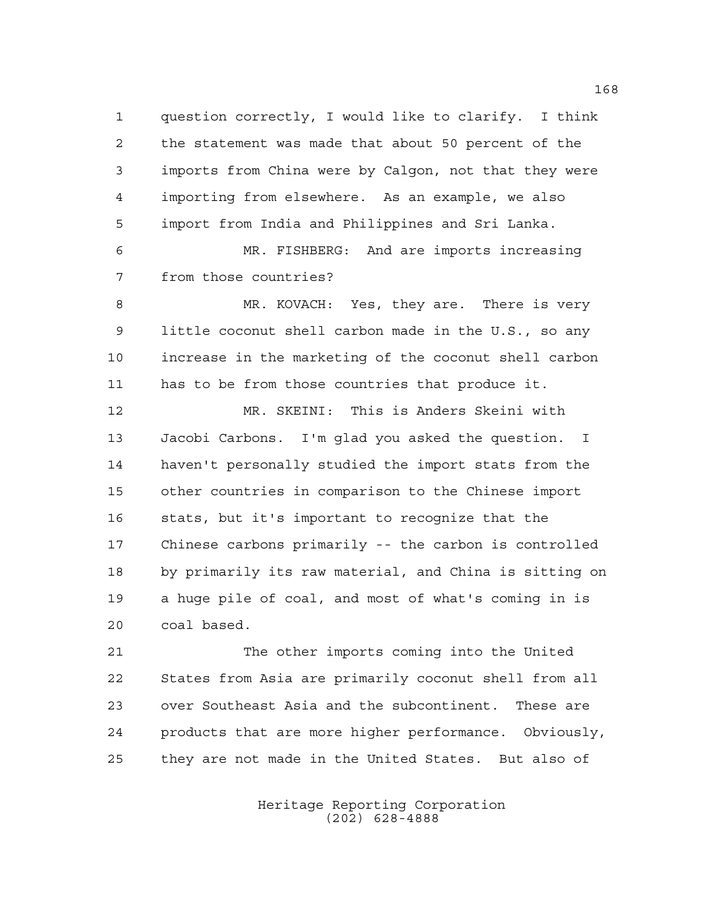question correctly, I would like to clarify. I think the statement was made that about 50 percent of the imports from China were by Calgon, not that they were importing from elsewhere. As an example, we also import from India and Philippines and Sri Lanka. MR. FISHBERG: And are imports increasing from those countries? MR. KOVACH: Yes, they are. There is very little coconut shell carbon made in the U.S., so any increase in the marketing of the coconut shell carbon has to be from those countries that produce it. MR. SKEINI: This is Anders Skeini with Jacobi Carbons. I'm glad you asked the question. I haven't personally studied the import stats from the

 other countries in comparison to the Chinese import stats, but it's important to recognize that the Chinese carbons primarily -- the carbon is controlled by primarily its raw material, and China is sitting on a huge pile of coal, and most of what's coming in is coal based.

 The other imports coming into the United States from Asia are primarily coconut shell from all over Southeast Asia and the subcontinent. These are products that are more higher performance. Obviously, they are not made in the United States. But also of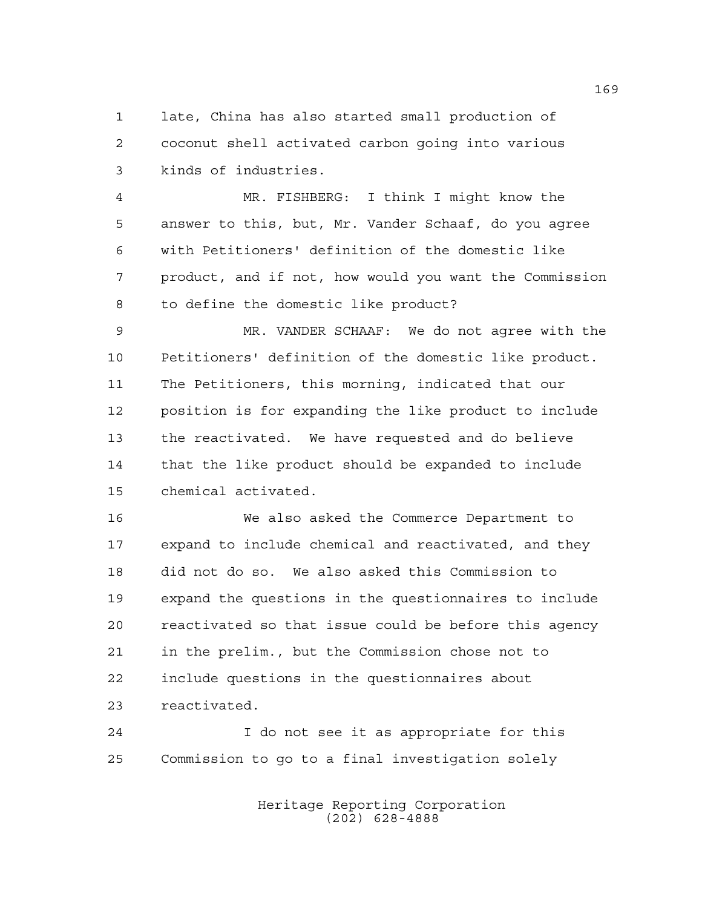late, China has also started small production of coconut shell activated carbon going into various kinds of industries.

 MR. FISHBERG: I think I might know the answer to this, but, Mr. Vander Schaaf, do you agree with Petitioners' definition of the domestic like product, and if not, how would you want the Commission to define the domestic like product?

 MR. VANDER SCHAAF: We do not agree with the Petitioners' definition of the domestic like product. The Petitioners, this morning, indicated that our position is for expanding the like product to include the reactivated. We have requested and do believe that the like product should be expanded to include chemical activated.

 We also asked the Commerce Department to expand to include chemical and reactivated, and they did not do so. We also asked this Commission to expand the questions in the questionnaires to include reactivated so that issue could be before this agency in the prelim., but the Commission chose not to include questions in the questionnaires about reactivated.

 I do not see it as appropriate for this Commission to go to a final investigation solely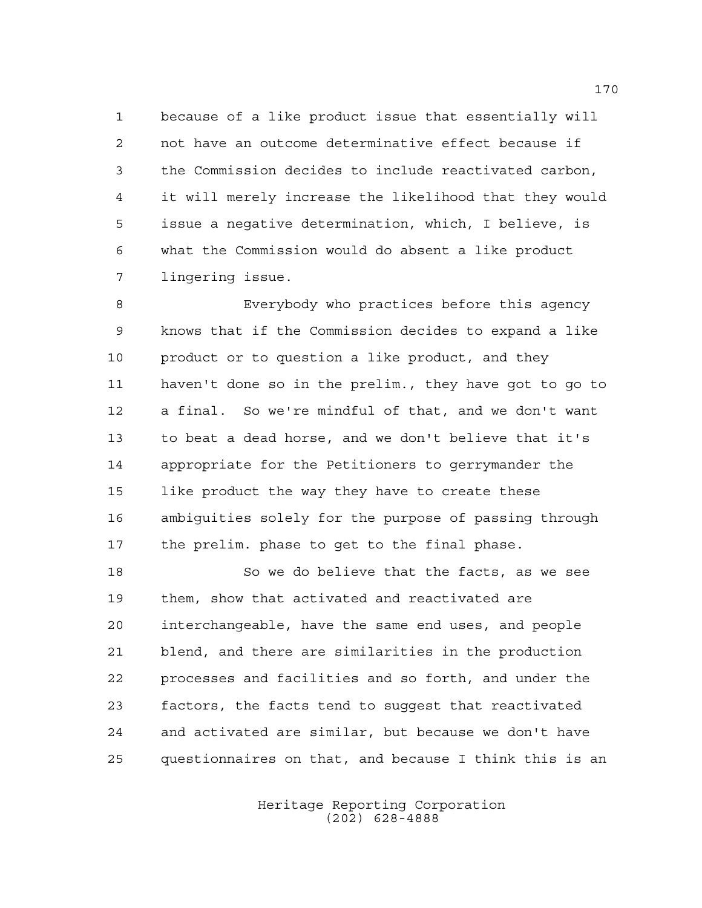because of a like product issue that essentially will not have an outcome determinative effect because if the Commission decides to include reactivated carbon, it will merely increase the likelihood that they would issue a negative determination, which, I believe, is what the Commission would do absent a like product lingering issue.

 Everybody who practices before this agency knows that if the Commission decides to expand a like 10 product or to question a like product, and they haven't done so in the prelim., they have got to go to a final. So we're mindful of that, and we don't want to beat a dead horse, and we don't believe that it's appropriate for the Petitioners to gerrymander the like product the way they have to create these ambiguities solely for the purpose of passing through the prelim. phase to get to the final phase.

 So we do believe that the facts, as we see them, show that activated and reactivated are interchangeable, have the same end uses, and people blend, and there are similarities in the production processes and facilities and so forth, and under the factors, the facts tend to suggest that reactivated and activated are similar, but because we don't have questionnaires on that, and because I think this is an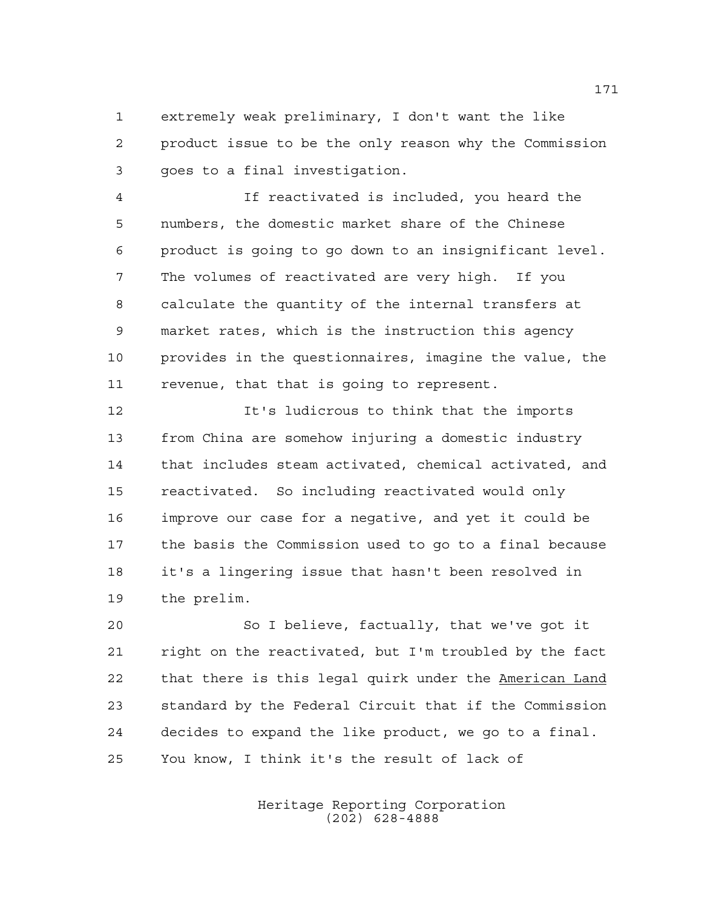extremely weak preliminary, I don't want the like product issue to be the only reason why the Commission goes to a final investigation.

 If reactivated is included, you heard the numbers, the domestic market share of the Chinese product is going to go down to an insignificant level. The volumes of reactivated are very high. If you calculate the quantity of the internal transfers at market rates, which is the instruction this agency provides in the questionnaires, imagine the value, the revenue, that that is going to represent.

 It's ludicrous to think that the imports from China are somehow injuring a domestic industry that includes steam activated, chemical activated, and reactivated. So including reactivated would only improve our case for a negative, and yet it could be the basis the Commission used to go to a final because it's a lingering issue that hasn't been resolved in the prelim.

 So I believe, factually, that we've got it right on the reactivated, but I'm troubled by the fact 22 that there is this legal quirk under the American Land standard by the Federal Circuit that if the Commission decides to expand the like product, we go to a final. You know, I think it's the result of lack of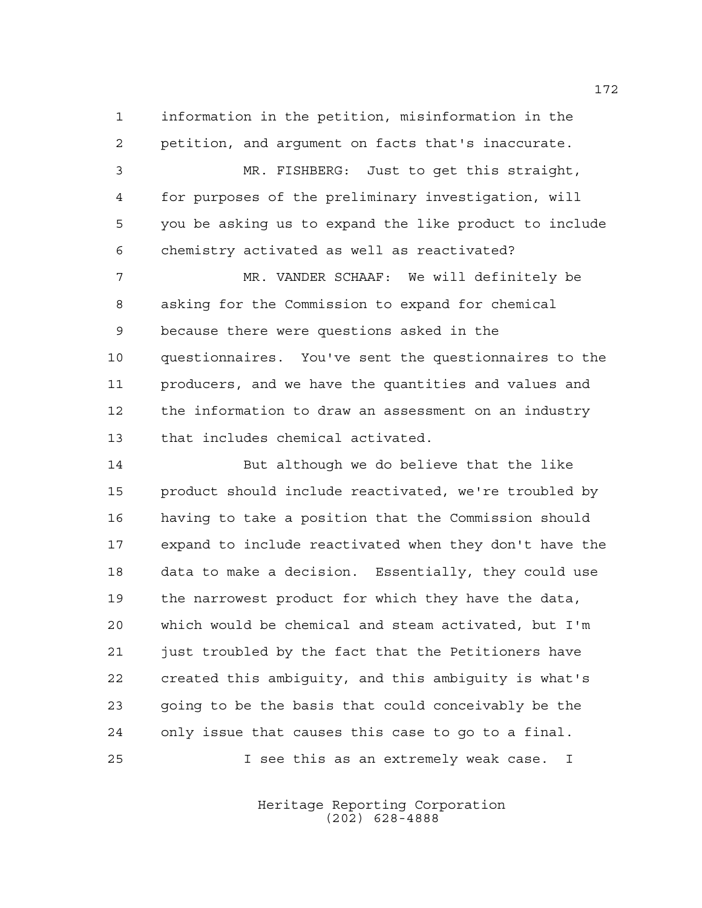information in the petition, misinformation in the petition, and argument on facts that's inaccurate. MR. FISHBERG: Just to get this straight, for purposes of the preliminary investigation, will you be asking us to expand the like product to include chemistry activated as well as reactivated? MR. VANDER SCHAAF: We will definitely be asking for the Commission to expand for chemical because there were questions asked in the questionnaires. You've sent the questionnaires to the producers, and we have the quantities and values and the information to draw an assessment on an industry that includes chemical activated.

 But although we do believe that the like product should include reactivated, we're troubled by having to take a position that the Commission should expand to include reactivated when they don't have the data to make a decision. Essentially, they could use the narrowest product for which they have the data, which would be chemical and steam activated, but I'm just troubled by the fact that the Petitioners have created this ambiguity, and this ambiguity is what's going to be the basis that could conceivably be the only issue that causes this case to go to a final. I see this as an extremely weak case. I

> Heritage Reporting Corporation (202) 628-4888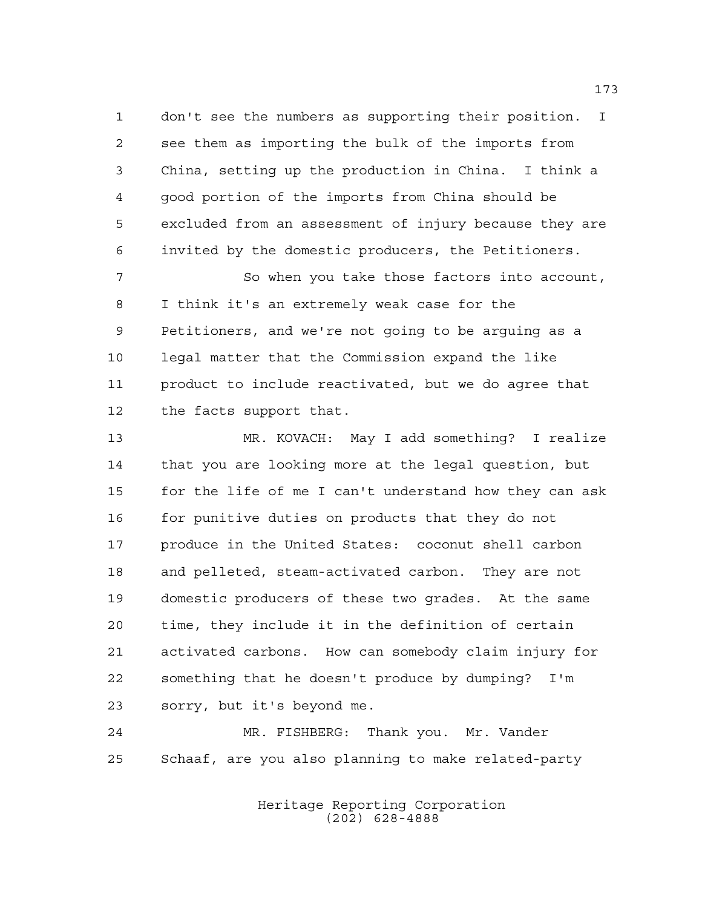don't see the numbers as supporting their position. I see them as importing the bulk of the imports from China, setting up the production in China. I think a good portion of the imports from China should be excluded from an assessment of injury because they are invited by the domestic producers, the Petitioners.

 So when you take those factors into account, I think it's an extremely weak case for the Petitioners, and we're not going to be arguing as a legal matter that the Commission expand the like product to include reactivated, but we do agree that the facts support that.

 MR. KOVACH: May I add something? I realize that you are looking more at the legal question, but for the life of me I can't understand how they can ask for punitive duties on products that they do not produce in the United States: coconut shell carbon and pelleted, steam-activated carbon. They are not domestic producers of these two grades. At the same time, they include it in the definition of certain activated carbons. How can somebody claim injury for something that he doesn't produce by dumping? I'm sorry, but it's beyond me.

 MR. FISHBERG: Thank you. Mr. Vander Schaaf, are you also planning to make related-party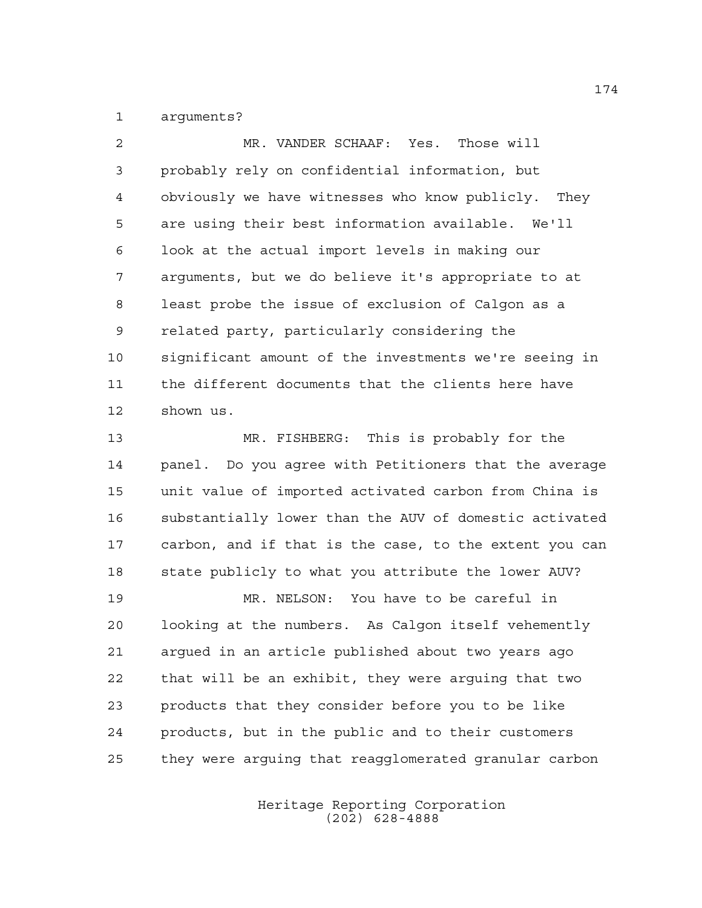arguments?

 MR. VANDER SCHAAF: Yes. Those will probably rely on confidential information, but obviously we have witnesses who know publicly. They are using their best information available. We'll look at the actual import levels in making our arguments, but we do believe it's appropriate to at least probe the issue of exclusion of Calgon as a related party, particularly considering the significant amount of the investments we're seeing in the different documents that the clients here have shown us. MR. FISHBERG: This is probably for the panel. Do you agree with Petitioners that the average unit value of imported activated carbon from China is substantially lower than the AUV of domestic activated carbon, and if that is the case, to the extent you can

 state publicly to what you attribute the lower AUV? MR. NELSON: You have to be careful in looking at the numbers. As Calgon itself vehemently argued in an article published about two years ago that will be an exhibit, they were arguing that two products that they consider before you to be like

 products, but in the public and to their customers they were arguing that reagglomerated granular carbon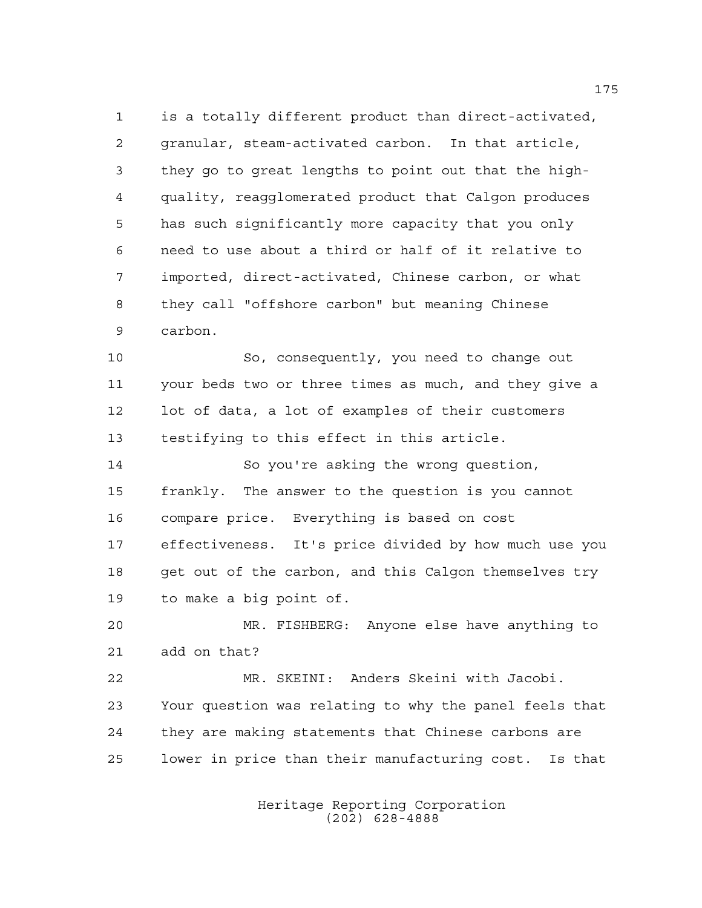is a totally different product than direct-activated, granular, steam-activated carbon. In that article, they go to great lengths to point out that the high- quality, reagglomerated product that Calgon produces has such significantly more capacity that you only need to use about a third or half of it relative to imported, direct-activated, Chinese carbon, or what they call "offshore carbon" but meaning Chinese carbon.

 So, consequently, you need to change out your beds two or three times as much, and they give a lot of data, a lot of examples of their customers testifying to this effect in this article.

 So you're asking the wrong question, frankly. The answer to the question is you cannot compare price. Everything is based on cost effectiveness. It's price divided by how much use you 18 get out of the carbon, and this Calgon themselves try to make a big point of.

 MR. FISHBERG: Anyone else have anything to add on that?

 MR. SKEINI: Anders Skeini with Jacobi. Your question was relating to why the panel feels that they are making statements that Chinese carbons are lower in price than their manufacturing cost. Is that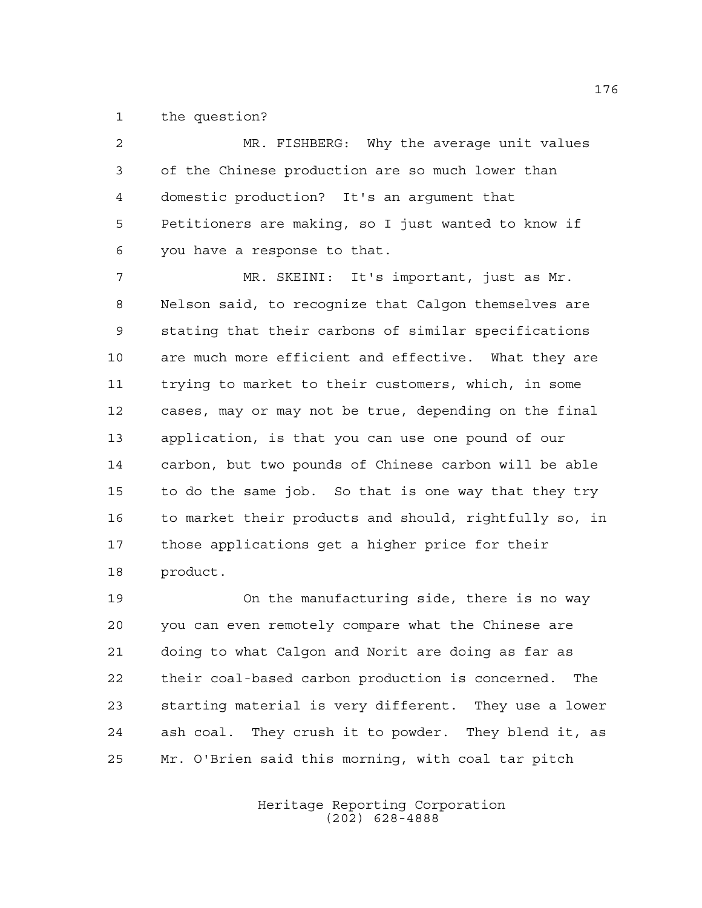the question?

 MR. FISHBERG: Why the average unit values of the Chinese production are so much lower than domestic production? It's an argument that Petitioners are making, so I just wanted to know if you have a response to that.

 MR. SKEINI: It's important, just as Mr. Nelson said, to recognize that Calgon themselves are stating that their carbons of similar specifications are much more efficient and effective. What they are trying to market to their customers, which, in some cases, may or may not be true, depending on the final application, is that you can use one pound of our carbon, but two pounds of Chinese carbon will be able to do the same job. So that is one way that they try to market their products and should, rightfully so, in those applications get a higher price for their product.

 On the manufacturing side, there is no way you can even remotely compare what the Chinese are doing to what Calgon and Norit are doing as far as their coal-based carbon production is concerned. The starting material is very different. They use a lower ash coal. They crush it to powder. They blend it, as Mr. O'Brien said this morning, with coal tar pitch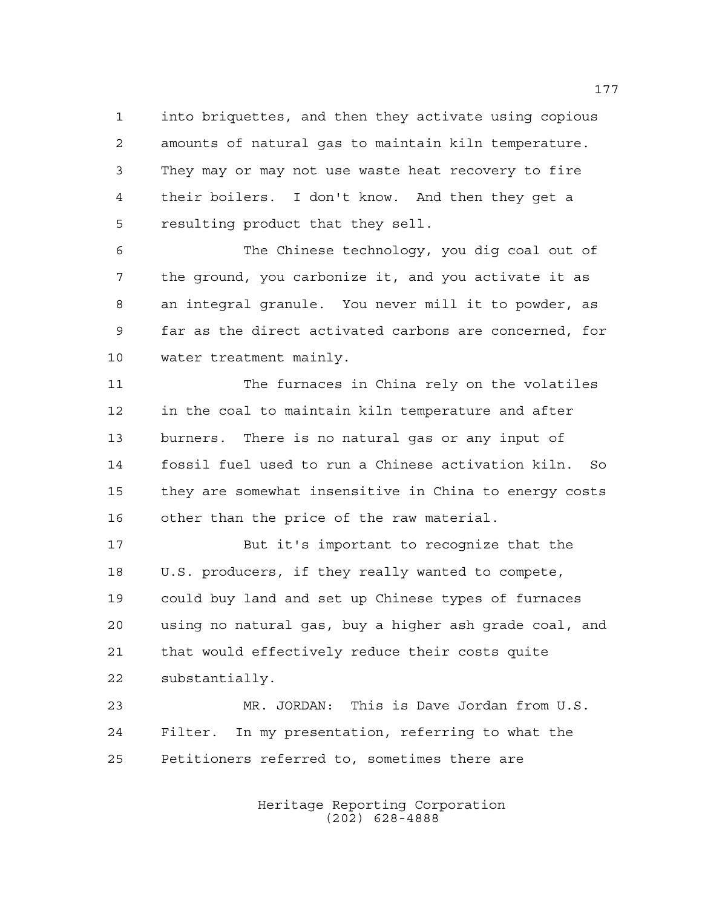into briquettes, and then they activate using copious amounts of natural gas to maintain kiln temperature. They may or may not use waste heat recovery to fire their boilers. I don't know. And then they get a resulting product that they sell.

 The Chinese technology, you dig coal out of the ground, you carbonize it, and you activate it as an integral granule. You never mill it to powder, as far as the direct activated carbons are concerned, for water treatment mainly.

 The furnaces in China rely on the volatiles in the coal to maintain kiln temperature and after burners. There is no natural gas or any input of fossil fuel used to run a Chinese activation kiln. So they are somewhat insensitive in China to energy costs other than the price of the raw material.

 But it's important to recognize that the U.S. producers, if they really wanted to compete, could buy land and set up Chinese types of furnaces using no natural gas, buy a higher ash grade coal, and that would effectively reduce their costs quite substantially.

 MR. JORDAN: This is Dave Jordan from U.S. Filter. In my presentation, referring to what the Petitioners referred to, sometimes there are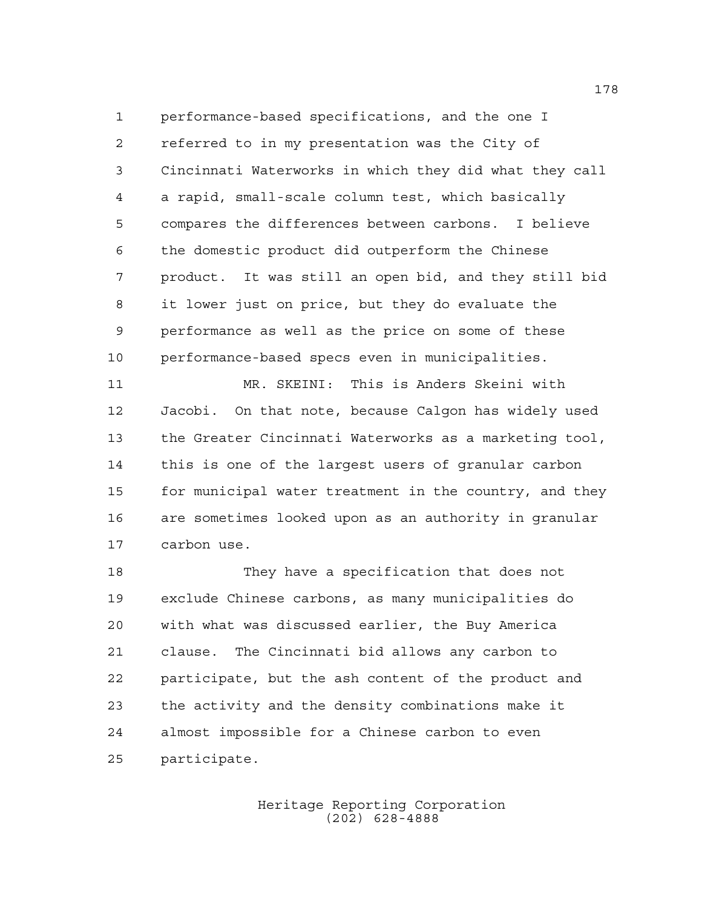performance-based specifications, and the one I referred to in my presentation was the City of Cincinnati Waterworks in which they did what they call a rapid, small-scale column test, which basically compares the differences between carbons. I believe the domestic product did outperform the Chinese product. It was still an open bid, and they still bid it lower just on price, but they do evaluate the performance as well as the price on some of these performance-based specs even in municipalities.

 MR. SKEINI: This is Anders Skeini with Jacobi. On that note, because Calgon has widely used the Greater Cincinnati Waterworks as a marketing tool, this is one of the largest users of granular carbon for municipal water treatment in the country, and they are sometimes looked upon as an authority in granular carbon use.

 They have a specification that does not exclude Chinese carbons, as many municipalities do with what was discussed earlier, the Buy America clause. The Cincinnati bid allows any carbon to participate, but the ash content of the product and the activity and the density combinations make it almost impossible for a Chinese carbon to even participate.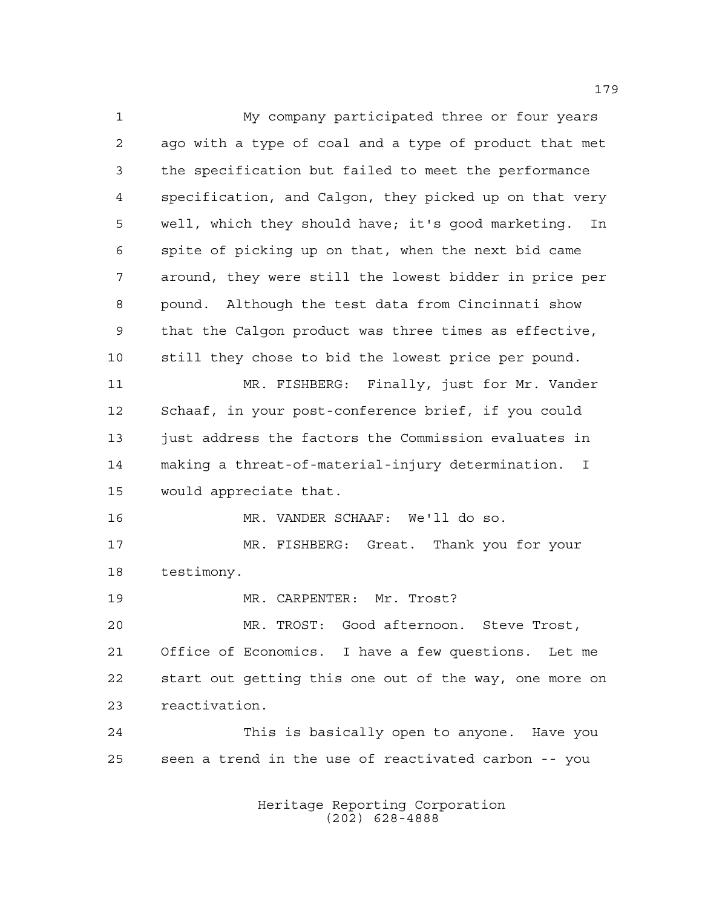My company participated three or four years ago with a type of coal and a type of product that met the specification but failed to meet the performance specification, and Calgon, they picked up on that very well, which they should have; it's good marketing. In spite of picking up on that, when the next bid came around, they were still the lowest bidder in price per pound. Although the test data from Cincinnati show that the Calgon product was three times as effective, still they chose to bid the lowest price per pound. MR. FISHBERG: Finally, just for Mr. Vander Schaaf, in your post-conference brief, if you could 13 just address the factors the Commission evaluates in making a threat-of-material-injury determination. I would appreciate that. MR. VANDER SCHAAF: We'll do so. MR. FISHBERG: Great. Thank you for your testimony. MR. CARPENTER: Mr. Trost? MR. TROST: Good afternoon. Steve Trost, Office of Economics. I have a few questions. Let me start out getting this one out of the way, one more on reactivation. This is basically open to anyone. Have you seen a trend in the use of reactivated carbon -- you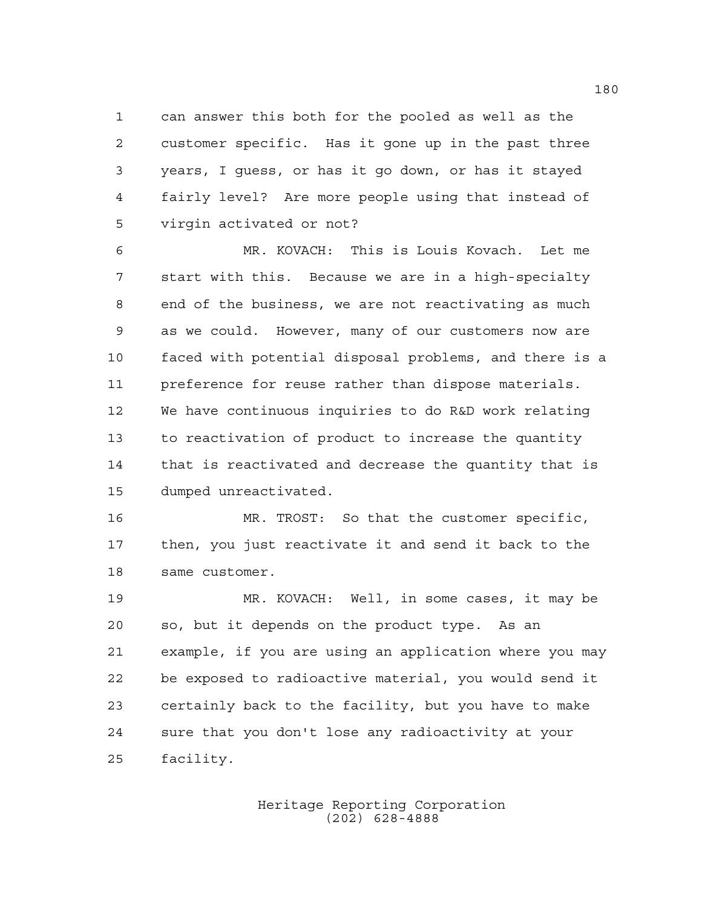can answer this both for the pooled as well as the customer specific. Has it gone up in the past three years, I guess, or has it go down, or has it stayed fairly level? Are more people using that instead of virgin activated or not?

 MR. KOVACH: This is Louis Kovach. Let me start with this. Because we are in a high-specialty end of the business, we are not reactivating as much as we could. However, many of our customers now are faced with potential disposal problems, and there is a preference for reuse rather than dispose materials. We have continuous inquiries to do R&D work relating to reactivation of product to increase the quantity that is reactivated and decrease the quantity that is dumped unreactivated.

 MR. TROST: So that the customer specific, then, you just reactivate it and send it back to the same customer.

 MR. KOVACH: Well, in some cases, it may be so, but it depends on the product type. As an example, if you are using an application where you may be exposed to radioactive material, you would send it certainly back to the facility, but you have to make sure that you don't lose any radioactivity at your facility.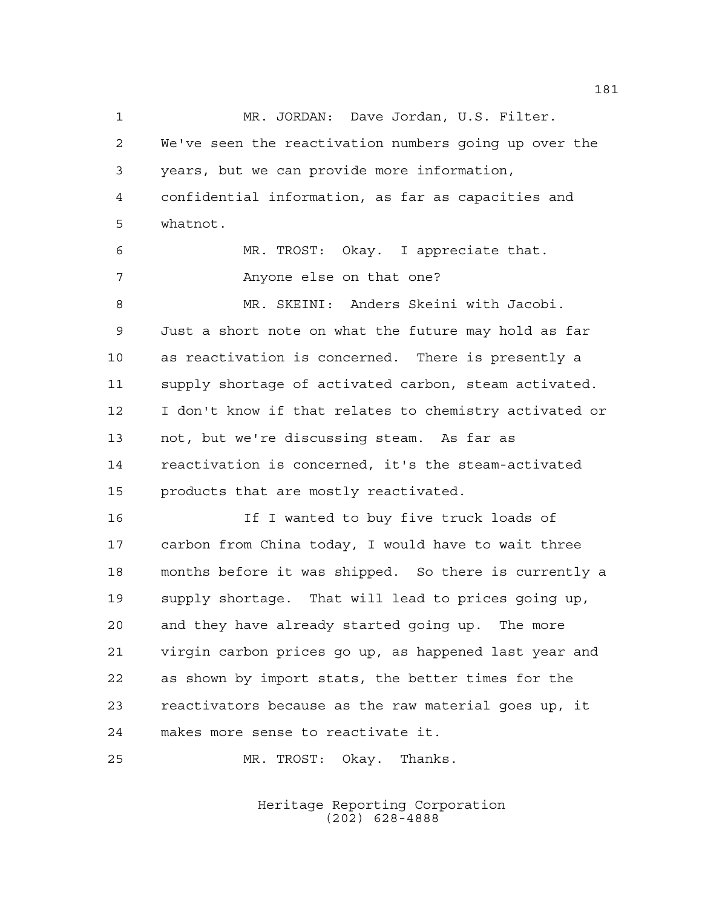MR. JORDAN: Dave Jordan, U.S. Filter. We've seen the reactivation numbers going up over the years, but we can provide more information, confidential information, as far as capacities and whatnot. MR. TROST: Okay. I appreciate that. Anyone else on that one? MR. SKEINI: Anders Skeini with Jacobi. Just a short note on what the future may hold as far as reactivation is concerned. There is presently a supply shortage of activated carbon, steam activated. I don't know if that relates to chemistry activated or not, but we're discussing steam. As far as reactivation is concerned, it's the steam-activated products that are mostly reactivated. If I wanted to buy five truck loads of

 carbon from China today, I would have to wait three months before it was shipped. So there is currently a supply shortage. That will lead to prices going up, and they have already started going up. The more virgin carbon prices go up, as happened last year and as shown by import stats, the better times for the reactivators because as the raw material goes up, it makes more sense to reactivate it.

MR. TROST: Okay. Thanks.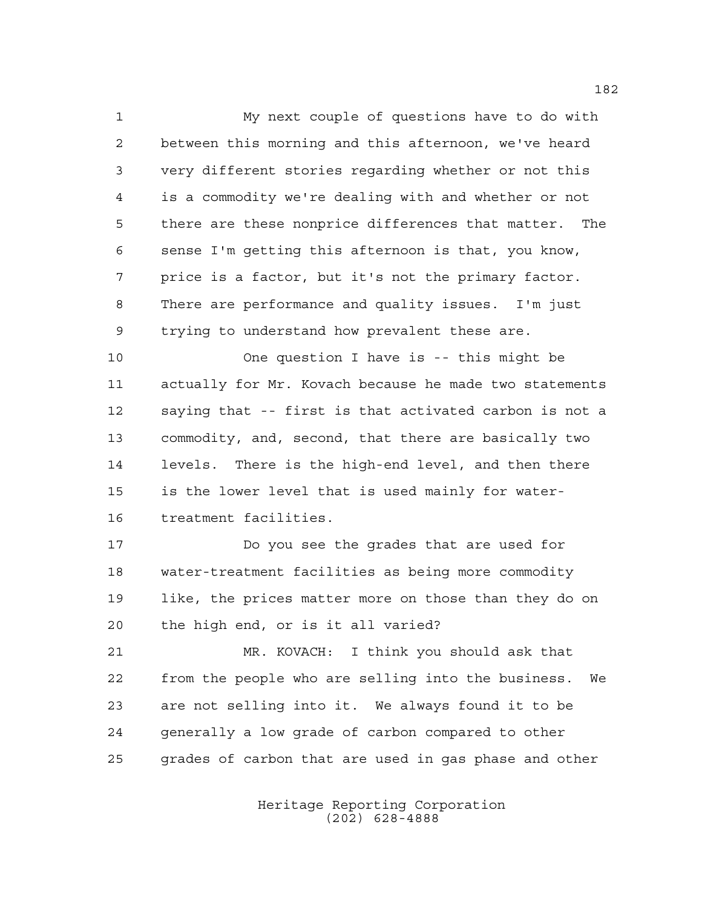My next couple of questions have to do with between this morning and this afternoon, we've heard very different stories regarding whether or not this is a commodity we're dealing with and whether or not there are these nonprice differences that matter. The sense I'm getting this afternoon is that, you know, price is a factor, but it's not the primary factor. There are performance and quality issues. I'm just trying to understand how prevalent these are.

 One question I have is -- this might be actually for Mr. Kovach because he made two statements saying that -- first is that activated carbon is not a commodity, and, second, that there are basically two levels. There is the high-end level, and then there is the lower level that is used mainly for water-treatment facilities.

 Do you see the grades that are used for water-treatment facilities as being more commodity like, the prices matter more on those than they do on the high end, or is it all varied?

 MR. KOVACH: I think you should ask that from the people who are selling into the business. We are not selling into it. We always found it to be generally a low grade of carbon compared to other grades of carbon that are used in gas phase and other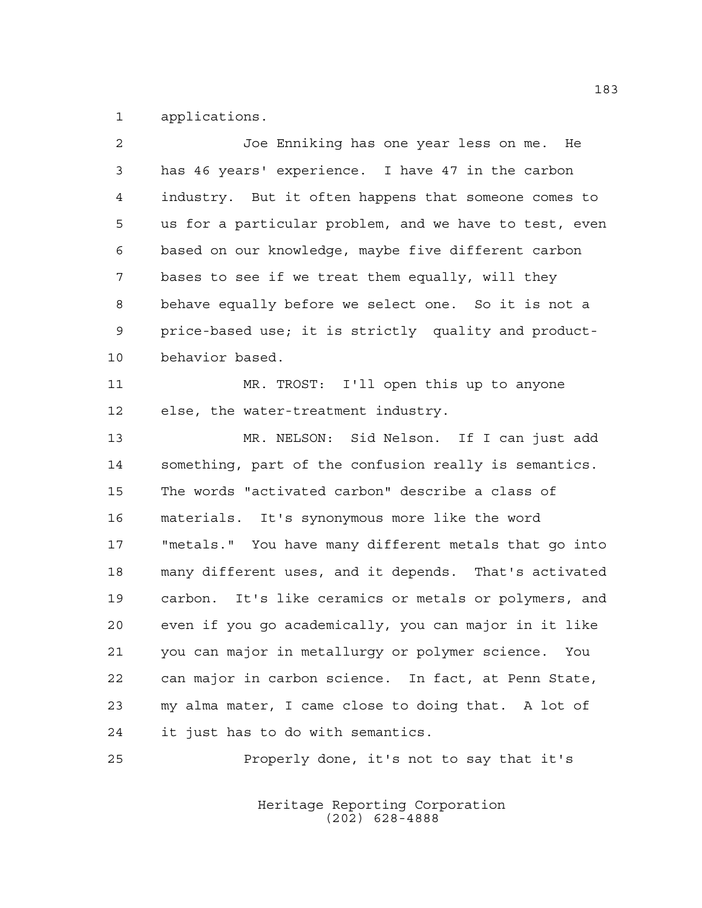applications.

| $\overline{2}$ | Joe Enniking has one year less on me. He               |
|----------------|--------------------------------------------------------|
| 3              | has 46 years' experience. I have 47 in the carbon      |
| 4              | industry. But it often happens that someone comes to   |
| 5              | us for a particular problem, and we have to test, even |
| 6              | based on our knowledge, maybe five different carbon    |
| 7              | bases to see if we treat them equally, will they       |
| 8              | behave equally before we select one. So it is not a    |
| 9              | price-based use; it is strictly quality and product-   |
| 10             | behavior based.                                        |
| 11             | MR. TROST: I'll open this up to anyone                 |
| 12             | else, the water-treatment industry.                    |
| 13             | MR. NELSON: Sid Nelson. If I can just add              |
| 14             | something, part of the confusion really is semantics.  |
| 15             | The words "activated carbon" describe a class of       |
| 16             | materials. It's synonymous more like the word          |
| 17             | "metals." You have many different metals that go into  |
| 18             | many different uses, and it depends. That's activated  |
| 19             | carbon. It's like ceramics or metals or polymers, and  |
| 20             | even if you go academically, you can major in it like  |
| 21             | you can major in metallurgy or polymer science. You    |
| 22             | can major in carbon science. In fact, at Penn State,   |
| 23             | my alma mater, I came close to doing that. A lot of    |
| 24             | it just has to do with semantics.                      |
| 25             | Properly done, it's not to say that it's               |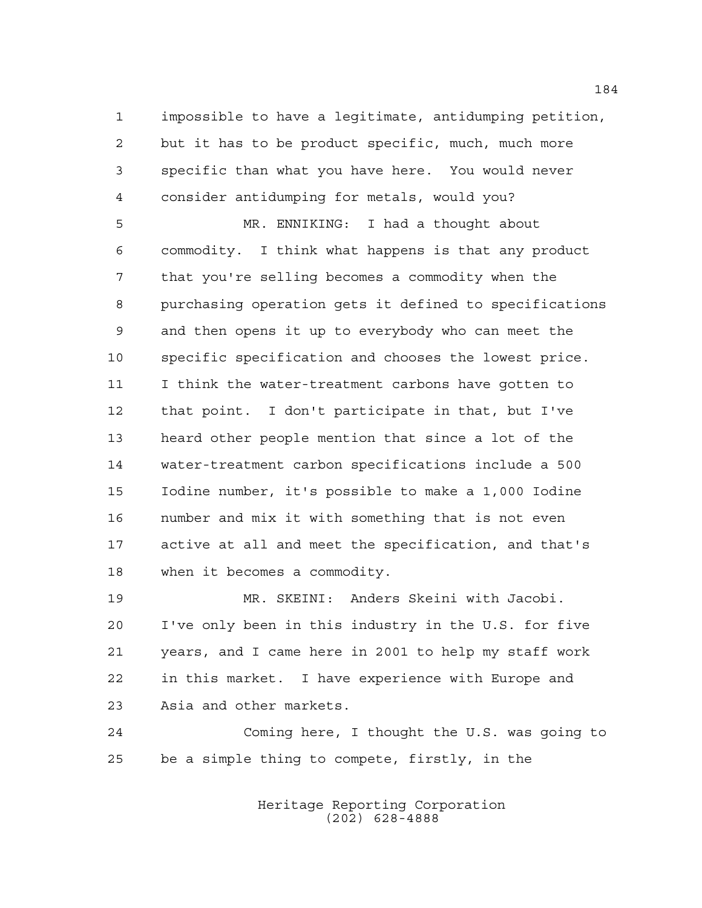impossible to have a legitimate, antidumping petition, but it has to be product specific, much, much more specific than what you have here. You would never consider antidumping for metals, would you?

 MR. ENNIKING: I had a thought about commodity. I think what happens is that any product that you're selling becomes a commodity when the purchasing operation gets it defined to specifications and then opens it up to everybody who can meet the specific specification and chooses the lowest price. I think the water-treatment carbons have gotten to that point. I don't participate in that, but I've heard other people mention that since a lot of the water-treatment carbon specifications include a 500 Iodine number, it's possible to make a 1,000 Iodine number and mix it with something that is not even active at all and meet the specification, and that's when it becomes a commodity.

 MR. SKEINI: Anders Skeini with Jacobi. I've only been in this industry in the U.S. for five years, and I came here in 2001 to help my staff work in this market. I have experience with Europe and Asia and other markets.

 Coming here, I thought the U.S. was going to be a simple thing to compete, firstly, in the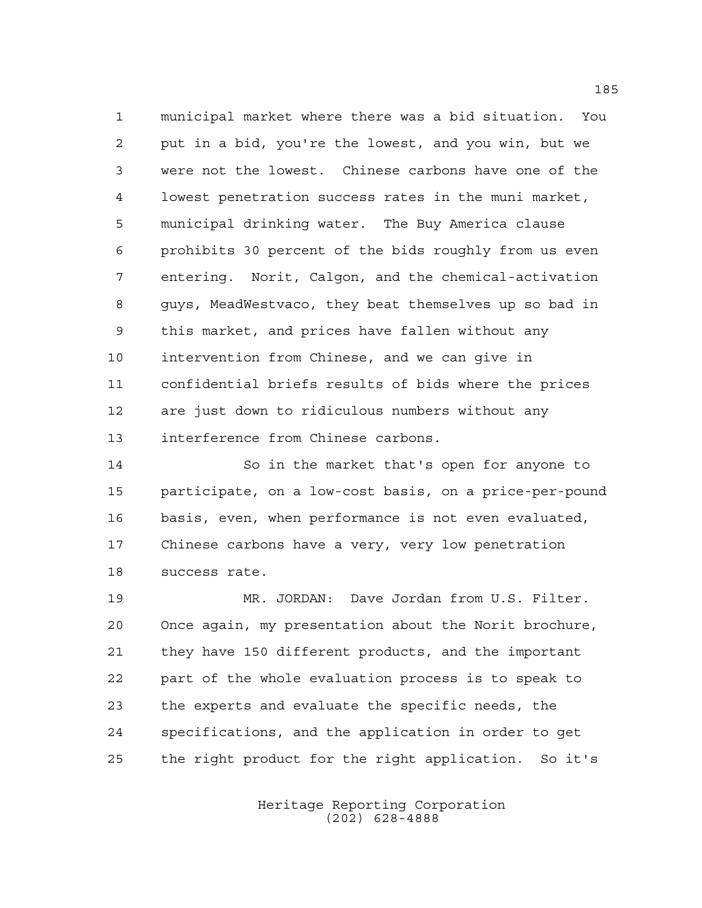municipal market where there was a bid situation. You put in a bid, you're the lowest, and you win, but we were not the lowest. Chinese carbons have one of the lowest penetration success rates in the muni market, municipal drinking water. The Buy America clause prohibits 30 percent of the bids roughly from us even entering. Norit, Calgon, and the chemical-activation guys, MeadWestvaco, they beat themselves up so bad in this market, and prices have fallen without any intervention from Chinese, and we can give in confidential briefs results of bids where the prices are just down to ridiculous numbers without any interference from Chinese carbons.

 So in the market that's open for anyone to participate, on a low-cost basis, on a price-per-pound basis, even, when performance is not even evaluated, Chinese carbons have a very, very low penetration success rate.

 MR. JORDAN: Dave Jordan from U.S. Filter. Once again, my presentation about the Norit brochure, they have 150 different products, and the important part of the whole evaluation process is to speak to the experts and evaluate the specific needs, the specifications, and the application in order to get the right product for the right application. So it's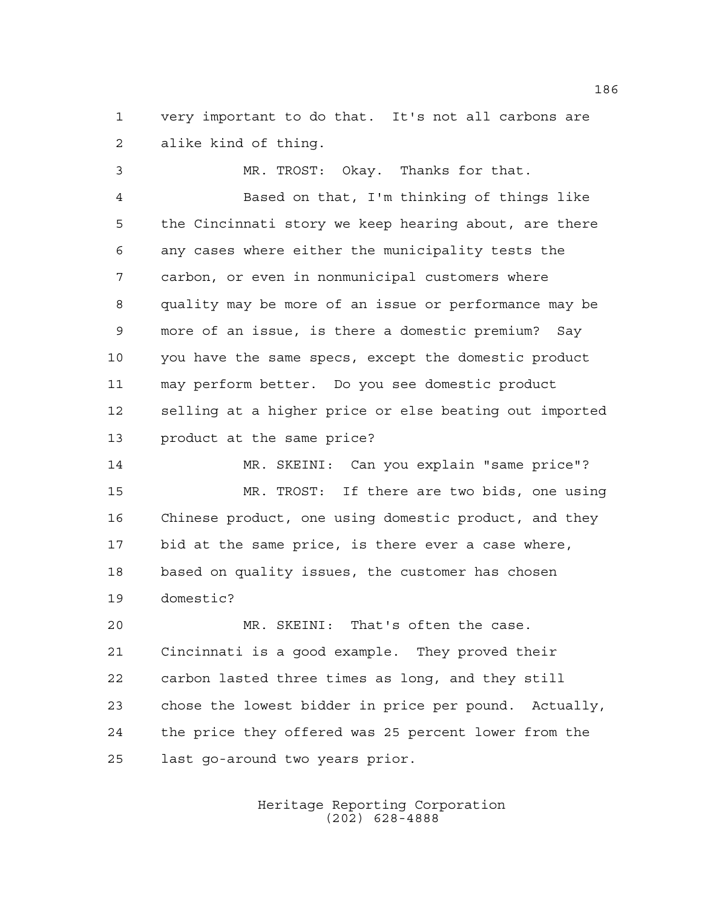very important to do that. It's not all carbons are alike kind of thing.

 MR. TROST: Okay. Thanks for that. Based on that, I'm thinking of things like the Cincinnati story we keep hearing about, are there any cases where either the municipality tests the carbon, or even in nonmunicipal customers where quality may be more of an issue or performance may be more of an issue, is there a domestic premium? Say you have the same specs, except the domestic product may perform better. Do you see domestic product selling at a higher price or else beating out imported product at the same price?

 MR. SKEINI: Can you explain "same price"? MR. TROST: If there are two bids, one using Chinese product, one using domestic product, and they bid at the same price, is there ever a case where, based on quality issues, the customer has chosen domestic?

 MR. SKEINI: That's often the case. Cincinnati is a good example. They proved their carbon lasted three times as long, and they still chose the lowest bidder in price per pound. Actually, the price they offered was 25 percent lower from the last go-around two years prior.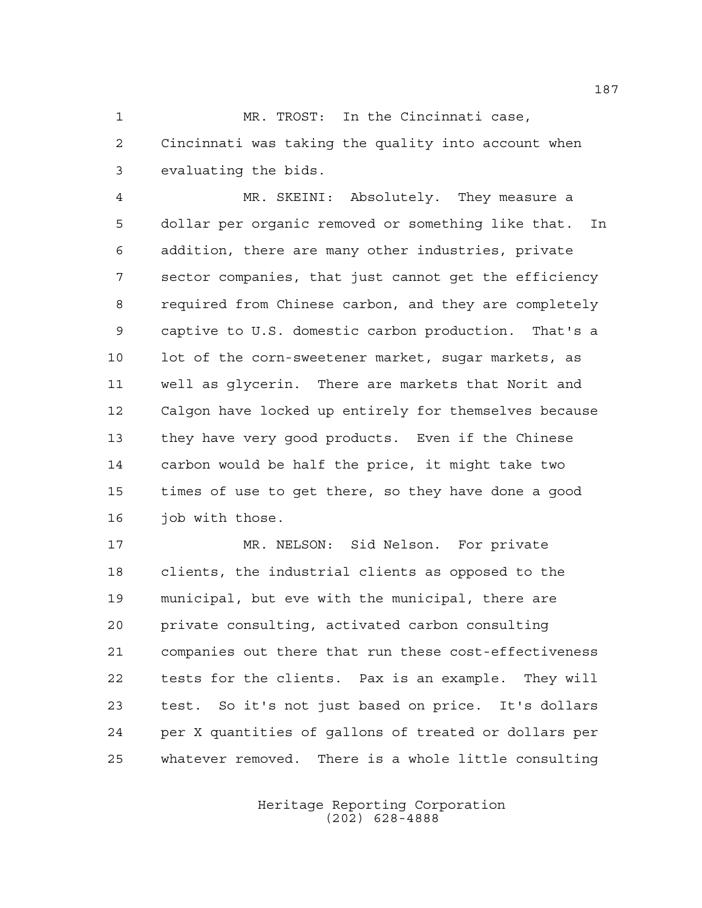MR. TROST: In the Cincinnati case, Cincinnati was taking the quality into account when evaluating the bids.

 MR. SKEINI: Absolutely. They measure a dollar per organic removed or something like that. In addition, there are many other industries, private sector companies, that just cannot get the efficiency required from Chinese carbon, and they are completely captive to U.S. domestic carbon production. That's a lot of the corn-sweetener market, sugar markets, as well as glycerin. There are markets that Norit and Calgon have locked up entirely for themselves because they have very good products. Even if the Chinese carbon would be half the price, it might take two times of use to get there, so they have done a good 16 job with those.

 MR. NELSON: Sid Nelson. For private clients, the industrial clients as opposed to the municipal, but eve with the municipal, there are private consulting, activated carbon consulting companies out there that run these cost-effectiveness tests for the clients. Pax is an example. They will test. So it's not just based on price. It's dollars per X quantities of gallons of treated or dollars per whatever removed. There is a whole little consulting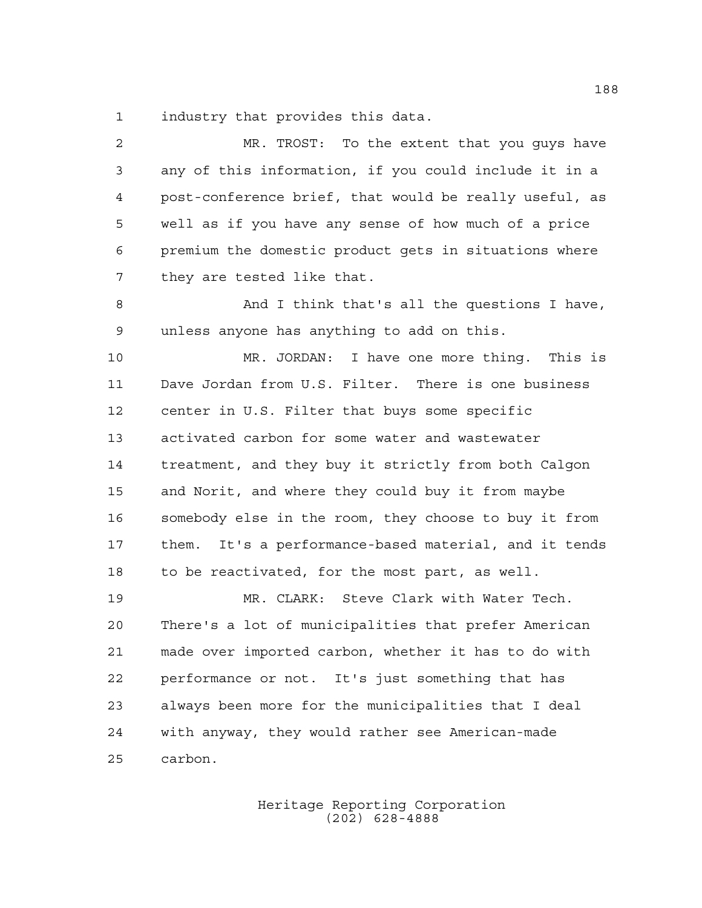industry that provides this data.

 MR. TROST: To the extent that you guys have any of this information, if you could include it in a post-conference brief, that would be really useful, as well as if you have any sense of how much of a price premium the domestic product gets in situations where they are tested like that. 8 And I think that's all the questions I have, unless anyone has anything to add on this. MR. JORDAN: I have one more thing. This is Dave Jordan from U.S. Filter. There is one business center in U.S. Filter that buys some specific activated carbon for some water and wastewater treatment, and they buy it strictly from both Calgon and Norit, and where they could buy it from maybe somebody else in the room, they choose to buy it from them. It's a performance-based material, and it tends to be reactivated, for the most part, as well. MR. CLARK: Steve Clark with Water Tech. There's a lot of municipalities that prefer American made over imported carbon, whether it has to do with performance or not. It's just something that has always been more for the municipalities that I deal with anyway, they would rather see American-made carbon.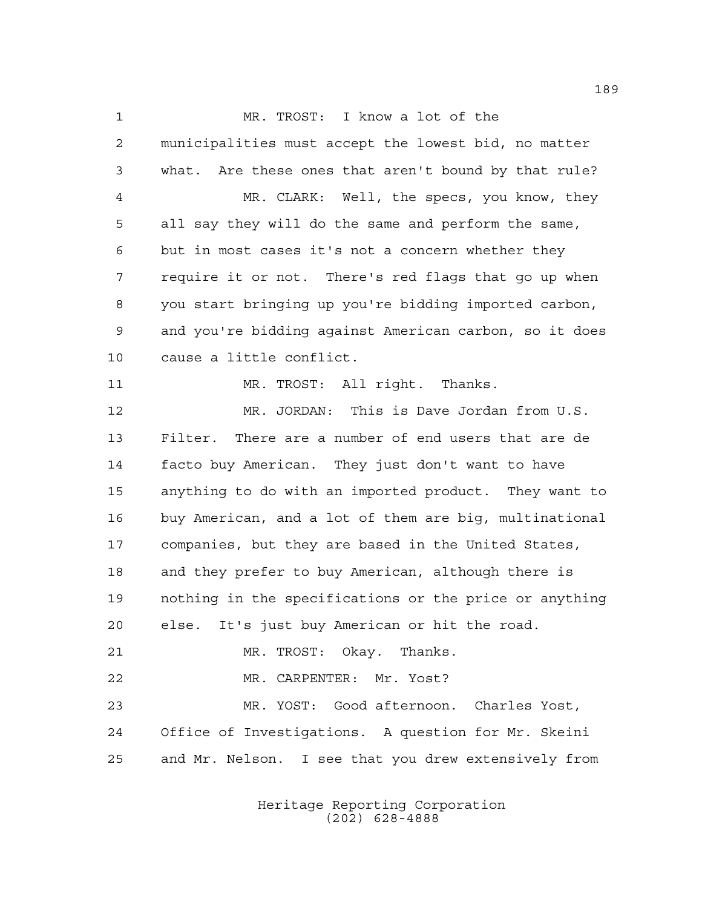MR. TROST: I know a lot of the municipalities must accept the lowest bid, no matter what. Are these ones that aren't bound by that rule? MR. CLARK: Well, the specs, you know, they all say they will do the same and perform the same, but in most cases it's not a concern whether they require it or not. There's red flags that go up when you start bringing up you're bidding imported carbon, and you're bidding against American carbon, so it does cause a little conflict. 11 MR. TROST: All right. Thanks. 12 MR. JORDAN: This is Dave Jordan from U.S. Filter. There are a number of end users that are de facto buy American. They just don't want to have anything to do with an imported product. They want to buy American, and a lot of them are big, multinational companies, but they are based in the United States, and they prefer to buy American, although there is nothing in the specifications or the price or anything else. It's just buy American or hit the road. MR. TROST: Okay. Thanks. MR. CARPENTER: Mr. Yost? MR. YOST: Good afternoon. Charles Yost, Office of Investigations. A question for Mr. Skeini and Mr. Nelson. I see that you drew extensively from

> Heritage Reporting Corporation (202) 628-4888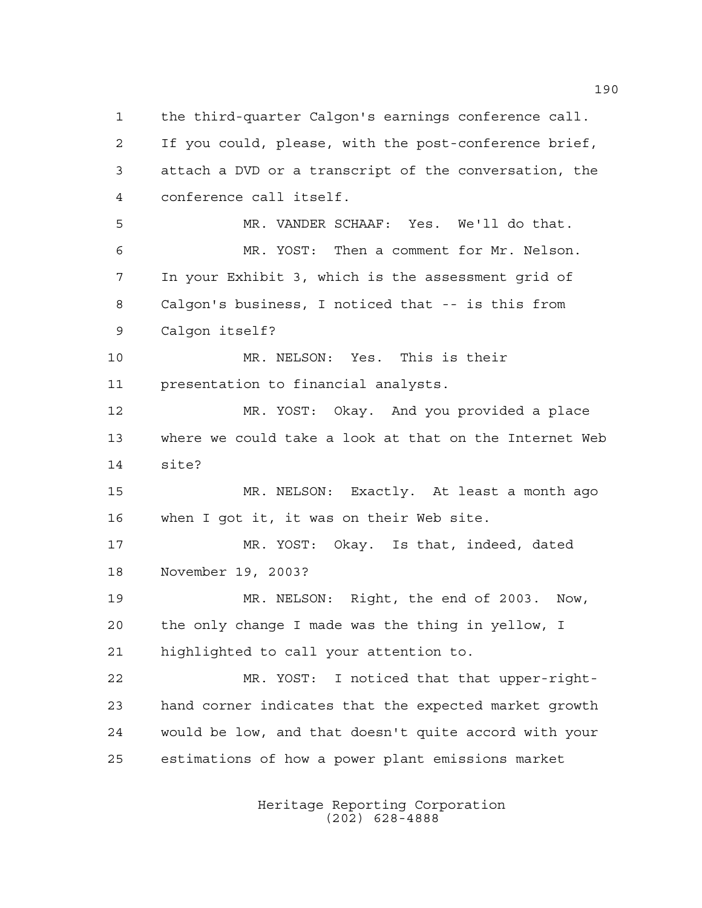the third-quarter Calgon's earnings conference call. If you could, please, with the post-conference brief, attach a DVD or a transcript of the conversation, the conference call itself. MR. VANDER SCHAAF: Yes. We'll do that. MR. YOST: Then a comment for Mr. Nelson. In your Exhibit 3, which is the assessment grid of Calgon's business, I noticed that -- is this from Calgon itself? MR. NELSON: Yes. This is their presentation to financial analysts. MR. YOST: Okay. And you provided a place where we could take a look at that on the Internet Web site? MR. NELSON: Exactly. At least a month ago when I got it, it was on their Web site. MR. YOST: Okay. Is that, indeed, dated November 19, 2003? MR. NELSON: Right, the end of 2003. Now, the only change I made was the thing in yellow, I highlighted to call your attention to. MR. YOST: I noticed that that upper-right- hand corner indicates that the expected market growth would be low, and that doesn't quite accord with your estimations of how a power plant emissions market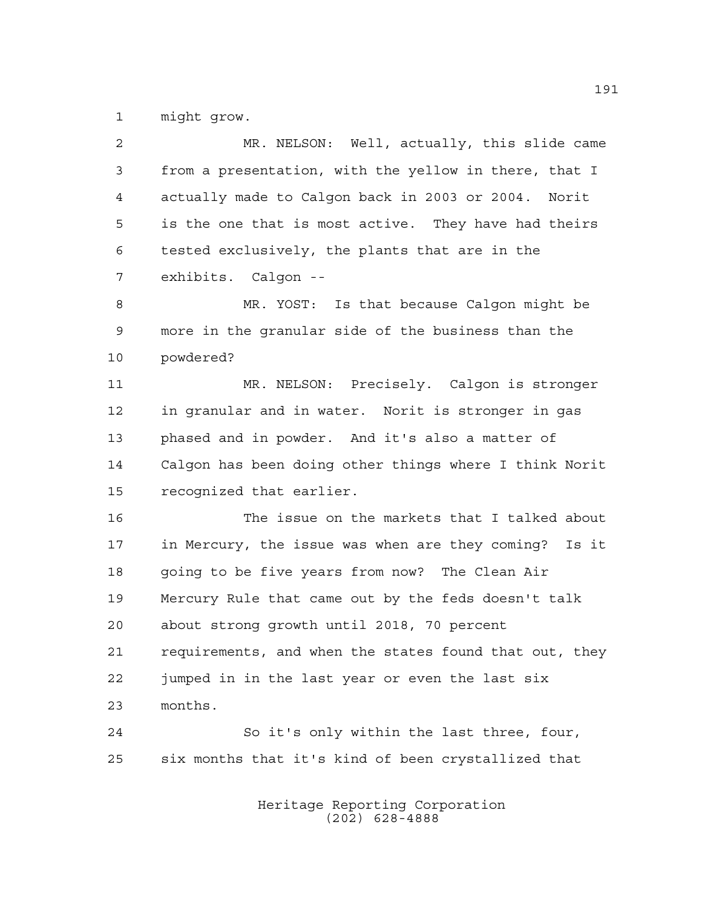might grow.

| $\overline{2}$ | MR. NELSON: Well, actually, this slide came            |
|----------------|--------------------------------------------------------|
| 3              | from a presentation, with the yellow in there, that I  |
| 4              | actually made to Calgon back in 2003 or 2004. Norit    |
| 5              | is the one that is most active. They have had theirs   |
| 6              | tested exclusively, the plants that are in the         |
| 7              | exhibits. Calgon --                                    |
| 8              | MR. YOST: Is that because Calgon might be              |
| 9              | more in the granular side of the business than the     |
| 10             | powdered?                                              |
| 11             | MR. NELSON: Precisely. Calgon is stronger              |
| 12             | in granular and in water. Norit is stronger in gas     |
| 13             | phased and in powder. And it's also a matter of        |
| 14             | Calgon has been doing other things where I think Norit |
| 15             | recognized that earlier.                               |
| 16             | The issue on the markets that I talked about           |
| 17             | in Mercury, the issue was when are they coming? Is it  |
| 18             | going to be five years from now? The Clean Air         |
| 19             | Mercury Rule that came out by the feds doesn't talk    |
| 20             | about strong growth until 2018, 70 percent             |
| 21             | requirements, and when the states found that out, they |
| 22             | jumped in in the last year or even the last six        |
| 23             | months.                                                |
| 24             | So it's only within the last three, four,              |
| 25             | six months that it's kind of been crystallized that    |
|                | Heritage Reporting Corporation                         |

(202) 628-4888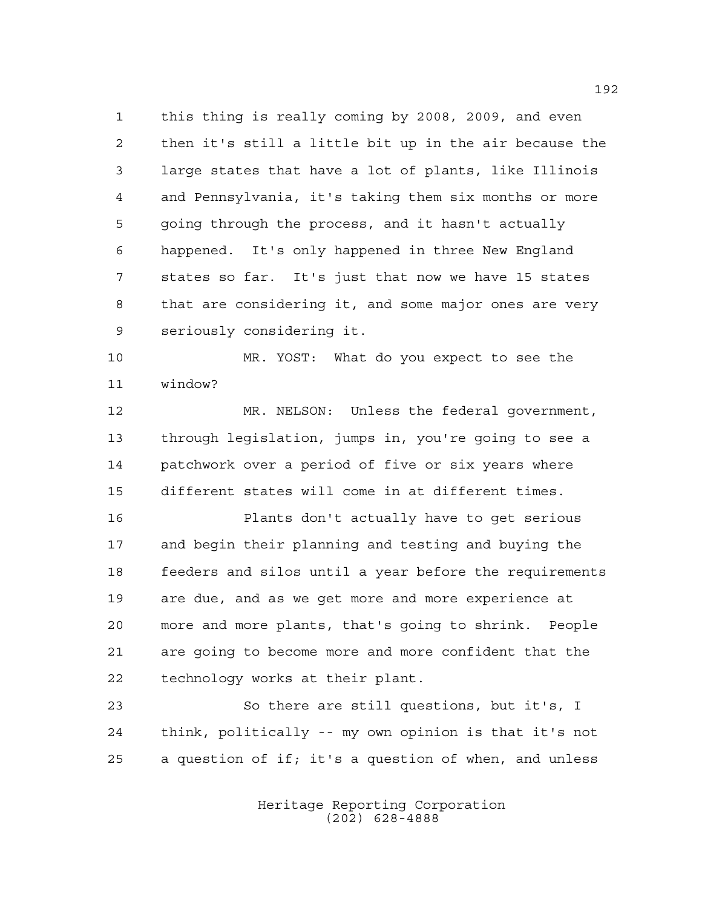this thing is really coming by 2008, 2009, and even then it's still a little bit up in the air because the large states that have a lot of plants, like Illinois and Pennsylvania, it's taking them six months or more going through the process, and it hasn't actually happened. It's only happened in three New England states so far. It's just that now we have 15 states that are considering it, and some major ones are very seriously considering it.

 MR. YOST: What do you expect to see the window?

 MR. NELSON: Unless the federal government, through legislation, jumps in, you're going to see a patchwork over a period of five or six years where different states will come in at different times.

 Plants don't actually have to get serious and begin their planning and testing and buying the feeders and silos until a year before the requirements are due, and as we get more and more experience at more and more plants, that's going to shrink. People are going to become more and more confident that the technology works at their plant.

 So there are still questions, but it's, I think, politically -- my own opinion is that it's not a question of if; it's a question of when, and unless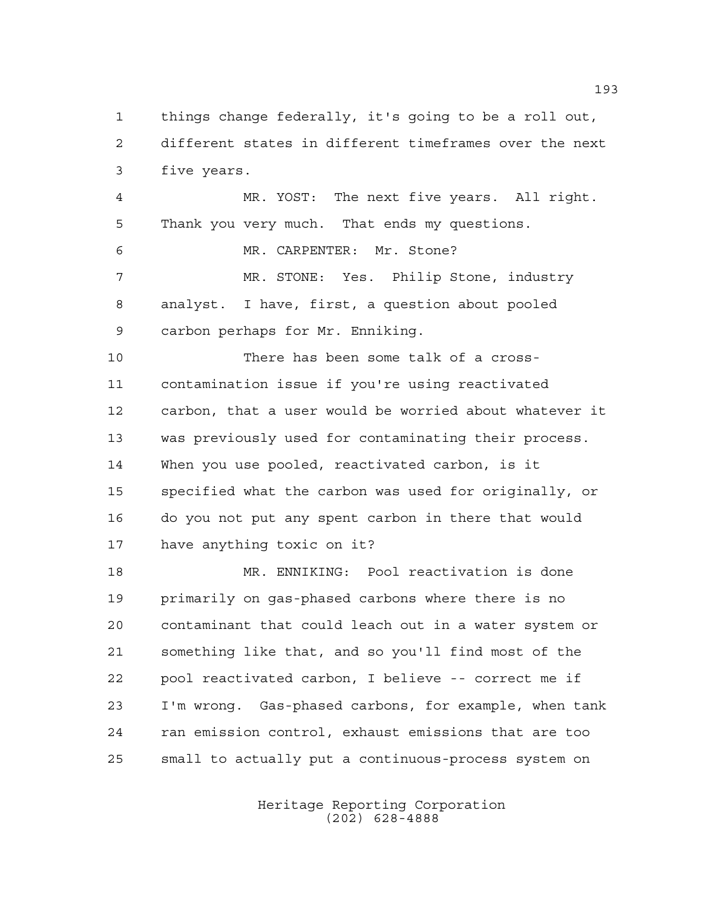things change federally, it's going to be a roll out, different states in different timeframes over the next five years.

 MR. YOST: The next five years. All right. Thank you very much. That ends my questions. MR. CARPENTER: Mr. Stone? MR. STONE: Yes. Philip Stone, industry analyst. I have, first, a question about pooled carbon perhaps for Mr. Enniking.

 There has been some talk of a cross- contamination issue if you're using reactivated carbon, that a user would be worried about whatever it was previously used for contaminating their process. When you use pooled, reactivated carbon, is it specified what the carbon was used for originally, or do you not put any spent carbon in there that would have anything toxic on it?

 MR. ENNIKING: Pool reactivation is done primarily on gas-phased carbons where there is no contaminant that could leach out in a water system or something like that, and so you'll find most of the pool reactivated carbon, I believe -- correct me if I'm wrong. Gas-phased carbons, for example, when tank ran emission control, exhaust emissions that are too small to actually put a continuous-process system on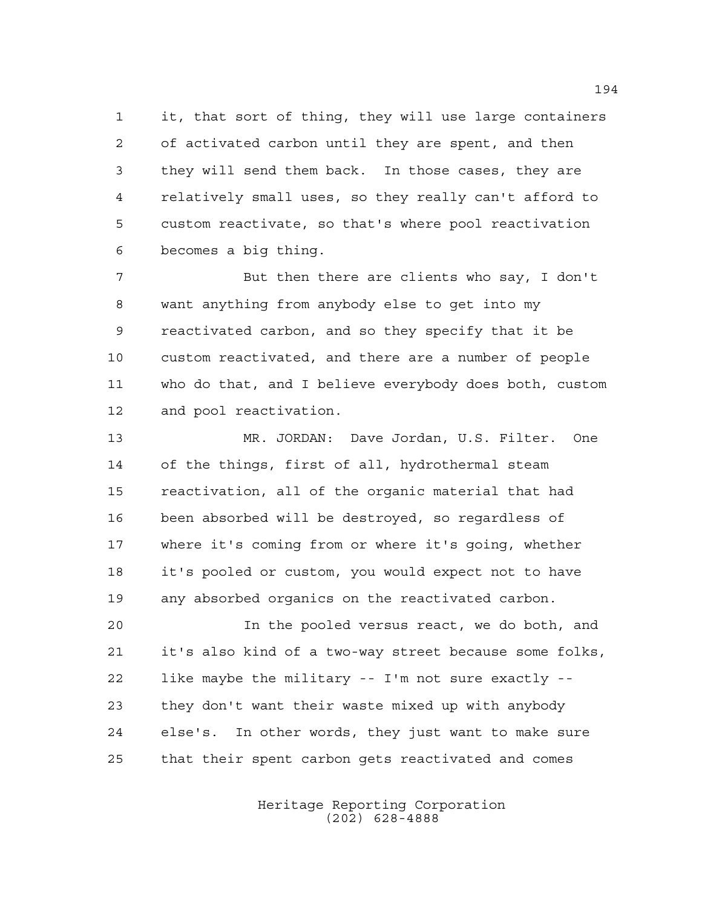it, that sort of thing, they will use large containers of activated carbon until they are spent, and then they will send them back. In those cases, they are relatively small uses, so they really can't afford to custom reactivate, so that's where pool reactivation becomes a big thing.

7 But then there are clients who say, I don't want anything from anybody else to get into my reactivated carbon, and so they specify that it be custom reactivated, and there are a number of people who do that, and I believe everybody does both, custom and pool reactivation.

 MR. JORDAN: Dave Jordan, U.S. Filter. One of the things, first of all, hydrothermal steam reactivation, all of the organic material that had been absorbed will be destroyed, so regardless of where it's coming from or where it's going, whether it's pooled or custom, you would expect not to have any absorbed organics on the reactivated carbon.

 In the pooled versus react, we do both, and it's also kind of a two-way street because some folks, like maybe the military -- I'm not sure exactly -- they don't want their waste mixed up with anybody else's. In other words, they just want to make sure that their spent carbon gets reactivated and comes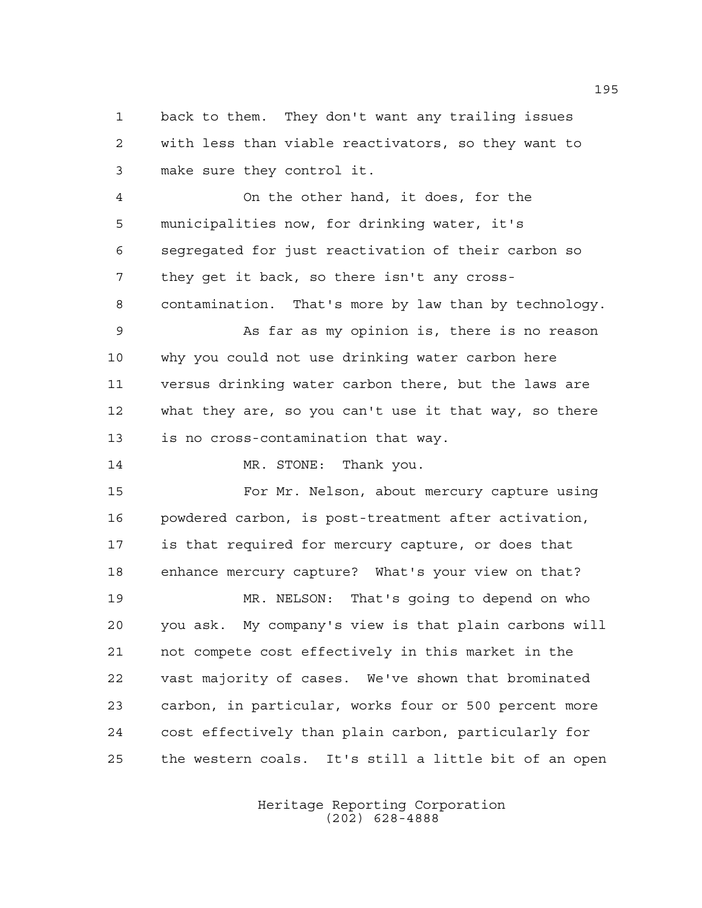back to them. They don't want any trailing issues with less than viable reactivators, so they want to make sure they control it.

 On the other hand, it does, for the municipalities now, for drinking water, it's segregated for just reactivation of their carbon so they get it back, so there isn't any cross-contamination. That's more by law than by technology.

 As far as my opinion is, there is no reason why you could not use drinking water carbon here versus drinking water carbon there, but the laws are what they are, so you can't use it that way, so there is no cross-contamination that way.

14 MR. STONE: Thank you.

 For Mr. Nelson, about mercury capture using powdered carbon, is post-treatment after activation, is that required for mercury capture, or does that enhance mercury capture? What's your view on that?

 MR. NELSON: That's going to depend on who you ask. My company's view is that plain carbons will not compete cost effectively in this market in the vast majority of cases. We've shown that brominated carbon, in particular, works four or 500 percent more cost effectively than plain carbon, particularly for the western coals. It's still a little bit of an open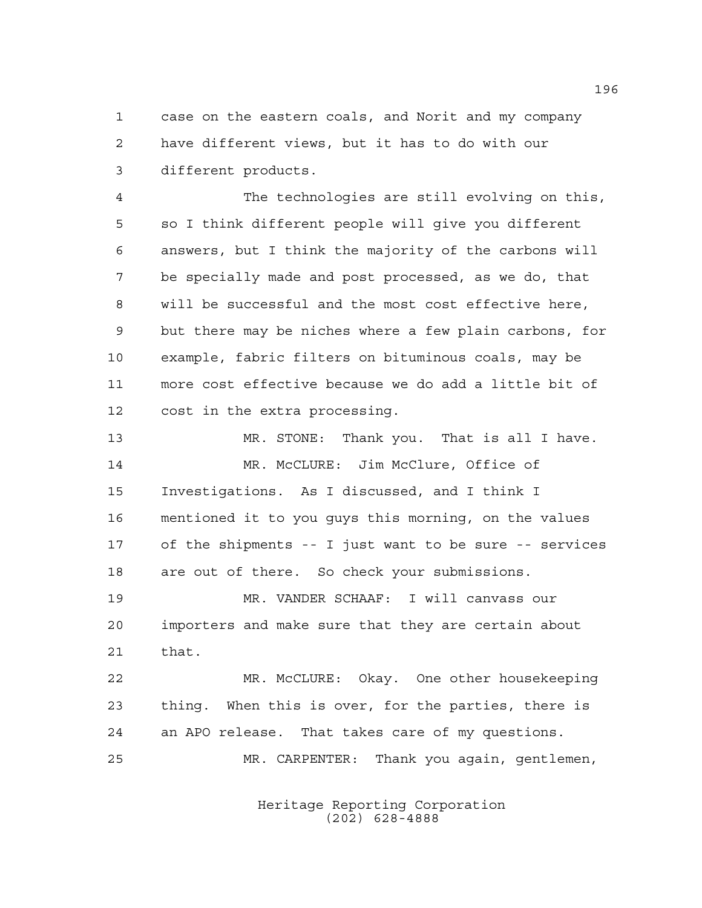case on the eastern coals, and Norit and my company have different views, but it has to do with our different products.

 The technologies are still evolving on this, so I think different people will give you different answers, but I think the majority of the carbons will be specially made and post processed, as we do, that will be successful and the most cost effective here, but there may be niches where a few plain carbons, for example, fabric filters on bituminous coals, may be more cost effective because we do add a little bit of cost in the extra processing.

 MR. STONE: Thank you. That is all I have. MR. McCLURE: Jim McClure, Office of Investigations. As I discussed, and I think I mentioned it to you guys this morning, on the values of the shipments -- I just want to be sure -- services are out of there. So check your submissions. MR. VANDER SCHAAF: I will canvass our

 importers and make sure that they are certain about that.

 MR. McCLURE: Okay. One other housekeeping thing. When this is over, for the parties, there is an APO release. That takes care of my questions. MR. CARPENTER: Thank you again, gentlemen,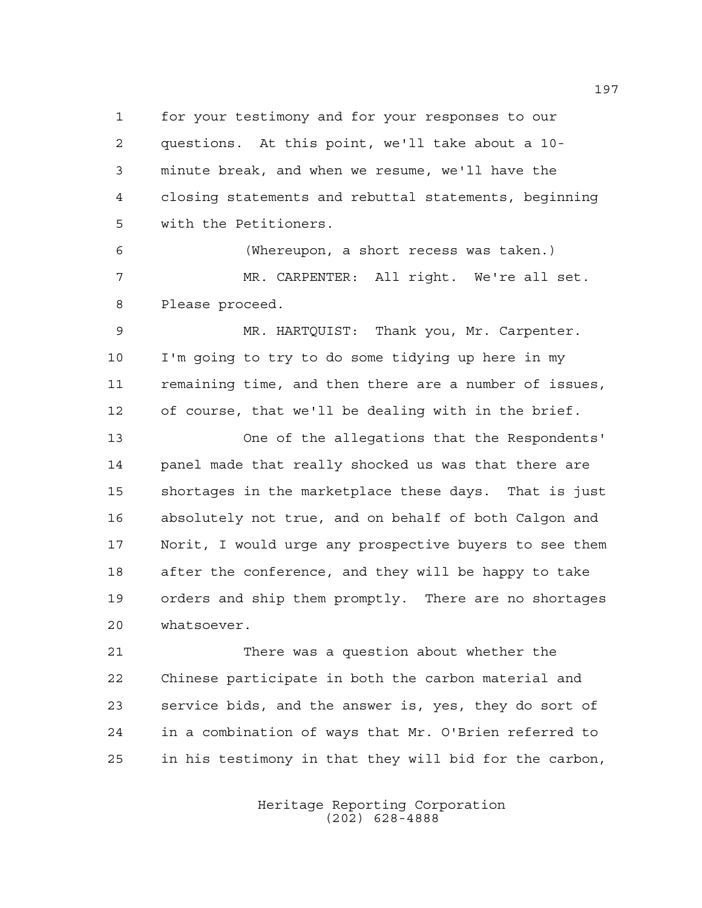for your testimony and for your responses to our questions. At this point, we'll take about a 10- minute break, and when we resume, we'll have the closing statements and rebuttal statements, beginning with the Petitioners.

 (Whereupon, a short recess was taken.) MR. CARPENTER: All right. We're all set. Please proceed.

 MR. HARTQUIST: Thank you, Mr. Carpenter. I'm going to try to do some tidying up here in my remaining time, and then there are a number of issues, of course, that we'll be dealing with in the brief.

 One of the allegations that the Respondents' panel made that really shocked us was that there are shortages in the marketplace these days. That is just absolutely not true, and on behalf of both Calgon and Norit, I would urge any prospective buyers to see them after the conference, and they will be happy to take orders and ship them promptly. There are no shortages whatsoever.

 There was a question about whether the Chinese participate in both the carbon material and service bids, and the answer is, yes, they do sort of in a combination of ways that Mr. O'Brien referred to in his testimony in that they will bid for the carbon,

> Heritage Reporting Corporation (202) 628-4888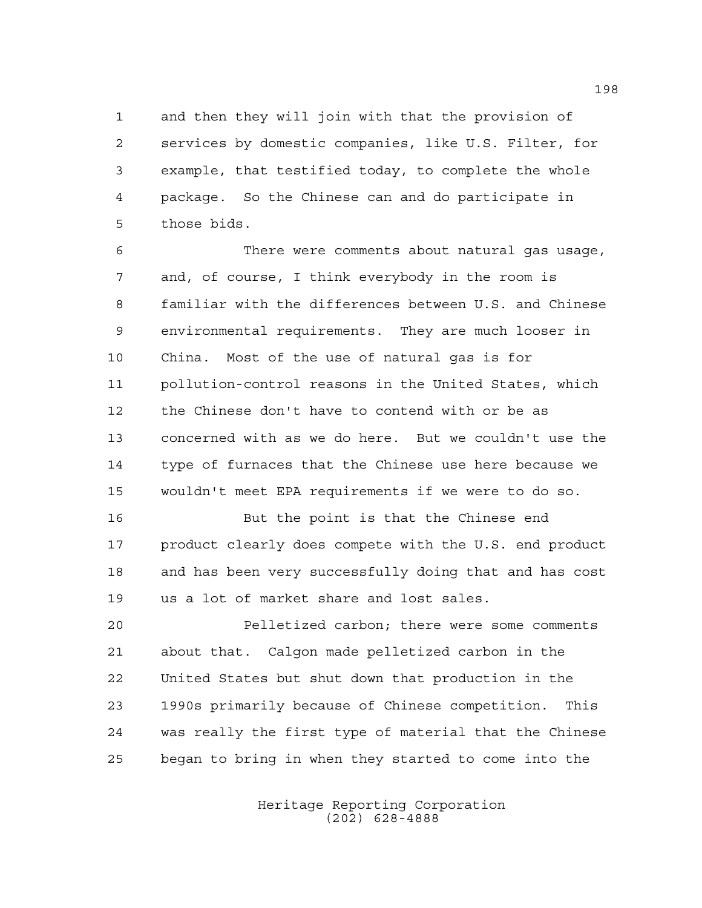and then they will join with that the provision of services by domestic companies, like U.S. Filter, for example, that testified today, to complete the whole package. So the Chinese can and do participate in those bids.

 There were comments about natural gas usage, and, of course, I think everybody in the room is familiar with the differences between U.S. and Chinese environmental requirements. They are much looser in China. Most of the use of natural gas is for pollution-control reasons in the United States, which the Chinese don't have to contend with or be as concerned with as we do here. But we couldn't use the type of furnaces that the Chinese use here because we wouldn't meet EPA requirements if we were to do so.

 But the point is that the Chinese end 17 product clearly does compete with the U.S. end product and has been very successfully doing that and has cost us a lot of market share and lost sales.

 Pelletized carbon; there were some comments about that. Calgon made pelletized carbon in the United States but shut down that production in the 1990s primarily because of Chinese competition. This was really the first type of material that the Chinese began to bring in when they started to come into the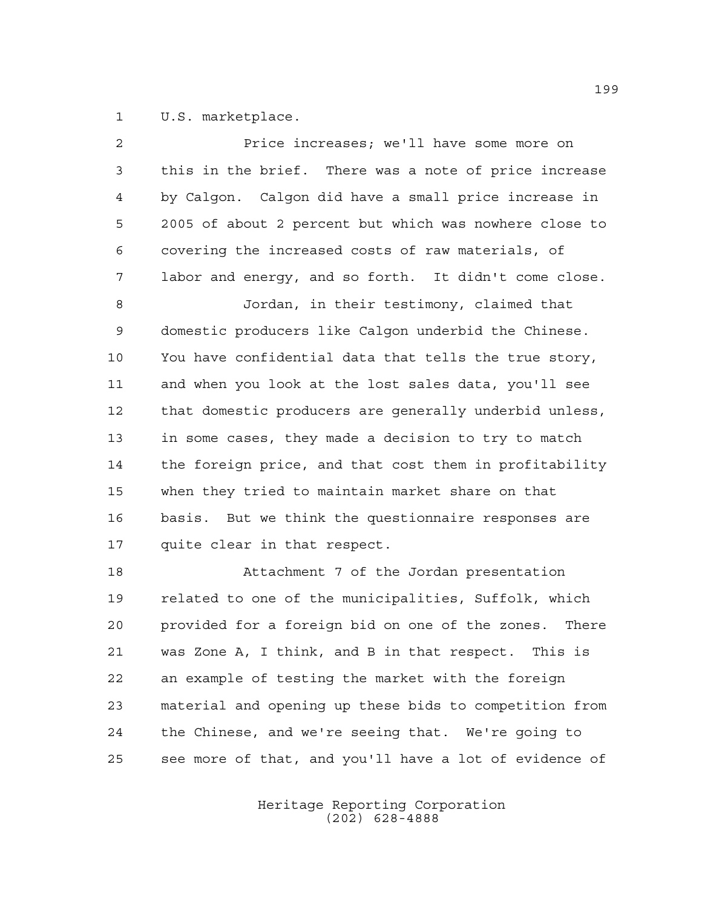1 U.S. marketplace.

| $\overline{2}$ | Price increases; we'll have some more on                 |
|----------------|----------------------------------------------------------|
| 3              | this in the brief. There was a note of price increase    |
| 4              | by Calgon. Calgon did have a small price increase in     |
| 5              | 2005 of about 2 percent but which was nowhere close to   |
| 6              | covering the increased costs of raw materials, of        |
| 7              | labor and energy, and so forth. It didn't come close.    |
| 8              | Jordan, in their testimony, claimed that                 |
| 9              | domestic producers like Calgon underbid the Chinese.     |
| 10             | You have confidential data that tells the true story,    |
| 11             | and when you look at the lost sales data, you'll see     |
| 12             | that domestic producers are generally underbid unless,   |
| 13             | in some cases, they made a decision to try to match      |
| 14             | the foreign price, and that cost them in profitability   |
| 15             | when they tried to maintain market share on that         |
| 16             | basis. But we think the questionnaire responses are      |
| 17             | quite clear in that respect.                             |
| 18             | Attachment 7 of the Jordan presentation                  |
| 19             | related to one of the municipalities, Suffolk, which     |
| 20             | provided for a foreign bid on one of the zones.<br>There |
| 21             | was Zone A, I think, and B in that respect. This is      |
| 22             | an example of testing the market with the foreign        |
| 23             | material and opening up these bids to competition from   |
| 24             | the Chinese, and we're seeing that. We're going to       |

Heritage Reporting Corporation (202) 628-4888

see more of that, and you'll have a lot of evidence of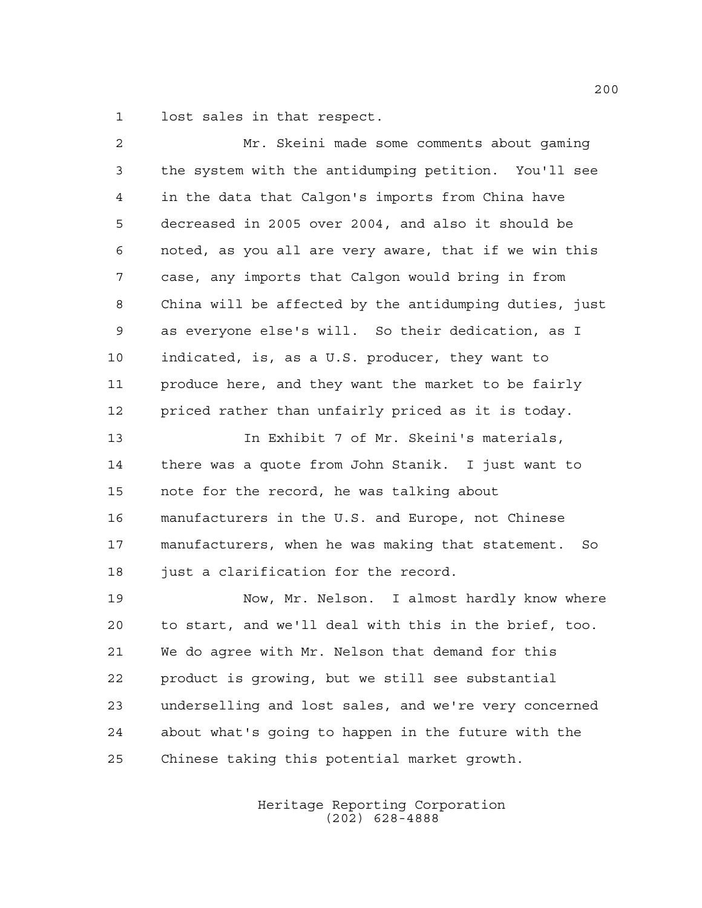lost sales in that respect.

| 2           | Mr. Skeini made some comments about gaming             |
|-------------|--------------------------------------------------------|
| 3           | the system with the antidumping petition. You'll see   |
| 4           | in the data that Calgon's imports from China have      |
| 5           | decreased in 2005 over 2004, and also it should be     |
| 6           | noted, as you all are very aware, that if we win this  |
| 7           | case, any imports that Calgon would bring in from      |
| 8           | China will be affected by the antidumping duties, just |
| $\mathsf 9$ | as everyone else's will. So their dedication, as I     |
| 10          | indicated, is, as a U.S. producer, they want to        |
| 11          | produce here, and they want the market to be fairly    |
| 12          | priced rather than unfairly priced as it is today.     |
| 13          | In Exhibit 7 of Mr. Skeini's materials,                |
| 14          | there was a quote from John Stanik. I just want to     |
| 15          | note for the record, he was talking about              |
| 16          | manufacturers in the U.S. and Europe, not Chinese      |
| 17          | manufacturers, when he was making that statement. So   |
| 18          | just a clarification for the record.                   |
| 19          | Now, Mr. Nelson. I almost hardly know where            |
| 20          | to start, and we'll deal with this in the brief, too.  |
| 21          | We do agree with Mr. Nelson that demand for this       |
| 22          | product is growing, but we still see substantial       |
| 23          | underselling and lost sales, and we're very concerned  |
| 24          | about what's going to happen in the future with the    |
| 25          | Chinese taking this potential market growth.           |
|             |                                                        |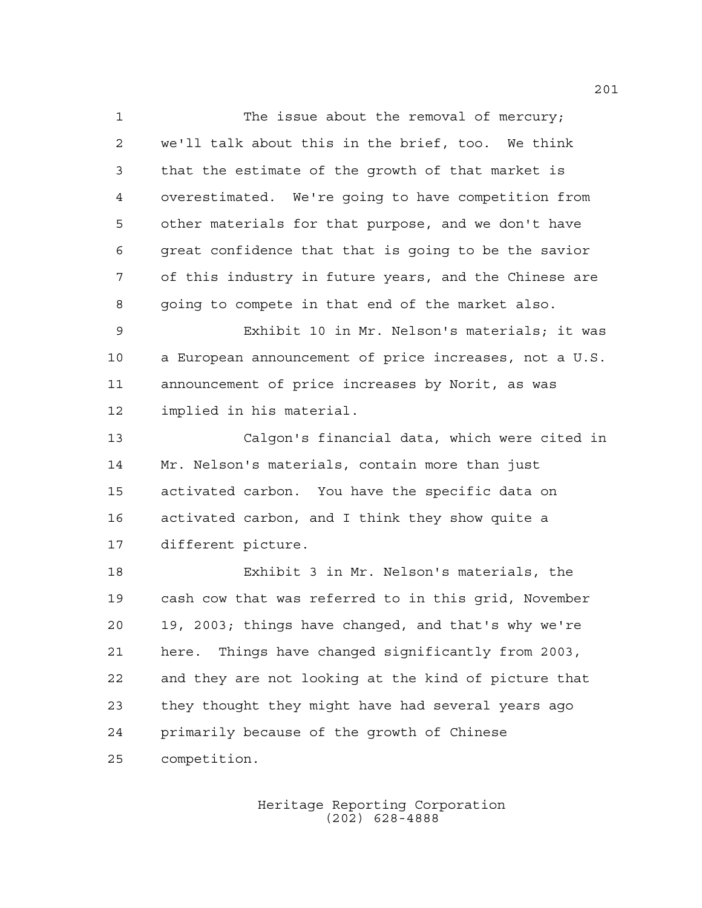1 The issue about the removal of mercury; we'll talk about this in the brief, too. We think that the estimate of the growth of that market is overestimated. We're going to have competition from other materials for that purpose, and we don't have great confidence that that is going to be the savior of this industry in future years, and the Chinese are going to compete in that end of the market also. Exhibit 10 in Mr. Nelson's materials; it was a European announcement of price increases, not a U.S. announcement of price increases by Norit, as was implied in his material. Calgon's financial data, which were cited in Mr. Nelson's materials, contain more than just activated carbon. You have the specific data on activated carbon, and I think they show quite a different picture. Exhibit 3 in Mr. Nelson's materials, the cash cow that was referred to in this grid, November 19, 2003; things have changed, and that's why we're here. Things have changed significantly from 2003, and they are not looking at the kind of picture that they thought they might have had several years ago primarily because of the growth of Chinese

competition.

Heritage Reporting Corporation (202) 628-4888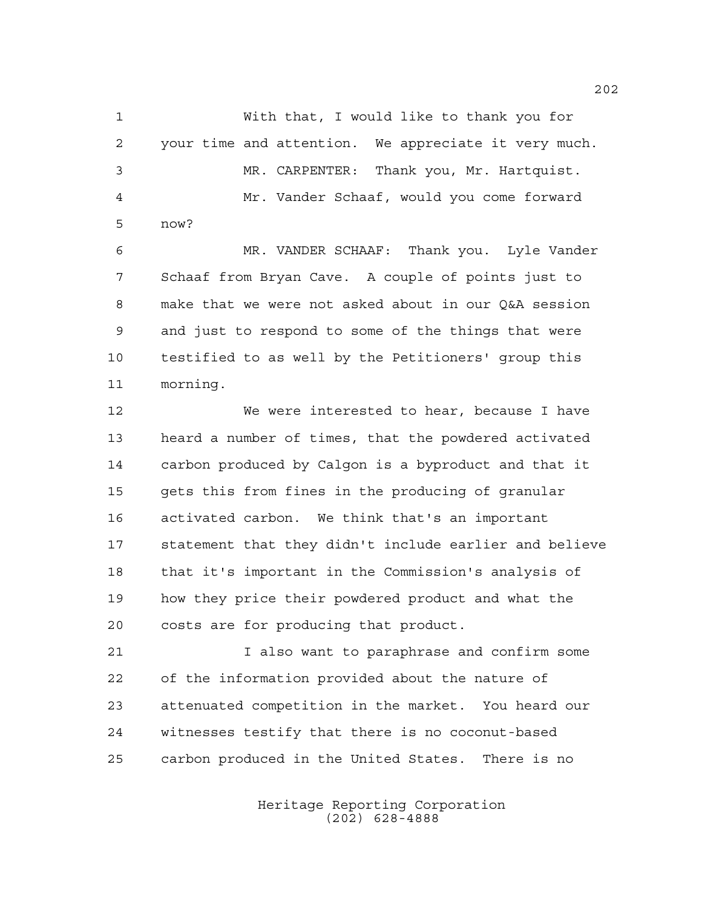With that, I would like to thank you for your time and attention. We appreciate it very much. MR. CARPENTER: Thank you, Mr. Hartquist. Mr. Vander Schaaf, would you come forward now?

 MR. VANDER SCHAAF: Thank you. Lyle Vander Schaaf from Bryan Cave. A couple of points just to make that we were not asked about in our Q&A session and just to respond to some of the things that were testified to as well by the Petitioners' group this morning.

 We were interested to hear, because I have heard a number of times, that the powdered activated carbon produced by Calgon is a byproduct and that it gets this from fines in the producing of granular activated carbon. We think that's an important statement that they didn't include earlier and believe that it's important in the Commission's analysis of how they price their powdered product and what the costs are for producing that product.

 I also want to paraphrase and confirm some of the information provided about the nature of attenuated competition in the market. You heard our witnesses testify that there is no coconut-based carbon produced in the United States. There is no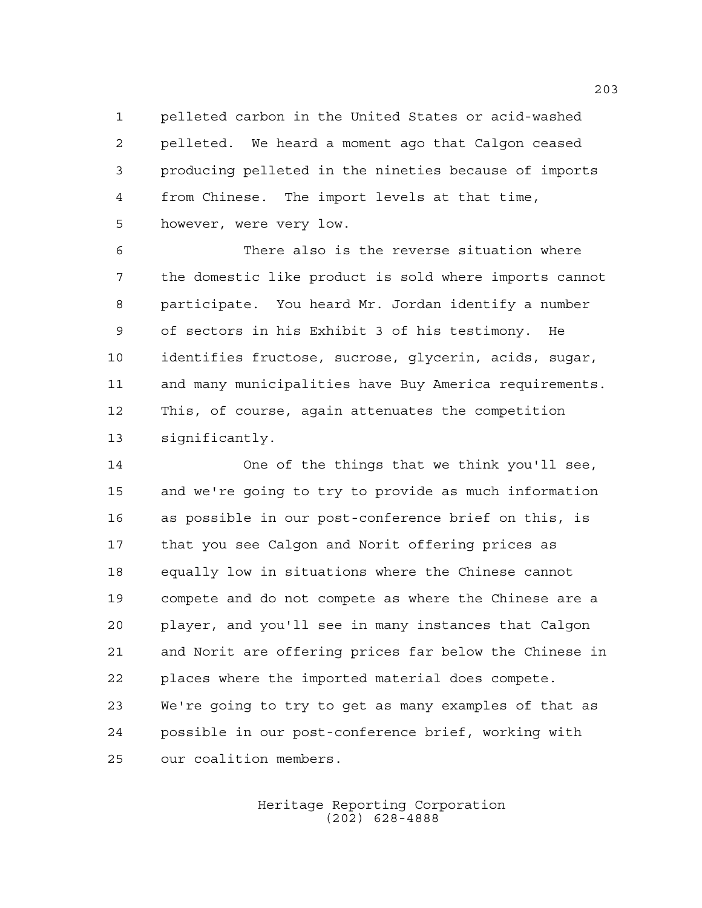pelleted carbon in the United States or acid-washed pelleted. We heard a moment ago that Calgon ceased producing pelleted in the nineties because of imports from Chinese. The import levels at that time, however, were very low.

 There also is the reverse situation where the domestic like product is sold where imports cannot participate. You heard Mr. Jordan identify a number of sectors in his Exhibit 3 of his testimony. He identifies fructose, sucrose, glycerin, acids, sugar, and many municipalities have Buy America requirements. This, of course, again attenuates the competition significantly.

 One of the things that we think you'll see, and we're going to try to provide as much information as possible in our post-conference brief on this, is that you see Calgon and Norit offering prices as equally low in situations where the Chinese cannot compete and do not compete as where the Chinese are a player, and you'll see in many instances that Calgon and Norit are offering prices far below the Chinese in places where the imported material does compete. We're going to try to get as many examples of that as possible in our post-conference brief, working with our coalition members.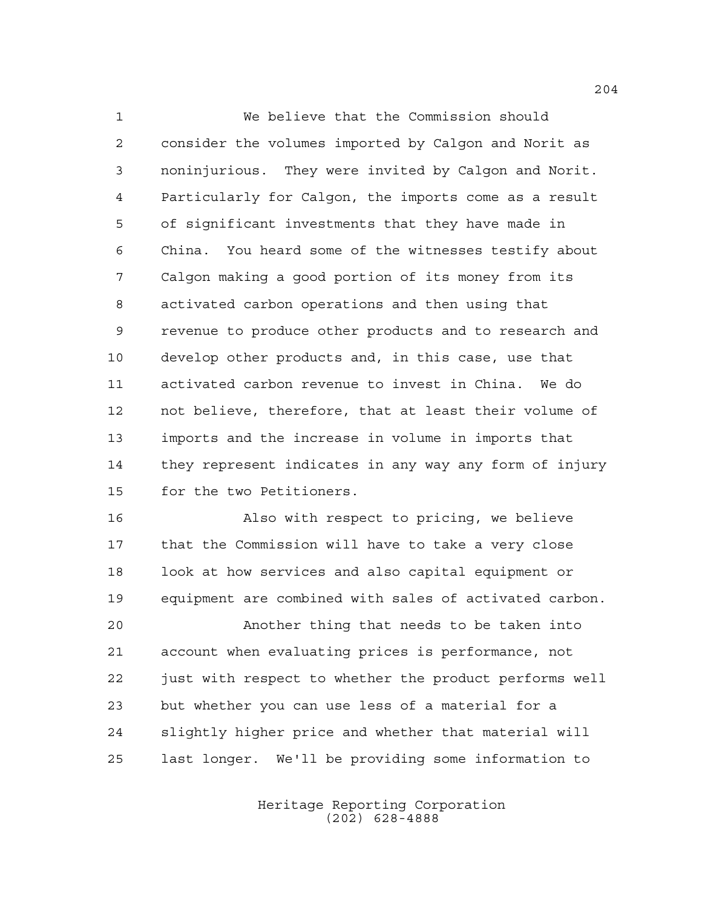We believe that the Commission should consider the volumes imported by Calgon and Norit as noninjurious. They were invited by Calgon and Norit. Particularly for Calgon, the imports come as a result of significant investments that they have made in China. You heard some of the witnesses testify about Calgon making a good portion of its money from its activated carbon operations and then using that revenue to produce other products and to research and develop other products and, in this case, use that activated carbon revenue to invest in China. We do not believe, therefore, that at least their volume of imports and the increase in volume in imports that they represent indicates in any way any form of injury for the two Petitioners.

 Also with respect to pricing, we believe that the Commission will have to take a very close look at how services and also capital equipment or equipment are combined with sales of activated carbon.

 Another thing that needs to be taken into account when evaluating prices is performance, not just with respect to whether the product performs well but whether you can use less of a material for a slightly higher price and whether that material will last longer. We'll be providing some information to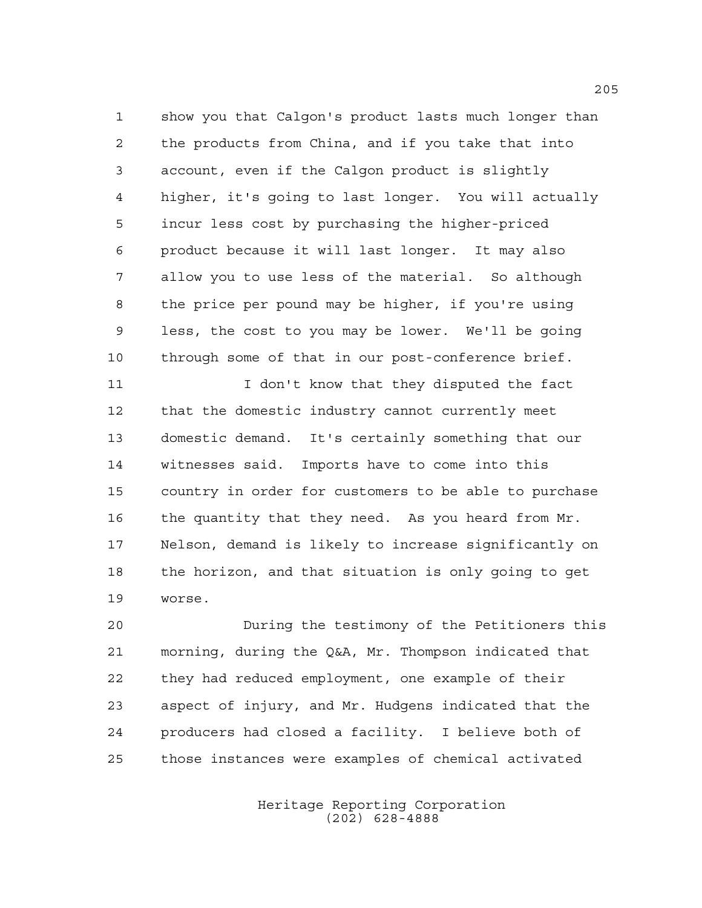show you that Calgon's product lasts much longer than the products from China, and if you take that into account, even if the Calgon product is slightly higher, it's going to last longer. You will actually incur less cost by purchasing the higher-priced product because it will last longer. It may also allow you to use less of the material. So although the price per pound may be higher, if you're using less, the cost to you may be lower. We'll be going through some of that in our post-conference brief.

11 I don't know that they disputed the fact that the domestic industry cannot currently meet domestic demand. It's certainly something that our witnesses said. Imports have to come into this country in order for customers to be able to purchase the quantity that they need. As you heard from Mr. Nelson, demand is likely to increase significantly on the horizon, and that situation is only going to get worse.

 During the testimony of the Petitioners this morning, during the Q&A, Mr. Thompson indicated that they had reduced employment, one example of their aspect of injury, and Mr. Hudgens indicated that the producers had closed a facility. I believe both of those instances were examples of chemical activated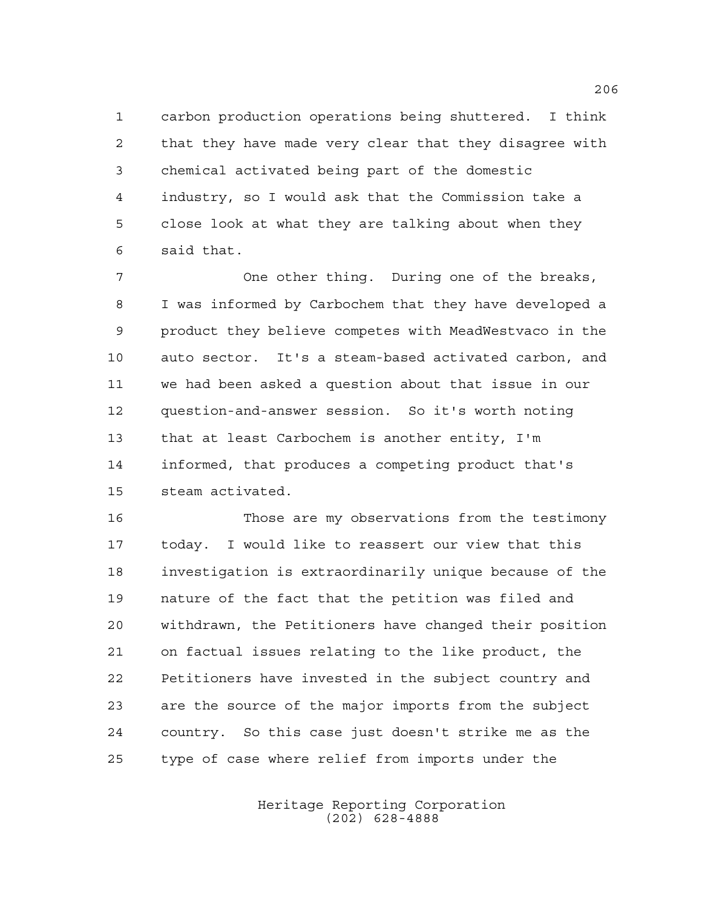carbon production operations being shuttered. I think that they have made very clear that they disagree with chemical activated being part of the domestic industry, so I would ask that the Commission take a close look at what they are talking about when they said that.

 One other thing. During one of the breaks, I was informed by Carbochem that they have developed a product they believe competes with MeadWestvaco in the auto sector. It's a steam-based activated carbon, and we had been asked a question about that issue in our question-and-answer session. So it's worth noting that at least Carbochem is another entity, I'm informed, that produces a competing product that's steam activated.

 Those are my observations from the testimony today. I would like to reassert our view that this investigation is extraordinarily unique because of the nature of the fact that the petition was filed and withdrawn, the Petitioners have changed their position on factual issues relating to the like product, the Petitioners have invested in the subject country and are the source of the major imports from the subject country. So this case just doesn't strike me as the type of case where relief from imports under the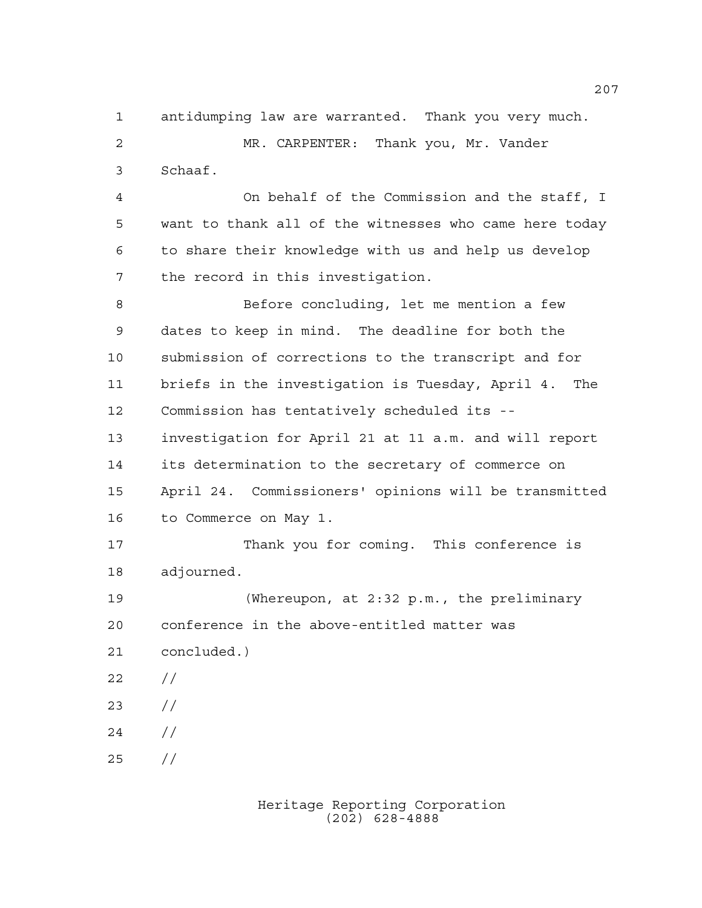antidumping law are warranted. Thank you very much.

 MR. CARPENTER: Thank you, Mr. Vander Schaaf.

 On behalf of the Commission and the staff, I want to thank all of the witnesses who came here today to share their knowledge with us and help us develop the record in this investigation.

 Before concluding, let me mention a few dates to keep in mind. The deadline for both the submission of corrections to the transcript and for briefs in the investigation is Tuesday, April 4. The Commission has tentatively scheduled its -- investigation for April 21 at 11 a.m. and will report its determination to the secretary of commerce on April 24. Commissioners' opinions will be transmitted to Commerce on May 1.

 Thank you for coming. This conference is adjourned.

 (Whereupon, at 2:32 p.m., the preliminary conference in the above-entitled matter was concluded.)

- //
- //
- //

//